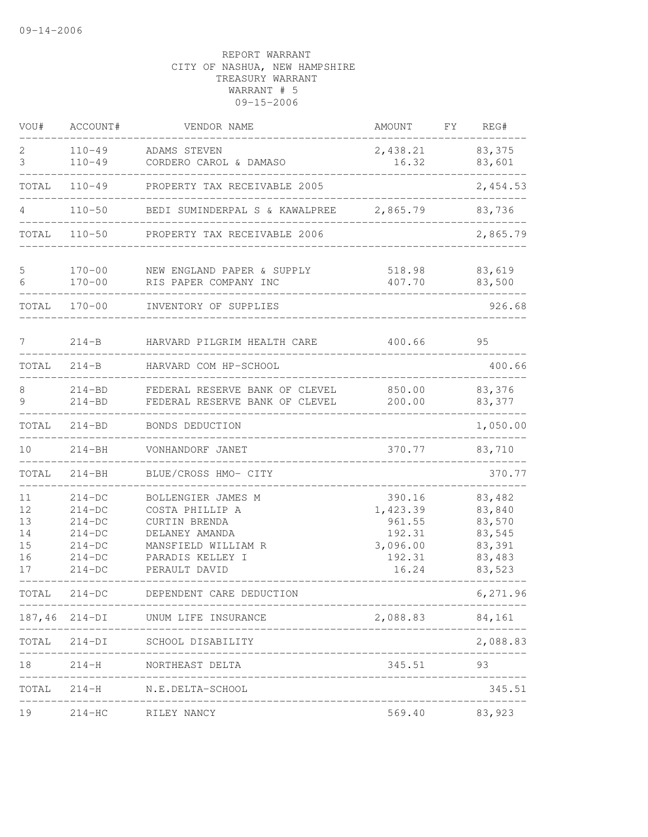| VOU#                                   | ACCOUNT#                                                                         | VENDOR NAME                                                                                                                          | AMOUNT                                                                | FΥ | REG#                                                               |
|----------------------------------------|----------------------------------------------------------------------------------|--------------------------------------------------------------------------------------------------------------------------------------|-----------------------------------------------------------------------|----|--------------------------------------------------------------------|
| 2<br>3                                 | $110 - 49$<br>$110 - 49$                                                         | ADAMS STEVEN<br>CORDERO CAROL & DAMASO                                                                                               | 2,438.21<br>16.32                                                     |    | 83,375<br>83,601                                                   |
| TOTAL                                  | $110 - 49$                                                                       | PROPERTY TAX RECEIVABLE 2005                                                                                                         |                                                                       |    | 2,454.53                                                           |
| 4                                      | $110 - 50$                                                                       | BEDI SUMINDERPAL S & KAWALPREE                                                                                                       | 2,865.79                                                              |    | 83,736                                                             |
| TOTAL                                  | $110 - 50$                                                                       | PROPERTY TAX RECEIVABLE 2006                                                                                                         |                                                                       |    | 2,865.79                                                           |
| 5<br>6                                 | $170 - 00$<br>$170 - 00$                                                         | NEW ENGLAND PAPER & SUPPLY<br>RIS PAPER COMPANY INC                                                                                  | 518.98<br>407.70                                                      |    | 83,619<br>83,500                                                   |
| TOTAL                                  | $170 - 00$                                                                       | INVENTORY OF SUPPLIES                                                                                                                |                                                                       |    | 926.68                                                             |
| 7                                      | $214 - B$                                                                        | HARVARD PILGRIM HEALTH CARE                                                                                                          | 400.66                                                                |    | 95                                                                 |
| TOTAL                                  | $214 - B$                                                                        | HARVARD COM HP-SCHOOL                                                                                                                |                                                                       |    | 400.66                                                             |
| 8<br>9                                 | $214 - BD$<br>$214 - BD$                                                         | FEDERAL RESERVE BANK OF CLEVEL<br>FEDERAL RESERVE BANK OF CLEVEL                                                                     | 850.00<br>200.00                                                      |    | 83,376<br>83,377                                                   |
| TOTAL                                  | $214 - BD$                                                                       | BONDS DEDUCTION                                                                                                                      |                                                                       |    | 1,050.00                                                           |
| 10                                     | $214 - BH$                                                                       | VONHANDORF JANET                                                                                                                     | 370.77                                                                |    | 83,710                                                             |
| TOTAL                                  | $214 - BH$                                                                       | BLUE/CROSS HMO- CITY                                                                                                                 |                                                                       |    | 370.77                                                             |
| 11<br>12<br>13<br>14<br>15<br>16<br>17 | $214-DC$<br>$214-DC$<br>$214-DC$<br>$214-DC$<br>$214-DC$<br>$214-DC$<br>$214-DC$ | BOLLENGIER JAMES M<br>COSTA PHILLIP A<br>CURTIN BRENDA<br>DELANEY AMANDA<br>MANSFIELD WILLIAM R<br>PARADIS KELLEY I<br>PERAULT DAVID | 390.16<br>1,423.39<br>961.55<br>192.31<br>3,096.00<br>192.31<br>16.24 |    | 83,482<br>83,840<br>83,570<br>83,545<br>83,391<br>83,483<br>83,523 |
| TOTAL                                  | $214 - DC$                                                                       | DEPENDENT CARE DEDUCTION                                                                                                             |                                                                       |    | 6,271.96                                                           |
|                                        | ---------                                                                        | -------------------------------------<br>187,46 214-DI UNUM LIFE INSURANCE<br>___________________________                            | 2,088.83                                                              |    | 84,161                                                             |
|                                        |                                                                                  | TOTAL 214-DI SCHOOL DISABILITY                                                                                                       |                                                                       |    | 2,088.83                                                           |
| 18                                     |                                                                                  | 214-H NORTHEAST DELTA<br>______________________                                                                                      | 345.51                                                                |    | 93                                                                 |
|                                        |                                                                                  | TOTAL 214-H N.E.DELTA-SCHOOL                                                                                                         |                                                                       |    | 345.51                                                             |
| 19                                     | $214-HC$                                                                         | RILEY NANCY                                                                                                                          | 569.40                                                                |    | 83,923                                                             |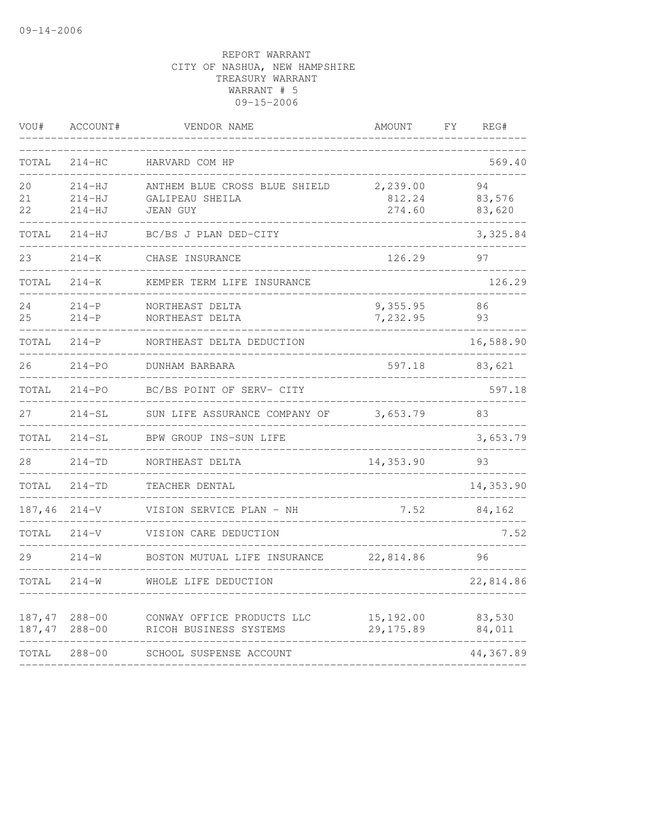| VOU#   | ACCOUNT#   | VENDOR NAME                   | AMOUNT     | FY | REG#      |
|--------|------------|-------------------------------|------------|----|-----------|
| TOTAL  | $214 - HC$ | HARVARD COM HP                |            |    | 569.40    |
| 20     | $214-HJ$   | ANTHEM BLUE CROSS BLUE SHIELD | 2,239.00   |    | 94        |
| 21     | $214-HJ$   | GALIPEAU SHEILA               | 812.24     |    | 83,576    |
| 22     | $214 - HJ$ | <b>JEAN GUY</b>               | 274.60     |    | 83,620    |
| TOTAL  | $214 - HJ$ | BC/BS J PLAN DED-CITY         |            |    | 3,325.84  |
| 23     | $214 - K$  | CHASE INSURANCE               | 126.29     |    | 97        |
| TOTAL  | $214 - K$  | KEMPER TERM LIFE INSURANCE    |            |    | 126.29    |
| 24     | $214-P$    | NORTHEAST DELTA               | 9,355.95   |    | 86        |
| 25     | $214-P$    | NORTHEAST DELTA               | 7,232.95   |    | 93        |
| TOTAL  | $214-P$    | NORTHEAST DELTA DEDUCTION     |            |    | 16,588.90 |
| 26     | $214 - PO$ | DUNHAM BARBARA                | 597.18     |    | 83,621    |
| TOTAL  | $214 - PO$ | BC/BS POINT OF SERV- CITY     |            |    | 597.18    |
| 27     | $214 - SL$ | SUN LIFE ASSURANCE COMPANY OF | 3,653.79   |    | 83        |
| TOTAL  | $214 - SL$ | BPW GROUP INS-SUN LIFE        |            |    | 3,653.79  |
| 28     | $214 - TD$ | NORTHEAST DELTA               | 14,353.90  |    | 93        |
| TOTAL  | $214 - TD$ | TEACHER DENTAL                |            |    | 14,353.90 |
| 187,46 | $214 - V$  | VISION SERVICE PLAN - NH      | 7.52       |    | 84,162    |
| TOTAL  | $214 - V$  | VISION CARE DEDUCTION         |            |    | 7.52      |
| 29     | $214 - W$  | BOSTON MUTUAL LIFE INSURANCE  | 22,814.86  |    | 96        |
| TOTAL  | $214 - W$  | WHOLE LIFE DEDUCTION          |            |    | 22,814.86 |
| 187,47 | $288 - 00$ | CONWAY OFFICE PRODUCTS LLC    | 15,192.00  |    | 83,530    |
| 187,47 | $288 - 00$ | RICOH BUSINESS SYSTEMS        | 29, 175.89 |    | 84,011    |
| TOTAL  | $288 - 00$ | SCHOOL SUSPENSE ACCOUNT       |            |    | 44,367.89 |
|        |            |                               |            |    |           |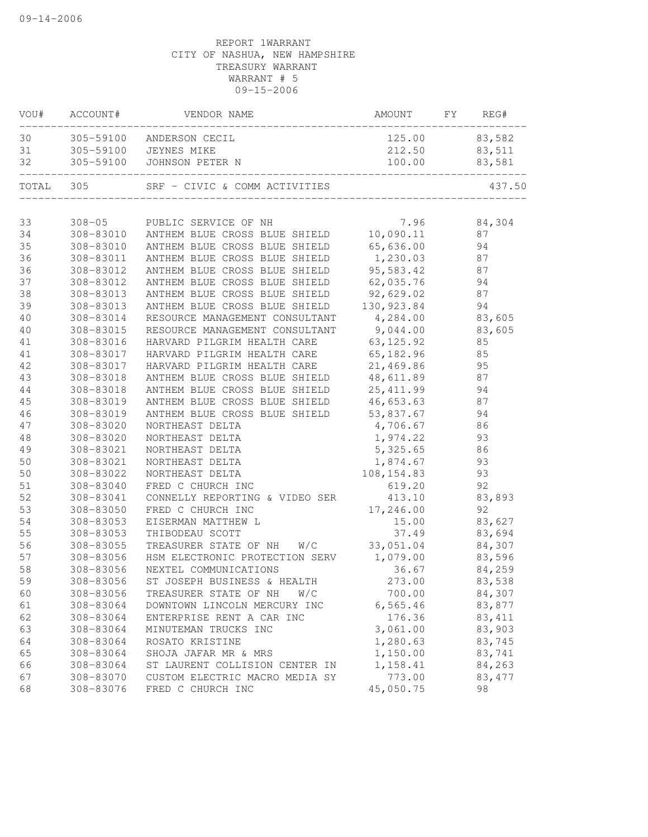| VOU#     | ACCOUNT#               | VENDOR NAME                                                    | AMOUNT                  | FY | REG#         |
|----------|------------------------|----------------------------------------------------------------|-------------------------|----|--------------|
| 30       |                        | 305-59100 ANDERSON CECIL                                       | 125.00                  |    | 83,582       |
| 31       | 305-59100              | JEYNES MIKE                                                    | 212.50                  |    | 83,511       |
| 32       | 305-59100              | JOHNSON PETER N                                                | 100.00                  |    | 83,581       |
| TOTAL    | 305                    | SRF - CIVIC & COMM ACTIVITIES                                  |                         |    | 437.50       |
|          |                        |                                                                |                         |    |              |
| 33       | $308 - 05$             | PUBLIC SERVICE OF NH                                           | 7.96                    |    | 84,304       |
| 34       | 308-83010              | ANTHEM BLUE CROSS BLUE SHIELD                                  | 10,090.11               |    | 87           |
| 35       | 308-83010              | ANTHEM BLUE CROSS BLUE SHIELD                                  | 65,636.00               |    | 94           |
| 36       | 308-83011              | ANTHEM BLUE CROSS BLUE SHIELD                                  | 1,230.03                |    | 87           |
| 36       | 308-83012              | ANTHEM BLUE CROSS BLUE SHIELD                                  | 95,583.42               |    | 87           |
| 37       | 308-83012              | ANTHEM BLUE CROSS BLUE SHIELD                                  | 62,035.76               |    | 94           |
| 38<br>39 | 308-83013              | ANTHEM BLUE CROSS BLUE SHIELD<br>ANTHEM BLUE CROSS BLUE SHIELD | 92,629.02<br>130,923.84 |    | 87<br>94     |
|          | 308-83013<br>308-83014 | RESOURCE MANAGEMENT CONSULTANT                                 | 4,284.00                |    | 83,605       |
| 40       | 308-83015              |                                                                | 9,044.00                |    |              |
| 40       | 308-83016              | RESOURCE MANAGEMENT CONSULTANT<br>HARVARD PILGRIM HEALTH CARE  | 63, 125.92              |    | 83,605<br>85 |
| 41<br>41 | 308-83017              | HARVARD PILGRIM HEALTH CARE                                    | 65,182.96               |    | 85           |
| 42       | 308-83017              | HARVARD PILGRIM HEALTH CARE                                    | 21,469.86               |    | 95           |
| 43       | 308-83018              | ANTHEM BLUE CROSS BLUE SHIELD                                  | 48,611.89               |    | 87           |
| 44       | 308-83018              | ANTHEM BLUE CROSS BLUE SHIELD                                  | 25, 411.99              |    | 94           |
| 45       | 308-83019              | ANTHEM BLUE CROSS BLUE SHIELD                                  | 46,653.63               |    | 87           |
| 46       | 308-83019              | ANTHEM BLUE CROSS BLUE SHIELD                                  | 53,837.67               |    | 94           |
| 47       | 308-83020              | NORTHEAST DELTA                                                | 4,706.67                |    | 86           |
| 48       | 308-83020              | NORTHEAST DELTA                                                | 1,974.22                |    | 93           |
| 49       | 308-83021              | NORTHEAST DELTA                                                | 5,325.65                |    | 86           |
| $50$     | 308-83021              | NORTHEAST DELTA                                                | 1,874.67                |    | 93           |
| 50       | 308-83022              | NORTHEAST DELTA                                                | 108,154.83              |    | 93           |
| 51       | 308-83040              | FRED C CHURCH INC                                              | 619.20                  |    | 92           |
| 52       | 308-83041              | CONNELLY REPORTING & VIDEO SER                                 | 413.10                  |    | 83,893       |
| 53       | 308-83050              | FRED C CHURCH INC                                              | 17,246.00               |    | 92           |
| 54       | 308-83053              | EISERMAN MATTHEW L                                             | 15.00                   |    | 83,627       |
| 55       | 308-83053              | THIBODEAU SCOTT                                                | 37.49                   |    | 83,694       |
| 56       | 308-83055              | TREASURER STATE OF NH<br>W/C                                   | 33,051.04               |    | 84,307       |
| 57       | 308-83056              | HSM ELECTRONIC PROTECTION SERV                                 | 1,079.00                |    | 83,596       |
| 58       | 308-83056              | NEXTEL COMMUNICATIONS                                          | 36.67                   |    | 84,259       |
| 59       | 308-83056              | ST JOSEPH BUSINESS & HEALTH                                    | 273.00                  |    | 83,538       |
| 60       | 308-83056              | TREASURER STATE OF NH<br>W/C                                   | 700.00                  |    | 84,307       |
| 61       | 308-83064              | DOWNTOWN LINCOLN MERCURY INC                                   | 6, 565.46               |    | 83,877       |
| 62       | 308-83064              | ENTERPRISE RENT A CAR INC                                      | 176.36                  |    | 83, 411      |
| 63       | 308-83064              | MINUTEMAN TRUCKS INC                                           | 3,061.00                |    | 83,903       |
| 64       | 308-83064              | ROSATO KRISTINE                                                | 1,280.63                |    | 83,745       |
| 65       | 308-83064              | SHOJA JAFAR MR & MRS                                           | 1,150.00                |    | 83,741       |
| 66       | 308-83064              | ST LAURENT COLLISION CENTER IN                                 | 1,158.41                |    | 84,263       |
| 67       | 308-83070              | CUSTOM ELECTRIC MACRO MEDIA SY                                 | 773.00                  |    | 83, 477      |
| 68       | 308-83076              | FRED C CHURCH INC                                              | 45,050.75               |    | 98           |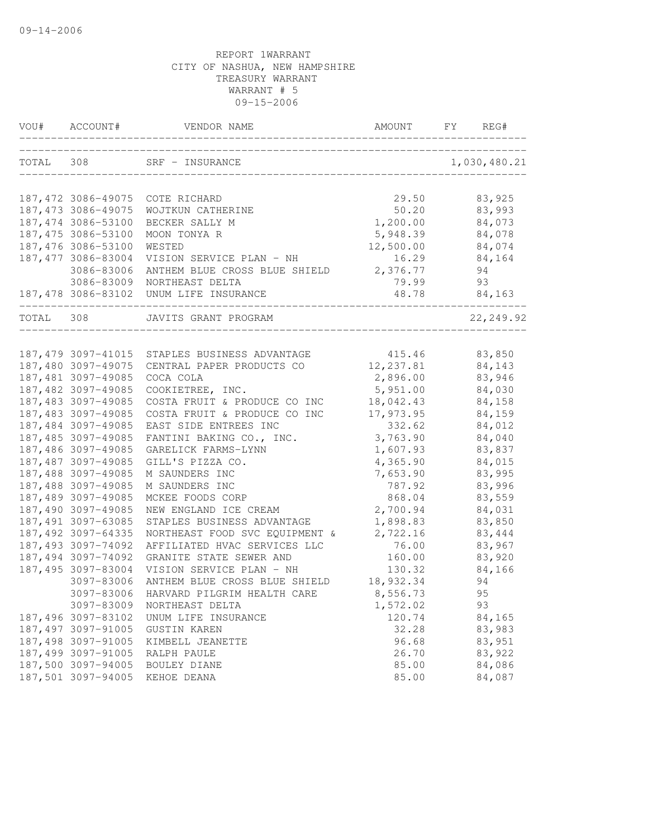|           | VOU# ACCOUNT#       | VENDOR NAME                            | AMOUNT     | FY<br>REG#   |
|-----------|---------------------|----------------------------------------|------------|--------------|
| TOTAL 308 |                     | SRF - INSURANCE                        |            | 1,030,480.21 |
|           | 187,472 3086-49075  | COTE RICHARD                           | 29.50      | 83,925       |
|           | 187, 473 3086-49075 | WOJTKUN CATHERINE                      | 50.20      | 83,993       |
|           | 187,474 3086-53100  | BECKER SALLY M                         | 1,200.00   | 84,073       |
|           | 187,475 3086-53100  | MOON TONYA R                           | 5,948.39   | 84,078       |
|           | 187,476 3086-53100  | WESTED                                 | 12,500.00  | 84,074       |
|           | 187, 477 3086-83004 | VISION SERVICE PLAN - NH               | 16.29      | 84,164       |
|           | 3086-83006          | ANTHEM BLUE CROSS BLUE SHIELD          | 2,376.77   | 94           |
|           | 3086-83009          | NORTHEAST DELTA                        | 79.99      | 93           |
|           |                     | 187,478 3086-83102 UNUM LIFE INSURANCE | 48.78      | 84,163       |
| TOTAL 308 |                     | JAVITS GRANT PROGRAM                   |            | 22,249.92    |
|           | 187,479 3097-41015  | STAPLES BUSINESS ADVANTAGE             | 415.46     | 83,850       |
|           | 187,480 3097-49075  | CENTRAL PAPER PRODUCTS CO              | 12, 237.81 | 84,143       |
|           | 187,481 3097-49085  | COCA COLA                              | 2,896.00   | 83,946       |
|           | 187,482 3097-49085  | COOKIETREE, INC.                       | 5,951.00   | 84,030       |
|           | 187,483 3097-49085  | COSTA FRUIT & PRODUCE CO INC           | 18,042.43  | 84,158       |
|           | 187,483 3097-49085  | COSTA FRUIT & PRODUCE CO INC           | 17,973.95  | 84,159       |
|           | 187,484 3097-49085  | EAST SIDE ENTREES INC                  | 332.62     | 84,012       |
|           | 187,485 3097-49085  | FANTINI BAKING CO., INC.               | 3,763.90   | 84,040       |
|           | 187,486 3097-49085  | GARELICK FARMS-LYNN                    | 1,607.93   | 83,837       |
|           | 187,487 3097-49085  | GILL'S PIZZA CO.                       | 4,365.90   | 84,015       |
|           | 187,488 3097-49085  | M SAUNDERS INC                         | 7,653.90   | 83,995       |
|           | 187,488 3097-49085  | M SAUNDERS INC                         | 787.92     | 83,996       |
|           | 187,489 3097-49085  | MCKEE FOODS CORP                       | 868.04     | 83,559       |
|           | 187,490 3097-49085  | NEW ENGLAND ICE CREAM                  | 2,700.94   | 84,031       |
|           | 187,491 3097-63085  | STAPLES BUSINESS ADVANTAGE             | 1,898.83   | 83,850       |
|           | 187, 492 3097-64335 | NORTHEAST FOOD SVC EQUIPMENT &         | 2,722.16   | 83,444       |
|           | 187,493 3097-74092  | AFFILIATED HVAC SERVICES LLC           | 76.00      | 83,967       |
|           | 187,494 3097-74092  | GRANITE STATE SEWER AND                | 160.00     | 83,920       |
|           | 187,495 3097-83004  | VISION SERVICE PLAN - NH               | 130.32     | 84,166       |
|           | 3097-83006          | ANTHEM BLUE CROSS BLUE SHIELD          | 18,932.34  | 94           |
|           | 3097-83006          | HARVARD PILGRIM HEALTH CARE            | 8,556.73   | 95           |
|           | 3097-83009          | NORTHEAST DELTA                        | 1,572.02   | 93           |
|           | 187,496 3097-83102  | UNUM LIFE INSURANCE                    | 120.74     | 84,165       |
|           | 187,497 3097-91005  | GUSTIN KAREN                           | 32.28      | 83,983       |
|           | 187,498 3097-91005  | KIMBELL JEANETTE                       | 96.68      | 83,951       |
|           | 187,499 3097-91005  | RALPH PAULE                            | 26.70      | 83,922       |
|           | 187,500 3097-94005  | BOULEY DIANE                           | 85.00      | 84,086       |
|           | 187,501 3097-94005  | KEHOE DEANA                            | 85.00      | 84,087       |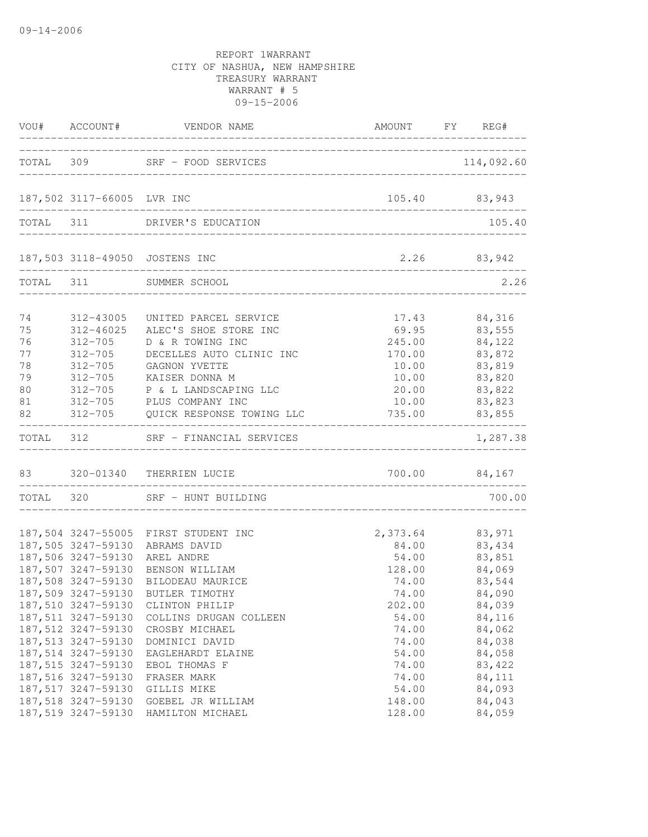|                                                    | _________________________                                                                                                                                                                                     | VOU# ACCOUNT# VENDOR NAME                                                                                                                                                                                                                                                                                                                    | AMOUNT FY REG#                                                                                                                                |                                                                                                                      |
|----------------------------------------------------|---------------------------------------------------------------------------------------------------------------------------------------------------------------------------------------------------------------|----------------------------------------------------------------------------------------------------------------------------------------------------------------------------------------------------------------------------------------------------------------------------------------------------------------------------------------------|-----------------------------------------------------------------------------------------------------------------------------------------------|----------------------------------------------------------------------------------------------------------------------|
|                                                    |                                                                                                                                                                                                               | TOTAL 309 SRF - FOOD SERVICES                                                                                                                                                                                                                                                                                                                |                                                                                                                                               | 114,092.60                                                                                                           |
|                                                    | 187,502 3117-66005 LVR INC                                                                                                                                                                                    |                                                                                                                                                                                                                                                                                                                                              | 105.40 83,943                                                                                                                                 |                                                                                                                      |
|                                                    |                                                                                                                                                                                                               | TOTAL 311 DRIVER'S EDUCATION                                                                                                                                                                                                                                                                                                                 |                                                                                                                                               | 105.40                                                                                                               |
|                                                    |                                                                                                                                                                                                               | 187,503 3118-49050 JOSTENS INC                                                                                                                                                                                                                                                                                                               |                                                                                                                                               | 2.26 83,942                                                                                                          |
|                                                    |                                                                                                                                                                                                               | TOTAL 311 SUMMER SCHOOL                                                                                                                                                                                                                                                                                                                      |                                                                                                                                               | 2.26                                                                                                                 |
| 74<br>75<br>76<br>77<br>78<br>79<br>80<br>81<br>82 | 312-705<br>312-705<br>312-705<br>312-705                                                                                                                                                                      | 312-43005 UNITED PARCEL SERVICE<br>312-46025 ALEC'S SHOE STORE INC<br>D & R TOWING INC<br>DECELLES AUTO CLINIC INC<br>GAGNON YVETTE<br>KAISER DONNA M<br>312-705 P & L LANDSCAPING LLC<br>312-705 PLUS COMPANY INC<br>312-705 QUICK RESPONSE TOWING LLC                                                                                      | 245.00<br>170.00<br>10.00<br>10.00<br>20.00<br>735.00 83,855                                                                                  | 17.43 84,316<br>69.95 83,555<br>84,122<br>83,872<br>83,819<br>83,820<br>83,822<br>10.00 83,823                       |
|                                                    |                                                                                                                                                                                                               | TOTAL 312 SRF - FINANCIAL SERVICES                                                                                                                                                                                                                                                                                                           |                                                                                                                                               | ____________________<br>1,287.38                                                                                     |
|                                                    |                                                                                                                                                                                                               | 83 320-01340 THERRIEN LUCIE                                                                                                                                                                                                                                                                                                                  | 700.00 84,167                                                                                                                                 |                                                                                                                      |
|                                                    |                                                                                                                                                                                                               | TOTAL 320 SRF - HUNT BUILDING                                                                                                                                                                                                                                                                                                                |                                                                                                                                               | 700.00                                                                                                               |
|                                                    | 187,506 3247-59130 AREL ANDRE<br>187,510 3247-59130<br>187,511 3247-59130<br>187,512 3247-59130<br>187,513 3247-59130<br>187,514 3247-59130<br>187,515 3247-59130<br>187,516 3247-59130<br>187,517 3247-59130 | 187,504 3247-55005 FIRST STUDENT INC<br>187,505 3247-59130 ABRAMS DAVID<br>187,507 3247-59130 BENSON WILLIAM<br>187,508 3247-59130 BILODEAU MAURICE<br>187,509 3247-59130 BUTLER TIMOTHY<br>CLINTON PHILIP<br>COLLINS DRUGAN COLLEEN<br>CROSBY MICHAEL<br>DOMINICI DAVID<br>EAGLEHARDT ELAINE<br>EBOL THOMAS F<br>FRASER MARK<br>GILLIS MIKE | 2,373.64 83,971<br>84.00 83,434<br>54.00<br>128.00<br>74.00<br>74.00<br>202.00<br>54.00<br>74.00<br>74.00<br>54.00<br>74.00<br>74.00<br>54.00 | 83,851<br>84,069<br>83,544<br>84,090<br>84,039<br>84,116<br>84,062<br>84,038<br>84,058<br>83,422<br>84,111<br>84,093 |
|                                                    | 187,518 3247-59130<br>187,519 3247-59130                                                                                                                                                                      | GOEBEL JR WILLIAM<br>HAMILTON MICHAEL                                                                                                                                                                                                                                                                                                        | 148.00<br>128.00                                                                                                                              | 84,043<br>84,059                                                                                                     |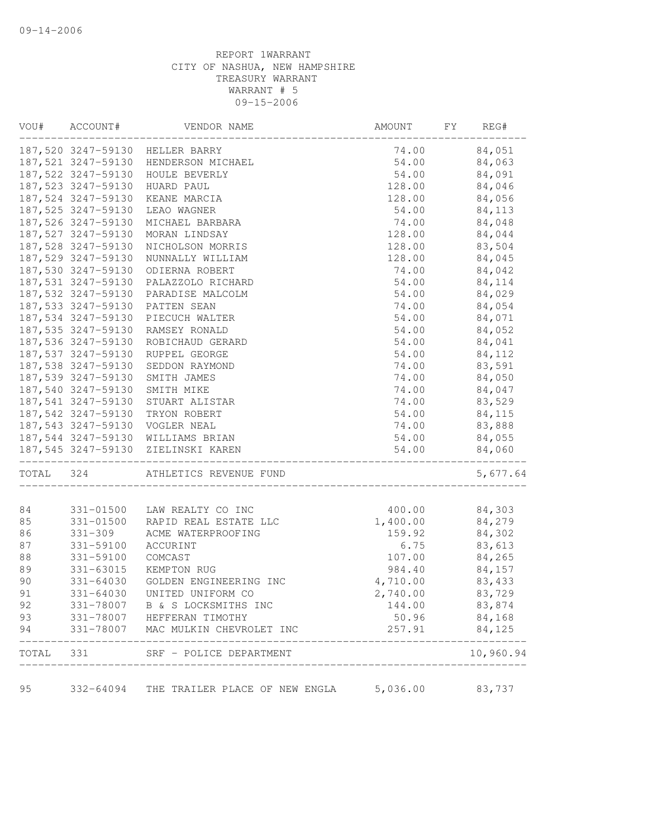| VOU#     | ACCOUNT#               | VENDOR NAME                                | AMOUNT             | FY | REG#             |
|----------|------------------------|--------------------------------------------|--------------------|----|------------------|
|          |                        | 187,520 3247-59130 HELLER BARRY            | 74.00              |    | 84,051           |
|          |                        | 187,521 3247-59130 HENDERSON MICHAEL       | 54.00              |    | 84,063           |
|          | 187,522 3247-59130     | HOULE BEVERLY                              | 54.00              |    | 84,091           |
|          | 187,523 3247-59130     | HUARD PAUL                                 | 128.00             |    | 84,046           |
|          | 187,524 3247-59130     | KEANE MARCIA                               | 128.00             |    | 84,056           |
|          | 187,525 3247-59130     | LEAO WAGNER                                | 54.00              |    | 84,113           |
|          | 187,526 3247-59130     | MICHAEL BARBARA                            | 74.00              |    | 84,048           |
|          | 187,527 3247-59130     | MORAN LINDSAY                              | 128.00             |    | 84,044           |
|          | 187,528 3247-59130     | NICHOLSON MORRIS                           | 128.00             |    | 83,504           |
|          | 187,529 3247-59130     | NUNNALLY WILLIAM                           | 128.00             |    | 84,045           |
|          | 187,530 3247-59130     | ODIERNA ROBERT                             | 74.00              |    | 84,042           |
|          | 187,531 3247-59130     | PALAZZOLO RICHARD                          | 54.00              |    | 84,114           |
|          | 187,532 3247-59130     | PARADISE MALCOLM                           | 54.00              |    | 84,029           |
|          | 187,533 3247-59130     | PATTEN SEAN                                | 74.00              |    | 84,054           |
|          | 187,534 3247-59130     | PIECUCH WALTER                             | 54.00              |    | 84,071           |
|          | 187,535 3247-59130     | RAMSEY RONALD                              | 54.00              |    | 84,052           |
|          | 187,536 3247-59130     | ROBICHAUD GERARD                           | 54.00              |    | 84,041           |
|          | 187,537 3247-59130     | RUPPEL GEORGE                              | 54.00              |    | 84,112           |
|          | 187,538 3247-59130     | SEDDON RAYMOND                             | 74.00              |    | 83,591           |
|          |                        | 187,539 3247-59130 SMITH JAMES             | 74.00              |    | 84,050           |
|          | 187,540 3247-59130     | SMITH MIKE                                 | 74.00              |    | 84,047           |
|          | 187,541 3247-59130     | STUART ALISTAR                             | 74.00              |    | 83,529           |
|          | 187,542 3247-59130     | TRYON ROBERT                               | 54.00              |    | 84,115           |
|          |                        | 187,543 3247-59130 VOGLER NEAL             | 74.00              |    | 83,888           |
|          |                        | 187,544 3247-59130 WILLIAMS BRIAN          | 54.00              |    | 84,055           |
|          |                        | 187,545 3247-59130 ZIELINSKI KAREN         | 54.00              |    | 84,060           |
|          |                        |                                            |                    |    |                  |
| TOTAL    | 324                    | ATHLETICS REVENUE FUND                     |                    |    | 5,677.64         |
|          |                        |                                            |                    |    |                  |
| 84<br>85 | 331-01500<br>331-01500 | LAW REALTY CO INC<br>RAPID REAL ESTATE LLC | 400.00<br>1,400.00 |    | 84,303<br>84,279 |
| 86       | $331 - 309$            | ACME WATERPROOFING                         | 159.92             |    | 84,302           |
|          |                        |                                            | 6.75               |    |                  |
| 87       | 331-59100              | ACCURINT                                   |                    |    | 83,613           |
| 88       | 331-59100              | COMCAST                                    | 107.00             |    | 84,265           |
| 89       | 331-63015              | KEMPTON RUG                                | 984.40             |    | 84,157           |
| 90       | $331 - 64030$          | GOLDEN ENGINEERING INC                     | 4,710.00           |    | 83,433           |
| 91       | $331 - 64030$          | UNITED UNIFORM CO                          | 2,740.00           |    | 83,729           |
| 92       | 331-78007              | B & S LOCKSMITHS INC                       | 144.00             |    | 83,874           |
| 93       | 331-78007              | HEFFERAN TIMOTHY                           | 50.96              |    | 84,168           |
| 94       | 331-78007              | MAC MULKIN CHEVROLET INC                   | 257.91             |    | 84,125           |
| TOTAL    | 331                    | SRF - POLICE DEPARTMENT                    |                    |    | 10,960.94        |
| 95       | 332-64094              | THE TRAILER PLACE OF NEW ENGLA             | 5,036.00           |    | 83,737           |
|          |                        |                                            |                    |    |                  |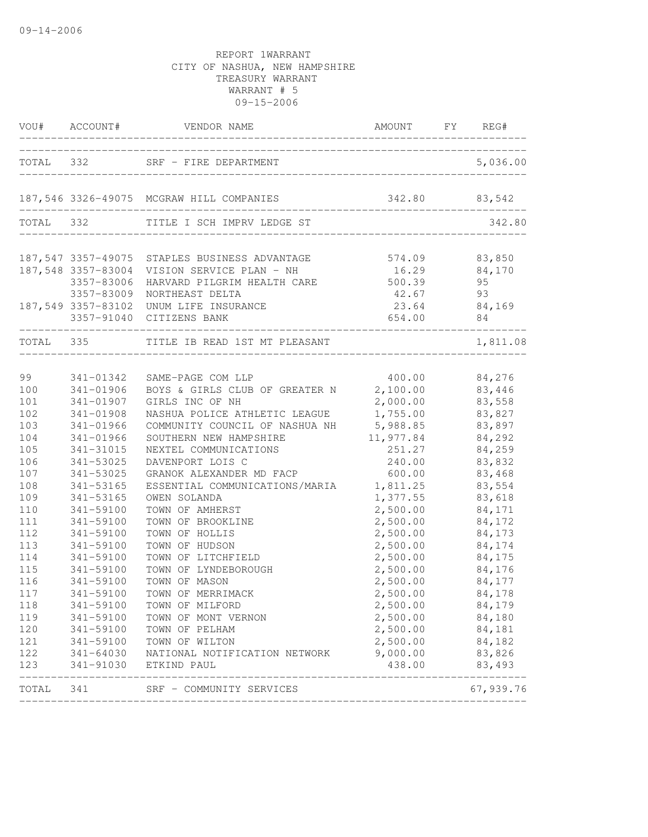|            |                        | VOU# ACCOUNT# VENDOR NAME                       | AMOUNT FY REG#<br>______________ |                    |
|------------|------------------------|-------------------------------------------------|----------------------------------|--------------------|
|            |                        | TOTAL 332 SRF - FIRE DEPARTMENT                 |                                  | 5,036.00           |
|            |                        |                                                 |                                  |                    |
|            |                        | 187,546 3326-49075 MCGRAW HILL COMPANIES        | 342.80 83,542                    |                    |
|            |                        | TOTAL 332 TITLE I SCH IMPRV LEDGE ST            |                                  | 342.80             |
|            |                        | 187,547 3357-49075 STAPLES BUSINESS ADVANTAGE   | 574.09 83,850                    |                    |
|            |                        | 187,548 3357-83004 VISION SERVICE PLAN - NH     | 16.29 84,170                     |                    |
|            | 3357-83006             | HARVARD PILGRIM HEALTH CARE 500.39              |                                  | 95                 |
|            | 3357-83009             | NORTHEAST DELTA                                 | 42.67                            | 93                 |
|            | 187,549 3357-83102     | UNUM LIFE INSURANCE<br>3357-91040 CITIZENS BANK | 654.00                           | 23.64 84,169<br>84 |
|            |                        | TOTAL 335 TITLE IB READ 1ST MT PLEASANT         |                                  | 1,811.08           |
|            |                        |                                                 |                                  |                    |
| 99         | 341-01342              | SAME-PAGE COM LLP                               | $400.00$ 84,276                  |                    |
| 100        | 341-01906              | BOYS & GIRLS CLUB OF GREATER N 2,100.00         |                                  | 83,446             |
| 101        | 341-01907              | GIRLS INC OF NH                                 | 2,000.00                         | 83,558             |
| 102        | 341-01908              | NASHUA POLICE ATHLETIC LEAGUE                   | 1,755.00                         | 83,827             |
| 103        | 341-01966              | COMMUNITY COUNCIL OF NASHUA NH 5,988.85         |                                  | 83,897             |
| 104        | 341-01966              | SOUTHERN NEW HAMPSHIRE                          | 11,977.84                        | 84,292             |
| 105        | 341-31015              | NEXTEL COMMUNICATIONS                           | 251.27                           | 84,259             |
| 106        | 341-53025              | DAVENPORT LOIS C                                | 240.00                           | 83,832             |
| 107        | 341-53025              | GRANOK ALEXANDER MD FACP                        | 600.00                           | 83,468             |
| 108        | 341-53165              | ESSENTIAL COMMUNICATIONS/MARIA                  | 1,811.25                         | 83,554             |
| 109        | 341-53165              | OWEN SOLANDA                                    | 1,377.55                         | 83,618             |
| 110<br>111 | 341-59100              | TOWN OF AMHERST<br>TOWN OF BROOKLINE            | 2,500.00                         | 84,171             |
| 112        | 341-59100<br>341-59100 | TOWN OF HOLLIS                                  | 2,500.00<br>2,500.00             | 84,172             |
|            |                        |                                                 | 2,500.00                         | 84,173             |
| 113        | 341-59100<br>341-59100 | TOWN OF HUDSON<br>TOWN OF LITCHFIELD            | 2,500.00                         | 84,174             |
| 114<br>115 | 341-59100              | TOWN OF LYNDEBOROUGH                            | 2,500.00                         | 84,175<br>84,176   |
| 116        | 341-59100              | TOWN OF MASON                                   | 2,500.00                         | 84,177             |
| 117        | 341-59100              | TOWN OF MERRIMACK                               | 2,500.00                         | 84,178             |
| 118        | 341-59100              | TOWN OF MILFORD                                 | 2,500.00                         | 84,179             |
| 119        | 341-59100              | TOWN OF MONT VERNON                             | 2,500.00                         | 84,180             |
| 120        | 341-59100              | TOWN OF PELHAM                                  | 2,500.00                         | 84,181             |
| 121        | 341-59100              | TOWN OF WILTON                                  | 2,500.00                         | 84,182             |
| 122        |                        | 341-64030 NATIONAL NOTIFICATION NETWORK         | 9,000.00                         | 83,826             |
| 123        | 341-91030              | ETKIND PAUL                                     | 438.00                           | 83,493             |
| TOTAL      | 341                    | SRF - COMMUNITY SERVICES                        |                                  | 67,939.76          |
|            |                        |                                                 |                                  |                    |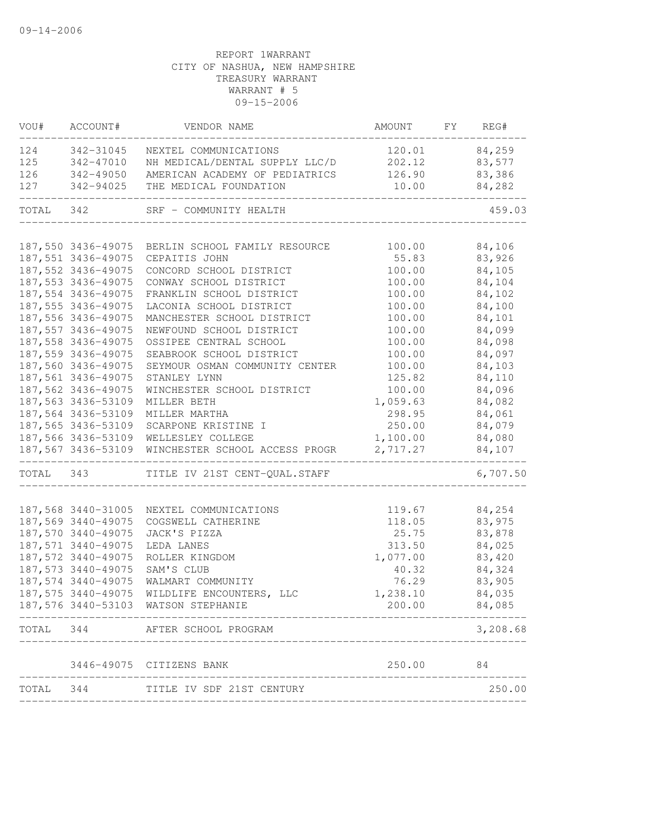| VOU#      | ACCOUNT#            | VENDOR NAME                                                                        | AMOUNT             | FY REG#          |
|-----------|---------------------|------------------------------------------------------------------------------------|--------------------|------------------|
| 124       | 342-31045           | NEXTEL COMMUNICATIONS                                                              | 120.01             | 84,259           |
| 125       | 342-47010           | NH MEDICAL/DENTAL SUPPLY LLC/D                                                     | 202.12             | 83,577           |
| 126       | 342-49050           | AMERICAN ACADEMY OF PEDIATRICS                                                     | 126.90             | 83,386           |
| 127       | 342-94025           | THE MEDICAL FOUNDATION                                                             | 10.00              | 84,282           |
| TOTAL 342 |                     | SRF - COMMUNITY HEALTH                                                             |                    | 459.03           |
|           |                     |                                                                                    |                    |                  |
|           |                     | 187,550 3436-49075 BERLIN SCHOOL FAMILY RESOURCE                                   | 100.00             | 84,106           |
|           | 187,551 3436-49075  | CEPAITIS JOHN                                                                      | 55.83              | 83,926           |
|           | 187,552 3436-49075  | CONCORD SCHOOL DISTRICT                                                            | 100.00             | 84,105           |
|           | 187,553 3436-49075  | CONWAY SCHOOL DISTRICT                                                             | 100.00             | 84,104           |
|           | 187,554 3436-49075  | FRANKLIN SCHOOL DISTRICT                                                           | 100.00             | 84,102           |
|           | 187,555 3436-49075  | LACONIA SCHOOL DISTRICT                                                            | 100.00             | 84,100           |
|           | 187,556 3436-49075  | MANCHESTER SCHOOL DISTRICT                                                         | 100.00             | 84,101           |
|           | 187,557 3436-49075  | NEWFOUND SCHOOL DISTRICT                                                           | 100.00             | 84,099           |
|           | 187, 558 3436-49075 | OSSIPEE CENTRAL SCHOOL                                                             | 100.00             | 84,098           |
|           | 187,559 3436-49075  | SEABROOK SCHOOL DISTRICT                                                           | 100.00             | 84,097           |
|           | 187,560 3436-49075  | SEYMOUR OSMAN COMMUNITY CENTER                                                     | 100.00             | 84,103           |
|           | 187,561 3436-49075  | STANLEY LYNN                                                                       | 125.82             | 84,110           |
|           | 187,562 3436-49075  | WINCHESTER SCHOOL DISTRICT                                                         | 100.00             | 84,096           |
|           | 187,563 3436-53109  | MILLER BETH                                                                        | 1,059.63           | 84,082           |
|           | 187,564 3436-53109  | MILLER MARTHA                                                                      | 298.95             | 84,061           |
|           | 187,565 3436-53109  | SCARPONE KRISTINE I                                                                | 250.00             | 84,079           |
|           | 187,566 3436-53109  | WELLESLEY COLLEGE                                                                  | 1,100.00           | 84,080           |
|           |                     | 187,567 3436-53109 WINCHESTER SCHOOL ACCESS PROGR                                  | 2,717.27           | 84,107           |
|           | TOTAL 343           | TITLE IV 21ST CENT-QUAL.STAFF                                                      |                    | 6,707.50         |
|           | 187,568 3440-31005  | NEXTEL COMMUNICATIONS                                                              | 119.67             | 84,254           |
|           | 187,569 3440-49075  | COGSWELL CATHERINE                                                                 | 118.05             | 83,975           |
|           | 187,570 3440-49075  | JACK'S PIZZA                                                                       | 25.75              | 83,878           |
|           | 187,571 3440-49075  | LEDA LANES                                                                         | 313.50             | 84,025           |
|           | 187,572 3440-49075  | ROLLER KINGDOM                                                                     |                    | 83,420           |
|           | 187,573 3440-49075  |                                                                                    | 1,077.00           |                  |
|           |                     | SAM'S CLUB                                                                         | 40.32              | 84,324           |
|           | 187,574 3440-49075  | WALMART COMMUNITY                                                                  | 76.29              | 83,905           |
|           |                     | 187,575 3440-49075 WILDLIFE ENCOUNTERS, LLC<br>187,576 3440-53103 WATSON STEPHANIE | 1,238.10<br>200.00 | 84,035<br>84,085 |
|           |                     | ----------------------                                                             |                    | 3,208.68         |
| TOTAL     | 344                 | AFTER SCHOOL PROGRAM                                                               |                    |                  |
|           |                     | 3446-49075 CITIZENS BANK                                                           | 250.00             | 84               |
| TOTAL 344 |                     | TITLE IV SDF 21ST CENTURY                                                          |                    | 250.00           |
|           |                     |                                                                                    |                    |                  |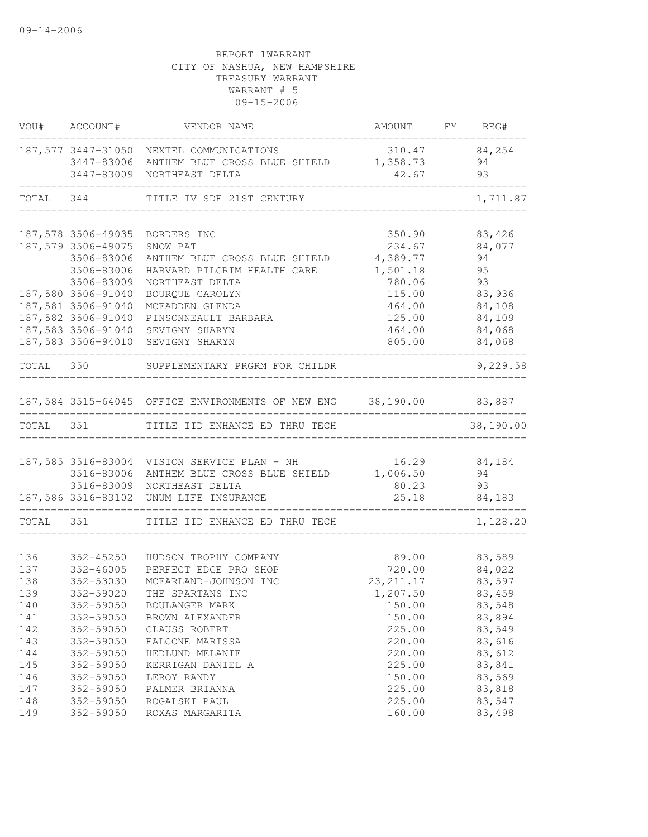|           | VOU# ACCOUNT#                            | VENDOR NAME                                                        | AMOUNT FY REG#   |                  |
|-----------|------------------------------------------|--------------------------------------------------------------------|------------------|------------------|
|           |                                          | 187,577 3447-31050 NEXTEL COMMUNICATIONS                           | 310.47 84,254    |                  |
|           |                                          | 3447-83006 ANTHEM BLUE CROSS BLUE SHIELD 1,358.73                  |                  | 94               |
|           |                                          | 3447-83009 NORTHEAST DELTA                                         | 42.67            | 93               |
|           |                                          | TOTAL 344 TITLE IV SDF 21ST CENTURY                                |                  | 1,711.87         |
|           |                                          |                                                                    |                  |                  |
|           | 187,578 3506-49035                       | BORDERS INC                                                        | 350.90           | 83,426           |
|           | 187,579 3506-49075                       | SNOW PAT                                                           | 234.67           | 84,077           |
|           | 3506-83006                               | ANTHEM BLUE CROSS BLUE SHIELD                                      | 4,389.77         | 94               |
|           | 3506-83006                               | HARVARD PILGRIM HEALTH CARE                                        | 1,501.18         | 95               |
|           | 3506-83009                               | NORTHEAST DELTA                                                    | 780.06           | 93               |
|           | 187,580 3506-91040<br>187,581 3506-91040 | BOURQUE CAROLYN                                                    | 115.00<br>464.00 | 83,936<br>84,108 |
|           | 187,582 3506-91040                       | MCFADDEN GLENDA<br>PINSONNEAULT BARBARA                            | 125.00           | 84,109           |
|           |                                          | 187,583 3506-91040 SEVIGNY SHARYN                                  | 464.00           | 84,068           |
|           |                                          | 187,583 3506-94010 SEVIGNY SHARYN                                  | 805.00           | 84,068           |
| TOTAL 350 |                                          | SUPPLEMENTARY PRGRM FOR CHILDR                                     |                  | 9,229.58         |
|           |                                          |                                                                    |                  |                  |
|           |                                          | 187,584 3515-64045 OFFICE ENVIRONMENTS OF NEW ENG 38,190.00 83,887 |                  |                  |
| TOTAL 351 |                                          | TITLE IID ENHANCE ED THRU TECH                                     |                  | 38,190.00        |
|           |                                          | 187,585 3516-83004 VISION SERVICE PLAN - NH                        | 16.29            | 84,184           |
|           | 3516-83006                               | ANTHEM BLUE CROSS BLUE SHIELD 1,006.50                             |                  | 94               |
|           | 3516-83009                               | NORTHEAST DELTA                                                    | 80.23            | 93               |
|           |                                          | 187,586 3516-83102 UNUM LIFE INSURANCE                             | 25.18            | 84,183           |
| TOTAL 351 |                                          | TITLE IID ENHANCE ED THRU TECH                                     |                  | 1,128.20         |
|           |                                          |                                                                    |                  |                  |
| 136       | 352-45250                                | HUDSON TROPHY COMPANY                                              | 89.00            | 83,589           |
| 137       | 352-46005                                | PERFECT EDGE PRO SHOP                                              | 720.00           | 84,022           |
| 138       | 352-53030                                | MCFARLAND-JOHNSON INC                                              | 23, 211.17       | 83,597           |
| 139       | 352-59020                                | THE SPARTANS INC                                                   | 1,207.50         | 83,459           |
| 140       | 352-59050                                | BOULANGER MARK                                                     | 150.00           | 83,548           |
| 141       | 352-59050                                | BROWN ALEXANDER                                                    | 150.00           | 83,894           |
| 142       | 352-59050                                | CLAUSS ROBERT                                                      | 225.00           | 83,549           |
| 143       | 352-59050                                | FALCONE MARISSA                                                    | 220.00           | 83,616           |
| 144       | 352-59050                                | HEDLUND MELANIE                                                    | 220.00           | 83,612           |
| 145       | 352-59050                                | KERRIGAN DANIEL A                                                  | 225.00           | 83,841           |
| 146       | 352-59050                                | LEROY RANDY                                                        | 150.00           | 83,569           |
| 147       | 352-59050                                | PALMER BRIANNA                                                     | 225.00           | 83,818           |
| 148       | 352-59050                                | ROGALSKI PAUL                                                      | 225.00           | 83,547           |
| 149       | 352-59050                                | ROXAS MARGARITA                                                    | 160.00           | 83,498           |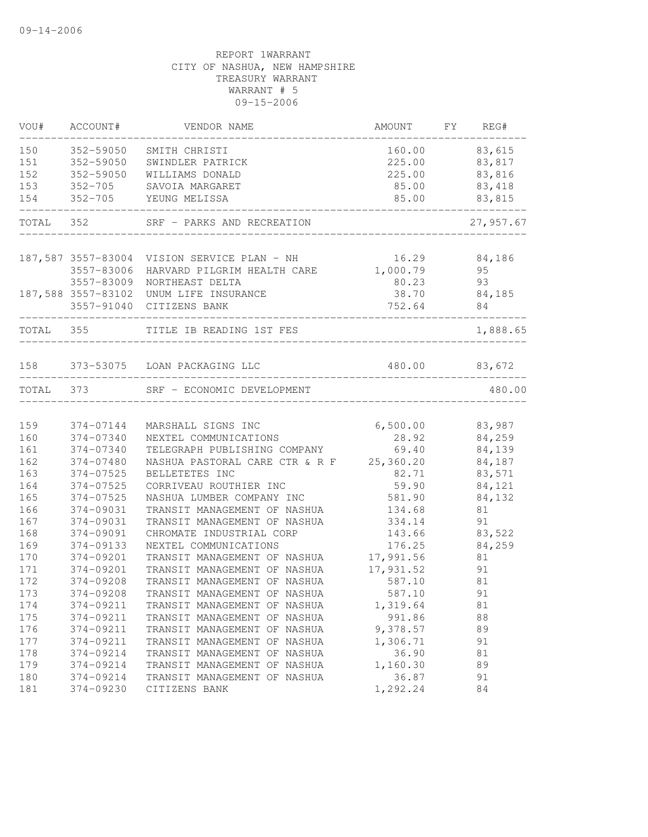| 83,615<br>150<br>352-59050<br>SMITH CHRISTI<br>160.00<br>352-59050<br>225.00<br>83,817<br>SWINDLER PATRICK<br>352-59050<br>225.00<br>83,816<br>WILLIAMS DONALD<br>153<br>83,418<br>$352 - 705$<br>SAVOIA MARGARET<br>85.00<br>352-705 YEUNG MELISSA<br>85.00<br>83,815<br>154<br>TOTAL 352<br>27,957.67<br>SRF - PARKS AND RECREATION<br>16.29<br>187,587 3557-83004 VISION SERVICE PLAN - NH<br>84,186<br>HARVARD PILGRIM HEALTH CARE 1,000.79<br>95<br>3557-83006<br>3557-83009<br>93<br>NORTHEAST DELTA<br>80.23<br>187,588 3557-83102 UNUM LIFE INSURANCE<br>38.70 84,185<br>752.64<br>3557-91040 CITIZENS BANK<br>84<br>TOTAL 355<br>1,888.65<br>TITLE IB READING 1ST FES<br>480.00 83,672<br>158 373-53075 LOAN PACKAGING LLC<br>373<br>480.00<br>TOTAL<br>SRF - ECONOMIC DEVELOPMENT<br>6,500.00<br>159<br>374-07144<br>83,987<br>MARSHALL SIGNS INC<br>160<br>28.92<br>84,259<br>374-07340<br>NEXTEL COMMUNICATIONS<br>84,139<br>161<br>374-07340<br>TELEGRAPH PUBLISHING COMPANY<br>69.40<br>NASHUA PASTORAL CARE CTR & R F<br>162<br>25,360.20<br>84,187<br>374-07480<br>163<br>83,571<br>374-07525<br>BELLETETES INC<br>82.71<br>164<br>374-07525<br>59.90<br>84,121<br>CORRIVEAU ROUTHIER INC<br>165<br>374-07525<br>581.90<br>84,132<br>NASHUA LUMBER COMPANY INC<br>166<br>374-09031<br>TRANSIT MANAGEMENT OF NASHUA<br>134.68<br>81<br>91<br>167<br>374-09031<br>TRANSIT MANAGEMENT OF NASHUA<br>334.14<br>168<br>374-09091<br>CHROMATE INDUSTRIAL CORP<br>143.66<br>83,522<br>169<br>176.25<br>84,259<br>374-09133<br>NEXTEL COMMUNICATIONS<br>17,991.56<br>170<br>374-09201<br>TRANSIT MANAGEMENT OF NASHUA<br>81<br>171<br>17,931.52<br>374-09201<br>91<br>TRANSIT MANAGEMENT OF NASHUA<br>172<br>374-09208<br>TRANSIT MANAGEMENT OF NASHUA<br>587.10<br>81<br>91<br>173<br>374-09208<br>TRANSIT MANAGEMENT OF NASHUA<br>587.10<br>374-09211<br>174<br>TRANSIT MANAGEMENT OF NASHUA<br>1,319.64<br>81<br>175<br>374-09211<br>991.86<br>TRANSIT MANAGEMENT OF NASHUA<br>88<br>176<br>374-09211<br>9,378.57<br>89<br>TRANSIT MANAGEMENT OF NASHUA<br>177<br>374-09211<br>1,306.71<br>91<br>TRANSIT MANAGEMENT OF NASHUA<br>36.90<br>178<br>374-09214<br>81<br>TRANSIT MANAGEMENT OF NASHUA<br>1,160.30<br>179<br>374-09214<br>TRANSIT MANAGEMENT OF NASHUA<br>89<br>36.87<br>180<br>374-09214<br>91<br>TRANSIT MANAGEMENT OF NASHUA<br>1,292.24<br>181<br>374-09230<br>84<br>CITIZENS BANK | VOU# | ACCOUNT# | VENDOR NAME | AMOUNT | FY REG# |
|------------------------------------------------------------------------------------------------------------------------------------------------------------------------------------------------------------------------------------------------------------------------------------------------------------------------------------------------------------------------------------------------------------------------------------------------------------------------------------------------------------------------------------------------------------------------------------------------------------------------------------------------------------------------------------------------------------------------------------------------------------------------------------------------------------------------------------------------------------------------------------------------------------------------------------------------------------------------------------------------------------------------------------------------------------------------------------------------------------------------------------------------------------------------------------------------------------------------------------------------------------------------------------------------------------------------------------------------------------------------------------------------------------------------------------------------------------------------------------------------------------------------------------------------------------------------------------------------------------------------------------------------------------------------------------------------------------------------------------------------------------------------------------------------------------------------------------------------------------------------------------------------------------------------------------------------------------------------------------------------------------------------------------------------------------------------------------------------------------------------------------------------------------------------------------------------------------------------------------------------------------------------------------------------------------------------------------------------------------------------------------------------------------|------|----------|-------------|--------|---------|
|                                                                                                                                                                                                                                                                                                                                                                                                                                                                                                                                                                                                                                                                                                                                                                                                                                                                                                                                                                                                                                                                                                                                                                                                                                                                                                                                                                                                                                                                                                                                                                                                                                                                                                                                                                                                                                                                                                                                                                                                                                                                                                                                                                                                                                                                                                                                                                                                            |      |          |             |        |         |
|                                                                                                                                                                                                                                                                                                                                                                                                                                                                                                                                                                                                                                                                                                                                                                                                                                                                                                                                                                                                                                                                                                                                                                                                                                                                                                                                                                                                                                                                                                                                                                                                                                                                                                                                                                                                                                                                                                                                                                                                                                                                                                                                                                                                                                                                                                                                                                                                            | 151  |          |             |        |         |
|                                                                                                                                                                                                                                                                                                                                                                                                                                                                                                                                                                                                                                                                                                                                                                                                                                                                                                                                                                                                                                                                                                                                                                                                                                                                                                                                                                                                                                                                                                                                                                                                                                                                                                                                                                                                                                                                                                                                                                                                                                                                                                                                                                                                                                                                                                                                                                                                            | 152  |          |             |        |         |
|                                                                                                                                                                                                                                                                                                                                                                                                                                                                                                                                                                                                                                                                                                                                                                                                                                                                                                                                                                                                                                                                                                                                                                                                                                                                                                                                                                                                                                                                                                                                                                                                                                                                                                                                                                                                                                                                                                                                                                                                                                                                                                                                                                                                                                                                                                                                                                                                            |      |          |             |        |         |
|                                                                                                                                                                                                                                                                                                                                                                                                                                                                                                                                                                                                                                                                                                                                                                                                                                                                                                                                                                                                                                                                                                                                                                                                                                                                                                                                                                                                                                                                                                                                                                                                                                                                                                                                                                                                                                                                                                                                                                                                                                                                                                                                                                                                                                                                                                                                                                                                            |      |          |             |        |         |
|                                                                                                                                                                                                                                                                                                                                                                                                                                                                                                                                                                                                                                                                                                                                                                                                                                                                                                                                                                                                                                                                                                                                                                                                                                                                                                                                                                                                                                                                                                                                                                                                                                                                                                                                                                                                                                                                                                                                                                                                                                                                                                                                                                                                                                                                                                                                                                                                            |      |          |             |        |         |
|                                                                                                                                                                                                                                                                                                                                                                                                                                                                                                                                                                                                                                                                                                                                                                                                                                                                                                                                                                                                                                                                                                                                                                                                                                                                                                                                                                                                                                                                                                                                                                                                                                                                                                                                                                                                                                                                                                                                                                                                                                                                                                                                                                                                                                                                                                                                                                                                            |      |          |             |        |         |
|                                                                                                                                                                                                                                                                                                                                                                                                                                                                                                                                                                                                                                                                                                                                                                                                                                                                                                                                                                                                                                                                                                                                                                                                                                                                                                                                                                                                                                                                                                                                                                                                                                                                                                                                                                                                                                                                                                                                                                                                                                                                                                                                                                                                                                                                                                                                                                                                            |      |          |             |        |         |
|                                                                                                                                                                                                                                                                                                                                                                                                                                                                                                                                                                                                                                                                                                                                                                                                                                                                                                                                                                                                                                                                                                                                                                                                                                                                                                                                                                                                                                                                                                                                                                                                                                                                                                                                                                                                                                                                                                                                                                                                                                                                                                                                                                                                                                                                                                                                                                                                            |      |          |             |        |         |
|                                                                                                                                                                                                                                                                                                                                                                                                                                                                                                                                                                                                                                                                                                                                                                                                                                                                                                                                                                                                                                                                                                                                                                                                                                                                                                                                                                                                                                                                                                                                                                                                                                                                                                                                                                                                                                                                                                                                                                                                                                                                                                                                                                                                                                                                                                                                                                                                            |      |          |             |        |         |
|                                                                                                                                                                                                                                                                                                                                                                                                                                                                                                                                                                                                                                                                                                                                                                                                                                                                                                                                                                                                                                                                                                                                                                                                                                                                                                                                                                                                                                                                                                                                                                                                                                                                                                                                                                                                                                                                                                                                                                                                                                                                                                                                                                                                                                                                                                                                                                                                            |      |          |             |        |         |
|                                                                                                                                                                                                                                                                                                                                                                                                                                                                                                                                                                                                                                                                                                                                                                                                                                                                                                                                                                                                                                                                                                                                                                                                                                                                                                                                                                                                                                                                                                                                                                                                                                                                                                                                                                                                                                                                                                                                                                                                                                                                                                                                                                                                                                                                                                                                                                                                            |      |          |             |        |         |
|                                                                                                                                                                                                                                                                                                                                                                                                                                                                                                                                                                                                                                                                                                                                                                                                                                                                                                                                                                                                                                                                                                                                                                                                                                                                                                                                                                                                                                                                                                                                                                                                                                                                                                                                                                                                                                                                                                                                                                                                                                                                                                                                                                                                                                                                                                                                                                                                            |      |          |             |        |         |
|                                                                                                                                                                                                                                                                                                                                                                                                                                                                                                                                                                                                                                                                                                                                                                                                                                                                                                                                                                                                                                                                                                                                                                                                                                                                                                                                                                                                                                                                                                                                                                                                                                                                                                                                                                                                                                                                                                                                                                                                                                                                                                                                                                                                                                                                                                                                                                                                            |      |          |             |        |         |
|                                                                                                                                                                                                                                                                                                                                                                                                                                                                                                                                                                                                                                                                                                                                                                                                                                                                                                                                                                                                                                                                                                                                                                                                                                                                                                                                                                                                                                                                                                                                                                                                                                                                                                                                                                                                                                                                                                                                                                                                                                                                                                                                                                                                                                                                                                                                                                                                            |      |          |             |        |         |
|                                                                                                                                                                                                                                                                                                                                                                                                                                                                                                                                                                                                                                                                                                                                                                                                                                                                                                                                                                                                                                                                                                                                                                                                                                                                                                                                                                                                                                                                                                                                                                                                                                                                                                                                                                                                                                                                                                                                                                                                                                                                                                                                                                                                                                                                                                                                                                                                            |      |          |             |        |         |
|                                                                                                                                                                                                                                                                                                                                                                                                                                                                                                                                                                                                                                                                                                                                                                                                                                                                                                                                                                                                                                                                                                                                                                                                                                                                                                                                                                                                                                                                                                                                                                                                                                                                                                                                                                                                                                                                                                                                                                                                                                                                                                                                                                                                                                                                                                                                                                                                            |      |          |             |        |         |
|                                                                                                                                                                                                                                                                                                                                                                                                                                                                                                                                                                                                                                                                                                                                                                                                                                                                                                                                                                                                                                                                                                                                                                                                                                                                                                                                                                                                                                                                                                                                                                                                                                                                                                                                                                                                                                                                                                                                                                                                                                                                                                                                                                                                                                                                                                                                                                                                            |      |          |             |        |         |
|                                                                                                                                                                                                                                                                                                                                                                                                                                                                                                                                                                                                                                                                                                                                                                                                                                                                                                                                                                                                                                                                                                                                                                                                                                                                                                                                                                                                                                                                                                                                                                                                                                                                                                                                                                                                                                                                                                                                                                                                                                                                                                                                                                                                                                                                                                                                                                                                            |      |          |             |        |         |
|                                                                                                                                                                                                                                                                                                                                                                                                                                                                                                                                                                                                                                                                                                                                                                                                                                                                                                                                                                                                                                                                                                                                                                                                                                                                                                                                                                                                                                                                                                                                                                                                                                                                                                                                                                                                                                                                                                                                                                                                                                                                                                                                                                                                                                                                                                                                                                                                            |      |          |             |        |         |
|                                                                                                                                                                                                                                                                                                                                                                                                                                                                                                                                                                                                                                                                                                                                                                                                                                                                                                                                                                                                                                                                                                                                                                                                                                                                                                                                                                                                                                                                                                                                                                                                                                                                                                                                                                                                                                                                                                                                                                                                                                                                                                                                                                                                                                                                                                                                                                                                            |      |          |             |        |         |
|                                                                                                                                                                                                                                                                                                                                                                                                                                                                                                                                                                                                                                                                                                                                                                                                                                                                                                                                                                                                                                                                                                                                                                                                                                                                                                                                                                                                                                                                                                                                                                                                                                                                                                                                                                                                                                                                                                                                                                                                                                                                                                                                                                                                                                                                                                                                                                                                            |      |          |             |        |         |
|                                                                                                                                                                                                                                                                                                                                                                                                                                                                                                                                                                                                                                                                                                                                                                                                                                                                                                                                                                                                                                                                                                                                                                                                                                                                                                                                                                                                                                                                                                                                                                                                                                                                                                                                                                                                                                                                                                                                                                                                                                                                                                                                                                                                                                                                                                                                                                                                            |      |          |             |        |         |
|                                                                                                                                                                                                                                                                                                                                                                                                                                                                                                                                                                                                                                                                                                                                                                                                                                                                                                                                                                                                                                                                                                                                                                                                                                                                                                                                                                                                                                                                                                                                                                                                                                                                                                                                                                                                                                                                                                                                                                                                                                                                                                                                                                                                                                                                                                                                                                                                            |      |          |             |        |         |
|                                                                                                                                                                                                                                                                                                                                                                                                                                                                                                                                                                                                                                                                                                                                                                                                                                                                                                                                                                                                                                                                                                                                                                                                                                                                                                                                                                                                                                                                                                                                                                                                                                                                                                                                                                                                                                                                                                                                                                                                                                                                                                                                                                                                                                                                                                                                                                                                            |      |          |             |        |         |
|                                                                                                                                                                                                                                                                                                                                                                                                                                                                                                                                                                                                                                                                                                                                                                                                                                                                                                                                                                                                                                                                                                                                                                                                                                                                                                                                                                                                                                                                                                                                                                                                                                                                                                                                                                                                                                                                                                                                                                                                                                                                                                                                                                                                                                                                                                                                                                                                            |      |          |             |        |         |
|                                                                                                                                                                                                                                                                                                                                                                                                                                                                                                                                                                                                                                                                                                                                                                                                                                                                                                                                                                                                                                                                                                                                                                                                                                                                                                                                                                                                                                                                                                                                                                                                                                                                                                                                                                                                                                                                                                                                                                                                                                                                                                                                                                                                                                                                                                                                                                                                            |      |          |             |        |         |
|                                                                                                                                                                                                                                                                                                                                                                                                                                                                                                                                                                                                                                                                                                                                                                                                                                                                                                                                                                                                                                                                                                                                                                                                                                                                                                                                                                                                                                                                                                                                                                                                                                                                                                                                                                                                                                                                                                                                                                                                                                                                                                                                                                                                                                                                                                                                                                                                            |      |          |             |        |         |
|                                                                                                                                                                                                                                                                                                                                                                                                                                                                                                                                                                                                                                                                                                                                                                                                                                                                                                                                                                                                                                                                                                                                                                                                                                                                                                                                                                                                                                                                                                                                                                                                                                                                                                                                                                                                                                                                                                                                                                                                                                                                                                                                                                                                                                                                                                                                                                                                            |      |          |             |        |         |
|                                                                                                                                                                                                                                                                                                                                                                                                                                                                                                                                                                                                                                                                                                                                                                                                                                                                                                                                                                                                                                                                                                                                                                                                                                                                                                                                                                                                                                                                                                                                                                                                                                                                                                                                                                                                                                                                                                                                                                                                                                                                                                                                                                                                                                                                                                                                                                                                            |      |          |             |        |         |
|                                                                                                                                                                                                                                                                                                                                                                                                                                                                                                                                                                                                                                                                                                                                                                                                                                                                                                                                                                                                                                                                                                                                                                                                                                                                                                                                                                                                                                                                                                                                                                                                                                                                                                                                                                                                                                                                                                                                                                                                                                                                                                                                                                                                                                                                                                                                                                                                            |      |          |             |        |         |
|                                                                                                                                                                                                                                                                                                                                                                                                                                                                                                                                                                                                                                                                                                                                                                                                                                                                                                                                                                                                                                                                                                                                                                                                                                                                                                                                                                                                                                                                                                                                                                                                                                                                                                                                                                                                                                                                                                                                                                                                                                                                                                                                                                                                                                                                                                                                                                                                            |      |          |             |        |         |
|                                                                                                                                                                                                                                                                                                                                                                                                                                                                                                                                                                                                                                                                                                                                                                                                                                                                                                                                                                                                                                                                                                                                                                                                                                                                                                                                                                                                                                                                                                                                                                                                                                                                                                                                                                                                                                                                                                                                                                                                                                                                                                                                                                                                                                                                                                                                                                                                            |      |          |             |        |         |
|                                                                                                                                                                                                                                                                                                                                                                                                                                                                                                                                                                                                                                                                                                                                                                                                                                                                                                                                                                                                                                                                                                                                                                                                                                                                                                                                                                                                                                                                                                                                                                                                                                                                                                                                                                                                                                                                                                                                                                                                                                                                                                                                                                                                                                                                                                                                                                                                            |      |          |             |        |         |
|                                                                                                                                                                                                                                                                                                                                                                                                                                                                                                                                                                                                                                                                                                                                                                                                                                                                                                                                                                                                                                                                                                                                                                                                                                                                                                                                                                                                                                                                                                                                                                                                                                                                                                                                                                                                                                                                                                                                                                                                                                                                                                                                                                                                                                                                                                                                                                                                            |      |          |             |        |         |
|                                                                                                                                                                                                                                                                                                                                                                                                                                                                                                                                                                                                                                                                                                                                                                                                                                                                                                                                                                                                                                                                                                                                                                                                                                                                                                                                                                                                                                                                                                                                                                                                                                                                                                                                                                                                                                                                                                                                                                                                                                                                                                                                                                                                                                                                                                                                                                                                            |      |          |             |        |         |
|                                                                                                                                                                                                                                                                                                                                                                                                                                                                                                                                                                                                                                                                                                                                                                                                                                                                                                                                                                                                                                                                                                                                                                                                                                                                                                                                                                                                                                                                                                                                                                                                                                                                                                                                                                                                                                                                                                                                                                                                                                                                                                                                                                                                                                                                                                                                                                                                            |      |          |             |        |         |
|                                                                                                                                                                                                                                                                                                                                                                                                                                                                                                                                                                                                                                                                                                                                                                                                                                                                                                                                                                                                                                                                                                                                                                                                                                                                                                                                                                                                                                                                                                                                                                                                                                                                                                                                                                                                                                                                                                                                                                                                                                                                                                                                                                                                                                                                                                                                                                                                            |      |          |             |        |         |
|                                                                                                                                                                                                                                                                                                                                                                                                                                                                                                                                                                                                                                                                                                                                                                                                                                                                                                                                                                                                                                                                                                                                                                                                                                                                                                                                                                                                                                                                                                                                                                                                                                                                                                                                                                                                                                                                                                                                                                                                                                                                                                                                                                                                                                                                                                                                                                                                            |      |          |             |        |         |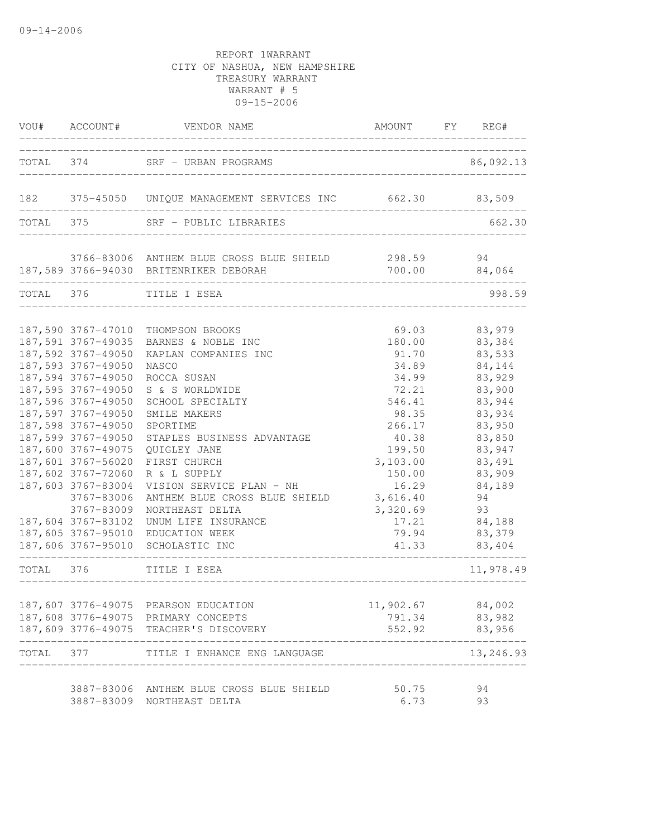|           | VOU# ACCOUNT#      | VENDOR NAME                                                                        | AMOUNT FY REG#   |                     |
|-----------|--------------------|------------------------------------------------------------------------------------|------------------|---------------------|
|           |                    | TOTAL 374 SRF - URBAN PROGRAMS                                                     |                  | 86,092.13           |
|           |                    |                                                                                    |                  |                     |
|           |                    | 182 375-45050 UNIQUE MANAGEMENT SERVICES INC 662.30 83,509                         |                  |                     |
| TOTAL 375 |                    | SRF - PUBLIC LIBRARIES                                                             |                  | 662.30              |
|           |                    |                                                                                    |                  |                     |
|           |                    | 3766-83006 ANTHEM BLUE CROSS BLUE SHIELD<br>187,589 3766-94030 BRITENRIKER DEBORAH | 298.59           | 94<br>700.00 84,064 |
|           |                    |                                                                                    |                  |                     |
| TOTAL 376 |                    | TITLE I ESEA                                                                       |                  | 998.59              |
|           |                    |                                                                                    |                  |                     |
|           |                    | 187,590 3767-47010 THOMPSON BROOKS<br>187,591 3767-49035 BARNES & NOBLE INC        | 69.03<br>180.00  | 83,979<br>83,384    |
|           | 187,592 3767-49050 | KAPLAN COMPANIES INC                                                               | 91.70            | 83,533              |
|           | 187,593 3767-49050 | NASCO                                                                              | 34.89            | 84,144              |
|           | 187,594 3767-49050 | ROCCA SUSAN                                                                        | 34.99            | 83,929              |
|           | 187,595 3767-49050 | S & S WORLDWIDE                                                                    | 72.21            | 83,900              |
|           | 187,596 3767-49050 | SCHOOL SPECIALTY                                                                   | 546.41           | 83,944              |
|           | 187,597 3767-49050 | SMILE MAKERS                                                                       | 98.35            | 83,934              |
|           | 187,598 3767-49050 | SPORTIME                                                                           | 266.17           | 83,950              |
|           | 187,599 3767-49050 | STAPLES BUSINESS ADVANTAGE                                                         | 40.38            | 83,850              |
|           | 187,600 3767-49075 | QUIGLEY JANE                                                                       | 199.50           | 83,947              |
|           | 187,601 3767-56020 | FIRST CHURCH                                                                       | 3,103.00         | 83,491              |
|           | 187,602 3767-72060 | R & L SUPPLY                                                                       | 150.00           | 83,909              |
|           | 187,603 3767-83004 | VISION SERVICE PLAN - NH                                                           | 16.29            | 84,189              |
|           | 3767-83006         | ANTHEM BLUE CROSS BLUE SHIELD                                                      | 3,616.40         | 94                  |
|           | 3767-83009         | NORTHEAST DELTA                                                                    | 3,320.69         | 93                  |
|           | 187,604 3767-83102 | UNUM LIFE INSURANCE                                                                | 17.21            | 84,188              |
|           |                    | 187,605 3767-95010 EDUCATION WEEK                                                  | 79.94            | 83,379              |
|           |                    | 187,606 3767-95010 SCHOLASTIC INC                                                  | 41.33            | 83,404              |
| TOTAL 376 |                    | _________________________<br>TITLE I ESEA<br>______________________                |                  | 11,978.49           |
|           |                    |                                                                                    |                  |                     |
|           |                    | 187,607 3776-49075 PEARSON EDUCATION                                               | 11,902.67        | 84,002              |
|           | 187,609 3776-49075 | 187,608 3776-49075 PRIMARY CONCEPTS<br>TEACHER'S DISCOVERY                         | 791.34<br>552.92 | 83,982<br>83,956    |
|           |                    |                                                                                    |                  |                     |
| TOTAL     | 377                | TITLE I ENHANCE ENG LANGUAGE                                                       |                  | 13,246.93           |
|           | 3887-83006         | ANTHEM BLUE CROSS BLUE SHIELD                                                      | 50.75            | 94                  |
|           | 3887-83009         | NORTHEAST DELTA                                                                    | 6.73             | 93                  |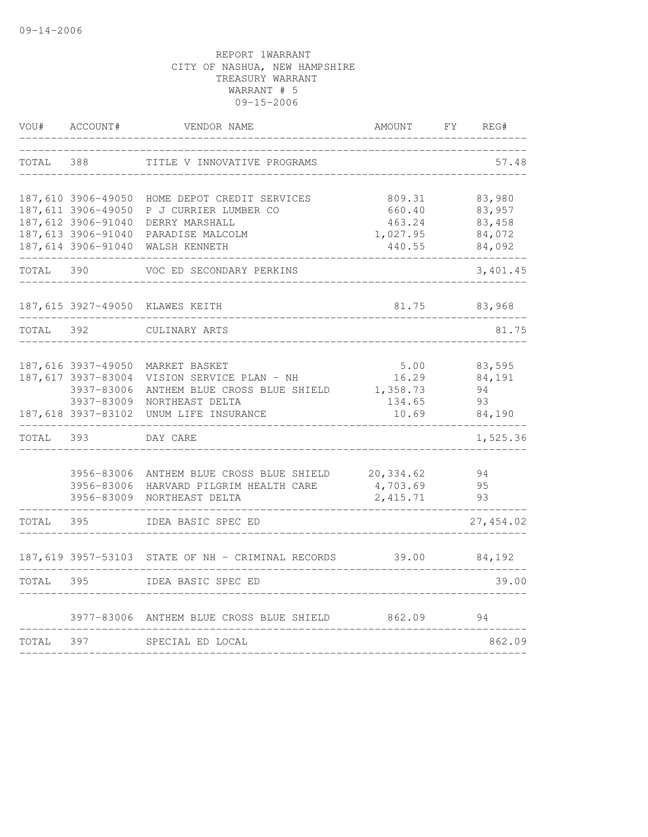| VOU#  | ACCOUNT#           | VENDOR NAME                                       | AMOUNT     | FY | REG#       |
|-------|--------------------|---------------------------------------------------|------------|----|------------|
| TOTAL | 388                | TITLE V INNOVATIVE PROGRAMS                       |            |    | 57.48      |
|       | 187,610 3906-49050 | HOME DEPOT CREDIT SERVICES                        | 809.31     |    | 83,980     |
|       | 187,611 3906-49050 | P J CURRIER LUMBER CO                             | 660.40     |    | 83,957     |
|       | 187,612 3906-91040 | DERRY MARSHALL                                    | 463.24     |    | 83,458     |
|       | 187,613 3906-91040 | PARADISE MALCOLM                                  | 1,027.95   |    | 84,072     |
|       | 187,614 3906-91040 | WALSH KENNETH                                     | 440.55     |    | 84,092     |
| TOTAL | 390                | VOC ED SECONDARY PERKINS                          |            |    | 3,401.45   |
|       |                    | 187,615 3927-49050 KLAWES KEITH                   | 81.75      |    | 83,968     |
| TOTAL | 392                | CULINARY ARTS                                     |            |    | 81.75      |
|       | 187,616 3937-49050 | MARKET BASKET                                     | 5.00       |    | 83,595     |
|       | 187,617 3937-83004 | VISION SERVICE PLAN - NH                          | 16.29      |    | 84,191     |
|       | 3937-83006         | ANTHEM BLUE CROSS BLUE SHIELD                     | 1,358.73   |    | 94         |
|       |                    | 3937-83009 NORTHEAST DELTA                        | 134.65     |    | 93         |
|       |                    | 187,618 3937-83102 UNUM LIFE INSURANCE            | 10.69      |    | 84,190     |
| TOTAL | 393                | DAY CARE                                          |            |    | 1,525.36   |
|       | 3956-83006         | ANTHEM BLUE CROSS BLUE SHIELD                     | 20, 334.62 |    | 94         |
|       | 3956-83006         | HARVARD PILGRIM HEALTH CARE                       | 4,703.69   |    | 95         |
|       | 3956-83009         | NORTHEAST DELTA                                   | 2, 415.71  |    | 93         |
| TOTAL | 395                | IDEA BASIC SPEC ED                                |            |    | 27, 454.02 |
|       |                    | 187,619 3957-53103 STATE OF NH - CRIMINAL RECORDS | 39.00      |    | 84,192     |
| TOTAL | 395                | IDEA BASIC SPEC ED                                |            |    | 39.00      |
|       | 3977-83006         | ANTHEM BLUE CROSS BLUE SHIELD                     | 862.09     |    | 94         |
|       |                    |                                                   |            |    |            |
| TOTAL | 397                | SPECIAL ED LOCAL                                  |            |    | 862.09     |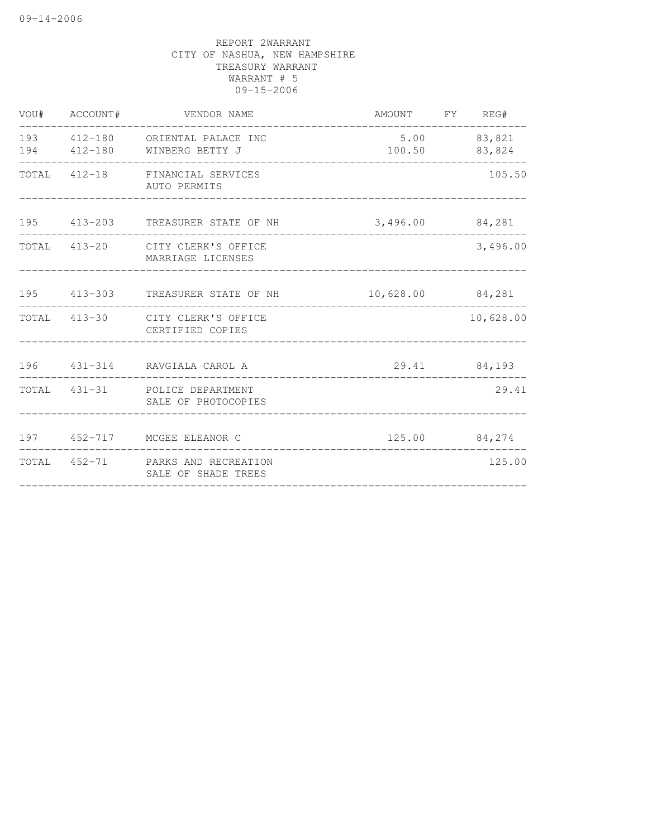| VOU# ACCOUNT# | VENDOR NAME                                                                            | AMOUNT FY REG#  |                               |
|---------------|----------------------------------------------------------------------------------------|-----------------|-------------------------------|
|               | 193 412-180 ORIENTAL PALACE INC<br>194   412-180   WINBERG BETTY J                     | $5.00$ 83,821   | 100.50 83,824<br>------------ |
|               | TOTAL 412-18 FINANCIAL SERVICES<br>AUTO PERMITS                                        |                 | 105.50                        |
|               | 195 413-203 TREASURER STATE OF NH<br>____________________                              | 3,496.00 84,281 |                               |
|               | TOTAL 413-20 CITY CLERK'S OFFICE<br>MARRIAGE LICENSES                                  |                 | 3,496.00                      |
|               | 195 413-303 TREASURER STATE OF NH 10,628.00 84,281<br>________________________________ |                 |                               |
|               | TOTAL 413-30 CITY CLERK'S OFFICE<br>CERTIFIED COPIES                                   |                 | 10,628.00                     |
|               | 196 431-314 RAVGIALA CAROL A                                                           |                 | 29.41 84,193                  |
|               | TOTAL 431-31 POLICE DEPARTMENT<br>SALE OF PHOTOCOPIES                                  |                 | 29.41                         |
|               | 197 452-717 MCGEE ELEANOR C                                                            |                 | 125.00 84,274                 |
|               | TOTAL 452-71 PARKS AND RECREATION<br>SALE OF SHADE TREES                               |                 | 125.00                        |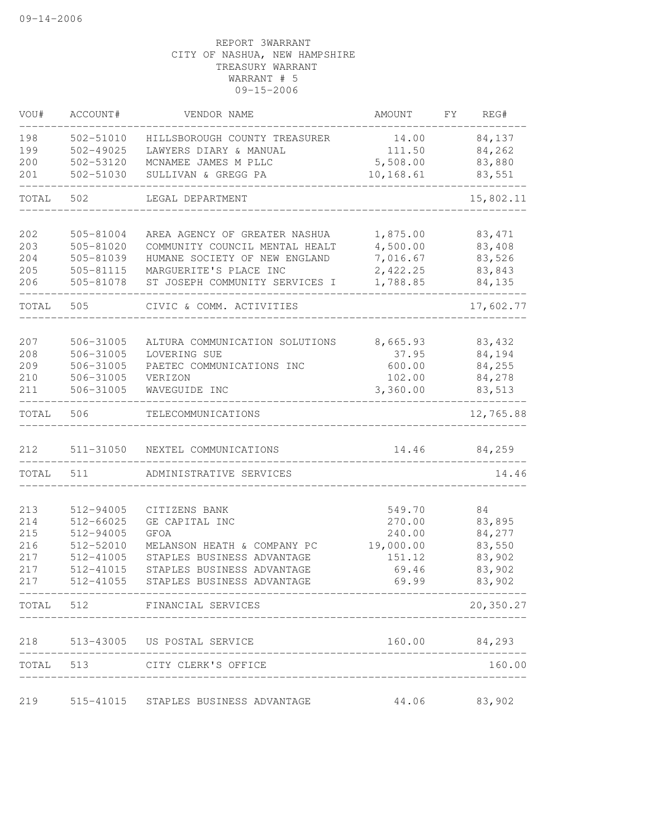| VOU#       | ACCOUNT#               | VENDOR NAME                                              | AMOUNT            | FΥ | REG#             |
|------------|------------------------|----------------------------------------------------------|-------------------|----|------------------|
| 198        | 502-51010              | HILLSBOROUGH COUNTY TREASURER                            | 14.00             |    | 84,137           |
| 199        | $502 - 49025$          | LAWYERS DIARY & MANUAL                                   | 111.50            |    | 84,262           |
| 200        | 502-53120              | MCNAMEE JAMES M PLLC                                     | 5,508.00          |    | 83,880           |
| 201        | 502-51030              | SULLIVAN & GREGG PA                                      | 10,168.61         |    | 83,551           |
| TOTAL      | 502                    | LEGAL DEPARTMENT                                         |                   |    | 15,802.11        |
| 202        | 505-81004              | AREA AGENCY OF GREATER NASHUA                            | 1,875.00          |    | 83, 471          |
| 203        | 505-81020              | COMMUNITY COUNCIL MENTAL HEALT                           | 4,500.00          |    | 83,408           |
| 204        | 505-81039              | HUMANE SOCIETY OF NEW ENGLAND                            | 7,016.67          |    | 83,526           |
| 205        | 505-81115              | MARGUERITE'S PLACE INC                                   | 2,422.25          |    | 83,843           |
| 206        | 505-81078              | ST JOSEPH COMMUNITY SERVICES I                           | 1,788.85          |    | 84,135           |
| TOTAL      | 505                    | CIVIC & COMM. ACTIVITIES                                 |                   |    | 17,602.77        |
|            |                        |                                                          |                   |    |                  |
| 207<br>208 | 506-31005<br>506-31005 | ALTURA COMMUNICATION SOLUTIONS<br>LOVERING SUE           | 8,665.93<br>37.95 |    | 83,432<br>84,194 |
| 209        | 506-31005              | PAETEC COMMUNICATIONS INC                                | 600.00            |    | 84,255           |
| 210        | 506-31005              | VERIZON                                                  | 102.00            |    | 84,278           |
| 211        | 506-31005              | WAVEGUIDE INC                                            | 3,360.00          |    | 83,513           |
| TOTAL      | 506                    | TELECOMMUNICATIONS                                       |                   |    | 12,765.88        |
| 212        | 511-31050              | NEXTEL COMMUNICATIONS                                    | 14.46             |    | 84,259           |
| TOTAL      | 511                    | ADMINISTRATIVE SERVICES                                  |                   |    | 14.46            |
|            |                        |                                                          |                   |    |                  |
| 213        | 512-94005              | CITIZENS BANK                                            | 549.70            |    | 84               |
| 214        | 512-66025              | GE CAPITAL INC                                           | 270.00            |    | 83,895           |
| 215        | 512-94005              | <b>GFOA</b>                                              | 240.00            |    | 84,277           |
| 216        | 512-52010              | MELANSON HEATH & COMPANY PC                              | 19,000.00         |    | 83,550           |
| 217<br>217 | 512-41005<br>512-41015 | STAPLES BUSINESS ADVANTAGE<br>STAPLES BUSINESS ADVANTAGE | 151.12            |    | 83,902           |
|            |                        |                                                          | 69.46             |    | 83,902           |
| 217        | 512-41055              | STAPLES BUSINESS ADVANTAGE                               | 69.99             |    | 83,902           |
|            |                        | TOTAL 512 FINANCIAL SERVICES                             |                   |    | 20,350.27        |
|            |                        | 218 513-43005 US POSTAL SERVICE<br>____________________  |                   |    | 160.00 84,293    |
|            |                        | TOTAL 513 CITY CLERK'S OFFICE                            |                   |    | 160.00           |
|            |                        | 219 515-41015 STAPLES BUSINESS ADVANTAGE                 | 44.06             |    | 83,902           |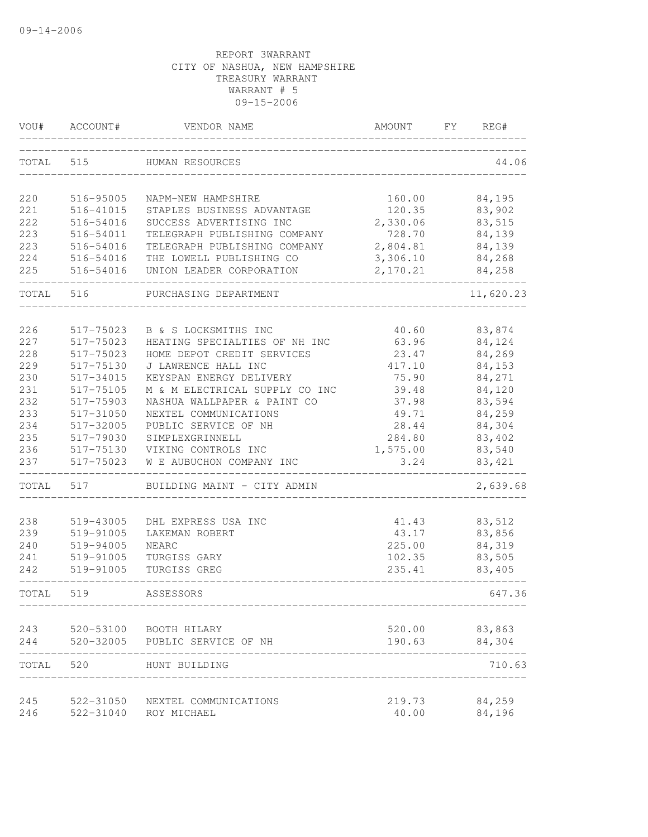| VOU#  | ACCOUNT#  | VENDOR NAME                    | AMOUNT   | FY. | REG#             |
|-------|-----------|--------------------------------|----------|-----|------------------|
| TOTAL | 515       | HUMAN RESOURCES                |          |     | 44.06            |
| 220   | 516-95005 | NAPM-NEW HAMPSHIRE             | 160.00   |     | 84,195           |
| 221   | 516-41015 | STAPLES BUSINESS ADVANTAGE     | 120.35   |     | 83,902           |
| 222   | 516-54016 | SUCCESS ADVERTISING INC        | 2,330.06 |     | 83,515           |
| 223   | 516-54011 | TELEGRAPH PUBLISHING COMPANY   | 728.70   |     | 84,139           |
| 223   | 516-54016 | TELEGRAPH PUBLISHING COMPANY   | 2,804.81 |     | 84,139           |
| 224   | 516-54016 | THE LOWELL PUBLISHING CO       | 3,306.10 |     | 84,268           |
| 225   | 516-54016 | UNION LEADER CORPORATION       | 2,170.21 |     | 84,258           |
| TOTAL | 516       | PURCHASING DEPARTMENT          |          |     | 11,620.23        |
|       |           |                                |          |     |                  |
| 226   | 517-75023 | B & S LOCKSMITHS INC           | 40.60    |     | 83,874           |
| 227   | 517-75023 | HEATING SPECIALTIES OF NH INC  | 63.96    |     | 84,124           |
| 228   | 517-75023 | HOME DEPOT CREDIT SERVICES     | 23.47    |     | 84,269           |
| 229   | 517-75130 | J LAWRENCE HALL INC            | 417.10   |     | 84,153           |
| 230   | 517-34015 | KEYSPAN ENERGY DELIVERY        | 75.90    |     | 84,271           |
| 231   | 517-75105 | M & M ELECTRICAL SUPPLY CO INC | 39.48    |     | 84,120           |
| 232   | 517-75903 | NASHUA WALLPAPER & PAINT CO    | 37.98    |     | 83,594           |
| 233   | 517-31050 | NEXTEL COMMUNICATIONS          | 49.71    |     | 84,259           |
| 234   | 517-32005 | PUBLIC SERVICE OF NH           | 28.44    |     | 84,304           |
| 235   | 517-79030 | SIMPLEXGRINNELL                | 284.80   |     | 83,402           |
| 236   | 517-75130 | VIKING CONTROLS INC            | 1,575.00 |     | 83,540           |
| 237   | 517-75023 | W E AUBUCHON COMPANY INC       | 3.24     |     | 83,421           |
| TOTAL | 517       | BUILDING MAINT - CITY ADMIN    |          |     | 2,639.68         |
| 238   | 519-43005 | DHL EXPRESS USA INC            | 41.43    |     | 83,512           |
| 239   | 519-91005 | LAKEMAN ROBERT                 | 43.17    |     | 83,856           |
| 240   | 519-94005 | <b>NEARC</b>                   | 225.00   |     | 84,319           |
| 241   | 519-91005 | TURGISS GARY                   | 102.35   |     | 83,505           |
| 242   | 519-91005 | TURGISS GREG                   | 235.41   |     | 83,405           |
| TOTAL | 519       | ASSESSORS                      |          |     | 647.36           |
| 243   |           | 520-53100 BOOTH HILARY         | 520.00   |     |                  |
| 244   |           | 520-32005 PUBLIC SERVICE OF NH | 190.63   |     | 83,863<br>84,304 |
| TOTAL | 520       | HUNT BUILDING                  |          |     | 710.63           |
| 245   | 522-31050 | NEXTEL COMMUNICATIONS          | 219.73   |     | 84,259           |
| 246   | 522-31040 | ROY MICHAEL                    | 40.00    |     | 84,196           |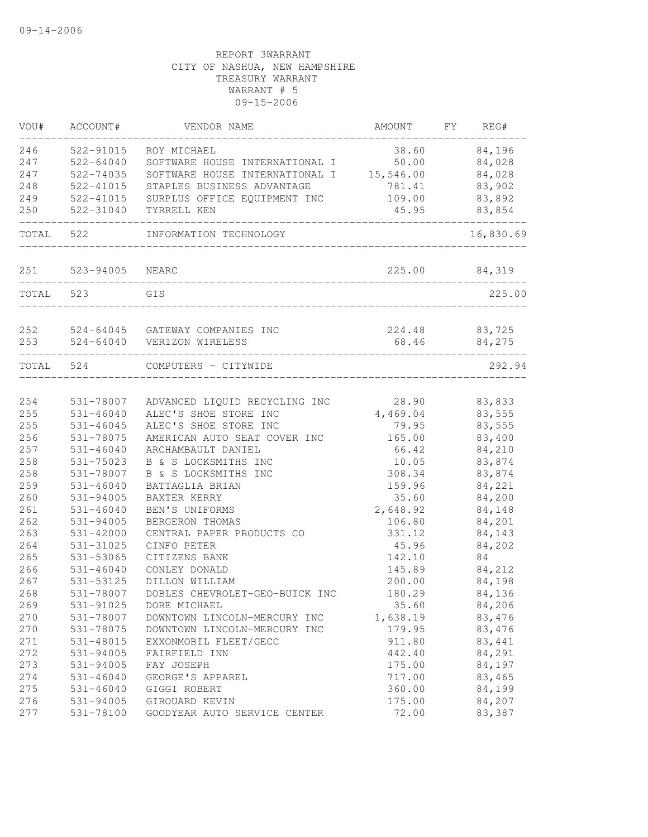| VOU#      | ACCOUNT#        | VENDOR NAME                              | AMOUNT   | FY | REG#          |
|-----------|-----------------|------------------------------------------|----------|----|---------------|
| 246       | 522-91015       | ROY MICHAEL                              | 38.60    |    | 84,196        |
| 247       | $522 - 64040$   | SOFTWARE HOUSE INTERNATIONAL I 50.00     |          |    | 84,028        |
| 247       | 522-74035       | SOFTWARE HOUSE INTERNATIONAL I 15,546.00 |          |    | 84,028        |
| 248       | 522-41015       | STAPLES BUSINESS ADVANTAGE               | 781.41   |    | 83,902        |
| 249       | 522-41015       | SURPLUS OFFICE EQUIPMENT INC             | 109.00   |    | 83,892        |
| 250       | 522-31040       | TYRRELL KEN                              | 45.95    |    | 83,854        |
| TOTAL     | 522             | INFORMATION TECHNOLOGY                   |          |    | 16,830.69     |
| 251       | 523-94005 NEARC |                                          |          |    | 225.00 84,319 |
| TOTAL 523 |                 | GIS                                      |          |    | 225.00        |
|           |                 |                                          |          |    |               |
| 252       |                 | 524-64045 GATEWAY COMPANIES INC          | 224.48   |    | 83,725        |
| 253       |                 | 524-64040 VERIZON WIRELESS               | 68.46    |    | 84,275        |
| TOTAL 524 |                 | COMPUTERS - CITYWIDE                     |          |    | 292.94        |
| 254       | 531-78007       | ADVANCED LIQUID RECYCLING INC            | 28.90    |    | 83,833        |
| 255       | $531 - 46040$   | ALEC'S SHOE STORE INC                    | 4,469.04 |    | 83,555        |
| 255       | $531 - 46045$   | ALEC'S SHOE STORE INC                    | 79.95    |    | 83,555        |
| 256       | 531-78075       | AMERICAN AUTO SEAT COVER INC             | 165.00   |    | 83,400        |
| 257       | 531-46040       | ARCHAMBAULT DANIEL                       | 66.42    |    | 84,210        |
| 258       | 531-75023       | B & S LOCKSMITHS INC                     | 10.05    |    | 83,874        |
| 258       | 531-78007       | B & S LOCKSMITHS INC                     | 308.34   |    | 83,874        |
| 259       | 531-46040       | BATTAGLIA BRIAN                          | 159.96   |    | 84,221        |
| 260       | 531-94005       | BAXTER KERRY                             | 35.60    |    | 84,200        |
| 261       | $531 - 46040$   | BEN'S UNIFORMS                           | 2,648.92 |    | 84,148        |
| 262       | 531-94005       | BERGERON THOMAS                          | 106.80   |    | 84,201        |
| 263       | $531 - 42000$   | CENTRAL PAPER PRODUCTS CO                | 331.12   |    | 84,143        |
| 264       | 531-31025       | CINFO PETER                              | 45.96    |    | 84,202        |
| 265       | 531-53065       | CITIZENS BANK                            | 142.10   |    | 84            |
| 266       | $531 - 46040$   | CONLEY DONALD                            | 145.89   |    | 84,212        |
| 267       | 531-53125       | DILLON WILLIAM                           | 200.00   |    | 84,198        |
| 268       | 531-78007       | DOBLES CHEVROLET-GEO-BUICK INC           | 180.29   |    | 84,136        |
| 269       | 531-91025       | DORE MICHAEL                             | 35.60    |    | 84,206        |
| 270       | 531-78007       | DOWNTOWN LINCOLN-MERCURY INC             | 1,638.19 |    | 83,476        |
| 270       | 531-78075       | DOWNTOWN LINCOLN-MERCURY INC             | 179.95   |    | 83,476        |
| 271       | 531-48015       | EXXONMOBIL FLEET/GECC                    | 911.80   |    | 83,441        |
| 272       | 531-94005       | FAIRFIELD INN                            | 442.40   |    | 84,291        |
| 273       | 531-94005       | FAY JOSEPH                               | 175.00   |    | 84,197        |
| 274       | $531 - 46040$   | GEORGE'S APPAREL                         | 717.00   |    | 83,465        |
| 275       | $531 - 46040$   | GIGGI ROBERT                             | 360.00   |    | 84,199        |
| 276       | 531-94005       | GIROUARD KEVIN                           | 175.00   |    | 84,207        |
| 277       | 531-78100       | GOODYEAR AUTO SERVICE CENTER             | 72.00    |    | 83,387        |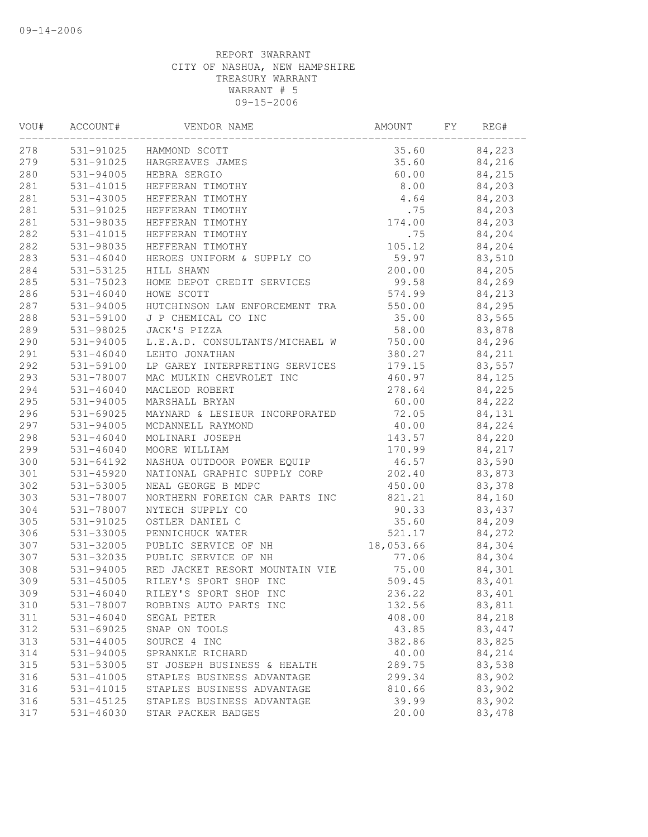| VOU# | ACCOUNT#      | VENDOR NAME                    | AMOUNT    | FY | REG#   |  |
|------|---------------|--------------------------------|-----------|----|--------|--|
| 278  |               | 531-91025 HAMMOND SCOTT        | 35.60     |    | 84,223 |  |
| 279  | 531-91025     | HARGREAVES JAMES               | 35.60     |    | 84,216 |  |
| 280  | 531-94005     | HEBRA SERGIO                   | 60.00     |    | 84,215 |  |
| 281  | 531-41015     | HEFFERAN TIMOTHY               | 8.00      |    | 84,203 |  |
| 281  | 531-43005     | HEFFERAN TIMOTHY               | 4.64      |    | 84,203 |  |
| 281  | 531-91025     | HEFFERAN TIMOTHY               | .75       |    | 84,203 |  |
| 281  | 531-98035     | HEFFERAN TIMOTHY               | 174.00    |    | 84,203 |  |
| 282  | 531-41015     | HEFFERAN TIMOTHY               | .75       |    | 84,204 |  |
| 282  | 531-98035     | HEFFERAN TIMOTHY               | 105.12    |    | 84,204 |  |
| 283  | $531 - 46040$ | HEROES UNIFORM & SUPPLY CO     | 59.97     |    | 83,510 |  |
| 284  | 531-53125     | HILL SHAWN                     | 200.00    |    | 84,205 |  |
| 285  | 531-75023     | HOME DEPOT CREDIT SERVICES     | 99.58     |    | 84,269 |  |
| 286  | $531 - 46040$ | HOWE SCOTT                     | 574.99    |    | 84,213 |  |
| 287  | 531-94005     | HUTCHINSON LAW ENFORCEMENT TRA | 550.00    |    | 84,295 |  |
| 288  | 531-59100     | J P CHEMICAL CO INC            | 35.00     |    | 83,565 |  |
| 289  | 531-98025     | JACK'S PIZZA                   | 58.00     |    | 83,878 |  |
| 290  | 531-94005     | L.E.A.D. CONSULTANTS/MICHAEL W | 750.00    |    | 84,296 |  |
| 291  | $531 - 46040$ | LEHTO JONATHAN                 | 380.27    |    | 84,211 |  |
| 292  | 531-59100     | LP GAREY INTERPRETING SERVICES | 179.15    |    | 83,557 |  |
| 293  | 531-78007     | MAC MULKIN CHEVROLET INC       | 460.97    |    | 84,125 |  |
| 294  | $531 - 46040$ | MACLEOD ROBERT                 | 278.64    |    | 84,225 |  |
| 295  | 531-94005     | MARSHALL BRYAN                 | 60.00     |    | 84,222 |  |
| 296  | 531-69025     | MAYNARD & LESIEUR INCORPORATED | 72.05     |    | 84,131 |  |
| 297  | 531-94005     | MCDANNELL RAYMOND              | 40.00     |    | 84,224 |  |
| 298  | 531-46040     | MOLINARI JOSEPH                | 143.57    |    | 84,220 |  |
| 299  | $531 - 46040$ | MOORE WILLIAM                  | 170.99    |    | 84,217 |  |
| 300  | 531-64192     | NASHUA OUTDOOR POWER EQUIP     | 46.57     |    | 83,590 |  |
| 301  | 531-45920     | NATIONAL GRAPHIC SUPPLY CORP   | 202.40    |    | 83,873 |  |
| 302  | 531-53005     | NEAL GEORGE B MDPC             | 450.00    |    | 83,378 |  |
| 303  | 531-78007     | NORTHERN FOREIGN CAR PARTS INC | 821.21    |    | 84,160 |  |
| 304  | 531-78007     | NYTECH SUPPLY CO               | 90.33     |    | 83,437 |  |
| 305  | 531-91025     | OSTLER DANIEL C                | 35.60     |    | 84,209 |  |
| 306  | 531-33005     | PENNICHUCK WATER               | 521.17    |    | 84,272 |  |
| 307  | 531-32005     | PUBLIC SERVICE OF NH           | 18,053.66 |    | 84,304 |  |
| 307  | 531-32035     | PUBLIC SERVICE OF NH           | 77.06     |    | 84,304 |  |
| 308  | 531-94005     | RED JACKET RESORT MOUNTAIN VIE | 75.00     |    | 84,301 |  |
| 309  | 531-45005     | RILEY'S SPORT SHOP INC         | 509.45    |    | 83,401 |  |
| 309  | $531 - 46040$ | RILEY'S SPORT SHOP INC         | 236.22    |    | 83,401 |  |
| 310  | 531-78007     | ROBBINS AUTO PARTS INC         | 132.56    |    | 83,811 |  |
| 311  | $531 - 46040$ | SEGAL PETER                    | 408.00    |    | 84,218 |  |
| 312  | 531-69025     | SNAP ON TOOLS                  | 43.85     |    | 83,447 |  |
| 313  | $531 - 44005$ | SOURCE 4 INC                   | 382.86    |    | 83,825 |  |
| 314  | 531-94005     | SPRANKLE RICHARD               | 40.00     |    | 84,214 |  |
| 315  | 531-53005     | ST JOSEPH BUSINESS & HEALTH    | 289.75    |    | 83,538 |  |
| 316  | 531-41005     | STAPLES BUSINESS ADVANTAGE     | 299.34    |    | 83,902 |  |
| 316  | 531-41015     | STAPLES BUSINESS ADVANTAGE     | 810.66    |    | 83,902 |  |
| 316  | 531-45125     | STAPLES BUSINESS ADVANTAGE     | 39.99     |    | 83,902 |  |
| 317  | $531 - 46030$ | STAR PACKER BADGES             | 20.00     |    | 83,478 |  |
|      |               |                                |           |    |        |  |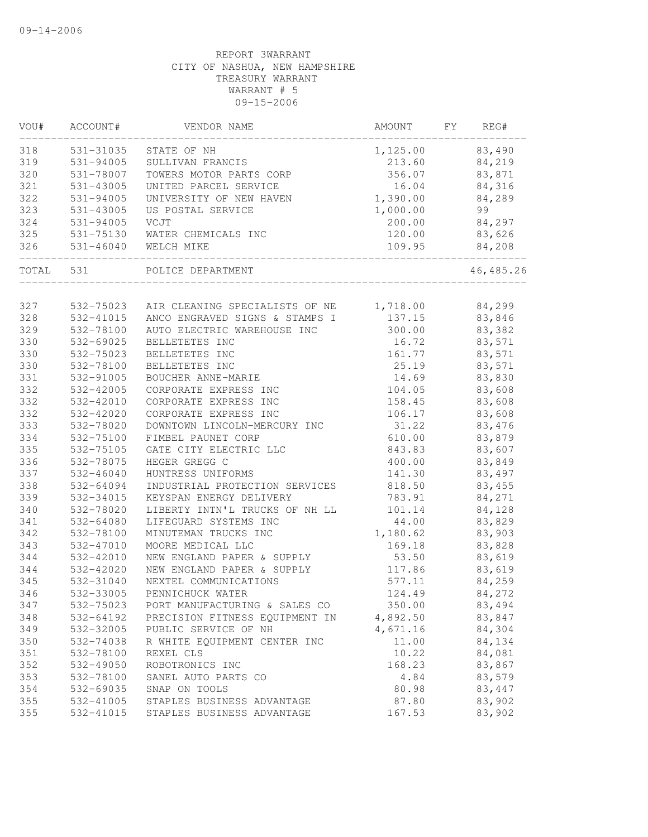| VOU#       | ACCOUNT#      | VENDOR NAME                                   | AMOUNT                                          | FΥ | REG#      |
|------------|---------------|-----------------------------------------------|-------------------------------------------------|----|-----------|
| 318        | 531-31035     | STATE OF NH                                   | 1,125.00                                        |    | 83,490    |
| 319        | 531-94005     | SULLIVAN FRANCIS                              | 213.60                                          |    | 84,219    |
| 320        | 531-78007     | TOWERS MOTOR PARTS CORP                       | 356.07                                          |    | 83,871    |
| 321        | 531-43005     | UNITED PARCEL SERVICE                         | 16.04                                           |    | 84,316    |
| 322        | 531-94005     | UNIVERSITY OF NEW HAVEN                       | 1,390.00                                        |    | 84,289    |
| 323        | 531-43005     | US POSTAL SERVICE                             | 1,000.00                                        |    | 99        |
| 324        | 531-94005     | VCJT                                          | 200.00                                          |    | 84,297    |
| 325        | 531-75130     | WATER CHEMICALS INC                           | 120.00                                          |    | 83,626    |
| 326        | 531-46040     | WELCH MIKE                                    | 109.95                                          |    | 84,208    |
| TOTAL      | 531           | POLICE DEPARTMENT                             |                                                 |    | 46,485.26 |
| 327        | 532-75023     | AIR CLEANING SPECIALISTS OF NE                | 1,718.00                                        |    | 84,299    |
| 328        | 532-41015     | ANCO ENGRAVED SIGNS & STAMPS I                | 137.15                                          |    | 83,846    |
| 329        | 532-78100     | AUTO ELECTRIC WAREHOUSE INC                   | 300.00                                          |    | 83,382    |
| 330        | 532-69025     | BELLETETES INC                                | 16.72                                           |    | 83,571    |
| 330        | 532-75023     | BELLETETES INC                                | 161.77                                          |    | 83,571    |
| 330        | 532-78100     | BELLETETES INC                                | 25.19                                           |    | 83,571    |
| 331        | 532-91005     | BOUCHER ANNE-MARIE                            | 14.69                                           |    | 83,830    |
| 332        | 532-42005     | CORPORATE EXPRESS INC                         | 104.05                                          |    | 83,608    |
| 332        | 532-42010     | CORPORATE EXPRESS INC                         | 158.45                                          |    | 83,608    |
| 332        | 532-42020     | CORPORATE EXPRESS INC                         | 106.17                                          |    | 83,608    |
| 333        | 532-78020     | DOWNTOWN LINCOLN-MERCURY INC                  | 31.22                                           |    | 83,476    |
| 334        | 532-75100     | FIMBEL PAUNET CORP                            | 610.00                                          |    | 83,879    |
| 335        | 532-75105     | GATE CITY ELECTRIC LLC                        | 843.83                                          |    | 83,607    |
| 336        | 532-78075     | HEGER GREGG C                                 | 400.00                                          |    | 83,849    |
| 337        | 532-46040     | HUNTRESS UNIFORMS                             | 141.30                                          |    | 83,497    |
| 338        | 532-64094     | INDUSTRIAL PROTECTION SERVICES                | 818.50                                          |    | 83,455    |
| 339        |               |                                               |                                                 |    |           |
| 340        | 532-34015     | KEYSPAN ENERGY DELIVERY                       | 783.91                                          |    | 84,271    |
|            | 532-78020     | LIBERTY INTN'L TRUCKS OF NH LL                | 101.14                                          |    | 84,128    |
| 341<br>342 | 532-64080     | LIFEGUARD SYSTEMS INC<br>MINUTEMAN TRUCKS INC | 44.00                                           |    | 83,829    |
|            | 532-78100     |                                               | 1,180.62<br>169.18                              |    | 83,903    |
| 343        | $532 - 47010$ | MOORE MEDICAL LLC                             |                                                 |    | 83,828    |
| 344        | 532-42010     | NEW ENGLAND PAPER & SUPPLY                    | 53.50                                           |    | 83,619    |
| 344        | 532-42020     | NEW ENGLAND PAPER & SUPPLY                    | 117.86                                          |    | 83,619    |
| 345        | 532-31040     | NEXTEL COMMUNICATIONS                         | 577.11                                          |    | 84,259    |
| 346        | 532-33005     | PENNICHUCK WATER                              | 124.49                                          |    | 84,272    |
| 347        | 532-75023     | PORT MANUFACTURING & SALES CO                 | 350.00                                          |    | 83,494    |
| 348        | 532-64192     | PRECISION FITNESS EQUIPMENT IN                | 4,892.50                                        |    | 83,847    |
| 349        | 532-32005     | PUBLIC SERVICE OF NH                          | 4,671.16                                        |    | 84,304    |
| 350        | 532-74038     | R WHITE EQUIPMENT CENTER INC                  | 11.00                                           |    | 84,134    |
| 351        | 532-78100     | REXEL CLS                                     | 10.22                                           |    | 84,081    |
| 352        | 532-49050     | ROBOTRONICS INC                               | 168.23                                          |    | 83,867    |
| 353        | 532-78100     | SANEL AUTO PARTS CO                           | $4\,\raisebox{1pt}{\text{\circle*{1.5}}}\,8\,4$ |    | 83,579    |
| 354        | 532-69035     | SNAP ON TOOLS                                 | 80.98                                           |    | 83,447    |
| 355        | 532-41005     | STAPLES BUSINESS ADVANTAGE                    | 87.80                                           |    | 83,902    |
| 355        | 532-41015     | STAPLES BUSINESS ADVANTAGE                    | 167.53                                          |    | 83,902    |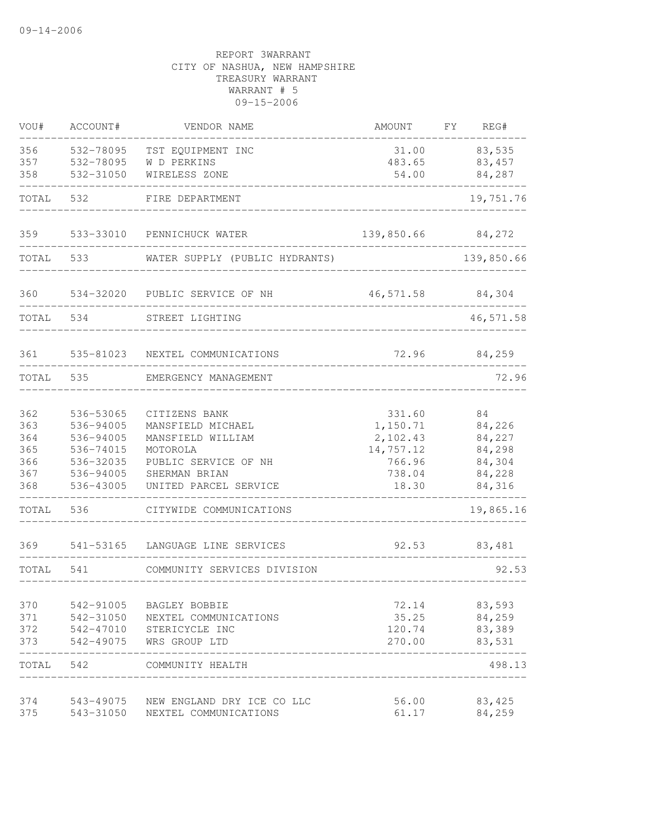| VOU#      | ACCOUNT#  | VENDOR NAME                          | AMOUNT     | FΥ | REG#       |
|-----------|-----------|--------------------------------------|------------|----|------------|
| 356       | 532-78095 | TST EQUIPMENT INC                    | 31.00      |    | 83,535     |
| 357       | 532-78095 | W D PERKINS                          | 483.65     |    | 83,457     |
| 358       | 532-31050 | WIRELESS ZONE                        | 54.00      |    | 84,287     |
| TOTAL     | 532       | FIRE DEPARTMENT                      |            |    | 19,751.76  |
| 359       | 533-33010 | PENNICHUCK WATER                     | 139,850.66 |    | 84,272     |
| TOTAL     | 533       | WATER SUPPLY (PUBLIC HYDRANTS)       |            |    | 139,850.66 |
| 360       | 534-32020 | PUBLIC SERVICE OF NH                 | 46, 571.58 |    | 84,304     |
| TOTAL     | 534       | STREET LIGHTING                      |            |    | 46,571.58  |
| 361       | 535-81023 | NEXTEL COMMUNICATIONS                | 72.96      |    | 84,259     |
| TOTAL     | 535       | EMERGENCY MANAGEMENT                 |            |    | 72.96      |
| 362       | 536-53065 | CITIZENS BANK                        | 331.60     |    | 84         |
| 363       | 536-94005 | MANSFIELD MICHAEL                    | 1,150.71   |    | 84,226     |
| 364       | 536-94005 | MANSFIELD WILLIAM                    | 2,102.43   |    | 84,227     |
| 365       | 536-74015 | MOTOROLA                             | 14,757.12  |    | 84,298     |
| 366       | 536-32035 | PUBLIC SERVICE OF NH                 | 766.96     |    | 84,304     |
| 367       | 536-94005 | SHERMAN BRIAN                        | 738.04     |    | 84,228     |
| 368       | 536-43005 | UNITED PARCEL SERVICE                | 18.30      |    | 84,316     |
| TOTAL     | 536       | CITYWIDE COMMUNICATIONS              |            |    | 19,865.16  |
| 369       | 541-53165 | LANGUAGE LINE SERVICES               | 92.53      |    | 83,481     |
| TOTAL     | 541       | COMMUNITY SERVICES DIVISION          |            |    | 92.53      |
| 370       | 542-91005 | BAGLEY BOBBIE                        | 72.14      |    | 83,593     |
| 371       | 542-31050 | NEXTEL COMMUNICATIONS                | 35.25      |    | 84,259     |
| 372       |           | 542-47010 STERICYCLE INC             | 120.74     |    | 83,389     |
| 373       | 542-49075 | WRS GROUP LTD                        | 270.00     |    | 83,531     |
| TOTAL 542 |           | COMMUNITY HEALTH                     |            |    | 498.13     |
| 374       |           | 543-49075 NEW ENGLAND DRY ICE CO LLC | 56.00      |    | 83,425     |
| 375       |           | 543-31050 NEXTEL COMMUNICATIONS      | 61.17      |    | 84,259     |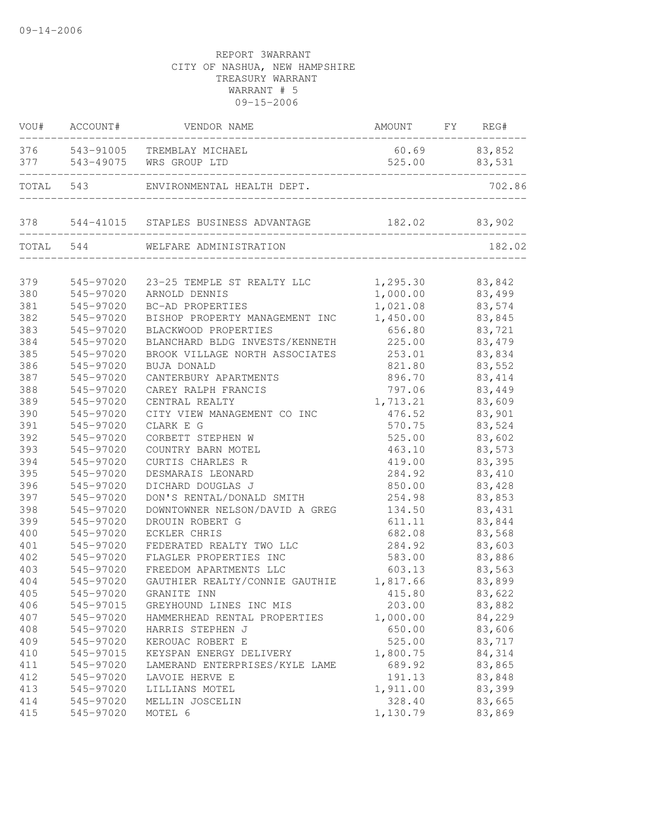| VOU#      | ACCOUNT#  | VENDOR NAME                          | AMOUNT   | FY | REG#    |
|-----------|-----------|--------------------------------------|----------|----|---------|
| 376       | 543-91005 | TREMBLAY MICHAEL                     | 60.69    |    | 83,852  |
| 377       | 543-49075 | WRS GROUP LTD                        | 525.00   |    | 83,531  |
| TOTAL     | 543       | ENVIRONMENTAL HEALTH DEPT.           |          |    | 702.86  |
| 378       |           | 544-41015 STAPLES BUSINESS ADVANTAGE | 182.02   |    | 83,902  |
| TOTAL 544 |           | WELFARE ADMINISTRATION               |          |    | 182.02  |
|           |           |                                      |          |    |         |
| 379       | 545-97020 | 23-25 TEMPLE ST REALTY LLC           | 1,295.30 |    | 83,842  |
| 380       | 545-97020 | ARNOLD DENNIS                        | 1,000.00 |    | 83,499  |
| 381       | 545-97020 | BC-AD PROPERTIES                     | 1,021.08 |    | 83,574  |
| 382       | 545-97020 | BISHOP PROPERTY MANAGEMENT INC       | 1,450.00 |    | 83,845  |
| 383       | 545-97020 | BLACKWOOD PROPERTIES                 | 656.80   |    | 83,721  |
| 384       | 545-97020 | BLANCHARD BLDG INVESTS/KENNETH       | 225.00   |    | 83,479  |
| 385       | 545-97020 | BROOK VILLAGE NORTH ASSOCIATES       | 253.01   |    | 83,834  |
| 386       | 545-97020 | <b>BUJA DONALD</b>                   | 821.80   |    | 83,552  |
| 387       | 545-97020 | CANTERBURY APARTMENTS                | 896.70   |    | 83, 414 |
| 388       | 545-97020 | CAREY RALPH FRANCIS                  | 797.06   |    | 83,449  |
| 389       | 545-97020 | CENTRAL REALTY                       | 1,713.21 |    | 83,609  |
| 390       | 545-97020 | CITY VIEW MANAGEMENT CO INC          | 476.52   |    | 83,901  |
| 391       | 545-97020 | CLARK E G                            | 570.75   |    | 83,524  |
| 392       | 545-97020 | CORBETT STEPHEN W                    | 525.00   |    | 83,602  |
| 393       | 545-97020 | COUNTRY BARN MOTEL                   | 463.10   |    | 83,573  |
| 394       | 545-97020 | CURTIS CHARLES R                     | 419.00   |    | 83,395  |
| 395       | 545-97020 | DESMARAIS LEONARD                    | 284.92   |    | 83,410  |
| 396       | 545-97020 | DICHARD DOUGLAS J                    | 850.00   |    | 83,428  |
| 397       | 545-97020 | DON'S RENTAL/DONALD SMITH            | 254.98   |    | 83,853  |
| 398       | 545-97020 | DOWNTOWNER NELSON/DAVID A GREG       | 134.50   |    | 83,431  |
| 399       | 545-97020 | DROUIN ROBERT G                      | 611.11   |    | 83,844  |
| 400       | 545-97020 | ECKLER CHRIS                         | 682.08   |    | 83,568  |
| 401       | 545-97020 | FEDERATED REALTY TWO LLC             | 284.92   |    | 83,603  |
| 402       | 545-97020 | FLAGLER PROPERTIES INC               | 583.00   |    | 83,886  |
| 403       | 545-97020 | FREEDOM APARTMENTS LLC               | 603.13   |    | 83,563  |
| 404       | 545-97020 | GAUTHIER REALTY/CONNIE GAUTHIE       | 1,817.66 |    | 83,899  |
| 405       | 545-97020 | GRANITE INN                          | 415.80   |    | 83,622  |
| 406       | 545-97015 | GREYHOUND LINES INC MIS              | 203.00   |    | 83,882  |
| 407       | 545-97020 | HAMMERHEAD RENTAL PROPERTIES         | 1,000.00 |    | 84,229  |
| 408       | 545-97020 | HARRIS STEPHEN J                     | 650.00   |    | 83,606  |
| 409       | 545-97020 | KEROUAC ROBERT E                     | 525.00   |    | 83,717  |
| 410       | 545-97015 | KEYSPAN ENERGY DELIVERY              | 1,800.75 |    | 84,314  |
| 411       | 545-97020 | LAMERAND ENTERPRISES/KYLE LAME       | 689.92   |    | 83,865  |
| 412       | 545-97020 | LAVOIE HERVE E                       | 191.13   |    | 83,848  |
| 413       | 545-97020 | LILLIANS MOTEL                       | 1,911.00 |    | 83,399  |
| 414       | 545-97020 | MELLIN JOSCELIN                      | 328.40   |    | 83,665  |
| 415       | 545-97020 | MOTEL 6                              | 1,130.79 |    | 83,869  |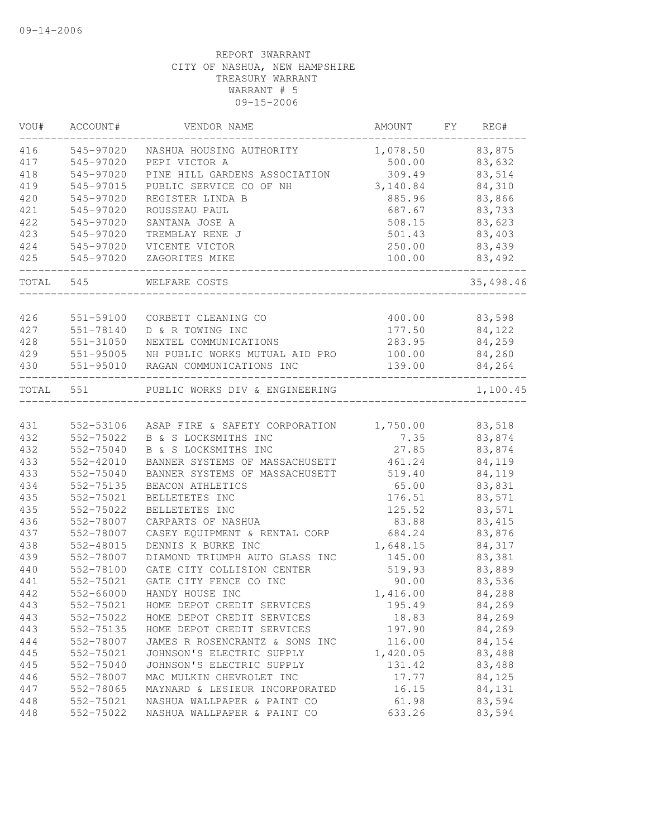| VOU#      | ACCOUNT#      | VENDOR NAME                             | AMOUNT   | FΥ | REG#      |
|-----------|---------------|-----------------------------------------|----------|----|-----------|
| 416       | 545-97020     | NASHUA HOUSING AUTHORITY                | 1,078.50 |    | 83,875    |
| 417       | 545-97020     | PEPI VICTOR A                           | 500.00   |    | 83,632    |
| 418       | 545-97020     | PINE HILL GARDENS ASSOCIATION           | 309.49   |    | 83,514    |
| 419       | 545-97015     | PUBLIC SERVICE CO OF NH                 | 3,140.84 |    | 84,310    |
| 420       | 545-97020     | REGISTER LINDA B                        | 885.96   |    | 83,866    |
| 421       | 545-97020     | ROUSSEAU PAUL                           | 687.67   |    | 83,733    |
| 422       | 545-97020     | SANTANA JOSE A                          | 508.15   |    | 83,623    |
| 423       | 545-97020     | TREMBLAY RENE J                         | 501.43   |    | 83,403    |
| 424       | 545-97020     | VICENTE VICTOR                          | 250.00   |    | 83,439    |
| 425       | 545-97020     | ZAGORITES MIKE                          | 100.00   |    | 83,492    |
| TOTAL     | 545           | WELFARE COSTS                           |          |    | 35,498.46 |
| 426       | 551-59100     | CORBETT CLEANING CO                     | 400.00   |    | 83,598    |
| 427       | $551 - 78140$ | D & R TOWING INC                        | 177.50   |    | 84,122    |
| 428       | 551-31050     | NEXTEL COMMUNICATIONS                   | 283.95   |    | 84,259    |
| 429       | 551-95005     | NH PUBLIC WORKS MUTUAL AID PRO          | 100.00   |    | 84,260    |
| 430       | 551-95010     | RAGAN COMMUNICATIONS INC                | 139.00   |    | 84,264    |
| TOTAL 551 |               | PUBLIC WORKS DIV & ENGINEERING          |          |    | 1,100.45  |
|           |               |                                         |          |    |           |
| 431       | 552-53106     | ASAP FIRE & SAFETY CORPORATION 1,750.00 |          |    | 83,518    |
| 432       | 552-75022     | B & S LOCKSMITHS INC                    | 7.35     |    | 83,874    |
| 432       | 552-75040     | B & S LOCKSMITHS INC                    | 27.85    |    | 83,874    |
| 433       | 552-42010     | BANNER SYSTEMS OF MASSACHUSETT          | 461.24   |    | 84,119    |
| 433       | 552-75040     | BANNER SYSTEMS OF MASSACHUSETT          | 519.40   |    | 84,119    |
| 434       | 552-75135     | BEACON ATHLETICS                        | 65.00    |    | 83,831    |
| 435       | 552-75021     | BELLETETES INC                          | 176.51   |    | 83,571    |
| 435       | 552-75022     | BELLETETES INC                          | 125.52   |    | 83,571    |
| 436       | 552-78007     | CARPARTS OF NASHUA                      | 83.88    |    | 83, 415   |
| 437       | 552-78007     | CASEY EQUIPMENT & RENTAL CORP           | 684.24   |    | 83,876    |
| 438       | 552-48015     | DENNIS K BURKE INC                      | 1,648.15 |    | 84,317    |
| 439       | 552-78007     | DIAMOND TRIUMPH AUTO GLASS INC          | 145.00   |    | 83,381    |
| 440       | 552-78100     | GATE CITY COLLISION CENTER              | 519.93   |    | 83,889    |
| 441       | 552-75021     | GATE CITY FENCE CO INC                  | 90.00    |    | 83,536    |
| 442       | 552-66000     | HANDY HOUSE INC                         | 1,416.00 |    | 84,288    |
| 443       | 552-75021     | HOME DEPOT CREDIT SERVICES              | 195.49   |    | 84,269    |
| 443       | 552-75022     | HOME DEPOT CREDIT SERVICES              | 18.83    |    | 84,269    |
| 443       | 552-75135     | HOME DEPOT CREDIT SERVICES              | 197.90   |    | 84,269    |
| 444       | 552-78007     | JAMES R ROSENCRANTZ & SONS INC          | 116.00   |    | 84,154    |
| 445       | 552-75021     | JOHNSON'S ELECTRIC SUPPLY               | 1,420.05 |    | 83,488    |
| 445       | 552-75040     | JOHNSON'S ELECTRIC SUPPLY               | 131.42   |    | 83,488    |
| 446       | 552-78007     | MAC MULKIN CHEVROLET INC                | 17.77    |    | 84,125    |
| 447       | 552-78065     | MAYNARD & LESIEUR INCORPORATED          | 16.15    |    | 84,131    |
| 448       | 552-75021     | NASHUA WALLPAPER & PAINT CO             | 61.98    |    | 83,594    |
| 448       | 552-75022     | NASHUA WALLPAPER & PAINT CO             | 633.26   |    | 83,594    |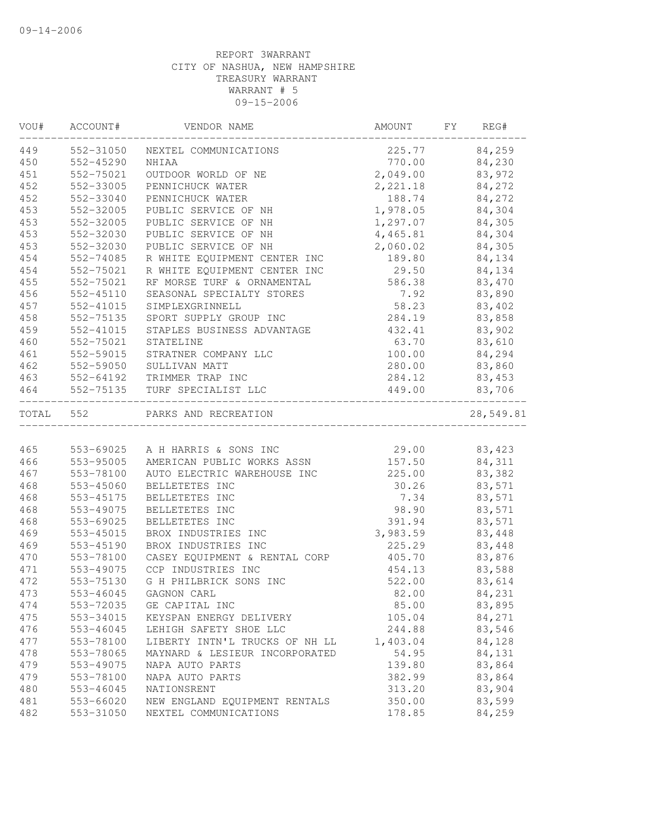| VOU#      | ACCOUNT#  | VENDOR NAME                     | AMOUNT               | FY | REG#          |
|-----------|-----------|---------------------------------|----------------------|----|---------------|
| 449       | 552-31050 | NEXTEL COMMUNICATIONS           | 225.77 84,259        |    |               |
| 450       | 552-45290 | NHIAA                           |                      |    | 770.00 84,230 |
| 451       | 552-75021 | OUTDOOR WORLD OF NE             | 2,049.00 83,972      |    |               |
| 452       | 552-33005 | PENNICHUCK WATER                | 2, 221.18            |    | 84,272        |
| 452       | 552-33040 | PENNICHUCK WATER                | 188.74               |    | 84,272        |
| 453       | 552-32005 | PUBLIC SERVICE OF NH            | 1,978.05<br>1,297.07 |    | 84,304        |
| 453       | 552-32005 | PUBLIC SERVICE OF NH            |                      |    | 84,305        |
| 453       | 552-32030 | PUBLIC SERVICE OF NH            | 4,465.81             |    | 84,304        |
| 453       | 552-32030 | PUBLIC SERVICE OF NH            | 2,060.02             |    | 84,305        |
| 454       | 552-74085 | R WHITE EQUIPMENT CENTER INC    | 189.80               |    | 84,134        |
| 454       | 552-75021 | R WHITE EQUIPMENT CENTER INC    | 29.50                |    | 84,134        |
| 455       | 552-75021 | RF MORSE TURF & ORNAMENTAL      | 586.38               |    | 83,470        |
| 456       | 552-45110 | SEASONAL SPECIALTY STORES       | 7.92                 |    | 83,890        |
| 457       | 552-41015 | SIMPLEXGRINNELL                 | 58.23                |    | 83,402        |
| 458       | 552-75135 | SPORT SUPPLY GROUP INC          | 284.19               |    | 83,858        |
| 459       | 552-41015 | STAPLES BUSINESS ADVANTAGE      | 432.41               |    | 83,902        |
| 460       | 552-75021 | STATELINE                       | 63.70                |    | 83,610        |
| 461       | 552-59015 | STRATNER COMPANY LLC            | 100.00               |    | 84,294        |
| 462       | 552-59050 | SULLIVAN MATT                   |                      |    | 280.00 83,860 |
| 463       |           | 552-64192 TRIMMER TRAP INC      | 284.12               |    | 83,453        |
| 464       |           | 552-75135 TURF SPECIALIST LLC   | 449.00               |    | 83,706        |
| TOTAL 552 |           | PARKS AND RECREATION            |                      |    | 28,549.81     |
|           |           |                                 |                      |    |               |
| 465       |           | 553-69025 A H HARRIS & SONS INC | 29.00                |    | 83,423        |
| 466       | 553-95005 | AMERICAN PUBLIC WORKS ASSN      | 157.50               |    | 84,311        |
| 467       | 553-78100 | AUTO ELECTRIC WAREHOUSE INC     | 225.00               |    | 83,382        |
| 468       | 553-45060 | BELLETETES INC                  | 30.26                |    | 83,571        |
| 468       | 553-45175 | BELLETETES INC                  | 7.34                 |    | 83,571        |
| 468       | 553-49075 | BELLETETES INC                  | 98.90                |    | 83,571        |
| 468       | 553-69025 | BELLETETES INC                  | 391.94               |    | 83,571        |
| 469       | 553-45015 | BROX INDUSTRIES INC             | 3,983.59             |    | 83,448        |
| 469       | 553-45190 | BROX INDUSTRIES INC             | 225.29               |    | 83,448        |
| 470       | 553-78100 | CASEY EQUIPMENT & RENTAL CORP   | 405.70               |    | 83,876        |
| 471       | 553-49075 | CCP INDUSTRIES INC              | 454.13               |    | 83,588        |
| 472       | 553-75130 | G H PHILBRICK SONS INC          | 522.00               |    | 83,614        |
| 473       | 553-46045 | GAGNON CARL                     | 82.00                |    | 84,231        |
| 474       | 553-72035 | GE CAPITAL INC                  | 85.00                |    | 83,895        |
| 475       | 553-34015 | KEYSPAN ENERGY DELIVERY         | 105.04               |    | 84,271        |
| 476       | 553-46045 | LEHIGH SAFETY SHOE LLC          | 244.88               |    | 83,546        |
| 477       | 553-78100 | LIBERTY INTN'L TRUCKS OF NH LL  | 1,403.04             |    | 84,128        |
| 478       | 553-78065 | MAYNARD & LESIEUR INCORPORATED  | 54.95                |    | 84,131        |
| 479       | 553-49075 | NAPA AUTO PARTS                 | 139.80               |    | 83,864        |
| 479       | 553-78100 | NAPA AUTO PARTS                 | 382.99               |    | 83,864        |
| 480       | 553-46045 | NATIONSRENT                     | 313.20               |    | 83,904        |
| 481       | 553-66020 | NEW ENGLAND EOUIPMENT RENTALS   | 350.00               |    | 83,599        |
| 482       | 553-31050 | NEXTEL COMMUNICATIONS           | 178.85               |    | 84,259        |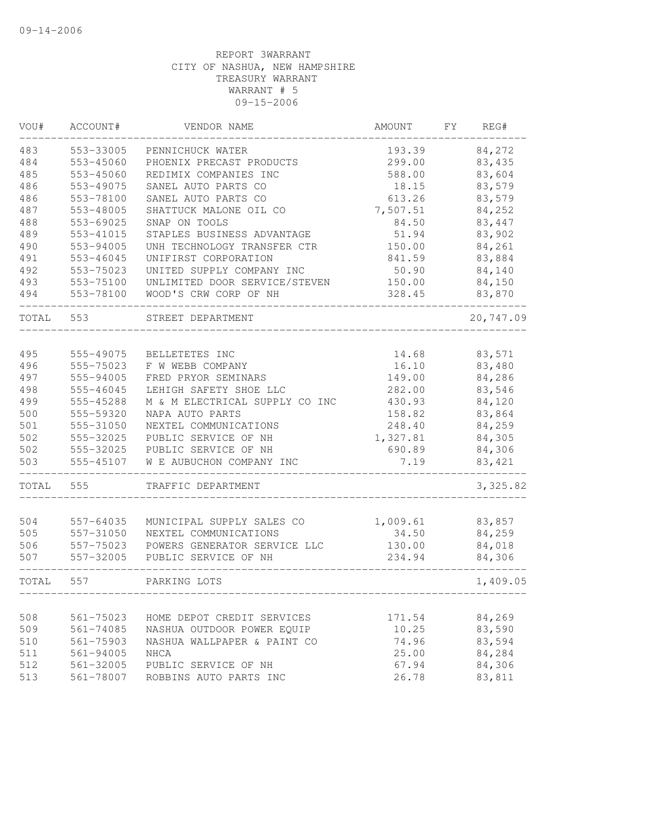| VOU#  | ACCOUNT#      | VENDOR NAME                        | AMOUNT         | FY | REG#      |
|-------|---------------|------------------------------------|----------------|----|-----------|
| 483   | 553-33005     | PENNICHUCK WATER                   | 193.39         |    | 84,272    |
| 484   | 553-45060     | PHOENIX PRECAST PRODUCTS           | 299.00         |    | 83,435    |
| 485   | 553-45060     | REDIMIX COMPANIES INC              | 588.00         |    | 83,604    |
| 486   | 553-49075     | SANEL AUTO PARTS CO                | 18.15          |    | 83,579    |
| 486   | 553-78100     | SANEL AUTO PARTS CO                | 613.26         |    | 83,579    |
| 487   | 553-48005     | SHATTUCK MALONE OIL CO             | 7,507.51       |    | 84,252    |
| 488   | 553-69025     | SNAP ON TOOLS                      | 84.50          |    | 83,447    |
| 489   | 553-41015     | STAPLES BUSINESS ADVANTAGE         | 51.94          |    | 83,902    |
| 490   | 553-94005     | UNH TECHNOLOGY TRANSFER CTR        | 150.00         |    | 84,261    |
| 491   | 553-46045     | UNIFIRST CORPORATION               | 841.59         |    | 83,884    |
| 492   | 553-75023     | UNITED SUPPLY COMPANY INC          | 50.90          |    | 84,140    |
| 493   | 553-75100     | UNLIMITED DOOR SERVICE/STEVEN      | 150.00         |    | 84,150    |
| 494   | 553-78100     | WOOD'S CRW CORP OF NH              | 328.45         |    | 83,870    |
| TOTAL | 553           | STREET DEPARTMENT                  |                |    | 20,747.09 |
| 495   | 555-49075     |                                    |                |    | 83,571    |
| 496   | 555-75023     | BELLETETES INC<br>F W WEBB COMPANY | 14.68<br>16.10 |    | 83,480    |
| 497   | 555-94005     | FRED PRYOR SEMINARS                | 149.00         |    | 84,286    |
| 498   | 555-46045     | LEHIGH SAFETY SHOE LLC             | 282.00         |    | 83,546    |
| 499   | 555-45288     | M & M ELECTRICAL SUPPLY CO INC     | 430.93         |    | 84,120    |
| 500   | 555-59320     | NAPA AUTO PARTS                    | 158.82         |    | 83,864    |
| 501   | 555-31050     | NEXTEL COMMUNICATIONS              | 248.40         |    | 84,259    |
| 502   | 555-32025     | PUBLIC SERVICE OF NH               | 1,327.81       |    | 84,305    |
| 502   | 555-32025     | PUBLIC SERVICE OF NH               | 690.89         |    | 84,306    |
| 503   | 555-45107     | W E AUBUCHON COMPANY INC           | 7.19           |    | 83, 421   |
| TOTAL | 555           | TRAFFIC DEPARTMENT                 |                |    | 3,325.82  |
|       |               |                                    |                |    |           |
| 504   | 557-64035     | MUNICIPAL SUPPLY SALES CO          | 1,009.61       |    | 83,857    |
| 505   | 557-31050     | NEXTEL COMMUNICATIONS              | 34.50          |    | 84,259    |
| 506   | 557-75023     | POWERS GENERATOR SERVICE LLC       | 130.00         |    | 84,018    |
| 507   | 557-32005     | PUBLIC SERVICE OF NH               | 234.94         |    | 84,306    |
| TOTAL | 557           | PARKING LOTS                       |                |    | 1,409.05  |
|       |               |                                    |                |    |           |
| 508   | 561-75023     | HOME DEPOT CREDIT SERVICES         | 171.54         |    | 84,269    |
| 509   | 561-74085     | NASHUA OUTDOOR POWER EQUIP         | 10.25          |    | 83,590    |
| 510   | 561-75903     | NASHUA WALLPAPER & PAINT CO        | 74.96          |    | 83,594    |
| 511   | 561-94005     | NHCA                               | 25.00          |    | 84,284    |
| 512   | $561 - 32005$ | PUBLIC SERVICE OF NH               | 67.94          |    | 84,306    |
| 513   | 561-78007     | ROBBINS AUTO PARTS INC             | 26.78          |    | 83,811    |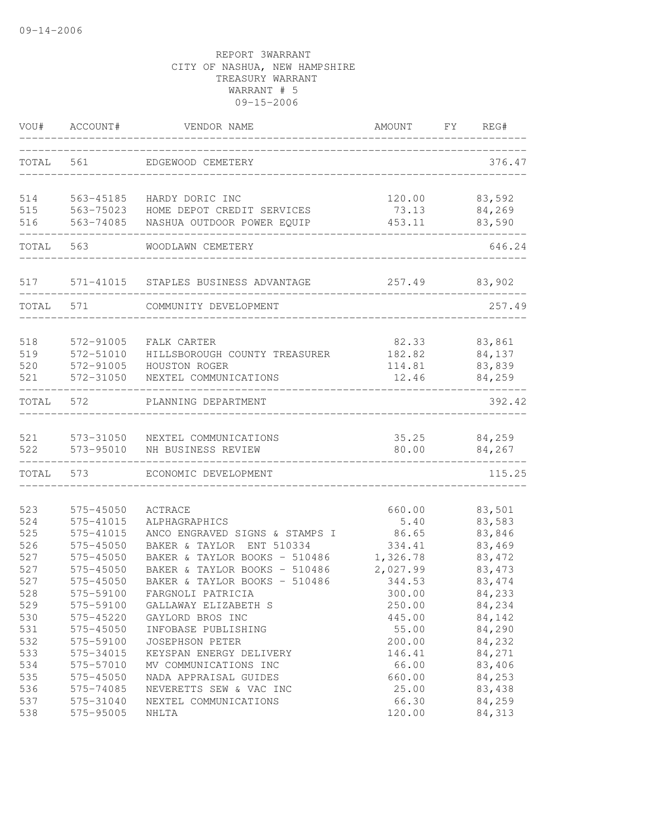| WOU#  | ACCOUNT#  | VENDOR NAME                    | AMOUNT   | FY. | REG#    |
|-------|-----------|--------------------------------|----------|-----|---------|
| TOTAL | 561       | EDGEWOOD CEMETERY              |          |     | 376.47  |
| 514   | 563-45185 | HARDY DORIC INC                | 120.00   |     | 83,592  |
| 515   | 563-75023 | HOME DEPOT CREDIT SERVICES     | 73.13    |     | 84,269  |
| 516   | 563-74085 | NASHUA OUTDOOR POWER EQUIP     | 453.11   |     | 83,590  |
| TOTAL | 563       | WOODLAWN CEMETERY              |          |     | 646.24  |
| 517   | 571-41015 | STAPLES BUSINESS ADVANTAGE     | 257.49   |     | 83,902  |
| TOTAL | 571       | COMMUNITY DEVELOPMENT          |          |     | 257.49  |
| 518   | 572-91005 | FALK CARTER                    | 82.33    |     | 83,861  |
| 519   | 572-51010 | HILLSBOROUGH COUNTY TREASURER  | 182.82   |     | 84,137  |
| 520   | 572-91005 | HOUSTON ROGER                  | 114.81   |     | 83,839  |
| 521   | 572-31050 | NEXTEL COMMUNICATIONS          | 12.46    |     | 84,259  |
| TOTAL | 572       | PLANNING DEPARTMENT            |          |     | 392.42  |
| 521   | 573-31050 | NEXTEL COMMUNICATIONS          | 35.25    |     | 84,259  |
| 522   | 573-95010 | NH BUSINESS REVIEW             | 80.00    |     | 84,267  |
| TOTAL | 573       | ECONOMIC DEVELOPMENT           |          |     | 115.25  |
| 523   | 575-45050 | ACTRACE                        | 660.00   |     | 83,501  |
| 524   | 575-41015 | ALPHAGRAPHICS                  | 5.40     |     | 83,583  |
| 525   | 575-41015 | ANCO ENGRAVED SIGNS & STAMPS I | 86.65    |     | 83,846  |
| 526   | 575-45050 | BAKER & TAYLOR ENT 510334      | 334.41   |     | 83,469  |
| 527   | 575-45050 | BAKER & TAYLOR BOOKS - 510486  | 1,326.78 |     | 83, 472 |
| 527   | 575-45050 | BAKER & TAYLOR BOOKS - 510486  | 2,027.99 |     | 83, 473 |
| 527   | 575-45050 | BAKER & TAYLOR BOOKS - 510486  | 344.53   |     | 83, 474 |
| 528   | 575-59100 | FARGNOLI PATRICIA              | 300.00   |     | 84,233  |
| 529   | 575-59100 | GALLAWAY ELIZABETH S           | 250.00   |     | 84,234  |
| 530   | 575-45220 | GAYLORD BROS INC               | 445.00   |     | 84,142  |
| 531   | 575-45050 | INFOBASE PUBLISHING            | 55.00    |     | 84,290  |
| 532   | 575-59100 | <b>JOSEPHSON PETER</b>         | 200.00   |     | 84,232  |
| 533   | 575-34015 | KEYSPAN ENERGY DELIVERY        | 146.41   |     | 84,271  |
| 534   | 575-57010 | MV COMMUNICATIONS INC          | 66.00    |     | 83,406  |
| 535   | 575-45050 | NADA APPRAISAL GUIDES          | 660.00   |     | 84,253  |
| 536   | 575-74085 | NEVERETTS SEW & VAC INC        | 25.00    |     | 83,438  |
| 537   | 575-31040 | NEXTEL COMMUNICATIONS          | 66.30    |     | 84,259  |
| 538   | 575-95005 | NHLTA                          | 120.00   |     | 84,313  |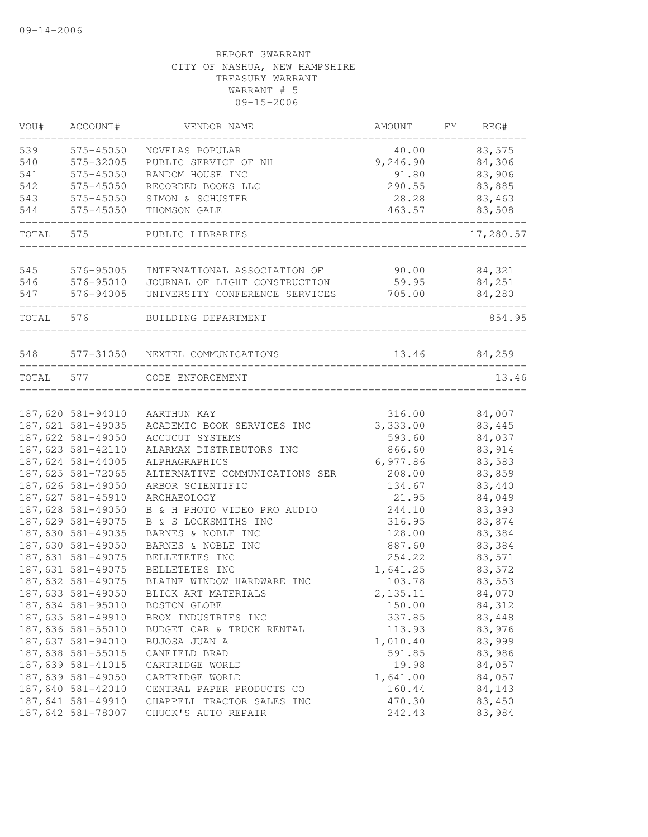| VOU#      | ACCOUNT#          | VENDOR NAME                     | AMOUNT   | FY | REG#      |
|-----------|-------------------|---------------------------------|----------|----|-----------|
| 539       | 575-45050         | NOVELAS POPULAR                 | 40.00    |    | 83,575    |
| 540       | 575-32005         | PUBLIC SERVICE OF NH            | 9,246.90 |    | 84,306    |
| 541       | 575-45050         | RANDOM HOUSE INC                | 91.80    |    | 83,906    |
| 542       | 575-45050         | RECORDED BOOKS LLC              | 290.55   |    | 83,885    |
| 543       | 575-45050         | SIMON & SCHUSTER                | 28.28    |    | 83,463    |
| 544       | 575-45050         | THOMSON GALE                    | 463.57   |    | 83,508    |
| TOTAL     | 575               | PUBLIC LIBRARIES                |          |    | 17,280.57 |
| 545       | 576-95005         | INTERNATIONAL ASSOCIATION OF    | 90.00    |    | 84,321    |
| 546       | 576-95010         | JOURNAL OF LIGHT CONSTRUCTION   | 59.95    |    | 84,251    |
| 547       | 576-94005         | UNIVERSITY CONFERENCE SERVICES  | 705.00   |    | 84,280    |
| TOTAL     | 576               | BUILDING DEPARTMENT             |          |    | 854.95    |
|           |                   |                                 |          |    |           |
| 548       |                   | 577-31050 NEXTEL COMMUNICATIONS | 13.46    |    | 84,259    |
| TOTAL 577 |                   | CODE ENFORCEMENT                |          |    | 13.46     |
|           | 187,620 581-94010 | AARTHUN KAY                     | 316.00   |    | 84,007    |
|           | 187,621 581-49035 | ACADEMIC BOOK SERVICES INC      | 3,333.00 |    | 83,445    |
|           | 187,622 581-49050 | ACCUCUT SYSTEMS                 | 593.60   |    | 84,037    |
|           | 187,623 581-42110 | ALARMAX DISTRIBUTORS INC        | 866.60   |    | 83,914    |
|           | 187,624 581-44005 | ALPHAGRAPHICS                   | 6,977.86 |    | 83,583    |
|           | 187,625 581-72065 | ALTERNATIVE COMMUNICATIONS SER  | 208.00   |    | 83,859    |
|           | 187,626 581-49050 | ARBOR SCIENTIFIC                | 134.67   |    | 83,440    |
|           | 187,627 581-45910 | ARCHAEOLOGY                     | 21.95    |    | 84,049    |
|           | 187,628 581-49050 | B & H PHOTO VIDEO PRO AUDIO     | 244.10   |    | 83,393    |
|           | 187,629 581-49075 | B & S LOCKSMITHS INC            | 316.95   |    | 83,874    |
|           | 187,630 581-49035 | BARNES & NOBLE INC              | 128.00   |    | 83,384    |
|           | 187,630 581-49050 | BARNES & NOBLE INC              | 887.60   |    | 83,384    |
|           | 187,631 581-49075 | BELLETETES INC                  | 254.22   |    | 83,571    |
|           | 187,631 581-49075 | BELLETETES INC                  | 1,641.25 |    | 83,572    |
|           | 187,632 581-49075 | BLAINE WINDOW HARDWARE INC      | 103.78   |    | 83,553    |
|           | 187,633 581-49050 | BLICK ART MATERIALS             | 2,135.11 |    | 84,070    |
|           | 187,634 581-95010 | BOSTON GLOBE                    | 150.00   |    | 84,312    |
|           | 187,635 581-49910 | BROX INDUSTRIES INC             | 337.85   |    | 83,448    |
|           | 187,636 581-55010 | BUDGET CAR & TRUCK RENTAL       | 113.93   |    | 83,976    |
|           | 187,637 581-94010 | BUJOSA JUAN A                   | 1,010.40 |    | 83,999    |
|           | 187,638 581-55015 | CANFIELD BRAD                   | 591.85   |    | 83,986    |
|           | 187,639 581-41015 | CARTRIDGE WORLD                 | 19.98    |    | 84,057    |
|           | 187,639 581-49050 | CARTRIDGE WORLD                 | 1,641.00 |    | 84,057    |
|           | 187,640 581-42010 | CENTRAL PAPER PRODUCTS CO       | 160.44   |    | 84,143    |
|           | 187,641 581-49910 | CHAPPELL TRACTOR SALES INC      | 470.30   |    | 83,450    |
|           | 187,642 581-78007 | CHUCK'S AUTO REPAIR             | 242.43   |    | 83,984    |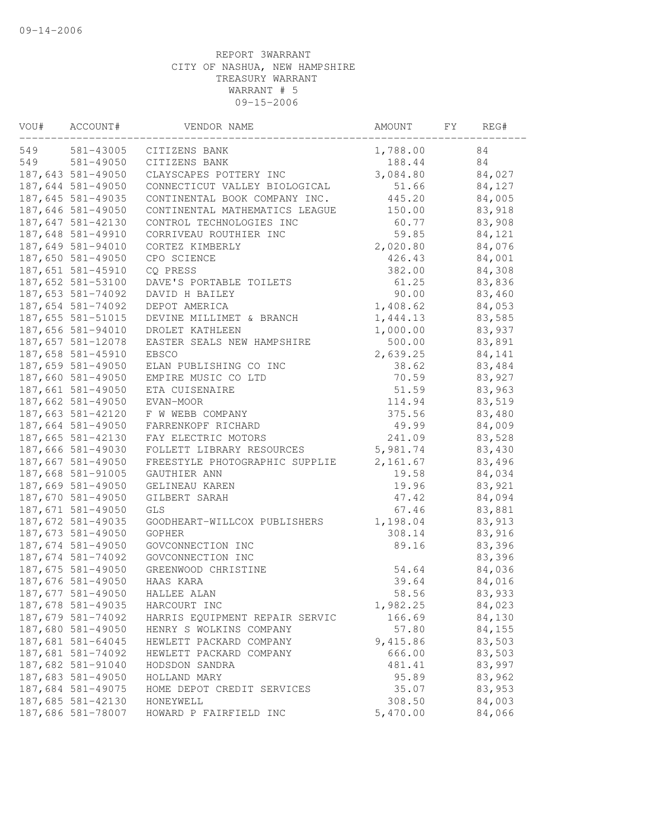| VOU# | ACCOUNT#          | VENDOR NAME                    | AMOUNT   | FY | REG#   |  |
|------|-------------------|--------------------------------|----------|----|--------|--|
| 549  | 581-43005         | CITIZENS BANK                  | 1,788.00 |    | 84     |  |
| 549  | 581-49050         | CITIZENS BANK                  | 188.44   |    | 84     |  |
|      | 187,643 581-49050 | CLAYSCAPES POTTERY INC         | 3,084.80 |    | 84,027 |  |
|      | 187,644 581-49050 | CONNECTICUT VALLEY BIOLOGICAL  | 51.66    |    | 84,127 |  |
|      | 187,645 581-49035 | CONTINENTAL BOOK COMPANY INC.  | 445.20   |    | 84,005 |  |
|      | 187,646 581-49050 | CONTINENTAL MATHEMATICS LEAGUE | 150.00   |    | 83,918 |  |
|      | 187,647 581-42130 | CONTROL TECHNOLOGIES INC       | 60.77    |    | 83,908 |  |
|      | 187,648 581-49910 | CORRIVEAU ROUTHIER INC         | 59.85    |    | 84,121 |  |
|      | 187,649 581-94010 | CORTEZ KIMBERLY                | 2,020.80 |    | 84,076 |  |
|      | 187,650 581-49050 | CPO SCIENCE                    | 426.43   |    | 84,001 |  |
|      | 187,651 581-45910 | CQ PRESS                       | 382.00   |    | 84,308 |  |
|      | 187,652 581-53100 | DAVE'S PORTABLE TOILETS        | 61.25    |    | 83,836 |  |
|      | 187,653 581-74092 | DAVID H BAILEY                 | 90.00    |    | 83,460 |  |
|      | 187,654 581-74092 | DEPOT AMERICA                  | 1,408.62 |    | 84,053 |  |
|      | 187,655 581-51015 | DEVINE MILLIMET & BRANCH       | 1,444.13 |    | 83,585 |  |
|      | 187,656 581-94010 | DROLET KATHLEEN                | 1,000.00 |    | 83,937 |  |
|      | 187,657 581-12078 | EASTER SEALS NEW HAMPSHIRE     | 500.00   |    | 83,891 |  |
|      | 187,658 581-45910 | <b>EBSCO</b>                   | 2,639.25 |    | 84,141 |  |
|      | 187,659 581-49050 | ELAN PUBLISHING CO INC         | 38.62    |    | 83,484 |  |
|      | 187,660 581-49050 | EMPIRE MUSIC CO LTD            | 70.59    |    | 83,927 |  |
|      | 187,661 581-49050 | ETA CUISENAIRE                 | 51.59    |    | 83,963 |  |
|      | 187,662 581-49050 | EVAN-MOOR                      | 114.94   |    | 83,519 |  |
|      | 187,663 581-42120 | F W WEBB COMPANY               | 375.56   |    | 83,480 |  |
|      | 187,664 581-49050 | FARRENKOPF RICHARD             | 49.99    |    | 84,009 |  |
|      | 187,665 581-42130 | FAY ELECTRIC MOTORS            | 241.09   |    | 83,528 |  |
|      | 187,666 581-49030 | FOLLETT LIBRARY RESOURCES      | 5,981.74 |    | 83,430 |  |
|      | 187,667 581-49050 | FREESTYLE PHOTOGRAPHIC SUPPLIE | 2,161.67 |    | 83,496 |  |
|      | 187,668 581-91005 | GAUTHIER ANN                   | 19.58    |    | 84,034 |  |
|      | 187,669 581-49050 | GELINEAU KAREN                 | 19.96    |    | 83,921 |  |
|      | 187,670 581-49050 | GILBERT SARAH                  | 47.42    |    | 84,094 |  |
|      | 187,671 581-49050 | <b>GLS</b>                     | 67.46    |    | 83,881 |  |
|      | 187,672 581-49035 | GOODHEART-WILLCOX PUBLISHERS   | 1,198.04 |    | 83,913 |  |
|      | 187,673 581-49050 | GOPHER                         | 308.14   |    | 83,916 |  |
|      | 187,674 581-49050 | GOVCONNECTION INC              | 89.16    |    | 83,396 |  |
|      | 187,674 581-74092 | GOVCONNECTION INC              |          |    | 83,396 |  |
|      | 187,675 581-49050 | GREENWOOD CHRISTINE            | 54.64    |    | 84,036 |  |
|      | 187,676 581-49050 | HAAS KARA                      | 39.64    |    | 84,016 |  |
|      | 187,677 581-49050 | HALLEE ALAN                    | 58.56    |    | 83,933 |  |
|      | 187,678 581-49035 | HARCOURT INC                   | 1,982.25 |    | 84,023 |  |
|      | 187,679 581-74092 | HARRIS EQUIPMENT REPAIR SERVIC | 166.69   |    | 84,130 |  |
|      | 187,680 581-49050 | HENRY S WOLKINS COMPANY        | 57.80    |    | 84,155 |  |
|      | 187,681 581-64045 | HEWLETT PACKARD COMPANY        | 9,415.86 |    | 83,503 |  |
|      | 187,681 581-74092 | HEWLETT PACKARD COMPANY        | 666.00   |    | 83,503 |  |
|      | 187,682 581-91040 | HODSDON SANDRA                 | 481.41   |    | 83,997 |  |
|      | 187,683 581-49050 | HOLLAND MARY                   | 95.89    |    | 83,962 |  |
|      | 187,684 581-49075 | HOME DEPOT CREDIT SERVICES     | 35.07    |    | 83,953 |  |
|      | 187,685 581-42130 | HONEYWELL                      | 308.50   |    | 84,003 |  |
|      | 187,686 581-78007 | HOWARD P FAIRFIELD INC         | 5,470.00 |    | 84,066 |  |
|      |                   |                                |          |    |        |  |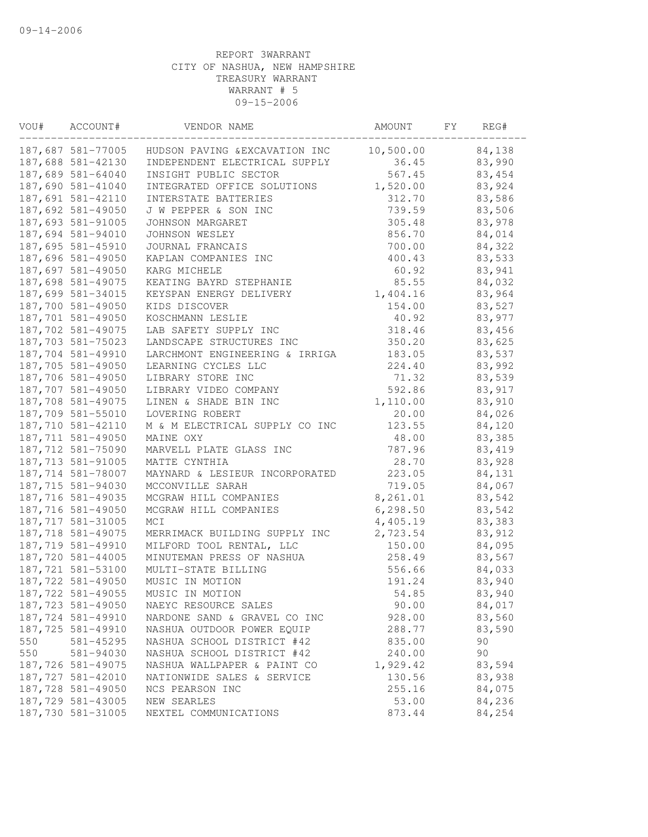| VOU# | ACCOUNT#          | VENDOR NAME                    | AMOUNT    | FY | REG#   |  |
|------|-------------------|--------------------------------|-----------|----|--------|--|
|      | 187,687 581-77005 | HUDSON PAVING & EXCAVATION INC | 10,500.00 |    | 84,138 |  |
|      | 187,688 581-42130 | INDEPENDENT ELECTRICAL SUPPLY  | 36.45     |    | 83,990 |  |
|      | 187,689 581-64040 | INSIGHT PUBLIC SECTOR          | 567.45    |    | 83,454 |  |
|      | 187,690 581-41040 | INTEGRATED OFFICE SOLUTIONS    | 1,520.00  |    | 83,924 |  |
|      | 187,691 581-42110 | INTERSTATE BATTERIES           | 312.70    |    | 83,586 |  |
|      | 187,692 581-49050 | J W PEPPER & SON INC           | 739.59    |    | 83,506 |  |
|      | 187,693 581-91005 | JOHNSON MARGARET               | 305.48    |    | 83,978 |  |
|      | 187,694 581-94010 | JOHNSON WESLEY                 | 856.70    |    | 84,014 |  |
|      | 187,695 581-45910 | JOURNAL FRANCAIS               | 700.00    |    | 84,322 |  |
|      | 187,696 581-49050 | KAPLAN COMPANIES INC           | 400.43    |    | 83,533 |  |
|      | 187,697 581-49050 | KARG MICHELE                   | 60.92     |    | 83,941 |  |
|      | 187,698 581-49075 | KEATING BAYRD STEPHANIE        | 85.55     |    | 84,032 |  |
|      | 187,699 581-34015 | KEYSPAN ENERGY DELIVERY        | 1,404.16  |    | 83,964 |  |
|      | 187,700 581-49050 | KIDS DISCOVER                  | 154.00    |    | 83,527 |  |
|      | 187,701 581-49050 | KOSCHMANN LESLIE               | 40.92     |    | 83,977 |  |
|      | 187,702 581-49075 | LAB SAFETY SUPPLY INC          | 318.46    |    | 83,456 |  |
|      | 187,703 581-75023 | LANDSCAPE STRUCTURES INC       | 350.20    |    | 83,625 |  |
|      | 187,704 581-49910 | LARCHMONT ENGINEERING & IRRIGA | 183.05    |    | 83,537 |  |
|      | 187,705 581-49050 | LEARNING CYCLES LLC            | 224.40    |    | 83,992 |  |
|      | 187,706 581-49050 | LIBRARY STORE INC              | 71.32     |    | 83,539 |  |
|      | 187,707 581-49050 | LIBRARY VIDEO COMPANY          | 592.86    |    | 83,917 |  |
|      | 187,708 581-49075 | LINEN & SHADE BIN INC          | 1,110.00  |    | 83,910 |  |
|      | 187,709 581-55010 | LOVERING ROBERT                | 20.00     |    | 84,026 |  |
|      | 187,710 581-42110 | M & M ELECTRICAL SUPPLY CO INC | 123.55    |    | 84,120 |  |
|      | 187,711 581-49050 | MAINE OXY                      | 48.00     |    | 83,385 |  |
|      | 187,712 581-75090 | MARVELL PLATE GLASS INC        | 787.96    |    | 83,419 |  |
|      | 187,713 581-91005 | MATTE CYNTHIA                  | 28.70     |    | 83,928 |  |
|      | 187,714 581-78007 | MAYNARD & LESIEUR INCORPORATED | 223.05    |    | 84,131 |  |
|      | 187,715 581-94030 | MCCONVILLE SARAH               | 719.05    |    | 84,067 |  |
|      | 187,716 581-49035 | MCGRAW HILL COMPANIES          | 8,261.01  |    | 83,542 |  |
|      | 187,716 581-49050 | MCGRAW HILL COMPANIES          | 6, 298.50 |    | 83,542 |  |
|      | 187,717 581-31005 | MCI                            | 4,405.19  |    | 83,383 |  |
|      | 187,718 581-49075 | MERRIMACK BUILDING SUPPLY INC  | 2,723.54  |    | 83,912 |  |
|      | 187,719 581-49910 | MILFORD TOOL RENTAL, LLC       | 150.00    |    | 84,095 |  |
|      | 187,720 581-44005 | MINUTEMAN PRESS OF NASHUA      | 258.49    |    | 83,567 |  |
|      | 187,721 581-53100 | MULTI-STATE BILLING            | 556.66    |    | 84,033 |  |
|      | 187,722 581-49050 | MUSIC IN MOTION                | 191.24    |    | 83,940 |  |
|      | 187,722 581-49055 | MUSIC IN MOTION                | 54.85     |    | 83,940 |  |
|      | 187,723 581-49050 | NAEYC RESOURCE SALES           | 90.00     |    | 84,017 |  |
|      | 187,724 581-49910 | NARDONE SAND & GRAVEL CO INC   | 928.00    |    | 83,560 |  |
|      | 187,725 581-49910 | NASHUA OUTDOOR POWER EQUIP     | 288.77    |    | 83,590 |  |
| 550  | 581-45295         | NASHUA SCHOOL DISTRICT #42     | 835.00    |    | 90     |  |
| 550  | 581-94030         | NASHUA SCHOOL DISTRICT #42     | 240.00    |    | 90     |  |
|      | 187,726 581-49075 | NASHUA WALLPAPER & PAINT CO    | 1,929.42  |    | 83,594 |  |
|      | 187,727 581-42010 | NATIONWIDE SALES & SERVICE     | 130.56    |    | 83,938 |  |
|      | 187,728 581-49050 | NCS PEARSON INC                | 255.16    |    | 84,075 |  |
|      | 187,729 581-43005 | NEW SEARLES                    | 53.00     |    | 84,236 |  |
|      | 187,730 581-31005 | NEXTEL COMMUNICATIONS          | 873.44    |    | 84,254 |  |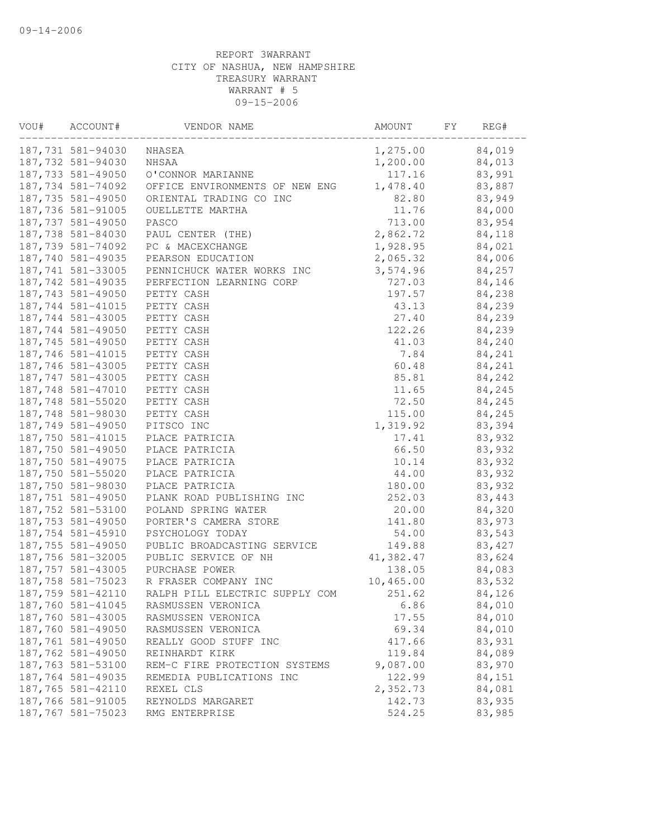| VOU# | ACCOUNT#          | VENDOR NAME                    | AMOUNT    | FΥ | REG#   |  |
|------|-------------------|--------------------------------|-----------|----|--------|--|
|      | 187,731 581-94030 | NHASEA                         | 1,275.00  |    | 84,019 |  |
|      | 187,732 581-94030 | NHSAA                          | 1,200.00  |    | 84,013 |  |
|      | 187,733 581-49050 | O'CONNOR MARIANNE              | 117.16    |    | 83,991 |  |
|      | 187,734 581-74092 | OFFICE ENVIRONMENTS OF NEW ENG | 1,478.40  |    | 83,887 |  |
|      | 187,735 581-49050 | ORIENTAL TRADING CO INC        | 82.80     |    | 83,949 |  |
|      | 187,736 581-91005 | OUELLETTE MARTHA               | 11.76     |    | 84,000 |  |
|      | 187,737 581-49050 | PASCO                          | 713.00    |    | 83,954 |  |
|      | 187,738 581-84030 | PAUL CENTER (THE)              | 2,862.72  |    | 84,118 |  |
|      | 187,739 581-74092 | PC & MACEXCHANGE               | 1,928.95  |    | 84,021 |  |
|      | 187,740 581-49035 | PEARSON EDUCATION              | 2,065.32  |    | 84,006 |  |
|      | 187,741 581-33005 | PENNICHUCK WATER WORKS INC     | 3,574.96  |    | 84,257 |  |
|      | 187,742 581-49035 | PERFECTION LEARNING CORP       | 727.03    |    | 84,146 |  |
|      | 187,743 581-49050 | PETTY CASH                     | 197.57    |    | 84,238 |  |
|      | 187,744 581-41015 | PETTY CASH                     | 43.13     |    | 84,239 |  |
|      | 187,744 581-43005 | PETTY CASH                     | 27.40     |    | 84,239 |  |
|      | 187,744 581-49050 | PETTY CASH                     | 122.26    |    | 84,239 |  |
|      | 187,745 581-49050 | PETTY CASH                     | 41.03     |    | 84,240 |  |
|      | 187,746 581-41015 | PETTY CASH                     | 7.84      |    | 84,241 |  |
|      | 187,746 581-43005 | PETTY CASH                     | 60.48     |    | 84,241 |  |
|      | 187,747 581-43005 | PETTY CASH                     | 85.81     |    | 84,242 |  |
|      | 187,748 581-47010 | PETTY CASH                     | 11.65     |    | 84,245 |  |
|      | 187,748 581-55020 | PETTY CASH                     | 72.50     |    | 84,245 |  |
|      | 187,748 581-98030 | PETTY CASH                     | 115.00    |    | 84,245 |  |
|      | 187,749 581-49050 | PITSCO INC                     | 1,319.92  |    | 83,394 |  |
|      | 187,750 581-41015 | PLACE PATRICIA                 | 17.41     |    | 83,932 |  |
|      | 187,750 581-49050 | PLACE PATRICIA                 | 66.50     |    | 83,932 |  |
|      | 187,750 581-49075 | PLACE PATRICIA                 | 10.14     |    | 83,932 |  |
|      | 187,750 581-55020 | PLACE PATRICIA                 | 44.00     |    | 83,932 |  |
|      | 187,750 581-98030 | PLACE PATRICIA                 | 180.00    |    | 83,932 |  |
|      | 187,751 581-49050 | PLANK ROAD PUBLISHING INC      | 252.03    |    | 83,443 |  |
|      | 187,752 581-53100 | POLAND SPRING WATER            | 20.00     |    | 84,320 |  |
|      | 187,753 581-49050 | PORTER'S CAMERA STORE          | 141.80    |    | 83,973 |  |
|      | 187,754 581-45910 | PSYCHOLOGY TODAY               | 54.00     |    | 83,543 |  |
|      | 187,755 581-49050 | PUBLIC BROADCASTING SERVICE    | 149.88    |    | 83,427 |  |
|      | 187,756 581-32005 | PUBLIC SERVICE OF NH           | 41,382.47 |    | 83,624 |  |
|      | 187,757 581-43005 | PURCHASE POWER                 | 138.05    |    | 84,083 |  |
|      | 187,758 581-75023 | R FRASER COMPANY INC           | 10,465.00 |    | 83,532 |  |
|      | 187,759 581-42110 | RALPH PILL ELECTRIC SUPPLY COM | 251.62    |    | 84,126 |  |
|      | 187,760 581-41045 | RASMUSSEN VERONICA             | 6.86      |    | 84,010 |  |
|      | 187,760 581-43005 | RASMUSSEN VERONICA             | 17.55     |    | 84,010 |  |
|      | 187,760 581-49050 | RASMUSSEN VERONICA             | 69.34     |    | 84,010 |  |
|      | 187,761 581-49050 | REALLY GOOD STUFF INC          | 417.66    |    | 83,931 |  |
|      | 187,762 581-49050 | REINHARDT KIRK                 | 119.84    |    | 84,089 |  |
|      | 187,763 581-53100 | REM-C FIRE PROTECTION SYSTEMS  | 9,087.00  |    | 83,970 |  |
|      | 187,764 581-49035 | REMEDIA PUBLICATIONS INC       | 122.99    |    | 84,151 |  |
|      | 187,765 581-42110 | REXEL CLS                      | 2,352.73  |    | 84,081 |  |
|      | 187,766 581-91005 | REYNOLDS MARGARET              | 142.73    |    | 83,935 |  |
|      | 187,767 581-75023 | RMG ENTERPRISE                 | 524.25    |    | 83,985 |  |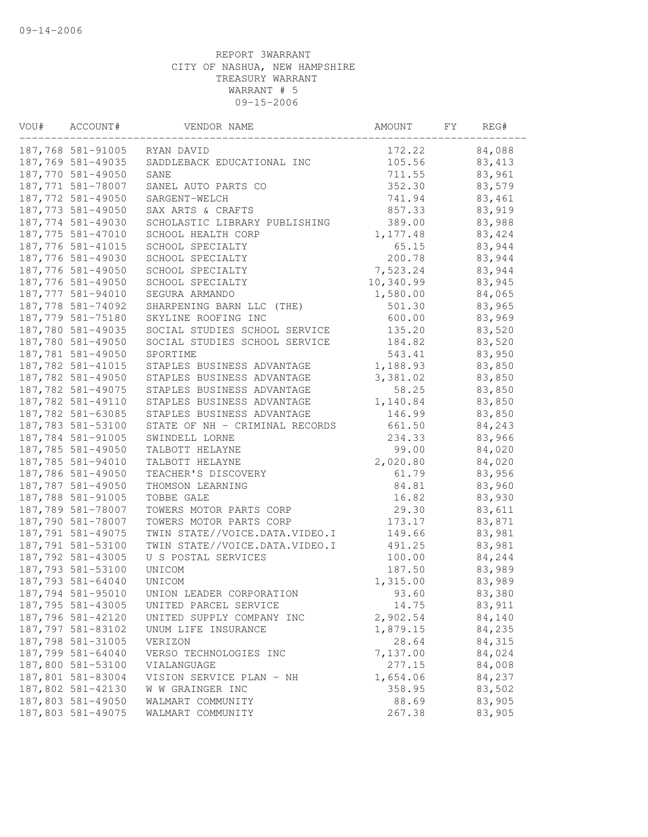| VOU# | ACCOUNT#          | VENDOR NAME                    | AMOUNT    | FΥ | REG#    |  |
|------|-------------------|--------------------------------|-----------|----|---------|--|
|      | 187,768 581-91005 | RYAN DAVID                     | 172.22    |    | 84,088  |  |
|      | 187,769 581-49035 | SADDLEBACK EDUCATIONAL INC     | 105.56    |    | 83, 413 |  |
|      | 187,770 581-49050 | SANE                           | 711.55    |    | 83,961  |  |
|      | 187,771 581-78007 | SANEL AUTO PARTS CO            | 352.30    |    | 83,579  |  |
|      | 187,772 581-49050 | SARGENT-WELCH                  | 741.94    |    | 83,461  |  |
|      | 187,773 581-49050 | SAX ARTS & CRAFTS              | 857.33    |    | 83,919  |  |
|      | 187,774 581-49030 | SCHOLASTIC LIBRARY PUBLISHING  | 389.00    |    | 83,988  |  |
|      | 187,775 581-47010 | SCHOOL HEALTH CORP             | 1,177.48  |    | 83,424  |  |
|      | 187,776 581-41015 | SCHOOL SPECIALTY               | 65.15     |    | 83,944  |  |
|      | 187,776 581-49030 | SCHOOL SPECIALTY               | 200.78    |    | 83,944  |  |
|      | 187,776 581-49050 | SCHOOL SPECIALTY               | 7,523.24  |    | 83,944  |  |
|      | 187,776 581-49050 | SCHOOL SPECIALTY               | 10,340.99 |    | 83,945  |  |
|      | 187,777 581-94010 | SEGURA ARMANDO                 | 1,580.00  |    | 84,065  |  |
|      | 187,778 581-74092 | SHARPENING BARN LLC (THE)      | 501.30    |    | 83,965  |  |
|      | 187,779 581-75180 | SKYLINE ROOFING INC            | 600.00    |    | 83,969  |  |
|      | 187,780 581-49035 | SOCIAL STUDIES SCHOOL SERVICE  | 135.20    |    | 83,520  |  |
|      | 187,780 581-49050 | SOCIAL STUDIES SCHOOL SERVICE  | 184.82    |    | 83,520  |  |
|      | 187,781 581-49050 | SPORTIME                       | 543.41    |    | 83,950  |  |
|      | 187,782 581-41015 | STAPLES BUSINESS ADVANTAGE     | 1,188.93  |    | 83,850  |  |
|      | 187,782 581-49050 | STAPLES BUSINESS ADVANTAGE     | 3,381.02  |    | 83,850  |  |
|      | 187,782 581-49075 | STAPLES BUSINESS ADVANTAGE     | 58.25     |    | 83,850  |  |
|      | 187,782 581-49110 | STAPLES BUSINESS ADVANTAGE     | 1,140.84  |    | 83,850  |  |
|      | 187,782 581-63085 | STAPLES BUSINESS ADVANTAGE     | 146.99    |    | 83,850  |  |
|      | 187,783 581-53100 | STATE OF NH - CRIMINAL RECORDS | 661.50    |    | 84,243  |  |
|      | 187,784 581-91005 | SWINDELL LORNE                 | 234.33    |    | 83,966  |  |
|      | 187,785 581-49050 | TALBOTT HELAYNE                | 99.00     |    | 84,020  |  |
|      | 187,785 581-94010 | TALBOTT HELAYNE                | 2,020.80  |    | 84,020  |  |
|      | 187,786 581-49050 | TEACHER'S DISCOVERY            | 61.79     |    | 83,956  |  |
|      | 187,787 581-49050 | THOMSON LEARNING               | 84.81     |    | 83,960  |  |
|      | 187,788 581-91005 | TOBBE GALE                     | 16.82     |    | 83,930  |  |
|      | 187,789 581-78007 | TOWERS MOTOR PARTS CORP        | 29.30     |    | 83,611  |  |
|      | 187,790 581-78007 | TOWERS MOTOR PARTS CORP        | 173.17    |    | 83,871  |  |
|      | 187,791 581-49075 | TWIN STATE//VOICE.DATA.VIDEO.I | 149.66    |    | 83,981  |  |
|      | 187,791 581-53100 | TWIN STATE//VOICE.DATA.VIDEO.I | 491.25    |    | 83,981  |  |
|      | 187,792 581-43005 | U S POSTAL SERVICES            | 100.00    |    | 84,244  |  |
|      | 187,793 581-53100 | UNICOM                         | 187.50    |    | 83,989  |  |
|      | 187,793 581-64040 | UNICOM                         | 1,315.00  |    | 83,989  |  |
|      | 187,794 581-95010 | UNION LEADER CORPORATION       | 93.60     |    | 83,380  |  |
|      | 187,795 581-43005 | UNITED PARCEL SERVICE          | 14.75     |    | 83,911  |  |
|      | 187,796 581-42120 | UNITED SUPPLY COMPANY INC      | 2,902.54  |    | 84,140  |  |
|      | 187,797 581-83102 | UNUM LIFE INSURANCE            | 1,879.15  |    | 84,235  |  |
|      | 187,798 581-31005 | VERIZON                        | 28.64     |    | 84,315  |  |
|      | 187,799 581-64040 | VERSO TECHNOLOGIES INC         | 7,137.00  |    | 84,024  |  |
|      | 187,800 581-53100 | VIALANGUAGE                    | 277.15    |    | 84,008  |  |
|      | 187,801 581-83004 | VISION SERVICE PLAN - NH       | 1,654.06  |    | 84,237  |  |
|      | 187,802 581-42130 | W W GRAINGER INC               | 358.95    |    | 83,502  |  |
|      | 187,803 581-49050 | WALMART COMMUNITY              | 88.69     |    | 83,905  |  |
|      | 187,803 581-49075 | WALMART COMMUNITY              | 267.38    |    | 83,905  |  |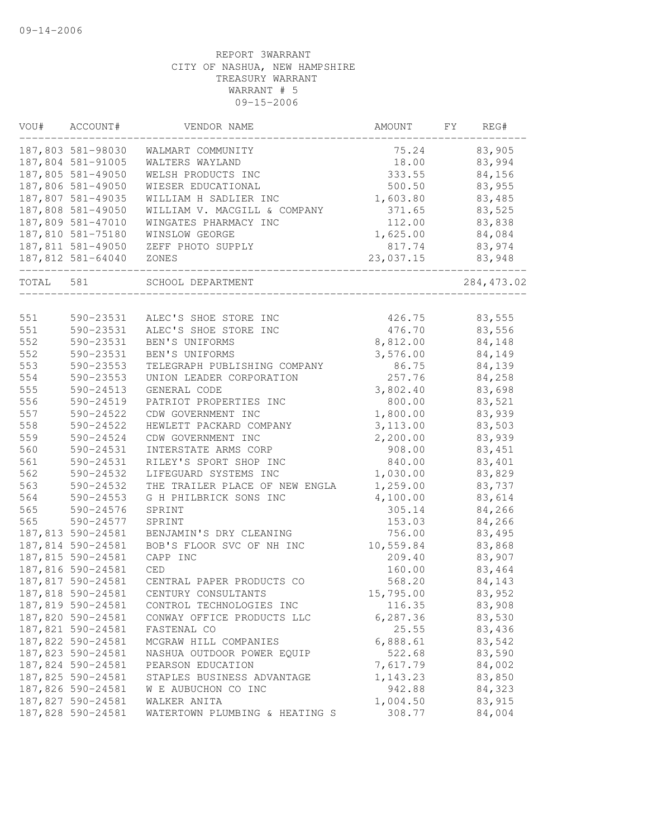| VOU#  | ACCOUNT#          | VENDOR NAME                    | AMOUNT    | FY | REG#        |
|-------|-------------------|--------------------------------|-----------|----|-------------|
|       | 187,803 581-98030 | WALMART COMMUNITY              | 75.24     |    | 83,905      |
|       | 187,804 581-91005 | WALTERS WAYLAND                | 18.00     |    | 83,994      |
|       | 187,805 581-49050 | WELSH PRODUCTS INC             | 333.55    |    | 84,156      |
|       | 187,806 581-49050 | WIESER EDUCATIONAL             | 500.50    |    | 83,955      |
|       | 187,807 581-49035 | WILLIAM H SADLIER INC          | 1,603.80  |    | 83,485      |
|       | 187,808 581-49050 | WILLIAM V. MACGILL & COMPANY   | 371.65    |    | 83,525      |
|       | 187,809 581-47010 | WINGATES PHARMACY INC          | 112.00    |    | 83,838      |
|       | 187,810 581-75180 | WINSLOW GEORGE                 | 1,625.00  |    | 84,084      |
|       | 187,811 581-49050 | ZEFF PHOTO SUPPLY              | 817.74    |    | 83,974      |
|       | 187,812 581-64040 | ZONES                          | 23,037.15 |    | 83,948      |
| TOTAL | 581               | SCHOOL DEPARTMENT              |           |    | 284, 473.02 |
| 551   | 590-23531         | ALEC'S SHOE STORE INC          | 426.75    |    | 83,555      |
| 551   | 590-23531         | ALEC'S SHOE STORE INC          | 476.70    |    | 83,556      |
| 552   | 590-23531         | BEN'S UNIFORMS                 | 8,812.00  |    | 84,148      |
| 552   | 590-23531         | BEN'S UNIFORMS                 | 3,576.00  |    | 84,149      |
| 553   | 590-23553         | TELEGRAPH PUBLISHING COMPANY   | 86.75     |    | 84,139      |
| 554   | 590-23553         | UNION LEADER CORPORATION       | 257.76    |    | 84,258      |
| 555   | 590-24513         | GENERAL CODE                   | 3,802.40  |    | 83,698      |
|       |                   | PATRIOT PROPERTIES INC         |           |    | 83,521      |
| 556   | 590-24519         |                                | 800.00    |    |             |
| 557   | 590-24522         | CDW GOVERNMENT INC             | 1,800.00  |    | 83,939      |
| 558   | 590-24522         | HEWLETT PACKARD COMPANY        | 3,113.00  |    | 83,503      |
| 559   | 590-24524         | CDW GOVERNMENT INC             | 2,200.00  |    | 83,939      |
| 560   | 590-24531         | INTERSTATE ARMS CORP           | 908.00    |    | 83,451      |
| 561   | 590-24531         | RILEY'S SPORT SHOP INC         | 840.00    |    | 83,401      |
| 562   | 590-24532         | LIFEGUARD SYSTEMS INC          | 1,030.00  |    | 83,829      |
| 563   | 590-24532         | THE TRAILER PLACE OF NEW ENGLA | 1,259.00  |    | 83,737      |
| 564   | 590-24553         | G H PHILBRICK SONS INC         | 4,100.00  |    | 83,614      |
| 565   | 590-24576         | SPRINT                         | 305.14    |    | 84,266      |
| 565   | 590-24577         | SPRINT                         | 153.03    |    | 84,266      |
|       | 187,813 590-24581 | BENJAMIN'S DRY CLEANING        | 756.00    |    | 83,495      |
|       | 187,814 590-24581 | BOB'S FLOOR SVC OF NH INC      | 10,559.84 |    | 83,868      |
|       | 187,815 590-24581 | CAPP INC                       | 209.40    |    | 83,907      |
|       | 187,816 590-24581 | <b>CED</b>                     | 160.00    |    | 83,464      |
|       | 187,817 590-24581 | CENTRAL PAPER PRODUCTS CO      | 568.20    |    | 84,143      |
|       | 187,818 590-24581 | CENTURY CONSULTANTS            | 15,795.00 |    | 83,952      |
|       | 187,819 590-24581 | CONTROL TECHNOLOGIES INC       | 116.35    |    | 83,908      |
|       | 187,820 590-24581 | CONWAY OFFICE PRODUCTS LLC     | 6, 287.36 |    | 83,530      |
|       | 187,821 590-24581 | FASTENAL CO                    | 25.55     |    | 83,436      |
|       | 187,822 590-24581 | MCGRAW HILL COMPANIES          | 6,888.61  |    | 83,542      |
|       | 187,823 590-24581 | NASHUA OUTDOOR POWER EQUIP     | 522.68    |    | 83,590      |
|       | 187,824 590-24581 | PEARSON EDUCATION              | 7,617.79  |    | 84,002      |
|       | 187,825 590-24581 | STAPLES BUSINESS ADVANTAGE     | 1,143.23  |    | 83,850      |
|       | 187,826 590-24581 | W E AUBUCHON CO INC            | 942.88    |    | 84,323      |
|       | 187,827 590-24581 | WALKER ANITA                   | 1,004.50  |    | 83,915      |
|       | 187,828 590-24581 | WATERTOWN PLUMBING & HEATING S | 308.77    |    | 84,004      |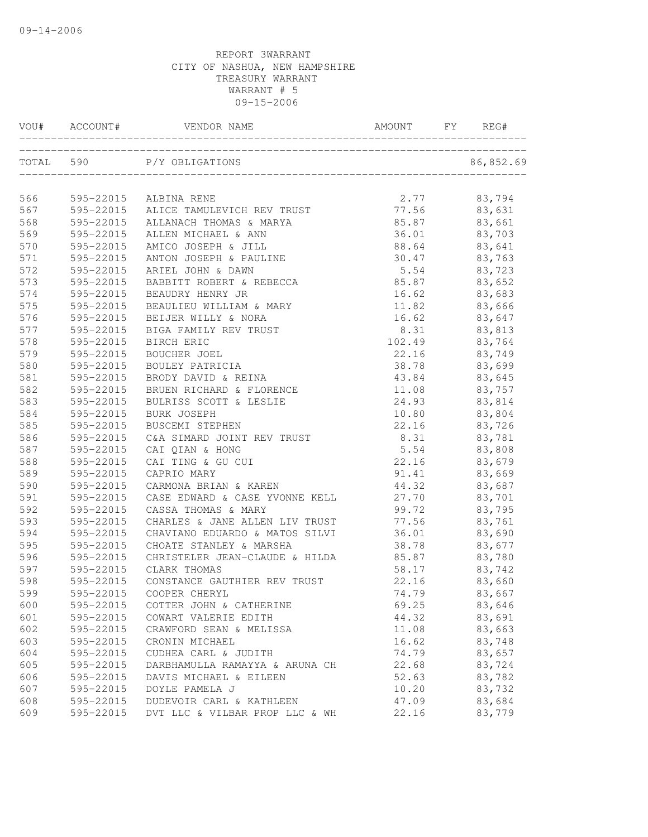|     | VOU# ACCOUNT# | VENDOR NAME                    | AMOUNT | FY | REG#      |
|-----|---------------|--------------------------------|--------|----|-----------|
|     | TOTAL 590     | P/Y OBLIGATIONS                |        |    | 86,852.69 |
| 566 | 595-22015     | ALBINA RENE                    | 2.77   |    | 83,794    |
| 567 | 595-22015     | ALICE TAMULEVICH REV TRUST     | 77.56  |    | 83,631    |
| 568 | 595-22015     | ALLANACH THOMAS & MARYA        | 85.87  |    | 83,661    |
| 569 | 595-22015     | ALLEN MICHAEL & ANN            | 36.01  |    | 83,703    |
| 570 | 595-22015     | AMICO JOSEPH & JILL            | 88.64  |    | 83,641    |
| 571 | 595-22015     | ANTON JOSEPH & PAULINE         | 30.47  |    | 83,763    |
| 572 | 595-22015     | ARIEL JOHN & DAWN              | 5.54   |    | 83,723    |
| 573 | 595-22015     | BABBITT ROBERT & REBECCA       | 85.87  |    | 83,652    |
| 574 | 595-22015     | BEAUDRY HENRY JR               | 16.62  |    | 83,683    |
| 575 | 595-22015     | BEAULIEU WILLIAM & MARY        | 11.82  |    | 83,666    |
| 576 | 595-22015     | BEIJER WILLY & NORA            | 16.62  |    | 83,647    |
| 577 | 595-22015     | BIGA FAMILY REV TRUST          | 8.31   |    | 83,813    |
| 578 | 595-22015     | BIRCH ERIC                     | 102.49 |    | 83,764    |
| 579 | 595-22015     | <b>BOUCHER JOEL</b>            | 22.16  |    | 83,749    |
| 580 | 595-22015     | BOULEY PATRICIA                | 38.78  |    | 83,699    |
| 581 | 595-22015     | BRODY DAVID & REINA            | 43.84  |    | 83,645    |
| 582 | 595-22015     | BRUEN RICHARD & FLORENCE       | 11.08  |    | 83,757    |
| 583 | 595-22015     | BULRISS SCOTT & LESLIE         | 24.93  |    | 83,814    |
| 584 | 595-22015     | BURK JOSEPH                    | 10.80  |    | 83,804    |
| 585 | 595-22015     | BUSCEMI STEPHEN                | 22.16  |    | 83,726    |
| 586 | 595-22015     | C&A SIMARD JOINT REV TRUST     | 8.31   |    | 83,781    |
| 587 | 595-22015     | CAI QIAN & HONG                | 5.54   |    | 83,808    |
| 588 | 595-22015     | CAI TING & GU CUI              | 22.16  |    | 83,679    |
| 589 | 595-22015     | CAPRIO MARY                    | 91.41  |    | 83,669    |
| 590 | 595-22015     | CARMONA BRIAN & KAREN          | 44.32  |    | 83,687    |
| 591 | 595-22015     | CASE EDWARD & CASE YVONNE KELL | 27.70  |    | 83,701    |
| 592 | 595-22015     | CASSA THOMAS & MARY            | 99.72  |    | 83,795    |
| 593 | 595-22015     | CHARLES & JANE ALLEN LIV TRUST | 77.56  |    | 83,761    |
| 594 | 595-22015     | CHAVIANO EDUARDO & MATOS SILVI | 36.01  |    | 83,690    |
| 595 | 595-22015     | CHOATE STANLEY & MARSHA        | 38.78  |    | 83,677    |
| 596 | 595-22015     | CHRISTELER JEAN-CLAUDE & HILDA | 85.87  |    | 83,780    |
| 597 | 595-22015     | CLARK THOMAS                   | 58.17  |    | 83,742    |
| 598 | 595-22015     | CONSTANCE GAUTHIER REV TRUST   | 22.16  |    | 83,660    |
| 599 | 595-22015     | COOPER CHERYL                  | 74.79  |    | 83,667    |
| 600 | 595-22015     | COTTER JOHN & CATHERINE        | 69.25  |    | 83,646    |
| 601 | 595-22015     | COWART VALERIE EDITH           | 44.32  |    | 83,691    |
| 602 | 595-22015     | CRAWFORD SEAN & MELISSA        | 11.08  |    | 83,663    |
| 603 | 595-22015     | CRONIN MICHAEL                 | 16.62  |    | 83,748    |
| 604 | 595-22015     | CUDHEA CARL & JUDITH           | 74.79  |    | 83,657    |
| 605 | 595-22015     | DARBHAMULLA RAMAYYA & ARUNA CH | 22.68  |    | 83,724    |
| 606 | 595-22015     | DAVIS MICHAEL & EILEEN         | 52.63  |    | 83,782    |
| 607 | 595-22015     | DOYLE PAMELA J                 | 10.20  |    | 83,732    |
| 608 | 595-22015     | DUDEVOIR CARL & KATHLEEN       | 47.09  |    | 83,684    |
| 609 | 595-22015     | DVT LLC & VILBAR PROP LLC & WH | 22.16  |    | 83,779    |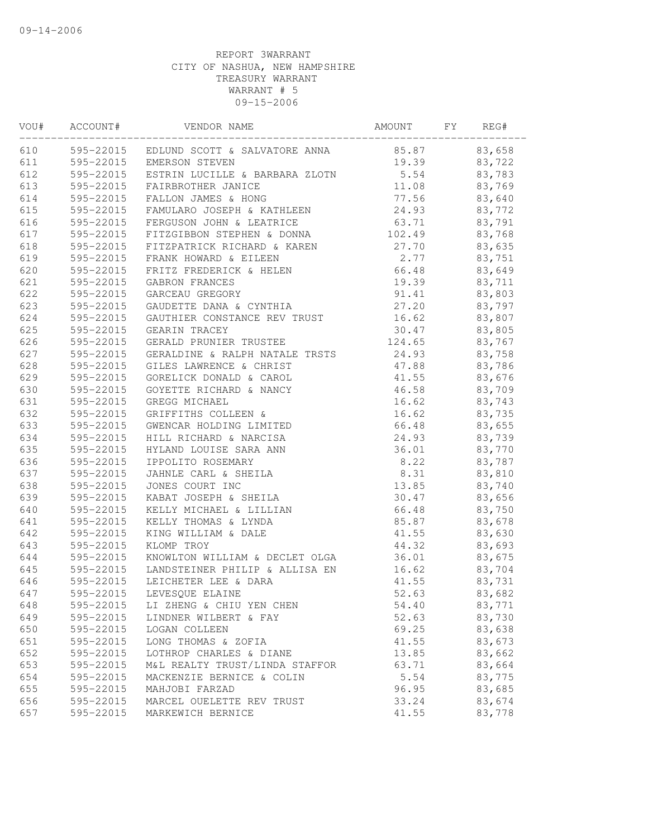| VOU# | ACCOUNT#  | VENDOR NAME                                   | AMOUNT | FY | REG#   |  |
|------|-----------|-----------------------------------------------|--------|----|--------|--|
| 610  |           | 595-22015 EDLUND SCOTT & SALVATORE ANNA 85.87 |        |    | 83,658 |  |
| 611  |           | 595-22015 EMERSON STEVEN                      | 19.39  |    | 83,722 |  |
| 612  |           | 595-22015 ESTRIN LUCILLE & BARBARA ZLOTN      | 5.54   |    | 83,783 |  |
| 613  | 595-22015 | FAIRBROTHER JANICE                            | 11.08  |    | 83,769 |  |
| 614  | 595-22015 | FALLON JAMES & HONG                           | 77.56  |    | 83,640 |  |
| 615  | 595-22015 | FAMULARO JOSEPH & KATHLEEN                    | 24.93  |    | 83,772 |  |
| 616  |           | 595-22015 FERGUSON JOHN & LEATRICE            | 63.71  |    | 83,791 |  |
| 617  |           | 595-22015 FITZGIBBON STEPHEN & DONNA          | 102.49 |    | 83,768 |  |
| 618  |           | 595-22015 FITZPATRICK RICHARD & KAREN         | 27.70  |    | 83,635 |  |
| 619  |           | 595-22015 FRANK HOWARD & EILEEN               | 2.77   |    | 83,751 |  |
| 620  | 595-22015 | FRITZ FREDERICK & HELEN                       | 66.48  |    | 83,649 |  |
| 621  | 595-22015 | GABRON FRANCES                                | 19.39  |    | 83,711 |  |
| 622  | 595-22015 | GARCEAU GREGORY                               | 91.41  |    | 83,803 |  |
| 623  | 595-22015 | GAUDETTE DANA & CYNTHIA                       | 27.20  |    | 83,797 |  |
| 624  | 595-22015 | GAUTHIER CONSTANCE REV TRUST                  | 16.62  |    | 83,807 |  |
| 625  | 595-22015 | <b>GEARIN TRACEY</b>                          | 30.47  |    | 83,805 |  |
| 626  | 595-22015 | GERALD PRUNIER TRUSTEE                        | 124.65 |    | 83,767 |  |
| 627  |           | 595-22015 GERALDINE & RALPH NATALE TRSTS      | 24.93  |    | 83,758 |  |
| 628  |           | 595-22015 GILES LAWRENCE & CHRIST             | 47.88  |    | 83,786 |  |
| 629  |           | 595-22015 GORELICK DONALD & CAROL             | 41.55  |    | 83,676 |  |
| 630  | 595-22015 | GOYETTE RICHARD & NANCY                       | 46.58  |    | 83,709 |  |
| 631  | 595-22015 | GREGG MICHAEL                                 | 16.62  |    | 83,743 |  |
| 632  | 595-22015 | GRIFFITHS COLLEEN &                           | 16.62  |    | 83,735 |  |
| 633  | 595-22015 | GWENCAR HOLDING LIMITED                       | 66.48  |    | 83,655 |  |
| 634  | 595-22015 | HILL RICHARD & NARCISA                        | 24.93  |    | 83,739 |  |
| 635  | 595-22015 | HYLAND LOUISE SARA ANN                        | 36.01  |    | 83,770 |  |
| 636  | 595-22015 | IPPOLITO ROSEMARY                             | 8.22   |    | 83,787 |  |
| 637  | 595-22015 | JAHNLE CARL & SHEILA                          | 8.31   |    | 83,810 |  |
| 638  | 595-22015 | JONES COURT INC                               | 13.85  |    | 83,740 |  |
| 639  | 595-22015 | KABAT JOSEPH & SHEILA                         | 30.47  |    | 83,656 |  |
| 640  | 595-22015 | KELLY MICHAEL & LILLIAN                       | 66.48  |    | 83,750 |  |
| 641  | 595-22015 | KELLY THOMAS & LYNDA                          | 85.87  |    | 83,678 |  |
| 642  | 595-22015 | KING WILLIAM & DALE                           | 41.55  |    | 83,630 |  |
| 643  | 595-22015 | KLOMP TROY                                    | 44.32  |    | 83,693 |  |
| 644  | 595-22015 | KNOWLTON WILLIAM & DECLET OLGA                | 36.01  |    | 83,675 |  |
| 645  |           | 595-22015 LANDSTEINER PHILIP & ALLISA EN      | 16.62  |    | 83,704 |  |
| 646  | 595-22015 | LEICHETER LEE & DARA                          | 41.55  |    | 83,731 |  |
| 647  | 595-22015 | LEVESQUE ELAINE                               | 52.63  |    | 83,682 |  |
| 648  | 595-22015 | LI ZHENG & CHIU YEN CHEN                      | 54.40  |    | 83,771 |  |
| 649  | 595-22015 | LINDNER WILBERT & FAY                         | 52.63  |    | 83,730 |  |
| 650  | 595-22015 | LOGAN COLLEEN                                 | 69.25  |    | 83,638 |  |
| 651  | 595-22015 | LONG THOMAS & ZOFIA                           | 41.55  |    | 83,673 |  |
| 652  | 595-22015 | LOTHROP CHARLES & DIANE                       | 13.85  |    | 83,662 |  |
| 653  | 595-22015 | M&L REALTY TRUST/LINDA STAFFOR                | 63.71  |    | 83,664 |  |
| 654  | 595-22015 | MACKENZIE BERNICE & COLIN                     | 5.54   |    | 83,775 |  |
| 655  | 595-22015 | MAHJOBI FARZAD                                | 96.95  |    | 83,685 |  |
| 656  | 595-22015 | MARCEL OUELETTE REV TRUST                     | 33.24  |    | 83,674 |  |
| 657  | 595-22015 | MARKEWICH BERNICE                             | 41.55  |    | 83,778 |  |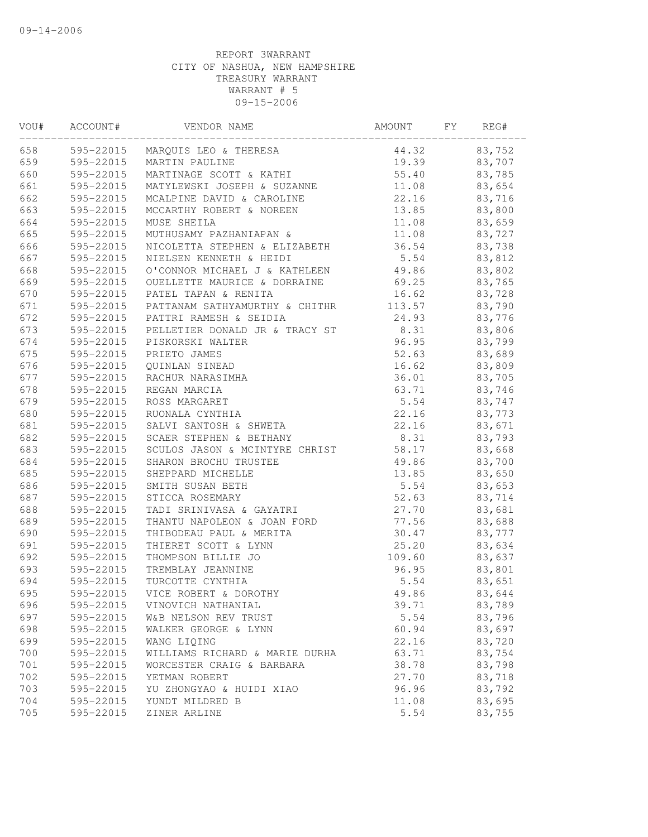| VOU# | ACCOUNT#  | VENDOR NAME                     | AMOUNT | FY | REG#   |  |
|------|-----------|---------------------------------|--------|----|--------|--|
| 658  |           | 595-22015 MARQUIS LEO & THERESA | 44.32  |    | 83,752 |  |
| 659  |           | 595-22015 MARTIN PAULINE        | 19.39  |    | 83,707 |  |
| 660  | 595-22015 | MARTINAGE SCOTT & KATHI         | 55.40  |    | 83,785 |  |
| 661  | 595-22015 | MATYLEWSKI JOSEPH & SUZANNE     | 11.08  |    | 83,654 |  |
| 662  | 595-22015 | MCALPINE DAVID & CAROLINE       | 22.16  |    | 83,716 |  |
| 663  | 595-22015 | MCCARTHY ROBERT & NOREEN        | 13.85  |    | 83,800 |  |
| 664  | 595-22015 | MUSE SHEILA                     | 11.08  |    | 83,659 |  |
| 665  | 595-22015 | MUTHUSAMY PAZHANIAPAN &         | 11.08  |    | 83,727 |  |
| 666  | 595-22015 | NICOLETTA STEPHEN & ELIZABETH   | 36.54  |    | 83,738 |  |
| 667  | 595-22015 | NIELSEN KENNETH & HEIDI         | 5.54   |    | 83,812 |  |
| 668  | 595-22015 | O'CONNOR MICHAEL J & KATHLEEN   | 49.86  |    | 83,802 |  |
| 669  | 595-22015 | OUELLETTE MAURICE & DORRAINE    | 69.25  |    | 83,765 |  |
| 670  | 595-22015 | PATEL TAPAN & RENITA            | 16.62  |    | 83,728 |  |
| 671  | 595-22015 | PATTANAM SATHYAMURTHY & CHITHR  | 113.57 |    | 83,790 |  |
| 672  | 595-22015 | PATTRI RAMESH & SEIDIA          | 24.93  |    | 83,776 |  |
| 673  | 595-22015 | PELLETIER DONALD JR & TRACY ST  | 8.31   |    | 83,806 |  |
| 674  | 595-22015 | PISKORSKI WALTER                | 96.95  |    | 83,799 |  |
| 675  | 595-22015 | PRIETO JAMES                    | 52.63  |    | 83,689 |  |
| 676  | 595-22015 | QUINLAN SINEAD                  | 16.62  |    | 83,809 |  |
| 677  | 595-22015 | RACHUR NARASIMHA                | 36.01  |    | 83,705 |  |
| 678  | 595-22015 | REGAN MARCIA                    | 63.71  |    | 83,746 |  |
| 679  | 595-22015 | ROSS MARGARET                   | 5.54   |    | 83,747 |  |
| 680  | 595-22015 | RUONALA CYNTHIA                 | 22.16  |    | 83,773 |  |
| 681  | 595-22015 | SALVI SANTOSH & SHWETA          | 22.16  |    | 83,671 |  |
| 682  | 595-22015 | SCAER STEPHEN & BETHANY         | 8.31   |    | 83,793 |  |
| 683  | 595-22015 | SCULOS JASON & MCINTYRE CHRIST  | 58.17  |    | 83,668 |  |
| 684  | 595-22015 | SHARON BROCHU TRUSTEE           | 49.86  |    | 83,700 |  |
| 685  | 595-22015 | SHEPPARD MICHELLE               | 13.85  |    | 83,650 |  |
| 686  | 595-22015 | SMITH SUSAN BETH                | 5.54   |    | 83,653 |  |
| 687  | 595-22015 | STICCA ROSEMARY                 | 52.63  |    | 83,714 |  |
| 688  | 595-22015 | TADI SRINIVASA & GAYATRI        | 27.70  |    | 83,681 |  |
| 689  | 595-22015 | THANTU NAPOLEON & JOAN FORD     | 77.56  |    | 83,688 |  |
| 690  | 595-22015 | THIBODEAU PAUL & MERITA         | 30.47  |    | 83,777 |  |
| 691  | 595-22015 | THIERET SCOTT & LYNN            | 25.20  |    | 83,634 |  |
| 692  | 595-22015 | THOMPSON BILLIE JO              | 109.60 |    | 83,637 |  |
| 693  | 595-22015 | TREMBLAY JEANNINE               | 96.95  |    | 83,801 |  |
| 694  | 595-22015 | TURCOTTE CYNTHIA                | 5.54   |    | 83,651 |  |
| 695  | 595-22015 | VICE ROBERT & DOROTHY           | 49.86  |    | 83,644 |  |
| 696  | 595-22015 | VINOVICH NATHANIAL              | 39.71  |    | 83,789 |  |
| 697  | 595-22015 | W&B NELSON REV TRUST            | 5.54   |    | 83,796 |  |
| 698  | 595-22015 | WALKER GEORGE & LYNN            | 60.94  |    | 83,697 |  |
| 699  | 595-22015 | WANG LIQING                     | 22.16  |    | 83,720 |  |
| 700  | 595-22015 | WILLIAMS RICHARD & MARIE DURHA  | 63.71  |    | 83,754 |  |
| 701  | 595-22015 | WORCESTER CRAIG & BARBARA       | 38.78  |    | 83,798 |  |
| 702  | 595-22015 | YETMAN ROBERT                   | 27.70  |    | 83,718 |  |
| 703  | 595-22015 | YU ZHONGYAO & HUIDI XIAO        | 96.96  |    | 83,792 |  |
| 704  | 595-22015 | YUNDT MILDRED B                 | 11.08  |    | 83,695 |  |
| 705  | 595-22015 | ZINER ARLINE                    | 5.54   |    | 83,755 |  |
|      |           |                                 |        |    |        |  |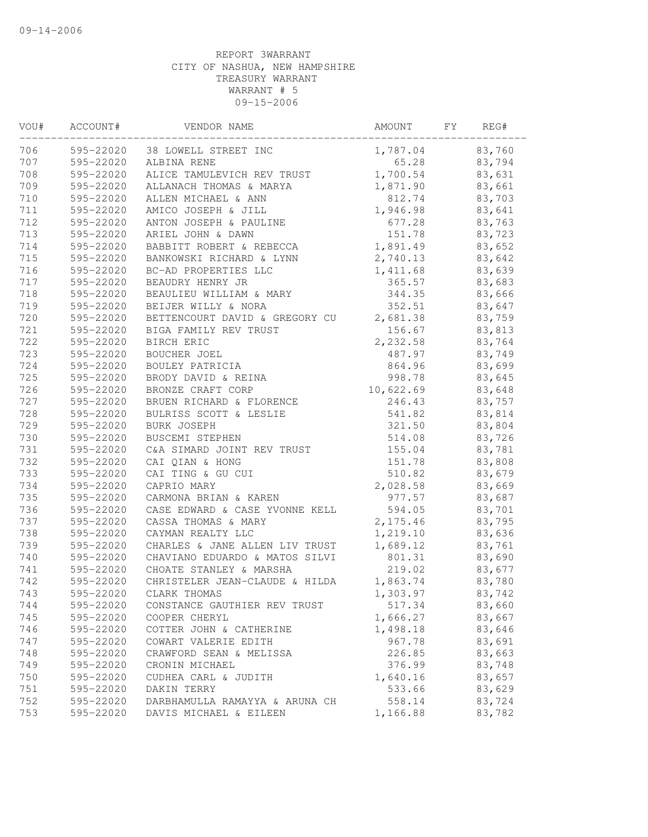| VOU# | ACCOUNT#  | VENDOR NAME                    | AMOUNT    | FY | REG#   |  |
|------|-----------|--------------------------------|-----------|----|--------|--|
| 706  |           | 595-22020 38 LOWELL STREET INC | 1,787.04  |    | 83,760 |  |
| 707  | 595-22020 | ALBINA RENE                    | 65.28     |    | 83,794 |  |
| 708  | 595-22020 | ALICE TAMULEVICH REV TRUST     | 1,700.54  |    | 83,631 |  |
| 709  | 595-22020 | ALLANACH THOMAS & MARYA        | 1,871.90  |    | 83,661 |  |
| 710  | 595-22020 | ALLEN MICHAEL & ANN            | 812.74    |    | 83,703 |  |
| 711  | 595-22020 | AMICO JOSEPH & JILL            | 1,946.98  |    | 83,641 |  |
| 712  | 595-22020 | ANTON JOSEPH & PAULINE         | 677.28    |    | 83,763 |  |
| 713  | 595-22020 | ARIEL JOHN & DAWN              | 151.78    |    | 83,723 |  |
| 714  | 595-22020 | BABBITT ROBERT & REBECCA       | 1,891.49  |    | 83,652 |  |
| 715  | 595-22020 | BANKOWSKI RICHARD & LYNN       | 2,740.13  |    | 83,642 |  |
| 716  | 595-22020 | BC-AD PROPERTIES LLC           | 1,411.68  |    | 83,639 |  |
| 717  | 595-22020 | BEAUDRY HENRY JR               | 365.57    |    | 83,683 |  |
| 718  | 595-22020 | BEAULIEU WILLIAM & MARY        | 344.35    |    | 83,666 |  |
| 719  | 595-22020 | BEIJER WILLY & NORA            | 352.51    |    | 83,647 |  |
| 720  | 595-22020 | BETTENCOURT DAVID & GREGORY CU | 2,681.38  |    | 83,759 |  |
| 721  | 595-22020 | BIGA FAMILY REV TRUST          | 156.67    |    | 83,813 |  |
| 722  | 595-22020 | BIRCH ERIC                     | 2,232.58  |    | 83,764 |  |
| 723  | 595-22020 | BOUCHER JOEL                   | 487.97    |    | 83,749 |  |
| 724  | 595-22020 | BOULEY PATRICIA                | 864.96    |    | 83,699 |  |
| 725  | 595-22020 | BRODY DAVID & REINA            | 998.78    |    | 83,645 |  |
| 726  | 595-22020 | BRONZE CRAFT CORP              | 10,622.69 |    | 83,648 |  |
| 727  | 595-22020 | BRUEN RICHARD & FLORENCE       | 246.43    |    | 83,757 |  |
| 728  | 595-22020 | BULRISS SCOTT & LESLIE         | 541.82    |    | 83,814 |  |
| 729  | 595-22020 | BURK JOSEPH                    | 321.50    |    | 83,804 |  |
| 730  | 595-22020 | BUSCEMI STEPHEN                | 514.08    |    | 83,726 |  |
| 731  | 595-22020 | C&A SIMARD JOINT REV TRUST     | 155.04    |    | 83,781 |  |
| 732  | 595-22020 | CAI QIAN & HONG                | 151.78    |    | 83,808 |  |
| 733  | 595-22020 | CAI TING & GU CUI              | 510.82    |    | 83,679 |  |
| 734  | 595-22020 | CAPRIO MARY                    | 2,028.58  |    | 83,669 |  |
| 735  | 595-22020 | CARMONA BRIAN & KAREN          | 977.57    |    | 83,687 |  |
| 736  | 595-22020 | CASE EDWARD & CASE YVONNE KELL | 594.05    |    | 83,701 |  |
| 737  | 595-22020 | CASSA THOMAS & MARY            | 2,175.46  |    | 83,795 |  |
| 738  | 595-22020 | CAYMAN REALTY LLC              | 1,219.10  |    | 83,636 |  |
| 739  | 595-22020 | CHARLES & JANE ALLEN LIV TRUST | 1,689.12  |    | 83,761 |  |
| 740  | 595-22020 | CHAVIANO EDUARDO & MATOS SILVI | 801.31    |    | 83,690 |  |
| 741  | 595-22020 | CHOATE STANLEY & MARSHA        | 219.02    |    | 83,677 |  |
| 742  | 595-22020 | CHRISTELER JEAN-CLAUDE & HILDA | 1,863.74  |    | 83,780 |  |
| 743  | 595-22020 | CLARK THOMAS                   | 1,303.97  |    | 83,742 |  |
| 744  | 595-22020 | CONSTANCE GAUTHIER REV TRUST   | 517.34    |    | 83,660 |  |
| 745  | 595-22020 | COOPER CHERYL                  | 1,666.27  |    | 83,667 |  |
| 746  | 595-22020 | COTTER JOHN & CATHERINE        | 1,498.18  |    | 83,646 |  |
| 747  | 595-22020 | COWART VALERIE EDITH           | 967.78    |    | 83,691 |  |
| 748  | 595-22020 | CRAWFORD SEAN & MELISSA        | 226.85    |    | 83,663 |  |
| 749  | 595-22020 | CRONIN MICHAEL                 | 376.99    |    | 83,748 |  |
| 750  | 595-22020 | CUDHEA CARL & JUDITH           | 1,640.16  |    | 83,657 |  |
| 751  | 595-22020 | DAKIN TERRY                    | 533.66    |    | 83,629 |  |
| 752  | 595-22020 | DARBHAMULLA RAMAYYA & ARUNA CH | 558.14    |    | 83,724 |  |
| 753  | 595-22020 | DAVIS MICHAEL & EILEEN         | 1,166.88  |    | 83,782 |  |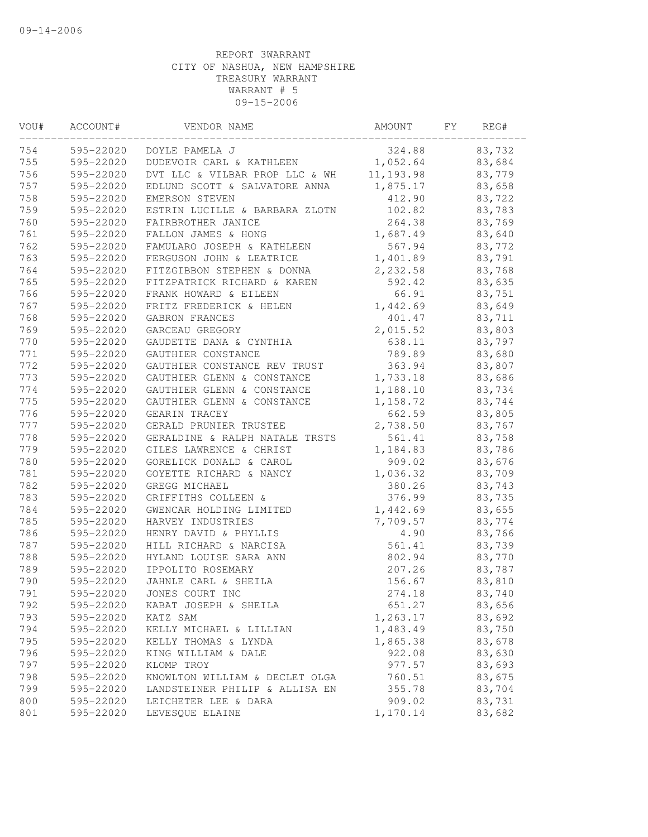| VOU# | ACCOUNT#  | VENDOR NAME                    | AMOUNT     | FΥ | REG#   |  |
|------|-----------|--------------------------------|------------|----|--------|--|
| 754  | 595-22020 | DOYLE PAMELA J                 | 324.88     |    | 83,732 |  |
| 755  | 595-22020 | DUDEVOIR CARL & KATHLEEN       | 1,052.64   |    | 83,684 |  |
| 756  | 595-22020 | DVT LLC & VILBAR PROP LLC & WH | 11, 193.98 |    | 83,779 |  |
| 757  | 595-22020 | EDLUND SCOTT & SALVATORE ANNA  | 1,875.17   |    | 83,658 |  |
| 758  | 595-22020 | EMERSON STEVEN                 | 412.90     |    | 83,722 |  |
| 759  | 595-22020 | ESTRIN LUCILLE & BARBARA ZLOTN | 102.82     |    | 83,783 |  |
| 760  | 595-22020 | FAIRBROTHER JANICE             | 264.38     |    | 83,769 |  |
| 761  | 595-22020 | FALLON JAMES & HONG            | 1,687.49   |    | 83,640 |  |
| 762  | 595-22020 | FAMULARO JOSEPH & KATHLEEN     | 567.94     |    | 83,772 |  |
| 763  | 595-22020 | FERGUSON JOHN & LEATRICE       | 1,401.89   |    | 83,791 |  |
| 764  | 595-22020 | FITZGIBBON STEPHEN & DONNA     | 2,232.58   |    | 83,768 |  |
| 765  | 595-22020 | FITZPATRICK RICHARD & KAREN    | 592.42     |    | 83,635 |  |
| 766  | 595-22020 | FRANK HOWARD & EILEEN          | 66.91      |    | 83,751 |  |
| 767  | 595-22020 | FRITZ FREDERICK & HELEN        | 1,442.69   |    | 83,649 |  |
| 768  | 595-22020 | GABRON FRANCES                 | 401.47     |    | 83,711 |  |
| 769  | 595-22020 | GARCEAU GREGORY                | 2,015.52   |    | 83,803 |  |
| 770  | 595-22020 | GAUDETTE DANA & CYNTHIA        | 638.11     |    | 83,797 |  |
| 771  | 595-22020 | GAUTHIER CONSTANCE             | 789.89     |    | 83,680 |  |
| 772  | 595-22020 | GAUTHIER CONSTANCE REV TRUST   | 363.94     |    | 83,807 |  |
| 773  | 595-22020 | GAUTHIER GLENN & CONSTANCE     | 1,733.18   |    | 83,686 |  |
| 774  | 595-22020 | GAUTHIER GLENN & CONSTANCE     | 1,188.10   |    | 83,734 |  |
| 775  | 595-22020 | GAUTHIER GLENN & CONSTANCE     | 1,158.72   |    | 83,744 |  |
| 776  | 595-22020 | GEARIN TRACEY                  | 662.59     |    | 83,805 |  |
| 777  | 595-22020 | GERALD PRUNIER TRUSTEE         | 2,738.50   |    | 83,767 |  |
| 778  | 595-22020 | GERALDINE & RALPH NATALE TRSTS | 561.41     |    | 83,758 |  |
| 779  | 595-22020 | GILES LAWRENCE & CHRIST        | 1,184.83   |    | 83,786 |  |
| 780  | 595-22020 | GORELICK DONALD & CAROL        | 909.02     |    | 83,676 |  |
| 781  | 595-22020 | GOYETTE RICHARD & NANCY        | 1,036.32   |    | 83,709 |  |
| 782  | 595-22020 | GREGG MICHAEL                  | 380.26     |    | 83,743 |  |
| 783  | 595-22020 | GRIFFITHS COLLEEN &            | 376.99     |    | 83,735 |  |
| 784  | 595-22020 | GWENCAR HOLDING LIMITED        | 1,442.69   |    | 83,655 |  |
| 785  | 595-22020 | HARVEY INDUSTRIES              | 7,709.57   |    | 83,774 |  |
| 786  | 595-22020 | HENRY DAVID & PHYLLIS          | 4.90       |    | 83,766 |  |
| 787  | 595-22020 | HILL RICHARD & NARCISA         | 561.41     |    | 83,739 |  |
| 788  | 595-22020 | HYLAND LOUISE SARA ANN         | 802.94     |    | 83,770 |  |
| 789  | 595-22020 | IPPOLITO ROSEMARY              | 207.26     |    | 83,787 |  |
| 790  | 595-22020 | JAHNLE CARL & SHEILA           | 156.67     |    | 83,810 |  |
| 791  | 595-22020 | JONES COURT INC                | 274.18     |    | 83,740 |  |
| 792  | 595-22020 | KABAT JOSEPH & SHEILA          | 651.27     |    | 83,656 |  |
| 793  | 595-22020 | KATZ SAM                       | 1,263.17   |    | 83,692 |  |
| 794  | 595-22020 | KELLY MICHAEL & LILLIAN        | 1,483.49   |    | 83,750 |  |
| 795  | 595-22020 | KELLY THOMAS & LYNDA           | 1,865.38   |    | 83,678 |  |
| 796  | 595-22020 | KING WILLIAM & DALE            | 922.08     |    | 83,630 |  |
| 797  | 595-22020 | KLOMP TROY                     | 977.57     |    | 83,693 |  |
| 798  | 595-22020 | KNOWLTON WILLIAM & DECLET OLGA | 760.51     |    | 83,675 |  |
| 799  | 595-22020 | LANDSTEINER PHILIP & ALLISA EN | 355.78     |    | 83,704 |  |
| 800  | 595-22020 | LEICHETER LEE & DARA           | 909.02     |    | 83,731 |  |
| 801  | 595-22020 | LEVESQUE ELAINE                | 1,170.14   |    | 83,682 |  |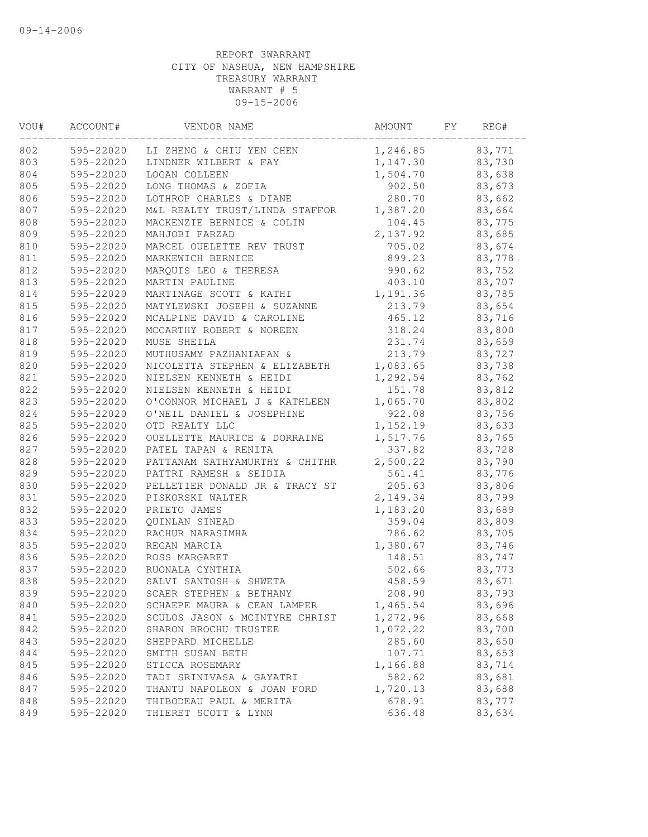| VOU# | ACCOUNT#  | VENDOR NAME                        | AMOUNT   | FY | REG#   |  |
|------|-----------|------------------------------------|----------|----|--------|--|
| 802  |           | 595-22020 LI ZHENG & CHIU YEN CHEN | 1,246.85 |    | 83,771 |  |
| 803  | 595-22020 | LINDNER WILBERT & FAY              | 1,147.30 |    | 83,730 |  |
| 804  | 595-22020 | LOGAN COLLEEN                      | 1,504.70 |    | 83,638 |  |
| 805  | 595-22020 | LONG THOMAS & ZOFIA                | 902.50   |    | 83,673 |  |
| 806  | 595-22020 | LOTHROP CHARLES & DIANE            | 280.70   |    | 83,662 |  |
| 807  | 595-22020 | M&L REALTY TRUST/LINDA STAFFOR     | 1,387.20 |    | 83,664 |  |
| 808  | 595-22020 | MACKENZIE BERNICE & COLIN          | 104.45   |    | 83,775 |  |
| 809  | 595-22020 | MAHJOBI FARZAD                     | 2,137.92 |    | 83,685 |  |
| 810  | 595-22020 | MARCEL OUELETTE REV TRUST          | 705.02   |    | 83,674 |  |
| 811  | 595-22020 | MARKEWICH BERNICE                  | 899.23   |    | 83,778 |  |
| 812  | 595-22020 | MARQUIS LEO & THERESA              | 990.62   |    | 83,752 |  |
| 813  | 595-22020 | MARTIN PAULINE                     | 403.10   |    | 83,707 |  |
| 814  | 595-22020 | MARTINAGE SCOTT & KATHI            | 1,191.36 |    | 83,785 |  |
| 815  | 595-22020 | MATYLEWSKI JOSEPH & SUZANNE        | 213.79   |    | 83,654 |  |
| 816  | 595-22020 | MCALPINE DAVID & CAROLINE          | 465.12   |    | 83,716 |  |
| 817  | 595-22020 | MCCARTHY ROBERT & NOREEN           | 318.24   |    | 83,800 |  |
| 818  | 595-22020 | MUSE SHEILA                        | 231.74   |    | 83,659 |  |
| 819  | 595-22020 | MUTHUSAMY PAZHANIAPAN &            | 213.79   |    | 83,727 |  |
| 820  | 595-22020 | NICOLETTA STEPHEN & ELIZABETH      | 1,083.65 |    | 83,738 |  |
| 821  | 595-22020 | NIELSEN KENNETH & HEIDI            | 1,292.54 |    | 83,762 |  |
| 822  | 595-22020 | NIELSEN KENNETH & HEIDI            | 151.78   |    | 83,812 |  |
| 823  | 595-22020 | O'CONNOR MICHAEL J & KATHLEEN      | 1,065.70 |    | 83,802 |  |
| 824  | 595-22020 | O'NEIL DANIEL & JOSEPHINE          | 922.08   |    | 83,756 |  |
| 825  | 595-22020 | OTD REALTY LLC                     | 1,152.19 |    | 83,633 |  |
| 826  | 595-22020 | OUELLETTE MAURICE & DORRAINE       | 1,517.76 |    | 83,765 |  |
| 827  | 595-22020 | PATEL TAPAN & RENITA               | 337.82   |    | 83,728 |  |
| 828  | 595-22020 | PATTANAM SATHYAMURTHY & CHITHR     | 2,500.22 |    | 83,790 |  |
| 829  | 595-22020 | PATTRI RAMESH & SEIDIA             | 561.41   |    | 83,776 |  |
| 830  | 595-22020 | PELLETIER DONALD JR & TRACY ST     | 205.63   |    | 83,806 |  |
| 831  | 595-22020 | PISKORSKI WALTER                   | 2,149.34 |    | 83,799 |  |
| 832  | 595-22020 | PRIETO JAMES                       | 1,183.20 |    | 83,689 |  |
| 833  | 595-22020 | QUINLAN SINEAD                     | 359.04   |    | 83,809 |  |
| 834  | 595-22020 | RACHUR NARASIMHA                   | 786.62   |    | 83,705 |  |
| 835  | 595-22020 | REGAN MARCIA                       | 1,380.67 |    | 83,746 |  |
| 836  | 595-22020 | ROSS MARGARET                      | 148.51   |    | 83,747 |  |
| 837  | 595-22020 | RUONALA CYNTHIA                    | 502.66   |    | 83,773 |  |
| 838  | 595-22020 | SALVI SANTOSH & SHWETA             | 458.59   |    | 83,671 |  |
| 839  |           | 595-22020 SCAER STEPHEN & BETHANY  | 208.90   |    | 83,793 |  |
| 840  | 595-22020 | SCHAEPE MAURA & CEAN LAMPER        | 1,465.54 |    | 83,696 |  |
| 841  | 595-22020 | SCULOS JASON & MCINTYRE CHRIST     | 1,272.96 |    | 83,668 |  |
| 842  | 595-22020 | SHARON BROCHU TRUSTEE              | 1,072.22 |    | 83,700 |  |
| 843  | 595-22020 | SHEPPARD MICHELLE                  | 285.60   |    | 83,650 |  |
| 844  | 595-22020 | SMITH SUSAN BETH                   | 107.71   |    | 83,653 |  |
| 845  | 595-22020 | STICCA ROSEMARY                    | 1,166.88 |    | 83,714 |  |
| 846  | 595-22020 | TADI SRINIVASA & GAYATRI           | 582.62   |    | 83,681 |  |
| 847  | 595-22020 | THANTU NAPOLEON & JOAN FORD        | 1,720.13 |    | 83,688 |  |
| 848  | 595-22020 | THIBODEAU PAUL & MERITA            | 678.91   |    | 83,777 |  |
| 849  | 595-22020 | THIERET SCOTT & LYNN               | 636.48   |    | 83,634 |  |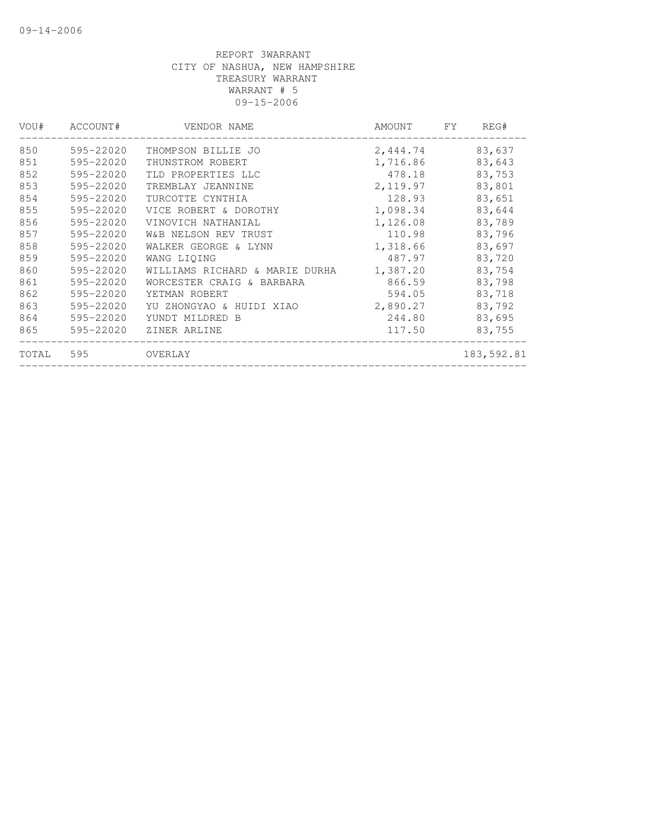| VOU#  | ACCOUNT#  | VENDOR NAME                    | AMOUNT   | FY | REG#       |
|-------|-----------|--------------------------------|----------|----|------------|
| 850   | 595-22020 | THOMPSON BILLIE JO             | 2,444.74 |    | 83,637     |
| 851   | 595-22020 | THUNSTROM ROBERT               | 1,716.86 |    | 83,643     |
| 852   | 595-22020 | TLD PROPERTIES LLC             | 478.18   |    | 83,753     |
| 853   | 595-22020 | TREMBLAY JEANNINE              | 2,119.97 |    | 83,801     |
| 854   | 595-22020 | TURCOTTE CYNTHIA               | 128.93   |    | 83,651     |
| 855   | 595-22020 | VICE ROBERT & DOROTHY          | 1,098.34 |    | 83,644     |
| 856   | 595-22020 | VINOVICH NATHANIAL             | 1,126.08 |    | 83,789     |
| 857   | 595-22020 | W&B NELSON REV TRUST           | 110.98   |    | 83,796     |
| 858   | 595-22020 | WALKER GEORGE & LYNN           | 1,318.66 |    | 83,697     |
| 859   | 595-22020 | WANG LIOING                    | 487.97   |    | 83,720     |
| 860   | 595-22020 | WILLIAMS RICHARD & MARIE DURHA | 1,387.20 |    | 83,754     |
| 861   | 595-22020 | WORCESTER CRAIG & BARBARA      | 866.59   |    | 83,798     |
| 862   | 595-22020 | YETMAN ROBERT                  | 594.05   |    | 83,718     |
| 863   | 595-22020 | YU ZHONGYAO & HUIDI XIAO       | 2,890.27 |    | 83,792     |
| 864   | 595-22020 | YUNDT MILDRED B                | 244.80   |    | 83,695     |
| 865   | 595-22020 | ZINER ARLINE                   | 117.50   |    | 83,755     |
| TOTAL | 595       | OVERLAY                        |          |    | 183,592.81 |
|       |           |                                |          |    |            |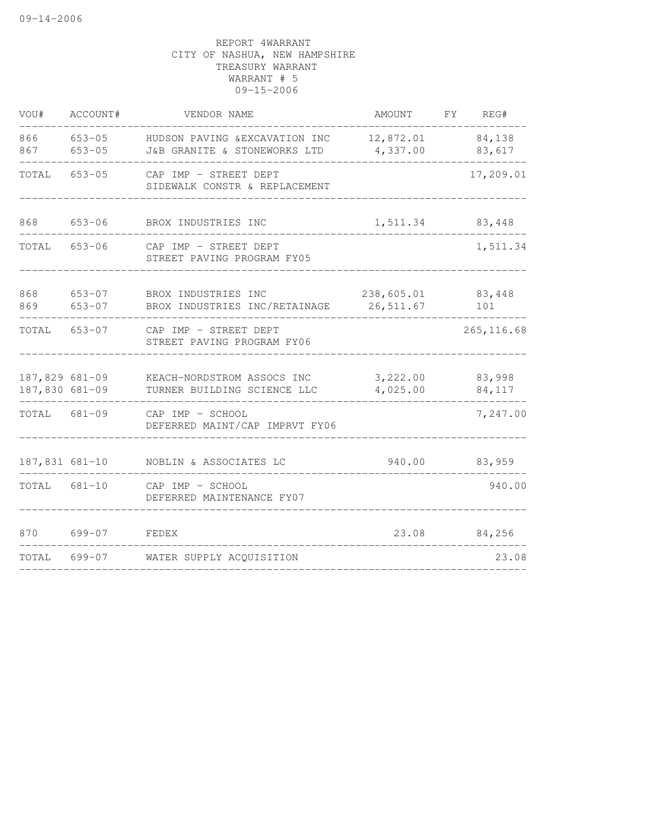| VOU#                             | ACCOUNT#                 | VENDOR NAME                                                    | AMOUNT FY                | REG#             |
|----------------------------------|--------------------------|----------------------------------------------------------------|--------------------------|------------------|
| 866<br>867                       | $653 - 05$<br>$653 - 05$ | HUDSON PAVING & EXCAVATION INC<br>J&B GRANITE & STONEWORKS LTD | 12,872.01<br>4,337.00    | 84,138<br>83,617 |
| TOTAL                            | $653 - 05$               | CAP IMP - STREET DEPT<br>SIDEWALK CONSTR & REPLACEMENT         |                          | 17,209.01        |
| 868                              | $653 - 06$               | BROX INDUSTRIES INC                                            | 1,511.34                 | 83,448           |
| TOTAL                            | 653-06                   | CAP IMP - STREET DEPT<br>STREET PAVING PROGRAM FY05            |                          | 1,511.34         |
| 868<br>869                       | 653-07<br>$653 - 07$     | BROX INDUSTRIES INC<br>BROX INDUSTRIES INC/RETAINAGE           | 238,605.01<br>26, 511.67 | 83,448<br>101    |
| TOTAL                            | 653-07                   | CAP IMP - STREET DEPT<br>STREET PAVING PROGRAM FY06            |                          | 265, 116.68      |
| 187,829 681-09<br>187,830 681-09 |                          | KEACH-NORDSTROM ASSOCS INC<br>TURNER BUILDING SCIENCE LLC      | 3,222.00<br>4,025.00     | 83,998<br>84,117 |
| TOTAL 681-09                     |                          | CAP IMP - SCHOOL<br>DEFERRED MAINT/CAP IMPRVT FY06             |                          | 7,247.00         |
| 187,831 681-10                   |                          | NOBLIN & ASSOCIATES LC                                         | 940.00                   | 83,959           |
| TOTAL                            | $681 - 10$               | CAP IMP - SCHOOL<br>DEFERRED MAINTENANCE FY07                  |                          | 940.00           |
| 870                              | $699 - 07$               | FEDEX                                                          | 23.08                    | 84,256           |
| TOTAL                            | 699-07                   | WATER SUPPLY ACQUISITION                                       |                          | 23.08            |
|                                  |                          |                                                                |                          |                  |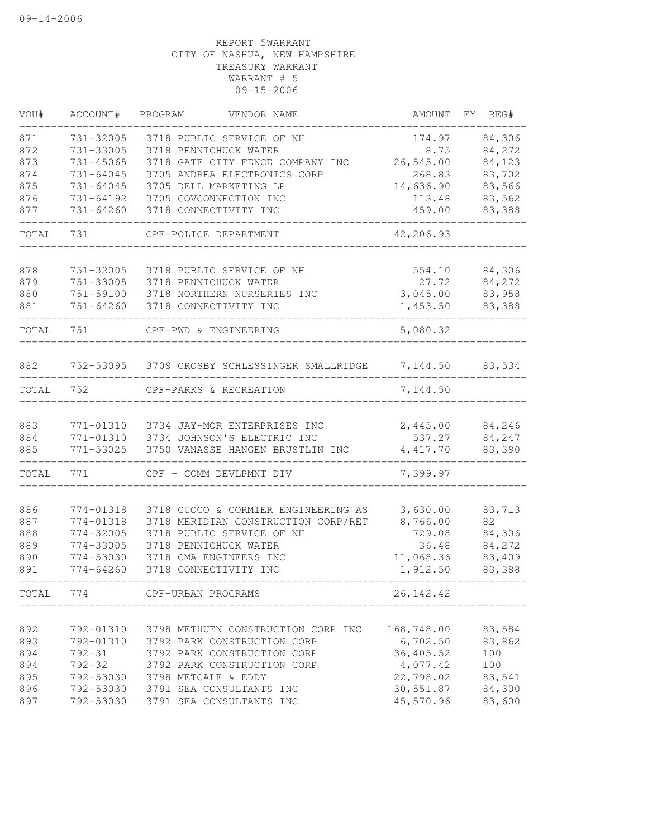| VOU#  | ACCOUNT#      | PROGRAM<br>VENDOR NAME                        | AMOUNT      | FY. | REG#   |
|-------|---------------|-----------------------------------------------|-------------|-----|--------|
| 871   | 731-32005     | 3718 PUBLIC SERVICE OF NH                     | 174.97      |     | 84,306 |
| 872   | 731-33005     | 3718 PENNICHUCK WATER                         | 8.75        |     | 84,272 |
| 873   | 731-45065     | 3718 GATE CITY FENCE COMPANY INC              | 26,545.00   |     | 84,123 |
| 874   | 731-64045     | 3705 ANDREA ELECTRONICS CORP                  | 268.83      |     | 83,702 |
| 875   | 731-64045     | 3705 DELL MARKETING LP                        | 14,636.90   |     | 83,566 |
| 876   | 731-64192     | 3705 GOVCONNECTION INC                        | 113.48      |     | 83,562 |
| 877   | 731-64260     | 3718 CONNECTIVITY INC                         | 459.00      |     | 83,388 |
| TOTAL | 731           | CPF-POLICE DEPARTMENT                         | 42,206.93   |     |        |
|       |               |                                               |             |     |        |
| 878   | 751-32005     | 3718 PUBLIC SERVICE OF NH                     | 554.10      |     | 84,306 |
| 879   | 751-33005     | 3718 PENNICHUCK WATER                         | 27.72       |     | 84,272 |
| 880   | 751-59100     | 3718 NORTHERN NURSERIES INC                   | 3,045.00    |     | 83,958 |
| 881   | $751 - 64260$ | 3718 CONNECTIVITY INC                         | 1,453.50    |     | 83,388 |
| TOTAL | 751           | CPF-PWD & ENGINEERING                         | 5,080.32    |     |        |
|       |               |                                               |             |     |        |
| 882   |               | 752-53095 3709 CROSBY SCHLESSINGER SMALLRIDGE | 7,144.50    |     | 83,534 |
| TOTAL | 752           | CPF-PARKS & RECREATION                        | 7,144.50    |     |        |
| 883   | 771-01310     | 3734 JAY-MOR ENTERPRISES INC                  | 2,445.00    |     | 84,246 |
| 884   | 771-01310     | 3734 JOHNSON'S ELECTRIC INC                   | 537.27      |     | 84,247 |
| 885   | 771-53025     | 3750 VANASSE HANGEN BRUSTLIN INC              | 4, 417.70   |     | 83,390 |
| TOTAL | 771           | CPF - COMM DEVLPMNT DIV                       | 7,399.97    |     |        |
|       |               |                                               |             |     |        |
| 886   | 774-01318     | 3718 CUOCO & CORMIER ENGINEERING AS           | 3,630.00    |     | 83,713 |
| 887   | 774-01318     | 3718 MERIDIAN CONSTRUCTION CORP/RET           | 8,766.00    |     | 82     |
| 888   | 774-32005     | 3718 PUBLIC SERVICE OF NH                     | 729.08      |     | 84,306 |
| 889   | 774-33005     | 3718 PENNICHUCK WATER                         | 36.48       |     | 84,272 |
| 890   | 774-53030     | 3718 CMA ENGINEERS INC                        | 11,068.36   |     | 83,409 |
| 891   | $774 - 64260$ | 3718 CONNECTIVITY INC                         | 1,912.50    |     | 83,388 |
| TOTAL | 774           | CPF-URBAN PROGRAMS                            | 26, 142. 42 |     |        |
|       |               |                                               |             |     |        |
| 892   | 792-01310     | 3798 METHUEN CONSTRUCTION CORP INC            | 168,748.00  |     | 83,584 |
| 893   | 792-01310     | 3792 PARK CONSTRUCTION CORP                   | 6,702.50    |     | 83,862 |
| 894   | $792 - 31$    | 3792 PARK CONSTRUCTION CORP                   | 36,405.52   |     | 100    |
| 894   | $792 - 32$    | 3792 PARK CONSTRUCTION CORP                   | 4,077.42    |     | 100    |
| 895   | 792-53030     | 3798 METCALF & EDDY                           | 22,798.02   |     | 83,541 |
| 896   |               | 792-53030 3791 SEA CONSULTANTS INC            | 30,551.87   |     | 84,300 |
| 897   | 792-53030     | 3791 SEA CONSULTANTS INC                      | 45,570.96   |     | 83,600 |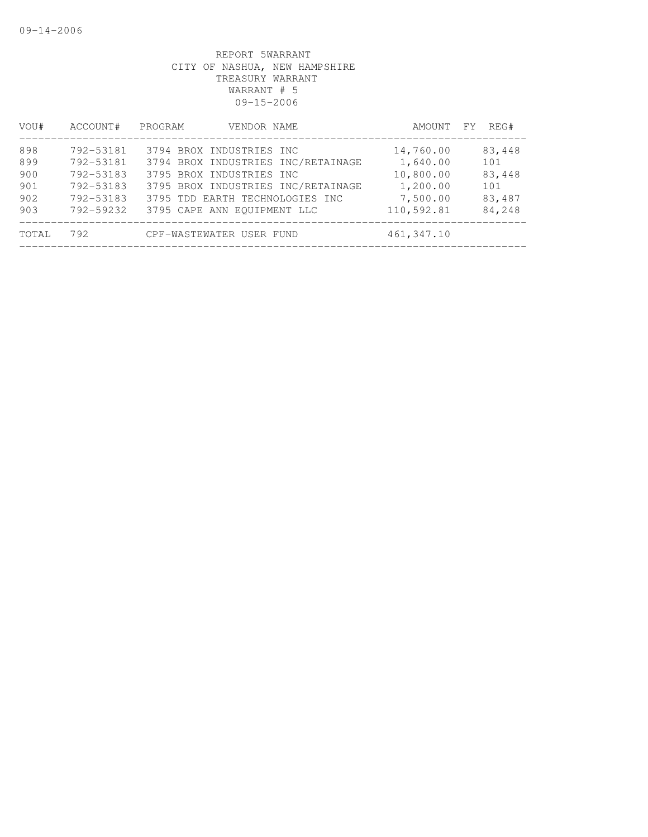| VOU#                                   | ACCOUNT#                                                                   | PROGRAM<br>VENDOR NAME                                                                                                                                                                             | AMOUNT FY                                                                | REG#                                               |
|----------------------------------------|----------------------------------------------------------------------------|----------------------------------------------------------------------------------------------------------------------------------------------------------------------------------------------------|--------------------------------------------------------------------------|----------------------------------------------------|
| 898<br>899<br>900<br>901<br>902<br>903 | 792-53181<br>792-53181<br>792-53183<br>792-53183<br>792-53183<br>792-59232 | 3794 BROX INDUSTRIES INC<br>3794 BROX INDUSTRIES INC/RETAINAGE<br>3795 BROX INDUSTRIES INC<br>3795 BROX INDUSTRIES INC/RETAINAGE<br>3795 TDD EARTH TECHNOLOGIES INC<br>3795 CAPE ANN EOUIPMENT LLC | 14,760.00<br>1,640.00<br>10,800.00<br>1,200.00<br>7,500.00<br>110,592.81 | 83,448<br>101<br>83,448<br>101<br>83,487<br>84,248 |
| TOTAL                                  | 792                                                                        | CPF-WASTEWATER USER FUND                                                                                                                                                                           | 461, 347.10                                                              |                                                    |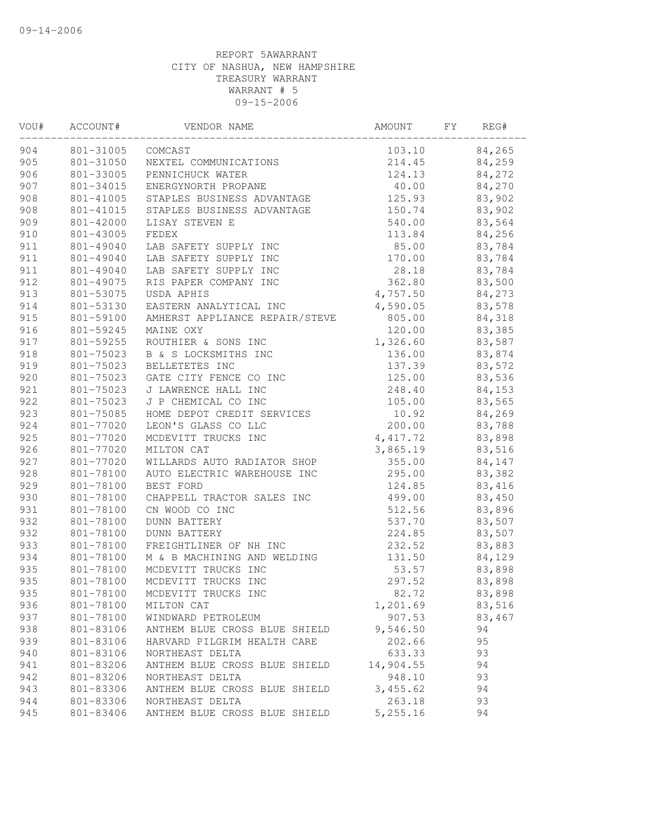| VOU# | ACCOUNT#  | VENDOR NAME                    | AMOUNT    | FΥ | REG#   |  |
|------|-----------|--------------------------------|-----------|----|--------|--|
| 904  | 801-31005 | COMCAST                        | 103.10    |    | 84,265 |  |
| 905  | 801-31050 | NEXTEL COMMUNICATIONS          | 214.45    |    | 84,259 |  |
| 906  | 801-33005 | PENNICHUCK WATER               | 124.13    |    | 84,272 |  |
| 907  | 801-34015 | ENERGYNORTH PROPANE            | 40.00     |    | 84,270 |  |
| 908  | 801-41005 | STAPLES BUSINESS ADVANTAGE     | 125.93    |    | 83,902 |  |
| 908  | 801-41015 | STAPLES BUSINESS ADVANTAGE     | 150.74    |    | 83,902 |  |
| 909  | 801-42000 | LISAY STEVEN E                 | 540.00    |    | 83,564 |  |
| 910  | 801-43005 | FEDEX                          | 113.84    |    | 84,256 |  |
| 911  | 801-49040 | LAB SAFETY SUPPLY INC          | 85.00     |    | 83,784 |  |
| 911  | 801-49040 | LAB SAFETY SUPPLY INC          | 170.00    |    | 83,784 |  |
| 911  | 801-49040 | LAB SAFETY SUPPLY INC          | 28.18     |    | 83,784 |  |
| 912  | 801-49075 | RIS PAPER COMPANY INC          | 362.80    |    | 83,500 |  |
| 913  | 801-53075 | USDA APHIS                     | 4,757.50  |    | 84,273 |  |
| 914  | 801-53130 | EASTERN ANALYTICAL INC         | 4,590.05  |    | 83,578 |  |
| 915  | 801-59100 | AMHERST APPLIANCE REPAIR/STEVE | 805.00    |    | 84,318 |  |
| 916  | 801-59245 | MAINE OXY                      | 120.00    |    | 83,385 |  |
| 917  | 801-59255 | ROUTHIER & SONS INC            | 1,326.60  |    | 83,587 |  |
| 918  | 801-75023 | B & S LOCKSMITHS INC           | 136.00    |    | 83,874 |  |
| 919  | 801-75023 | BELLETETES INC                 | 137.39    |    | 83,572 |  |
| 920  | 801-75023 | GATE CITY FENCE CO INC         | 125.00    |    | 83,536 |  |
| 921  | 801-75023 | J LAWRENCE HALL INC            | 248.40    |    | 84,153 |  |
| 922  | 801-75023 | J P CHEMICAL CO INC            | 105.00    |    | 83,565 |  |
| 923  | 801-75085 | HOME DEPOT CREDIT SERVICES     | 10.92     |    | 84,269 |  |
| 924  | 801-77020 | LEON'S GLASS CO LLC            | 200.00    |    | 83,788 |  |
| 925  | 801-77020 | MCDEVITT TRUCKS INC            | 4, 417.72 |    | 83,898 |  |
| 926  | 801-77020 | MILTON CAT                     | 3,865.19  |    | 83,516 |  |
| 927  | 801-77020 | WILLARDS AUTO RADIATOR SHOP    | 355.00    |    | 84,147 |  |
| 928  | 801-78100 | AUTO ELECTRIC WAREHOUSE INC    | 295.00    |    | 83,382 |  |
| 929  | 801-78100 | BEST FORD                      | 124.85    |    | 83,416 |  |
| 930  | 801-78100 | CHAPPELL TRACTOR SALES INC     | 499.00    |    | 83,450 |  |
| 931  | 801-78100 | CN WOOD CO INC                 | 512.56    |    | 83,896 |  |
| 932  | 801-78100 | <b>DUNN BATTERY</b>            | 537.70    |    | 83,507 |  |
| 932  | 801-78100 | <b>DUNN BATTERY</b>            | 224.85    |    | 83,507 |  |
| 933  | 801-78100 | FREIGHTLINER OF NH INC         | 232.52    |    | 83,883 |  |
| 934  | 801-78100 | M & B MACHINING AND WELDING    | 131.50    |    | 84,129 |  |
| 935  | 801-78100 | MCDEVITT TRUCKS INC            | 53.57     |    | 83,898 |  |
| 935  | 801-78100 | MCDEVITT TRUCKS INC            | 297.52    |    | 83,898 |  |
| 935  | 801-78100 | MCDEVITT TRUCKS INC            | 82.72     |    | 83,898 |  |
| 936  | 801-78100 | MILTON CAT                     | 1,201.69  |    | 83,516 |  |
| 937  | 801-78100 | WINDWARD PETROLEUM             | 907.53    |    | 83,467 |  |
| 938  | 801-83106 | ANTHEM BLUE CROSS BLUE SHIELD  | 9,546.50  |    | 94     |  |
| 939  | 801-83106 | HARVARD PILGRIM HEALTH CARE    | 202.66    |    | 95     |  |
| 940  | 801-83106 | NORTHEAST DELTA                | 633.33    |    | 93     |  |
| 941  | 801-83206 | ANTHEM BLUE CROSS BLUE SHIELD  | 14,904.55 |    | 94     |  |
| 942  | 801-83206 | NORTHEAST DELTA                | 948.10    |    | 93     |  |
| 943  | 801-83306 | ANTHEM BLUE CROSS BLUE SHIELD  | 3,455.62  |    | 94     |  |
| 944  | 801-83306 | NORTHEAST DELTA                | 263.18    |    | 93     |  |
| 945  | 801-83406 | ANTHEM BLUE CROSS BLUE SHIELD  | 5,255.16  |    | 94     |  |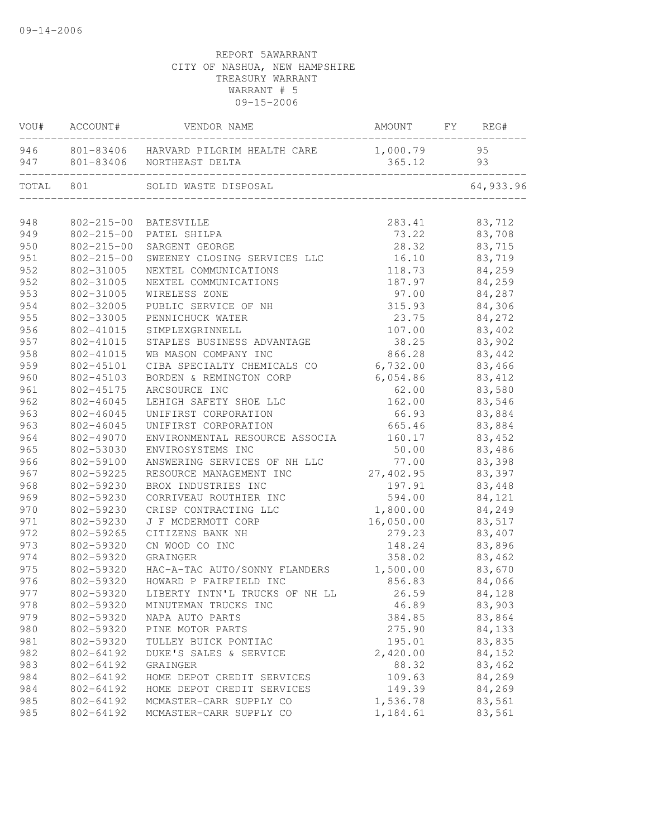| VOU#       | ACCOUNT#         | VENDOR NAME                                              | AMOUNT             | FY | REG#       |
|------------|------------------|----------------------------------------------------------|--------------------|----|------------|
| 946<br>947 | 801-83406        | 801-83406 HARVARD PILGRIM HEALTH CARE<br>NORTHEAST DELTA | 1,000.79<br>365.12 |    | 95<br>93   |
| TOTAL      | 801              | SOLID WASTE DISPOSAL                                     |                    |    | 64, 933.96 |
|            |                  |                                                          |                    |    |            |
| 948        |                  | 802-215-00 BATESVILLE                                    | 283.41             |    | 83,712     |
| 949        | $802 - 215 - 00$ | PATEL SHILPA                                             | 73.22              |    | 83,708     |
| 950        | $802 - 215 - 00$ | SARGENT GEORGE                                           | 28.32              |    | 83,715     |
| 951        | $802 - 215 - 00$ | SWEENEY CLOSING SERVICES LLC                             | 16.10              |    | 83,719     |
| 952        | 802-31005        | NEXTEL COMMUNICATIONS                                    | 118.73             |    | 84,259     |
| 952        | 802-31005        | NEXTEL COMMUNICATIONS                                    | 187.97             |    | 84,259     |
| 953        | 802-31005        | WIRELESS ZONE                                            | 97.00              |    | 84,287     |
| 954        | 802-32005        | PUBLIC SERVICE OF NH                                     | 315.93             |    | 84,306     |
| 955        | 802-33005        | PENNICHUCK WATER                                         | 23.75              |    | 84,272     |
| 956        | 802-41015        | SIMPLEXGRINNELL                                          | 107.00             |    | 83,402     |
| 957        | 802-41015        | STAPLES BUSINESS ADVANTAGE                               | 38.25              |    | 83,902     |
| 958        | 802-41015        | WB MASON COMPANY INC                                     | 866.28             |    | 83,442     |
| 959        | 802-45101        | CIBA SPECIALTY CHEMICALS CO                              | 6,732.00           |    | 83,466     |
| 960        | 802-45103        | BORDEN & REMINGTON CORP                                  | 6,054.86           |    | 83, 412    |
| 961        | 802-45175        | ARCSOURCE INC                                            | 62.00              |    | 83,580     |
| 962        | 802-46045        | LEHIGH SAFETY SHOE LLC                                   | 162.00             |    | 83,546     |
| 963        | 802-46045        | UNIFIRST CORPORATION                                     | 66.93              |    | 83,884     |
| 963        | 802-46045        | UNIFIRST CORPORATION                                     | 665.46             |    | 83,884     |
| 964        | 802-49070        | ENVIRONMENTAL RESOURCE ASSOCIA                           | 160.17             |    | 83,452     |
| 965        | 802-53030        | ENVIROSYSTEMS INC                                        | 50.00              |    | 83,486     |
| 966        | 802-59100        | ANSWERING SERVICES OF NH LLC                             | 77.00              |    | 83,398     |
| 967        | 802-59225        | RESOURCE MANAGEMENT INC                                  | 27,402.95          |    | 83,397     |
| 968        | 802-59230        | BROX INDUSTRIES INC                                      | 197.91             |    | 83,448     |
| 969        | 802-59230        | CORRIVEAU ROUTHIER INC                                   | 594.00             |    | 84,121     |
| 970        | 802-59230        | CRISP CONTRACTING LLC                                    | 1,800.00           |    | 84,249     |
| 971        | 802-59230        | J F MCDERMOTT CORP                                       | 16,050.00          |    | 83,517     |
| 972        | 802-59265        | CITIZENS BANK NH                                         | 279.23             |    | 83,407     |
| 973        | 802-59320        | CN WOOD CO INC                                           | 148.24             |    | 83,896     |
| 974        | 802-59320        | GRAINGER                                                 | 358.02             |    | 83,462     |
| 975        | 802-59320        | HAC-A-TAC AUTO/SONNY FLANDERS                            | 1,500.00           |    | 83,670     |
| 976        | 802-59320        | HOWARD P FAIRFIELD INC                                   | 856.83             |    | 84,066     |
| 977        |                  | 802-59320 LIBERTY INTN'L TRUCKS OF NH LL                 | 26.59              |    | 84,128     |
| 978        | 802-59320        | MINUTEMAN TRUCKS INC                                     | 46.89              |    | 83,903     |
| 979        | 802-59320        | NAPA AUTO PARTS                                          | 384.85             |    | 83,864     |
| 980        | 802-59320        | PINE MOTOR PARTS                                         | 275.90             |    | 84,133     |
| 981        | 802-59320        | TULLEY BUICK PONTIAC                                     | 195.01             |    | 83,835     |
| 982        | 802-64192        | DUKE'S SALES & SERVICE                                   | 2,420.00           |    | 84,152     |
|            |                  |                                                          |                    |    |            |
| 983        | 802-64192        | GRAINGER                                                 | 88.32              |    | 83,462     |
| 984        | 802-64192        | HOME DEPOT CREDIT SERVICES                               | 109.63             |    | 84,269     |
| 984        | 802-64192        | HOME DEPOT CREDIT SERVICES                               | 149.39             |    | 84,269     |
| 985        | 802-64192        | MCMASTER-CARR SUPPLY CO                                  | 1,536.78           |    | 83,561     |
| 985        | 802-64192        | MCMASTER-CARR SUPPLY CO                                  | 1,184.61           |    | 83,561     |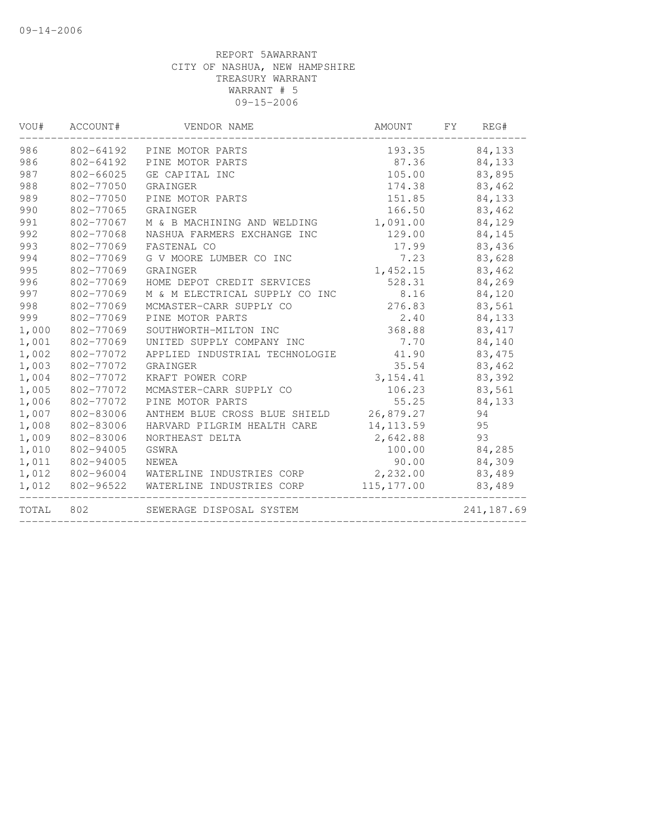| VOU#  | ACCOUNT#  | VENDOR NAME                    | AMOUNT      | FY | REG#        |
|-------|-----------|--------------------------------|-------------|----|-------------|
| 986   | 802-64192 | PINE MOTOR PARTS               | 193.35      |    | 84,133      |
| 986   | 802-64192 | PINE MOTOR PARTS               | 87.36       |    | 84,133      |
| 987   | 802-66025 | GE CAPITAL INC                 | 105.00      |    | 83,895      |
| 988   | 802-77050 | GRAINGER                       | 174.38      |    | 83,462      |
| 989   | 802-77050 | PINE MOTOR PARTS               | 151.85      |    | 84,133      |
| 990   | 802-77065 | GRAINGER                       | 166.50      |    | 83,462      |
| 991   | 802-77067 | M & B MACHINING AND WELDING    | 1,091.00    |    | 84,129      |
| 992   | 802-77068 | NASHUA FARMERS EXCHANGE INC    | 129.00      |    | 84,145      |
| 993   | 802-77069 | FASTENAL CO                    | 17.99       |    | 83,436      |
| 994   | 802-77069 | G V MOORE LUMBER CO INC        | 7.23        |    | 83,628      |
| 995   | 802-77069 | GRAINGER                       | 1,452.15    |    | 83,462      |
| 996   | 802-77069 | HOME DEPOT CREDIT SERVICES     | 528.31      |    | 84,269      |
| 997   | 802-77069 | M & M ELECTRICAL SUPPLY CO INC | 8.16        |    | 84,120      |
| 998   | 802-77069 | MCMASTER-CARR SUPPLY CO        | 276.83      |    | 83,561      |
| 999   | 802-77069 | PINE MOTOR PARTS               | 2.40        |    | 84,133      |
| 1,000 | 802-77069 | SOUTHWORTH-MILTON INC          | 368.88      |    | 83, 417     |
| 1,001 | 802-77069 | UNITED SUPPLY COMPANY INC      | 7.70        |    | 84,140      |
| 1,002 | 802-77072 | APPLIED INDUSTRIAL TECHNOLOGIE | 41.90       |    | 83,475      |
| 1,003 | 802-77072 | GRAINGER                       | 35.54       |    | 83,462      |
| 1,004 | 802-77072 | KRAFT POWER CORP               | 3,154.41    |    | 83,392      |
| 1,005 | 802-77072 | MCMASTER-CARR SUPPLY CO        | 106.23      |    | 83,561      |
| 1,006 | 802-77072 | PINE MOTOR PARTS               | 55.25       |    | 84,133      |
| 1,007 | 802-83006 | ANTHEM BLUE CROSS BLUE SHIELD  | 26,879.27   |    | 94          |
| 1,008 | 802-83006 | HARVARD PILGRIM HEALTH CARE    | 14, 113.59  |    | 95          |
| 1,009 | 802-83006 | NORTHEAST DELTA                | 2,642.88    |    | 93          |
| 1,010 | 802-94005 | GSWRA                          | 100.00      |    | 84,285      |
| 1,011 | 802-94005 | NEWEA                          | 90.00       |    | 84,309      |
| 1,012 | 802-96004 | WATERLINE INDUSTRIES CORP      | 2,232.00    |    | 83,489      |
| 1,012 | 802-96522 | WATERLINE INDUSTRIES CORP      | 115, 177.00 |    | 83,489      |
| TOTAL | 802       | SEWERAGE DISPOSAL SYSTEM       |             |    | 241, 187.69 |
|       |           |                                |             |    |             |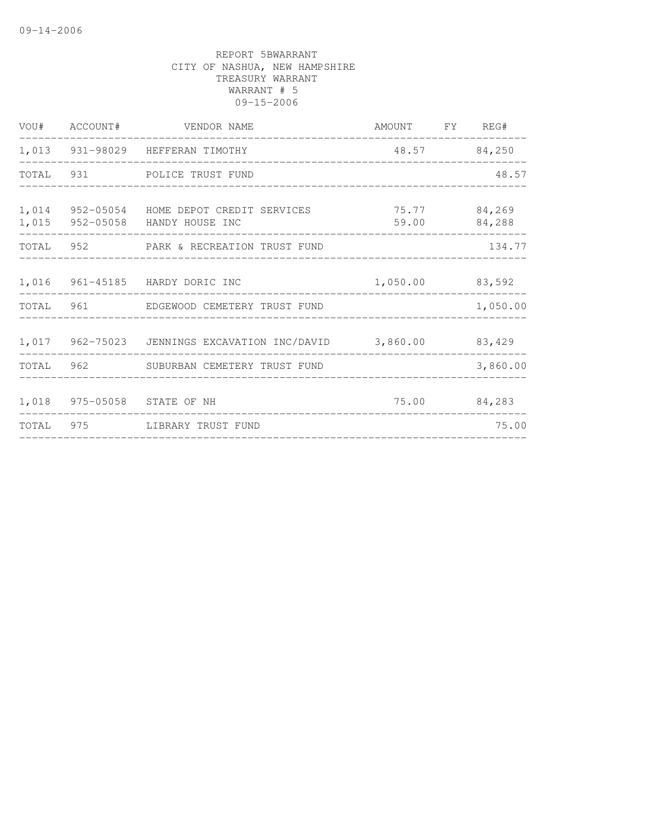|       | VOU# ACCOUNT# VENDOR NAME                                                            | AMOUNT FY REG#                      |            |          |
|-------|--------------------------------------------------------------------------------------|-------------------------------------|------------|----------|
|       | 1,013 931-98029 HEFFERAN TIMOTHY                                                     | 48.57 84,250                        |            |          |
|       | TOTAL 931 POLICE TRUST FUND                                                          |                                     |            | 48.57    |
| 1,014 | 952-05054 HOME DEPOT CREDIT SERVICES 75.77 84,269<br>1,015 952-05058 HANDY HOUSE INC | 59.00                               |            | 84,288   |
|       | TOTAL 952 PARK & RECREATION TRUST FUND                                               | ___________________________________ |            | 134.77   |
|       | 1,016 961-45185 HARDY DORIC INC<br>______________________                            | 1,050.00 83,592                     | ---------- |          |
|       | TOTAL 961 EDGEWOOD CEMETERY TRUST FUND                                               |                                     |            | 1,050.00 |
|       | 1,017 962-75023 JENNINGS EXCAVATION INC/DAVID 3,860.00 83,429                        |                                     |            |          |
|       | TOTAL 962 SUBURBAN CEMETERY TRUST FUND                                               |                                     |            | 3,860.00 |
|       | 1,018 975-05058 STATE OF NH                                                          | 75.00 84,283                        |            |          |
|       | TOTAL 975 LIBRARY TRUST FUND                                                         |                                     |            | 75.00    |
|       |                                                                                      |                                     |            |          |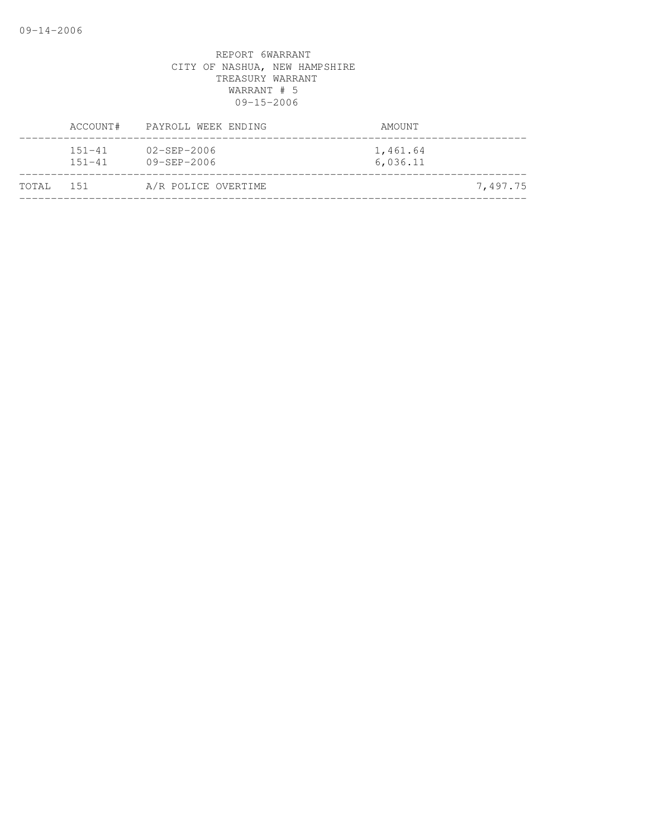|           | ACCOUNT#                 | PAYROLL WEEK ENDING                    | AMOUNT               |          |
|-----------|--------------------------|----------------------------------------|----------------------|----------|
|           | $151 - 41$<br>$151 - 41$ | $02 - SEP - 2006$<br>$09 - SEP - 2006$ | 1,461.64<br>6,036.11 |          |
| TOTAL 151 |                          | A/R POLICE OVERTIME                    |                      | 7,497.75 |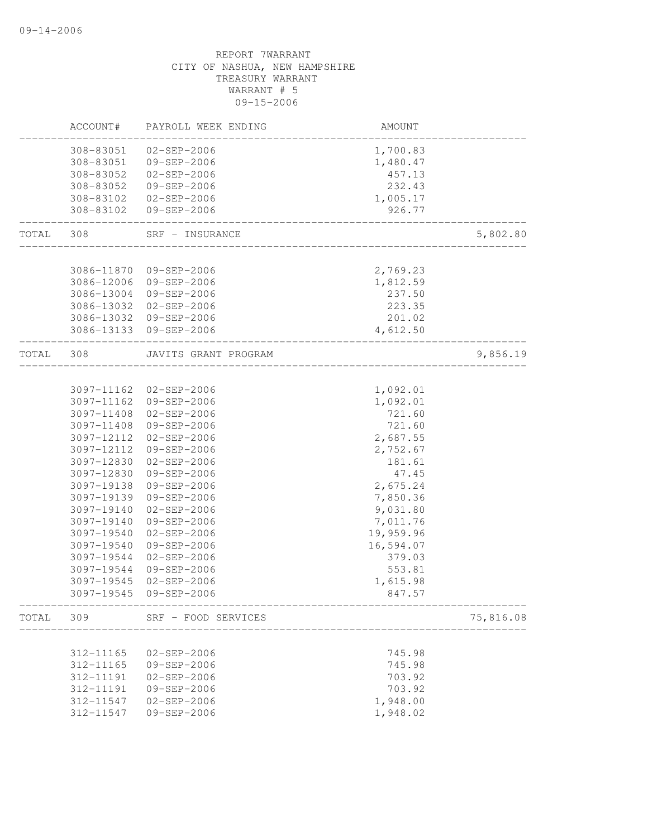|       | ACCOUNT#   | PAYROLL WEEK ENDING                   | AMOUNT                                |           |
|-------|------------|---------------------------------------|---------------------------------------|-----------|
|       | 308-83051  | 02-SEP-2006                           | 1,700.83                              |           |
|       | 308-83051  | 09-SEP-2006                           | 1,480.47                              |           |
|       | 308-83052  | 02-SEP-2006                           | 457.13                                |           |
|       | 308-83052  | 09-SEP-2006                           | 232.43                                |           |
|       | 308-83102  | 02-SEP-2006                           | 1,005.17                              |           |
|       | 308-83102  | 09-SEP-2006                           | 926.77                                |           |
| TOTAL | 308        | SRF - INSURANCE                       | ___________________                   | 5,802.80  |
|       |            |                                       |                                       |           |
|       |            | 3086-11870 09-SEP-2006                | 2,769.23                              |           |
|       | 3086-12006 | 09-SEP-2006                           | 1,812.59                              |           |
|       | 3086-13004 | 09-SEP-2006                           | 237.50                                |           |
|       | 3086-13032 | 02-SEP-2006                           | 223.35                                |           |
|       | 3086-13032 | 09-SEP-2006                           | 201.02                                |           |
|       |            | 3086-13133 09-SEP-2006                | 4,612.50                              |           |
| TOTAL | 308        | JAVITS GRANT PROGRAM                  |                                       | 9,856.19  |
|       |            |                                       |                                       |           |
|       |            | 3097-11162 02-SEP-2006                | 1,092.01                              |           |
|       | 3097-11408 | 3097-11162 09-SEP-2006<br>02-SEP-2006 | 1,092.01<br>721.60                    |           |
|       | 3097-11408 | 09-SEP-2006                           | 721.60                                |           |
|       | 3097-12112 | $02 - SEP - 2006$                     | 2,687.55                              |           |
|       | 3097-12112 | 09-SEP-2006                           | 2,752.67                              |           |
|       | 3097-12830 | $02 - SEP - 2006$                     | 181.61                                |           |
|       | 3097-12830 | 09-SEP-2006                           | 47.45                                 |           |
|       | 3097-19138 | 09-SEP-2006                           | 2,675.24                              |           |
|       | 3097-19139 | 09-SEP-2006                           |                                       |           |
|       | 3097-19140 | 02-SEP-2006                           | 7,850.36<br>9,031.80                  |           |
|       | 3097-19140 | 09-SEP-2006                           | 7,011.76                              |           |
|       | 3097-19540 | 02-SEP-2006                           | 19,959.96                             |           |
|       | 3097-19540 | 09-SEP-2006                           | 16,594.07                             |           |
|       | 3097-19544 | $02 - SEP - 2006$                     | 379.03                                |           |
|       | 3097-19544 | 09-SEP-2006                           | 553.81                                |           |
|       | 3097-19545 | $02 - SEP - 2006$                     | 1,615.98                              |           |
|       | 3097-19545 | 09-SEP-2006                           | 847.57                                |           |
|       | TOTAL 309  | SRF - FOOD SERVICES                   |                                       | 75,816.08 |
|       |            |                                       | . _ _ _ _ _ _ _ _ _ _ _ _ _ _ _ _ _ _ |           |
|       | 312-11165  | $02 - SEP - 2006$                     | 745.98                                |           |
|       | 312-11165  | 09-SEP-2006                           | 745.98                                |           |
|       | 312-11191  | $02 - SEP - 2006$                     | 703.92                                |           |
|       | 312-11191  | $09 - SEP - 2006$                     | 703.92                                |           |
|       | 312-11547  | $02 - SEP - 2006$                     | 1,948.00                              |           |
|       | 312-11547  | 09-SEP-2006                           | 1,948.02                              |           |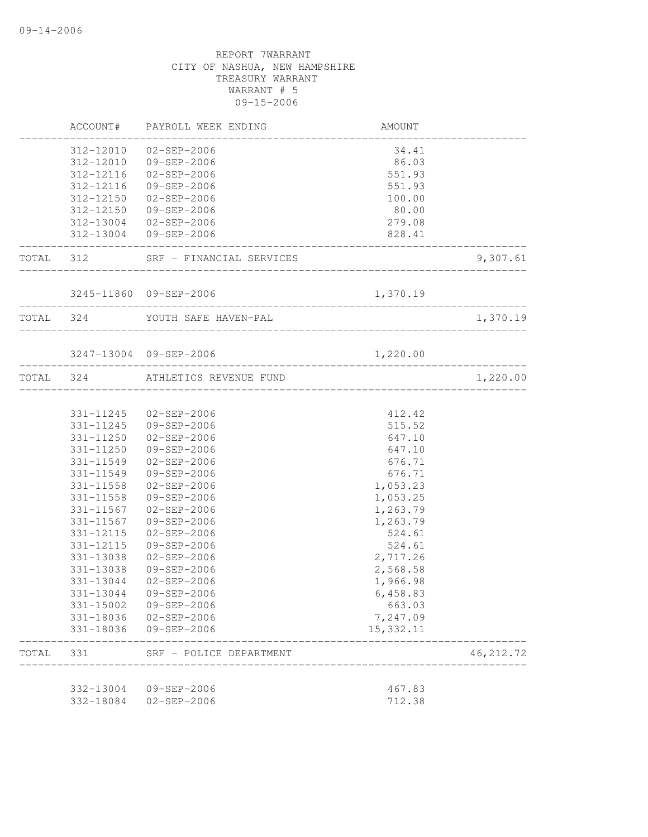|       |           | ACCOUNT# PAYROLL WEEK ENDING       | AMOUNT                        |                                |
|-------|-----------|------------------------------------|-------------------------------|--------------------------------|
|       |           | 312-12010 02-SEP-2006              | 34.41                         |                                |
|       |           | 312-12010 09-SEP-2006              | 86.03                         |                                |
|       |           | 312-12116  02-SEP-2006             | 551.93                        |                                |
|       |           | 312-12116 09-SEP-2006              | 551.93                        |                                |
|       |           | 312-12150 02-SEP-2006              | 100.00                        |                                |
|       |           | 312-12150 09-SEP-2006              | 80.00                         |                                |
|       |           | 312-13004 02-SEP-2006              | 279.08                        |                                |
|       |           | 312-13004 09-SEP-2006              | 828.41<br>___________________ |                                |
|       |           | TOTAL 312 SRF - FINANCIAL SERVICES |                               | 9,307.61                       |
|       |           | 3245-11860 09-SEP-2006             | 1,370.19                      |                                |
|       |           | TOTAL 324 YOUTH SAFE HAVEN-PAL     |                               | ------------------<br>1,370.19 |
|       |           | 3247-13004 09-SEP-2006             | 1,220.00                      |                                |
|       |           | TOTAL 324 ATHLETICS REVENUE FUND   |                               | -----------------<br>1,220.00  |
|       |           |                                    |                               |                                |
|       |           | 331-11245 02-SEP-2006              | 412.42                        |                                |
|       |           | 331-11245 09-SEP-2006              | 515.52                        |                                |
|       |           | 331-11250 02-SEP-2006              | 647.10                        |                                |
|       |           | 331-11250 09-SEP-2006              | 647.10                        |                                |
|       |           | 331-11549 02-SEP-2006              | 676.71                        |                                |
|       |           | 331-11549 09-SEP-2006              | 676.71                        |                                |
|       | 331-11558 | $02 - SEP - 2006$                  | 1,053.23                      |                                |
|       | 331-11558 | 09-SEP-2006                        | 1,053.25                      |                                |
|       | 331-11567 | $02 - SEP - 2006$                  | 1,263.79                      |                                |
|       | 331-11567 | 09-SEP-2006                        | 1,263.79                      |                                |
|       | 331-12115 | 02-SEP-2006                        | 524.61                        |                                |
|       | 331-12115 | 09-SEP-2006                        | 524.61                        |                                |
|       | 331-13038 | $02 - SEP - 2006$                  | 2,717.26                      |                                |
|       | 331-13038 | 09-SEP-2006                        | 2,568.58                      |                                |
|       | 331-13044 | $02 - SEP - 2006$                  | 1,966.98                      |                                |
|       | 331-13044 | 09-SEP-2006                        | 6,458.83                      |                                |
|       | 331-15002 | $09 - SEP - 2006$                  | 663.03                        |                                |
|       | 331-18036 | $02 - SEP - 2006$                  | 7,247.09                      |                                |
|       | 331-18036 | 09-SEP-2006                        | 15, 332.11                    |                                |
| TOTAL | 331       | SRF - POLICE DEPARTMENT            |                               | 46, 212.72                     |
|       | 332-13004 | 09-SEP-2006                        | 467.83                        |                                |
|       | 332-18084 | $02 - SEP - 2006$                  | 712.38                        |                                |
|       |           |                                    |                               |                                |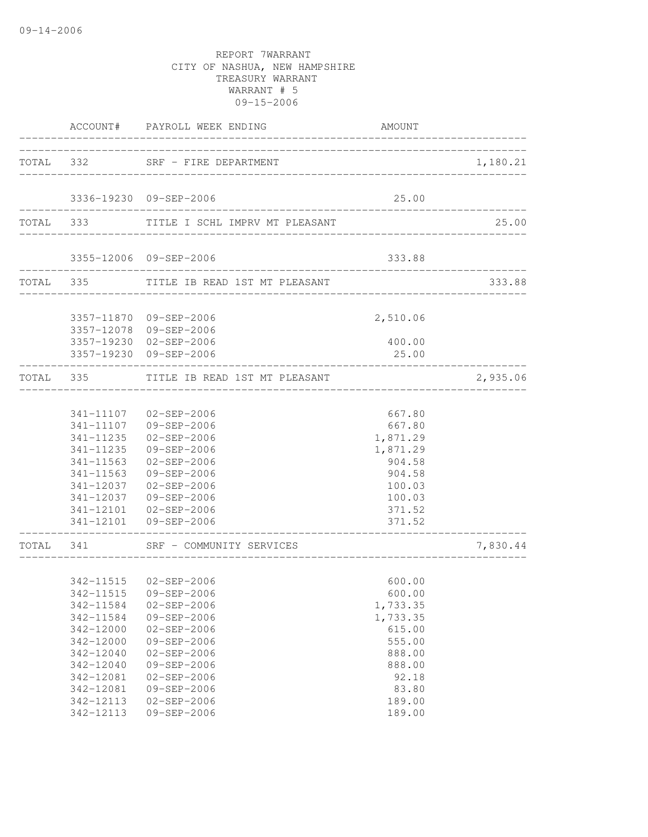|                                                                                                                                | ACCOUNT# PAYROLL WEEK ENDING                                                                                                                                                                                                              | AMOUNT                                                                                                                 |          |
|--------------------------------------------------------------------------------------------------------------------------------|-------------------------------------------------------------------------------------------------------------------------------------------------------------------------------------------------------------------------------------------|------------------------------------------------------------------------------------------------------------------------|----------|
|                                                                                                                                | TOTAL 332 SRF - FIRE DEPARTMENT                                                                                                                                                                                                           |                                                                                                                        | 1,180.21 |
|                                                                                                                                | 3336-19230 09-SEP-2006                                                                                                                                                                                                                    | 25.00                                                                                                                  |          |
|                                                                                                                                | TOTAL 333 TITLE I SCHL IMPRV MT PLEASANT                                                                                                                                                                                                  |                                                                                                                        | 25.00    |
|                                                                                                                                | 3355-12006 09-SEP-2006                                                                                                                                                                                                                    | 333.88                                                                                                                 |          |
|                                                                                                                                | TOTAL 335 TITLE IB READ 1ST MT PLEASANT                                                                                                                                                                                                   | _____________________________                                                                                          | 333.88   |
|                                                                                                                                | 3357-11870 09-SEP-2006<br>3357-12078 09-SEP-2006                                                                                                                                                                                          | 2,510.06                                                                                                               |          |
|                                                                                                                                | 3357-19230 02-SEP-2006<br>3357-19230 09-SEP-2006                                                                                                                                                                                          | 400.00<br>25.00                                                                                                        |          |
|                                                                                                                                | TOTAL 335 TITLE IB READ 1ST MT PLEASANT                                                                                                                                                                                                   |                                                                                                                        | 2,935.06 |
| 341-11235<br>341-11235<br>341-11563<br>341-11563                                                                               | 341-11107 02-SEP-2006<br>341-11107 09-SEP-2006<br>02-SEP-2006<br>09-SEP-2006<br>02-SEP-2006<br>09-SEP-2006<br>341-12037 02-SEP-2006<br>341-12037 09-SEP-2006<br>341-12101  02-SEP-2006<br>341-12101 09-SEP-2006                           | 667.80<br>667.80<br>1,871.29<br>1,871.29<br>904.58<br>904.58<br>100.03<br>100.03<br>371.52<br>371.52                   |          |
|                                                                                                                                | TOTAL 341 SRF - COMMUNITY SERVICES                                                                                                                                                                                                        |                                                                                                                        | 7,830.44 |
| 342-11584<br>342-11584<br>342-12000<br>342-12000<br>342-12040<br>342-12040<br>342-12081<br>342-12081<br>342-12113<br>342-12113 | 342-11515  02-SEP-2006<br>342-11515 09-SEP-2006<br>$02 - SEP - 2006$<br>09-SEP-2006<br>$02 - SEP - 2006$<br>$09 - SEP - 2006$<br>$02 - SEP - 2006$<br>09-SEP-2006<br>$02 - SEP - 2006$<br>09-SEP-2006<br>$02 - SEP - 2006$<br>09-SEP-2006 | 600.00<br>600.00<br>1,733.35<br>1,733.35<br>615.00<br>555.00<br>888.00<br>888.00<br>92.18<br>83.80<br>189.00<br>189.00 |          |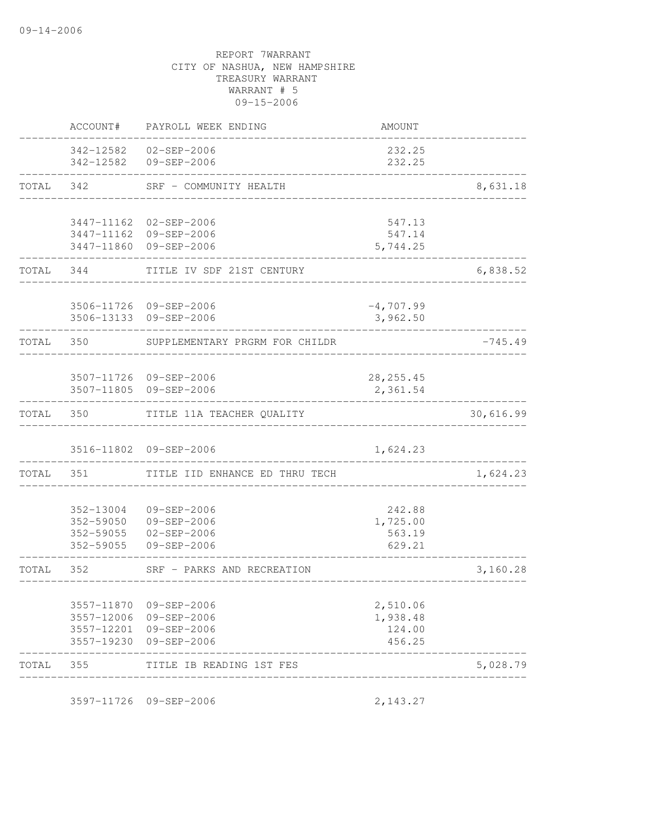|           | ACCOUNT#                                         | PAYROLL WEEK ENDING                                                                                  | AMOUNT                                   |           |
|-----------|--------------------------------------------------|------------------------------------------------------------------------------------------------------|------------------------------------------|-----------|
|           |                                                  | 342-12582  02-SEP-2006<br>342-12582 09-SEP-2006                                                      | 232.25<br>232.25                         |           |
| TOTAL     | 342                                              | SRF - COMMUNITY HEALTH                                                                               |                                          | 8,631.18  |
|           |                                                  | 3447-11162 02-SEP-2006<br>3447-11162 09-SEP-2006<br>3447-11860 09-SEP-2006                           | 547.13<br>547.14<br>5,744.25             |           |
| TOTAL     | 344                                              | TITLE IV SDF 21ST CENTURY                                                                            |                                          | 6,838.52  |
|           |                                                  | 3506-11726 09-SEP-2006<br>3506-13133 09-SEP-2006                                                     | $-4,707.99$<br>3,962.50                  |           |
| TOTAL 350 |                                                  | SUPPLEMENTARY PRGRM FOR CHILDR                                                                       |                                          | $-745.49$ |
|           |                                                  | 3507-11726 09-SEP-2006<br>3507-11805 09-SEP-2006                                                     | 28, 255.45<br>2,361.54                   |           |
| TOTAL     | 350                                              | TITLE 11A TEACHER QUALITY                                                                            |                                          | 30,616.99 |
|           |                                                  | 3516-11802 09-SEP-2006                                                                               | 1,624.23                                 |           |
| TOTAL     | 351                                              | TITLE IID ENHANCE ED THRU TECH                                                                       |                                          | 1,624.23  |
|           | 352-13004<br>352-59050<br>352-59055<br>352-59055 | 09-SEP-2006<br>09-SEP-2006<br>02-SEP-2006<br>09-SEP-2006                                             | 242.88<br>1,725.00<br>563.19<br>629.21   |           |
| TOTAL     | 352                                              | SRF - PARKS AND RECREATION                                                                           |                                          | 3,160.28  |
|           |                                                  | 3557-11870 09-SEP-2006<br>3557-12006 09-SEP-2006<br>3557-12201 09-SEP-2006<br>3557-19230 09-SEP-2006 | 2,510.06<br>1,938.48<br>124.00<br>456.25 |           |
| TOTAL 355 |                                                  | TITLE IB READING 1ST FES                                                                             |                                          | 5,028.79  |
|           |                                                  |                                                                                                      |                                          |           |

3597-11726 09-SEP-2006 2,143.27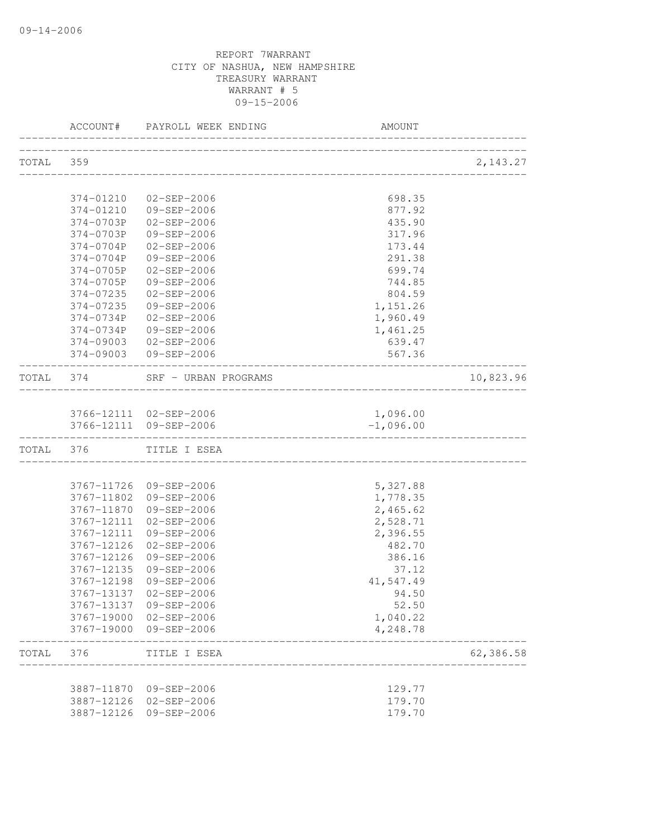|           |               | ACCOUNT# PAYROLL WEEK ENDING          | <b>AMOUNT</b>          |           |
|-----------|---------------|---------------------------------------|------------------------|-----------|
| TOTAL 359 |               |                                       |                        | 2, 143.27 |
|           |               |                                       |                        |           |
|           | 374-01210     | $02 - SEP - 2006$                     | 698.35                 |           |
|           | 374-01210     | 09-SEP-2006                           | 877.92                 |           |
|           | 374-0703P     | 02-SEP-2006                           | 435.90                 |           |
|           | 374-0703P     | 09-SEP-2006                           | 317.96                 |           |
|           | 374-0704P     | $02 - SEP - 2006$                     | 173.44                 |           |
|           | $374 - 0704P$ | 09-SEP-2006                           | 291.38                 |           |
|           | 374-0705P     | 02-SEP-2006                           | 699.74                 |           |
|           | 374-0705P     | 09-SEP-2006                           | 744.85                 |           |
|           | 374-07235     | 02-SEP-2006                           | 804.59                 |           |
|           | 374-07235     | 09-SEP-2006                           | 1,151.26               |           |
|           | 374-0734P     | $02 - SEP - 2006$                     | 1,960.49               |           |
|           | $374 - 0734P$ | 09-SEP-2006                           | 1,461.25               |           |
|           | 374-09003     | 02-SEP-2006                           | 639.47                 |           |
|           |               | 374-09003 09-SEP-2006                 | 567.36                 |           |
| TOTAL 374 |               | SRF - URBAN PROGRAMS                  | ______________________ | 10,823.96 |
|           |               |                                       |                        |           |
|           |               | 3766-12111 02-SEP-2006                | 1,096.00               |           |
|           |               | 3766-12111 09-SEP-2006                | $-1,096.00$            |           |
| TOTAL 376 |               | TITLE I ESEA                          |                        |           |
|           |               |                                       |                        |           |
|           |               | 3767-11726 09-SEP-2006                | 5,327.88               |           |
|           |               | 3767-11802 09-SEP-2006                | 1,778.35               |           |
|           |               | 3767-11870 09-SEP-2006                | 2,465.62               |           |
|           |               | 3767-12111 02-SEP-2006                | 2,528.71               |           |
|           | 3767-12126    | 3767-12111 09-SEP-2006                | 2,396.55<br>482.70     |           |
|           | 3767-12126    | 02-SEP-2006<br>09-SEP-2006            |                        |           |
|           | 3767-12135    | 09-SEP-2006                           | 386.16<br>37.12        |           |
|           | 3767-12198    | 09-SEP-2006                           | 41,547.49              |           |
|           |               | 3767-13137 02-SEP-2006                | 94.50                  |           |
|           |               | 3767-13137 09-SEP-2006                | 52.50                  |           |
|           |               | 3767-19000 02-SEP-2006                | 1,040.22               |           |
|           |               | 3767-19000 09-SEP-2006                | 4,248.78               |           |
| TOTAL 376 |               | TITLE I ESEA<br>_____________________ |                        | 62,386.58 |
|           |               |                                       |                        |           |
|           |               | 3887-11870 09-SEP-2006                | 129.77                 |           |
|           |               | 3887-12126 02-SEP-2006                | 179.70                 |           |
|           |               | 3887-12126 09-SEP-2006                | 179.70                 |           |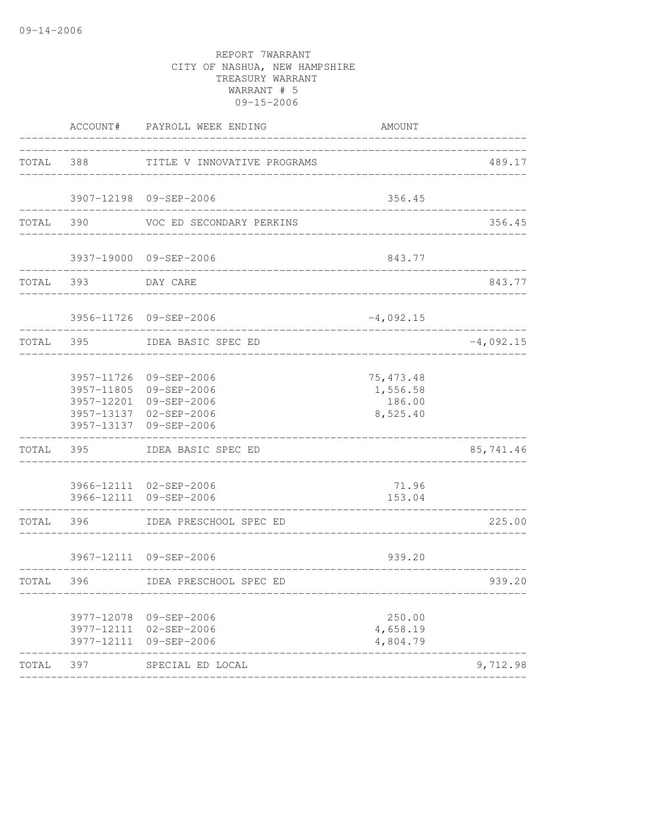|           |                            | ACCOUNT# PAYROLL WEEK ENDING                                                                                                   | <b>AMOUNT</b>                                |             |
|-----------|----------------------------|--------------------------------------------------------------------------------------------------------------------------------|----------------------------------------------|-------------|
|           |                            | TOTAL 388 TITLE V INNOVATIVE PROGRAMS                                                                                          |                                              | 489.17      |
|           |                            | 3907-12198 09-SEP-2006                                                                                                         | 356.45                                       |             |
| TOTAL 390 |                            | VOC ED SECONDARY PERKINS                                                                                                       |                                              | 356.45      |
|           |                            | 3937-19000 09-SEP-2006                                                                                                         | 843.77                                       |             |
|           | TOTAL 393                  | DAY CARE                                                                                                                       | _____________________                        | 843.77      |
|           |                            | 3956-11726 09-SEP-2006                                                                                                         | $-4,092.15$                                  |             |
| TOTAL 395 |                            | IDEA BASIC SPEC ED                                                                                                             |                                              | $-4,092.15$ |
|           |                            | 3957-11726 09-SEP-2006<br>3957-11805 09-SEP-2006<br>3957-12201 09-SEP-2006<br>3957-13137 02-SEP-2006<br>3957-13137 09-SEP-2006 | 75, 473.48<br>1,556.58<br>186.00<br>8,525.40 |             |
| TOTAL     | 395 396                    | IDEA BASIC SPEC ED                                                                                                             |                                              | 85,741.46   |
|           | ------------               | 3966-12111 02-SEP-2006<br>3966-12111 09-SEP-2006                                                                               | 71.96<br>153.04                              |             |
|           |                            | TOTAL 396 IDEA PRESCHOOL SPEC ED                                                                                               |                                              | 225.00      |
|           |                            | 3967-12111 09-SEP-2006                                                                                                         | 939.20                                       |             |
| TOTAL     | 396<br>. - - - - - - - - - | IDEA PRESCHOOL SPEC ED                                                                                                         | _____________________________                | 939.20      |
|           | 3977-12111                 | 3977-12078 09-SEP-2006<br>3977-12111 02-SEP-2006<br>09-SEP-2006                                                                | 250.00<br>4,658.19<br>4,804.79               |             |
| TOTAL     | 397                        | SPECIAL ED LOCAL                                                                                                               |                                              | 9,712.98    |
|           |                            |                                                                                                                                |                                              |             |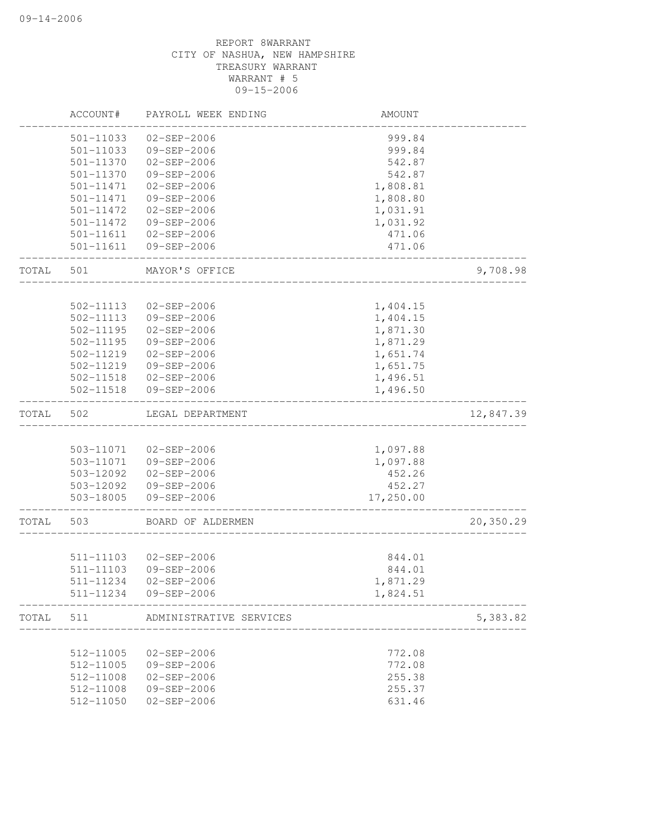|       | ACCOUNT#  | PAYROLL WEEK ENDING     | AMOUNT    |           |
|-------|-----------|-------------------------|-----------|-----------|
|       | 501-11033 | $02 - SEP - 2006$       | 999.84    |           |
|       | 501-11033 | 09-SEP-2006             | 999.84    |           |
|       | 501-11370 | $02 - SEP - 2006$       | 542.87    |           |
|       | 501-11370 | $09 - SEP - 2006$       | 542.87    |           |
|       | 501-11471 | $02 - SEP - 2006$       | 1,808.81  |           |
|       | 501-11471 | 09-SEP-2006             | 1,808.80  |           |
|       | 501-11472 | $02 - SEP - 2006$       | 1,031.91  |           |
|       | 501-11472 | 09-SEP-2006             | 1,031.92  |           |
|       | 501-11611 | $02 - SEP - 2006$       | 471.06    |           |
|       | 501-11611 | 09-SEP-2006             | 471.06    |           |
| TOTAL | 501       | MAYOR'S OFFICE          |           | 9,708.98  |
|       |           |                         |           |           |
|       | 502-11113 | 02-SEP-2006             | 1,404.15  |           |
|       | 502-11113 | 09-SEP-2006             | 1,404.15  |           |
|       | 502-11195 | $02 - SEP - 2006$       | 1,871.30  |           |
|       | 502-11195 | 09-SEP-2006             | 1,871.29  |           |
|       | 502-11219 | $02 - SEP - 2006$       | 1,651.74  |           |
|       | 502-11219 | 09-SEP-2006             | 1,651.75  |           |
|       | 502-11518 | $02 - SEP - 2006$       | 1,496.51  |           |
|       | 502-11518 | 09-SEP-2006             | 1,496.50  |           |
| TOTAL | 502       | LEGAL DEPARTMENT        |           | 12,847.39 |
|       |           |                         |           |           |
|       | 503-11071 | 02-SEP-2006             | 1,097.88  |           |
|       |           | 503-11071  09-SEP-2006  | 1,097.88  |           |
|       | 503-12092 | $02 - SEP - 2006$       | 452.26    |           |
|       | 503-12092 | 09-SEP-2006             | 452.27    |           |
|       | 503-18005 | 09-SEP-2006             | 17,250.00 |           |
| TOTAL | 503       | BOARD OF ALDERMEN       |           | 20,350.29 |
|       |           |                         |           |           |
|       |           | 511-11103 02-SEP-2006   | 844.01    |           |
|       | 511-11103 | 09-SEP-2006             | 844.01    |           |
|       | 511-11234 | $02 - SEP - 2006$       | 1,871.29  |           |
|       |           | 511-11234 09-SEP-2006   | 1,824.51  |           |
| TOTAL | 511       | ADMINISTRATIVE SERVICES |           | 5,383.82  |
|       |           |                         |           |           |
|       | 512-11005 | 02-SEP-2006             | 772.08    |           |
|       | 512-11005 | 09-SEP-2006             | 772.08    |           |
|       | 512-11008 | $02 - SEP - 2006$       | 255.38    |           |
|       | 512-11008 | 09-SEP-2006             | 255.37    |           |
|       | 512-11050 | $02 - SEP - 2006$       | 631.46    |           |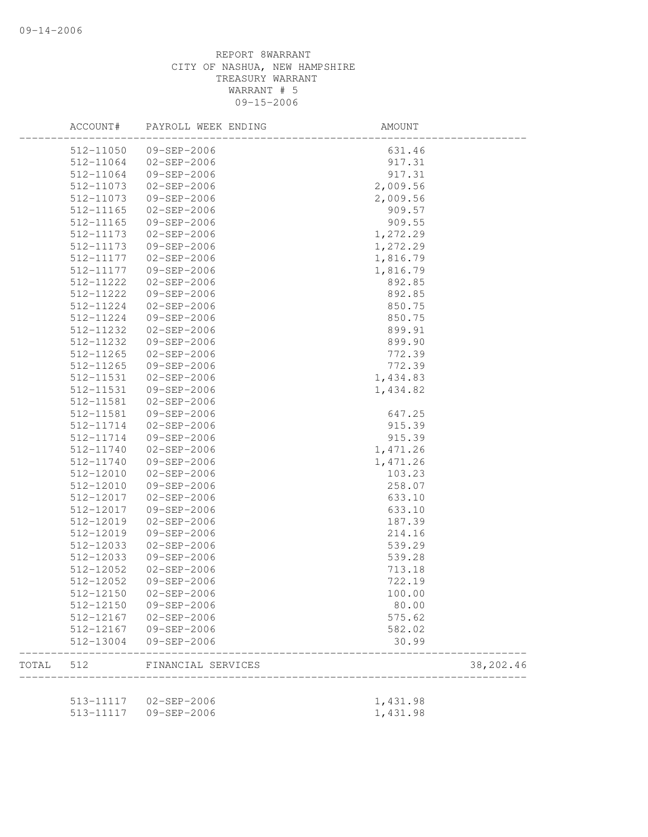|       | ACCOUNT#  | PAYROLL WEEK ENDING    | AMOUNT   |           |
|-------|-----------|------------------------|----------|-----------|
|       | 512-11050 | 09-SEP-2006            | 631.46   |           |
|       | 512-11064 | $02 - SEP - 2006$      | 917.31   |           |
|       | 512-11064 | 09-SEP-2006            | 917.31   |           |
|       | 512-11073 | 02-SEP-2006            | 2,009.56 |           |
|       | 512-11073 | 09-SEP-2006            | 2,009.56 |           |
|       | 512-11165 | 02-SEP-2006            | 909.57   |           |
|       | 512-11165 | 09-SEP-2006            | 909.55   |           |
|       | 512-11173 | 02-SEP-2006            | 1,272.29 |           |
|       | 512-11173 | 09-SEP-2006            | 1,272.29 |           |
|       | 512-11177 | 02-SEP-2006            | 1,816.79 |           |
|       | 512-11177 | 09-SEP-2006            | 1,816.79 |           |
|       | 512-11222 | 02-SEP-2006            | 892.85   |           |
|       | 512-11222 | 09-SEP-2006            | 892.85   |           |
|       | 512-11224 | 02-SEP-2006            | 850.75   |           |
|       | 512-11224 | 09-SEP-2006            | 850.75   |           |
|       | 512-11232 | $02 - SEP - 2006$      | 899.91   |           |
|       | 512-11232 | 09-SEP-2006            | 899.90   |           |
|       | 512-11265 | 02-SEP-2006            | 772.39   |           |
|       | 512-11265 | 09-SEP-2006            | 772.39   |           |
|       | 512-11531 | $02 - SEP - 2006$      | 1,434.83 |           |
|       | 512-11531 | 09-SEP-2006            | 1,434.82 |           |
|       | 512-11581 | 02-SEP-2006            |          |           |
|       | 512-11581 | 09-SEP-2006            | 647.25   |           |
|       | 512-11714 | 02-SEP-2006            | 915.39   |           |
|       | 512-11714 | 09-SEP-2006            | 915.39   |           |
|       | 512-11740 | 02-SEP-2006            | 1,471.26 |           |
|       | 512-11740 |                        |          |           |
|       |           | 09-SEP-2006            | 1,471.26 |           |
|       | 512-12010 | 02-SEP-2006            | 103.23   |           |
|       | 512-12010 | 09-SEP-2006            | 258.07   |           |
|       | 512-12017 | 02-SEP-2006            | 633.10   |           |
|       | 512-12017 | 09-SEP-2006            | 633.10   |           |
|       | 512-12019 | 02-SEP-2006            | 187.39   |           |
|       | 512-12019 | 09-SEP-2006            | 214.16   |           |
|       | 512-12033 | $02 - SEP - 2006$      | 539.29   |           |
|       | 512-12033 | 09-SEP-2006            | 539.28   |           |
|       | 512-12052 | 02-SEP-2006            | 713.18   |           |
|       | 512-12052 | 09-SEP-2006            | 722.19   |           |
|       |           | 512-12150 02-SEP-2006  | 100.00   |           |
|       | 512-12150 | 09-SEP-2006            | 80.00    |           |
|       | 512-12167 | 02-SEP-2006            | 575.62   |           |
|       | 512-12167 | 09-SEP-2006            | 582.02   |           |
|       | 512-13004 | 09-SEP-2006            | 30.99    |           |
| TOTAL | 512       | FINANCIAL SERVICES     |          | 38,202.46 |
|       |           |                        |          |           |
|       |           | 513-11117  02-SEP-2006 | 1,431.98 |           |
|       | 513-11117 | 09-SEP-2006            | 1,431.98 |           |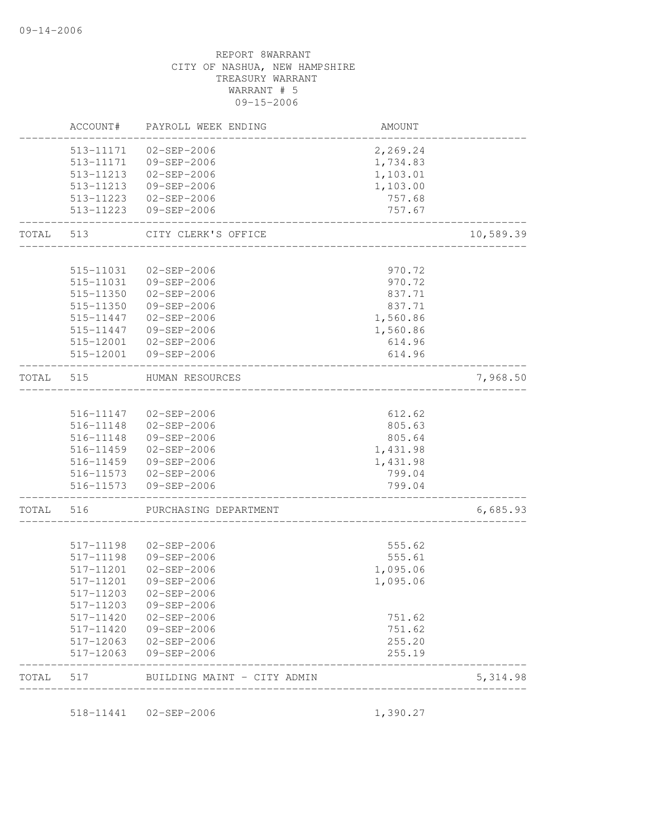|       | ACCOUNT#               | PAYROLL WEEK ENDING                            | AMOUNT               |           |
|-------|------------------------|------------------------------------------------|----------------------|-----------|
|       | 513-11171              | $02 - SEP - 2006$                              | 2,269.24             |           |
|       | 513-11171              | 09-SEP-2006                                    | 1,734.83             |           |
|       | 513-11213              | 02-SEP-2006                                    | 1,103.01             |           |
|       | 513-11213              | 09-SEP-2006                                    | 1,103.00             |           |
|       | 513-11223              | 02-SEP-2006                                    | 757.68               |           |
|       | 513-11223              | 09-SEP-2006                                    | 757.67<br>---------- |           |
| TOTAL |                        | 513 CITY CLERK'S OFFICE<br>___________________ |                      | 10,589.39 |
|       | 515-11031              | $02 - SEP - 2006$                              |                      |           |
|       | 515-11031              | 09-SEP-2006                                    | 970.72               |           |
|       | 515-11350              | 02-SEP-2006                                    | 970.72<br>837.71     |           |
|       | 515-11350              | 09-SEP-2006                                    | 837.71               |           |
|       | 515-11447              | $02 - SEP - 2006$                              | 1,560.86             |           |
|       | 515-11447              | 09-SEP-2006                                    | 1,560.86             |           |
|       | 515-12001              | $02 - SEP - 2006$                              | 614.96               |           |
|       | 515-12001              | 09-SEP-2006                                    | 614.96               |           |
| TOTAL | 515                    | HUMAN RESOURCES                                |                      | 7,968.50  |
|       |                        |                                                |                      |           |
|       | 516-11147              | $02 - SEP - 2006$                              | 612.62               |           |
|       | 516-11148              | 02-SEP-2006                                    | 805.63               |           |
|       | 516-11148              | 09-SEP-2006                                    | 805.64               |           |
|       | 516-11459              | 02-SEP-2006                                    | 1,431.98             |           |
|       | 516-11459              | 09-SEP-2006                                    | 1,431.98             |           |
|       | 516-11573<br>516-11573 | $02 - SEP - 2006$<br>09-SEP-2006               | 799.04<br>799.04     |           |
| TOTAL | 516                    | PURCHASING DEPARTMENT                          |                      | 6,685.93  |
|       |                        |                                                |                      |           |
|       | 517-11198              | $02 - SEP - 2006$                              | 555.62               |           |
|       | 517-11198              | 09-SEP-2006                                    | 555.61               |           |
|       | 517-11201              | $02 - SEP - 2006$                              | 1,095.06             |           |
|       | 517-11201              | 09-SEP-2006                                    | 1,095.06             |           |
|       | 517-11203              | $02 - SEP - 2006$                              |                      |           |
|       | 517-11203              | 09-SEP-2006                                    |                      |           |
|       | 517-11420              | $02 - SEP - 2006$                              | 751.62               |           |
|       | 517-11420              | 09-SEP-2006                                    | 751.62               |           |
|       | 517-12063              | 02-SEP-2006                                    | 255.20               |           |
|       | 517-12063              | 09-SEP-2006                                    | 255.19               |           |
| TOTAL | 517                    | BUILDING MAINT - CITY ADMIN                    |                      | 5, 314.98 |

518-11441 02-SEP-2006 1,390.27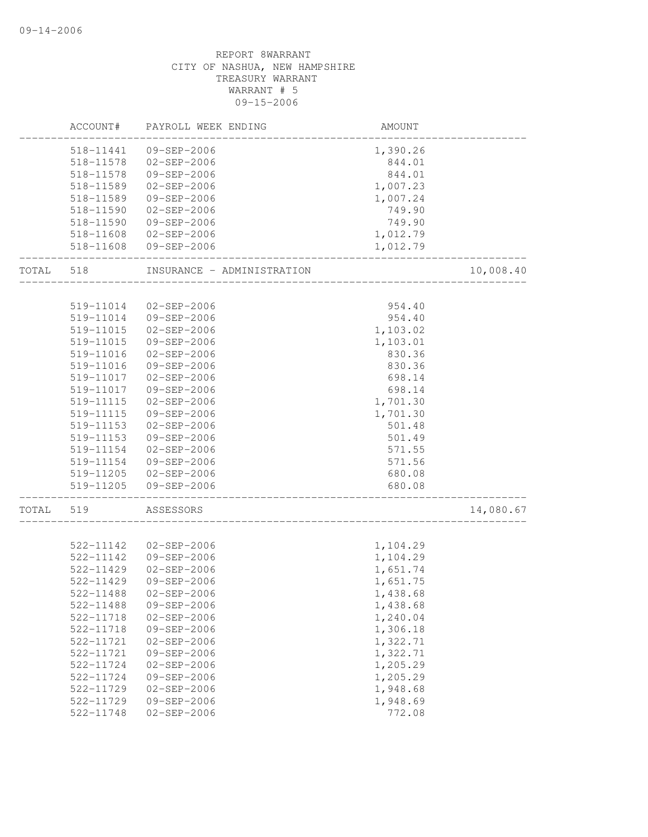|       | ACCOUNT#  | PAYROLL WEEK ENDING        | AMOUNT   |           |
|-------|-----------|----------------------------|----------|-----------|
|       | 518-11441 | 09-SEP-2006                | 1,390.26 |           |
|       | 518-11578 | $02 - SEP - 2006$          | 844.01   |           |
|       | 518-11578 | 09-SEP-2006                | 844.01   |           |
|       | 518-11589 | $02 - SEP - 2006$          | 1,007.23 |           |
|       | 518-11589 | 09-SEP-2006                | 1,007.24 |           |
|       | 518-11590 | $02 - SEP - 2006$          | 749.90   |           |
|       | 518-11590 | 09-SEP-2006                | 749.90   |           |
|       | 518-11608 | 02-SEP-2006                | 1,012.79 |           |
|       | 518-11608 | 09-SEP-2006                | 1,012.79 |           |
| TOTAL | 518       | INSURANCE - ADMINISTRATION |          | 10,008.40 |
|       | 519-11014 | 02-SEP-2006                | 954.40   |           |
|       | 519-11014 | 09-SEP-2006                | 954.40   |           |
|       | 519-11015 | $02 - SEP - 2006$          | 1,103.02 |           |
|       | 519-11015 | 09-SEP-2006                |          |           |
|       | 519-11016 | 02-SEP-2006                | 1,103.01 |           |
|       |           |                            | 830.36   |           |
|       | 519-11016 | 09-SEP-2006                | 830.36   |           |
|       | 519-11017 | $02 - SEP - 2006$          | 698.14   |           |
|       | 519-11017 | 09-SEP-2006                | 698.14   |           |
|       | 519-11115 | 02-SEP-2006                | 1,701.30 |           |
|       | 519-11115 | 09-SEP-2006                | 1,701.30 |           |
|       | 519-11153 | $02 - SEP - 2006$          | 501.48   |           |
|       | 519-11153 | 09-SEP-2006                | 501.49   |           |
|       | 519-11154 | $02 - SEP - 2006$          | 571.55   |           |
|       | 519-11154 | 09-SEP-2006                | 571.56   |           |
|       | 519-11205 | 02-SEP-2006                | 680.08   |           |
|       | 519-11205 | 09-SEP-2006                | 680.08   |           |
| TOTAL | 519       | ASSESSORS                  |          | 14,080.67 |
|       |           |                            |          |           |
|       | 522-11142 | $02 - SEP - 2006$          | 1,104.29 |           |
|       | 522-11142 | 09-SEP-2006                | 1,104.29 |           |
|       | 522-11429 | $02 - SEP - 2006$          | 1,651.74 |           |
|       | 522-11429 | 09-SEP-2006                | 1,651.75 |           |
|       | 522-11488 | $02 - SEP - 2006$          | 1,438.68 |           |
|       | 522-11488 | 09-SEP-2006                | 1,438.68 |           |
|       | 522-11718 | $02 - SEP - 2006$          | 1,240.04 |           |
|       | 522-11718 | 09-SEP-2006                | 1,306.18 |           |
|       | 522-11721 | $02 - SEP - 2006$          | 1,322.71 |           |
|       | 522-11721 | 09-SEP-2006                | 1,322.71 |           |
|       | 522-11724 | $02 - SEP - 2006$          | 1,205.29 |           |
|       | 522-11724 | 09-SEP-2006                | 1,205.29 |           |
|       | 522-11729 | $02 - SEP - 2006$          | 1,948.68 |           |
|       | 522-11729 | 09-SEP-2006                | 1,948.69 |           |
|       | 522-11748 | $02 - SEP - 2006$          | 772.08   |           |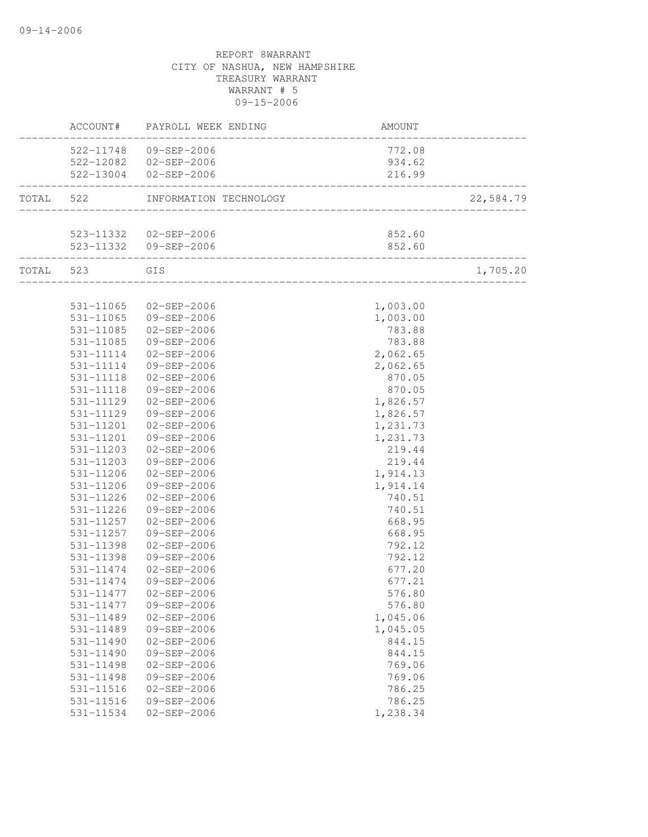|               | ACCOUNT# PAYROLL WEEK ENDING      | <b>AMOUNT</b>                      |           |
|---------------|-----------------------------------|------------------------------------|-----------|
|               | 522-11748 09-SEP-2006             | 772.08                             |           |
|               | 522-12082  02-SEP-2006            | 934.62                             |           |
|               | 522-13004 02-SEP-2006             | 216.99<br>_____________________    |           |
|               | TOTAL 522 INFORMATION TECHNOLOGY  | __________________________________ | 22,584.79 |
|               |                                   |                                    |           |
|               | 523-11332  02-SEP-2006            | 852.60                             |           |
|               | 523-11332 09-SEP-2006             | 852.60                             |           |
| TOTAL 523 GIS | _________________________________ |                                    | 1,705.20  |
|               |                                   |                                    |           |
|               | 531-11065 02-SEP-2006             | 1,003.00                           |           |
| 531-11065     | 09-SEP-2006                       | 1,003.00                           |           |
| 531-11085     | 02-SEP-2006                       | 783.88                             |           |
| 531-11085     | 09-SEP-2006                       | 783.88                             |           |
| 531-11114     | 02-SEP-2006                       | 2,062.65                           |           |
| 531-11114     | 09-SEP-2006                       | 2,062.65                           |           |
| 531-11118     | 02-SEP-2006                       | 870.05                             |           |
| 531-11118     | 09-SEP-2006                       | 870.05                             |           |
| 531-11129     | 02-SEP-2006                       | 1,826.57                           |           |
| 531-11129     | 09-SEP-2006                       | 1,826.57                           |           |
| 531-11201     | 02-SEP-2006                       | 1,231.73                           |           |
| 531-11201     | 09-SEP-2006                       | 1,231.73                           |           |
| 531-11203     | 02-SEP-2006                       | 219.44                             |           |
| 531-11203     | 09-SEP-2006                       | 219.44                             |           |
| 531-11206     | $02 - SEP - 2006$                 | 1,914.13                           |           |
| 531-11206     | 09-SEP-2006                       | 1,914.14                           |           |
| 531-11226     | $02 - SEP - 2006$                 | 740.51                             |           |
| 531-11226     | 09-SEP-2006                       | 740.51                             |           |
| 531-11257     | 02-SEP-2006                       | 668.95                             |           |
| 531-11257     | 09-SEP-2006                       | 668.95                             |           |
| 531-11398     | 02-SEP-2006                       | 792.12                             |           |
| 531-11398     | 09-SEP-2006                       | 792.12                             |           |
| 531-11474     | $02 - SEP - 2006$                 | 677.20                             |           |
| 531-11474     | 09-SEP-2006                       | 677.21                             |           |
|               | 531-11477 02-SEP-2006             | 576.80                             |           |
| 531-11477     | 09-SEP-2006                       | 576.80                             |           |
| 531-11489     | $02 - SEP - 2006$                 | 1,045.06                           |           |
| 531-11489     | 09-SEP-2006                       | 1,045.05                           |           |
| 531-11490     | $02 - SEP - 2006$                 | 844.15                             |           |
| $531 - 11490$ | 09-SEP-2006                       | 844.15                             |           |
| $531 - 11498$ | $02 - SEP - 2006$                 | 769.06                             |           |
| 531-11498     | 09-SEP-2006                       | 769.06                             |           |
| 531-11516     | $02 - SEP - 2006$                 | 786.25                             |           |
| 531-11516     | 09-SEP-2006                       | 786.25                             |           |
| 531-11534     | $02 - SEP - 2006$                 | 1,238.34                           |           |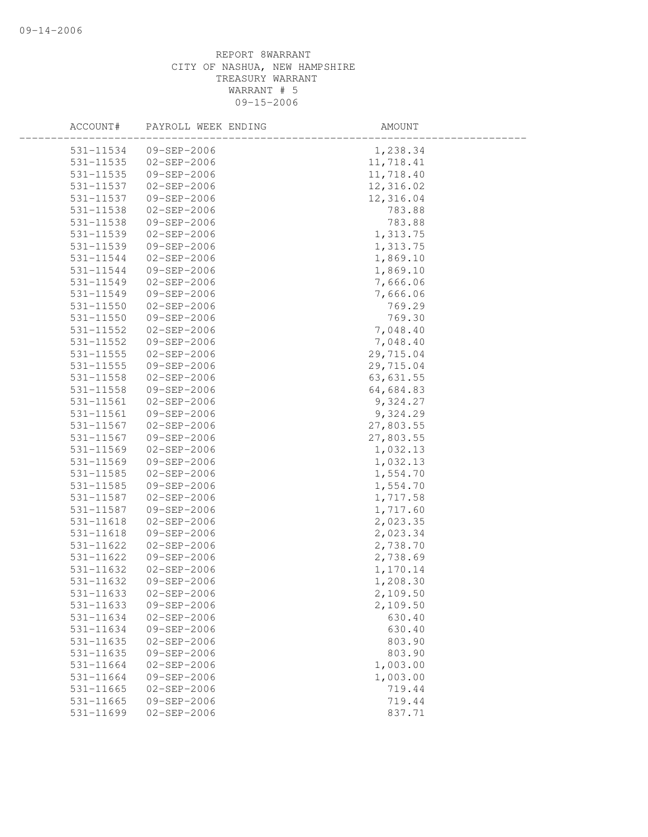| ACCOUNT#      | PAYROLL WEEK ENDING | AMOUNT    |
|---------------|---------------------|-----------|
| 531-11534     | 09-SEP-2006         | 1,238.34  |
| $531 - 11535$ | 02-SEP-2006         | 11,718.41 |
| 531-11535     | 09-SEP-2006         | 11,718.40 |
| 531-11537     | 02-SEP-2006         | 12,316.02 |
| 531-11537     | 09-SEP-2006         | 12,316.04 |
| 531-11538     | 02-SEP-2006         | 783.88    |
| 531-11538     | 09-SEP-2006         | 783.88    |
| 531-11539     | $02 - SEP - 2006$   | 1,313.75  |
| 531-11539     | 09-SEP-2006         | 1,313.75  |
| 531-11544     | 02-SEP-2006         | 1,869.10  |
| 531-11544     | 09-SEP-2006         | 1,869.10  |
| 531-11549     | 02-SEP-2006         | 7,666.06  |
| 531-11549     | 09-SEP-2006         | 7,666.06  |
| 531-11550     | $02 - SEP - 2006$   | 769.29    |
| 531-11550     | 09-SEP-2006         | 769.30    |
| 531-11552     | 02-SEP-2006         | 7,048.40  |
| 531-11552     | 09-SEP-2006         | 7,048.40  |
| 531-11555     | 02-SEP-2006         | 29,715.04 |
| $531 - 11555$ | 09-SEP-2006         | 29,715.04 |
| 531-11558     | 02-SEP-2006         | 63,631.55 |
| 531-11558     | 09-SEP-2006         | 64,684.83 |
| 531-11561     | 02-SEP-2006         | 9,324.27  |
| 531-11561     | 09-SEP-2006         | 9,324.29  |
| 531-11567     | 02-SEP-2006         | 27,803.55 |
| 531-11567     | 09-SEP-2006         | 27,803.55 |
| 531-11569     | 02-SEP-2006         | 1,032.13  |
| 531-11569     | 09-SEP-2006         | 1,032.13  |
| 531-11585     | 02-SEP-2006         | 1,554.70  |
| 531-11585     | 09-SEP-2006         | 1,554.70  |
| 531-11587     | 02-SEP-2006         | 1,717.58  |
| 531-11587     | 09-SEP-2006         | 1,717.60  |
| 531-11618     | $02 - SEP - 2006$   | 2,023.35  |
| 531-11618     | 09-SEP-2006         | 2,023.34  |
| 531-11622     | 02-SEP-2006         | 2,738.70  |
| 531-11622     | 09-SEP-2006         | 2,738.69  |
| 531-11632     | $02 - SEP - 2006$   | 1,170.14  |
| 531-11632     | 09-SEP-2006         | 1,208.30  |
| 531-11633     | $02 - SEP - 2006$   | 2,109.50  |
| 531-11633     | 09-SEP-2006         | 2,109.50  |
| 531-11634     | $02 - SEP - 2006$   | 630.40    |
| 531-11634     | 09-SEP-2006         | 630.40    |
| 531-11635     | $02 - SEP - 2006$   | 803.90    |
| 531-11635     | 09-SEP-2006         | 803.90    |
| 531-11664     | $02 - SEP - 2006$   | 1,003.00  |
| 531-11664     | 09-SEP-2006         | 1,003.00  |
| 531-11665     | $02 - SEP - 2006$   | 719.44    |
| 531-11665     | 09-SEP-2006         | 719.44    |
| 531-11699     | $02 - SEP - 2006$   | 837.71    |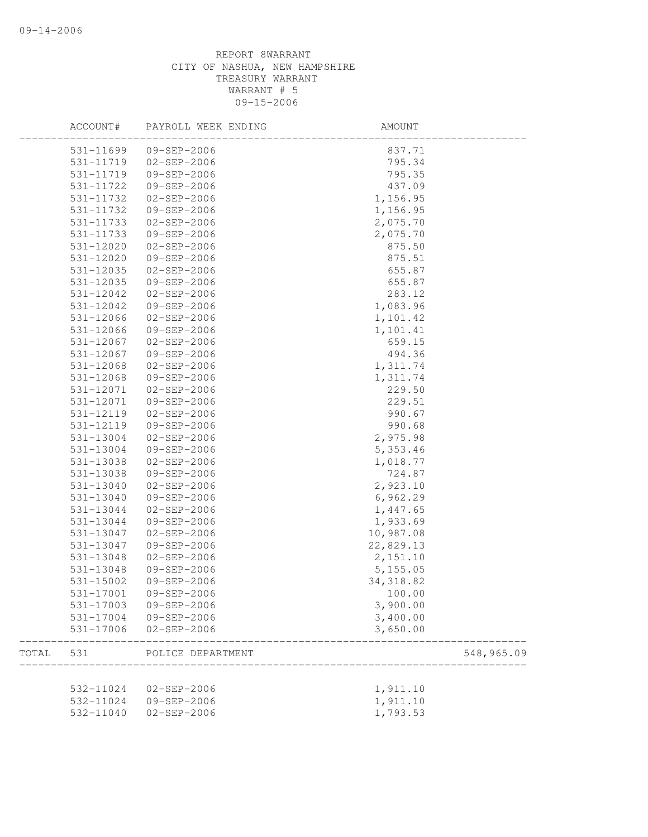|       | ACCOUNT#  | PAYROLL WEEK ENDING | AMOUNT     |            |
|-------|-----------|---------------------|------------|------------|
|       | 531-11699 | 09-SEP-2006         | 837.71     |            |
|       | 531-11719 | $02 - SEP - 2006$   | 795.34     |            |
|       | 531-11719 | 09-SEP-2006         | 795.35     |            |
|       | 531-11722 | 09-SEP-2006         | 437.09     |            |
|       | 531-11732 | 02-SEP-2006         | 1,156.95   |            |
|       | 531-11732 | 09-SEP-2006         | 1,156.95   |            |
|       | 531-11733 | 02-SEP-2006         | 2,075.70   |            |
|       | 531-11733 | 09-SEP-2006         | 2,075.70   |            |
|       | 531-12020 | 02-SEP-2006         | 875.50     |            |
|       | 531-12020 | 09-SEP-2006         | 875.51     |            |
|       | 531-12035 | 02-SEP-2006         | 655.87     |            |
|       | 531-12035 | 09-SEP-2006         | 655.87     |            |
|       | 531-12042 | 02-SEP-2006         | 283.12     |            |
|       | 531-12042 | 09-SEP-2006         | 1,083.96   |            |
|       | 531-12066 | 02-SEP-2006         | 1,101.42   |            |
|       | 531-12066 | 09-SEP-2006         | 1,101.41   |            |
|       | 531-12067 | 02-SEP-2006         | 659.15     |            |
|       | 531-12067 | 09-SEP-2006         | 494.36     |            |
|       | 531-12068 | 02-SEP-2006         | 1,311.74   |            |
|       | 531-12068 | 09-SEP-2006         | 1,311.74   |            |
|       | 531-12071 | 02-SEP-2006         | 229.50     |            |
|       | 531-12071 | 09-SEP-2006         | 229.51     |            |
|       | 531-12119 | 02-SEP-2006         | 990.67     |            |
|       | 531-12119 | 09-SEP-2006         | 990.68     |            |
|       | 531-13004 | 02-SEP-2006         | 2,975.98   |            |
|       | 531-13004 | 09-SEP-2006         | 5,353.46   |            |
|       | 531-13038 | 02-SEP-2006         | 1,018.77   |            |
|       | 531-13038 | 09-SEP-2006         | 724.87     |            |
|       | 531-13040 | 02-SEP-2006         | 2,923.10   |            |
|       | 531-13040 | 09-SEP-2006         | 6,962.29   |            |
|       | 531-13044 | 02-SEP-2006         | 1,447.65   |            |
|       | 531-13044 | 09-SEP-2006         | 1,933.69   |            |
|       | 531-13047 | 02-SEP-2006         | 10,987.08  |            |
|       | 531-13047 | 09-SEP-2006         | 22,829.13  |            |
|       | 531-13048 | $02 - SEP - 2006$   | 2,151.10   |            |
|       | 531-13048 | 09-SEP-2006         | 5,155.05   |            |
|       | 531-15002 | 09-SEP-2006         | 34, 318.82 |            |
|       | 531-17001 | 09-SEP-2006         | 100.00     |            |
|       | 531-17003 | 09-SEP-2006         | 3,900.00   |            |
|       | 531-17004 | 09-SEP-2006         | 3,400.00   |            |
|       | 531-17006 | $02 - SEP - 2006$   | 3,650.00   |            |
| TOTAL | 531       | POLICE DEPARTMENT   |            | 548,965.09 |
|       |           |                     |            |            |
|       | 532-11024 | $02 - SEP - 2006$   | 1,911.10   |            |
|       | 532-11024 | 09-SEP-2006         | 1,911.10   |            |
|       | 532-11040 | $02 - SEP - 2006$   | 1,793.53   |            |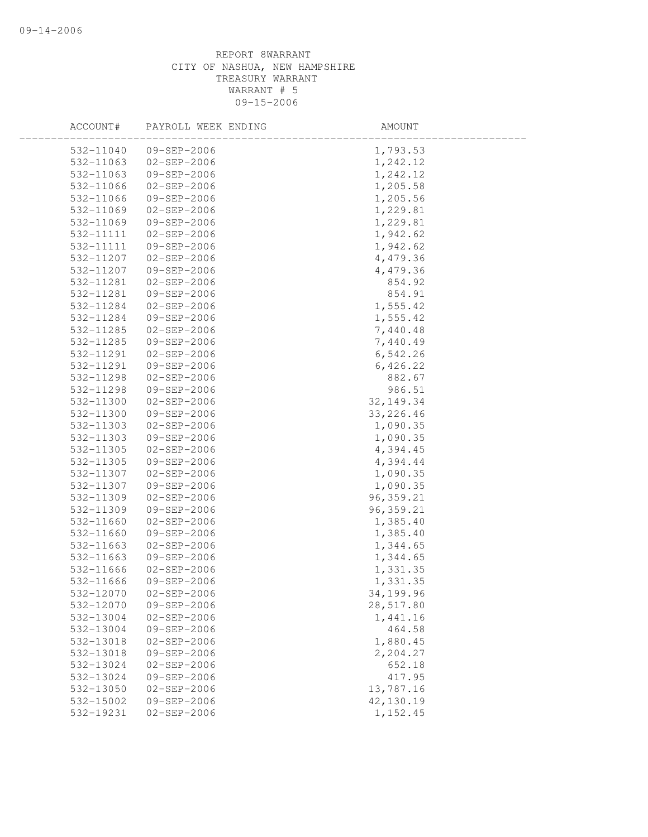| ACCOUNT#  | PAYROLL WEEK ENDING | AMOUNT      |
|-----------|---------------------|-------------|
| 532-11040 | 09-SEP-2006         | 1,793.53    |
| 532-11063 | 02-SEP-2006         | 1,242.12    |
| 532-11063 | 09-SEP-2006         | 1,242.12    |
| 532-11066 | 02-SEP-2006         | 1,205.58    |
| 532-11066 | 09-SEP-2006         | 1,205.56    |
| 532-11069 | 02-SEP-2006         | 1,229.81    |
| 532-11069 | 09-SEP-2006         | 1,229.81    |
| 532-11111 | 02-SEP-2006         | 1,942.62    |
| 532-11111 | 09-SEP-2006         | 1,942.62    |
| 532-11207 | $02 - SEP - 2006$   | 4,479.36    |
| 532-11207 | 09-SEP-2006         | 4,479.36    |
| 532-11281 | 02-SEP-2006         | 854.92      |
| 532-11281 | 09-SEP-2006         | 854.91      |
| 532-11284 | 02-SEP-2006         | 1,555.42    |
| 532-11284 | 09-SEP-2006         | 1,555.42    |
| 532-11285 | 02-SEP-2006         | 7,440.48    |
| 532-11285 | 09-SEP-2006         | 7,440.49    |
| 532-11291 | $02 - SEP - 2006$   | 6,542.26    |
| 532-11291 | 09-SEP-2006         | 6,426.22    |
| 532-11298 | $02 - SEP - 2006$   | 882.67      |
| 532-11298 | 09-SEP-2006         | 986.51      |
| 532-11300 | 02-SEP-2006         | 32, 149. 34 |
| 532-11300 | 09-SEP-2006         | 33, 226.46  |
| 532-11303 | 02-SEP-2006         | 1,090.35    |
| 532-11303 | 09-SEP-2006         | 1,090.35    |
| 532-11305 | $02 - SEP - 2006$   | 4,394.45    |
| 532-11305 | 09-SEP-2006         | 4,394.44    |
| 532-11307 | 02-SEP-2006         | 1,090.35    |
| 532-11307 | 09-SEP-2006         | 1,090.35    |
| 532-11309 | 02-SEP-2006         | 96, 359.21  |
| 532-11309 | 09-SEP-2006         | 96, 359.21  |
| 532-11660 | $02 - SEP - 2006$   | 1,385.40    |
| 532-11660 | 09-SEP-2006         | 1,385.40    |
| 532-11663 | 02-SEP-2006         | 1,344.65    |
| 532-11663 | 09-SEP-2006         | 1,344.65    |
| 532-11666 | $02 - SEP - 2006$   | 1,331.35    |
| 532-11666 | 09-SEP-2006         | 1,331.35    |
| 532-12070 | $02 - SEP - 2006$   | 34,199.96   |
| 532-12070 | 09-SEP-2006         | 28,517.80   |
| 532-13004 | $02 - SEP - 2006$   | 1,441.16    |
| 532-13004 | 09-SEP-2006         | 464.58      |
| 532-13018 | $02 - SEP - 2006$   | 1,880.45    |
| 532-13018 | 09-SEP-2006         | 2,204.27    |
| 532-13024 | $02 - SEP - 2006$   | 652.18      |
| 532-13024 | 09-SEP-2006         | 417.95      |
| 532-13050 | $02 - SEP - 2006$   | 13,787.16   |
| 532-15002 | 09-SEP-2006         | 42,130.19   |
| 532-19231 | $02 - SEP - 2006$   | 1,152.45    |
|           |                     |             |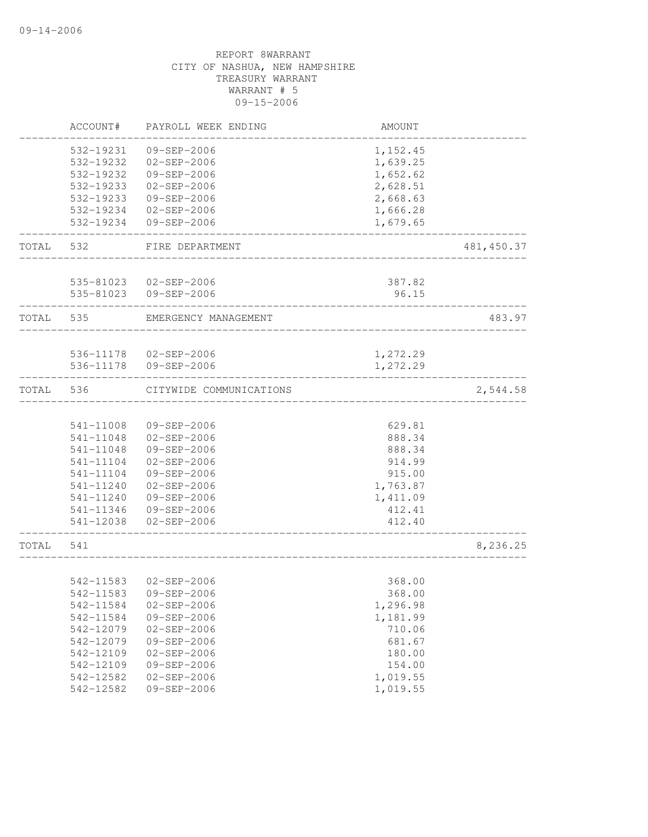|       | ACCOUNT#  | PAYROLL WEEK ENDING                        | AMOUNT   |             |
|-------|-----------|--------------------------------------------|----------|-------------|
|       | 532-19231 | 09-SEP-2006                                | 1,152.45 |             |
|       | 532-19232 | 02-SEP-2006                                | 1,639.25 |             |
|       | 532-19232 | 09-SEP-2006                                | 1,652.62 |             |
|       | 532-19233 | $02 - SEP - 2006$                          | 2,628.51 |             |
|       | 532-19233 | 09-SEP-2006                                | 2,668.63 |             |
|       | 532-19234 | $02 - SEP - 2006$                          | 1,666.28 |             |
|       | 532-19234 | 09-SEP-2006                                | 1,679.65 |             |
| TOTAL | 532       | FIRE DEPARTMENT                            |          | 481, 450.37 |
|       |           | 535-81023 02-SEP-2006                      | 387.82   |             |
|       |           | 535-81023 09-SEP-2006                      | 96.15    |             |
|       |           |                                            |          |             |
| TOTAL | 535       | EMERGENCY MANAGEMENT                       |          | 483.97      |
|       |           | 536-11178 02-SEP-2006                      | 1,272.29 |             |
|       | 536-11178 | 09-SEP-2006                                | 1,272.29 |             |
| TOTAL | 536       | CITYWIDE COMMUNICATIONS                    |          | 2,544.58    |
|       |           |                                            |          |             |
|       | 541-11008 | 09-SEP-2006                                | 629.81   |             |
|       | 541-11048 | $02 - SEP - 2006$                          | 888.34   |             |
|       | 541-11048 | 09-SEP-2006                                | 888.34   |             |
|       | 541-11104 | $02 - SEP - 2006$                          | 914.99   |             |
|       | 541-11104 | 09-SEP-2006                                | 915.00   |             |
|       | 541-11240 | $02 - SEP - 2006$                          | 1,763.87 |             |
|       |           | 541-11240 09-SEP-2006                      | 1,411.09 |             |
|       |           | 541-11346 09-SEP-2006                      | 412.41   |             |
|       |           | 541-12038 02-SEP-2006                      | 412.40   |             |
| TOTAL | 541       |                                            |          | 8,236.25    |
|       |           |                                            |          |             |
|       | 542-11583 | $02 - SEP - 2006$<br>542-11583 09-SEP-2006 | 368.00   |             |
|       |           | $02 - SEP - 2006$                          | 368.00   |             |
|       | 542-11584 |                                            | 1,296.98 |             |
|       | 542-11584 | $09 - SEP - 2006$                          | 1,181.99 |             |
|       | 542-12079 | $02 - SEP - 2006$                          | 710.06   |             |
|       | 542-12079 | 09-SEP-2006                                | 681.67   |             |
|       | 542-12109 | $02 - SEP - 2006$                          | 180.00   |             |
|       | 542-12109 | 09-SEP-2006                                | 154.00   |             |
|       | 542-12582 | $02 - SEP - 2006$                          | 1,019.55 |             |
|       | 542-12582 | 09-SEP-2006                                | 1,019.55 |             |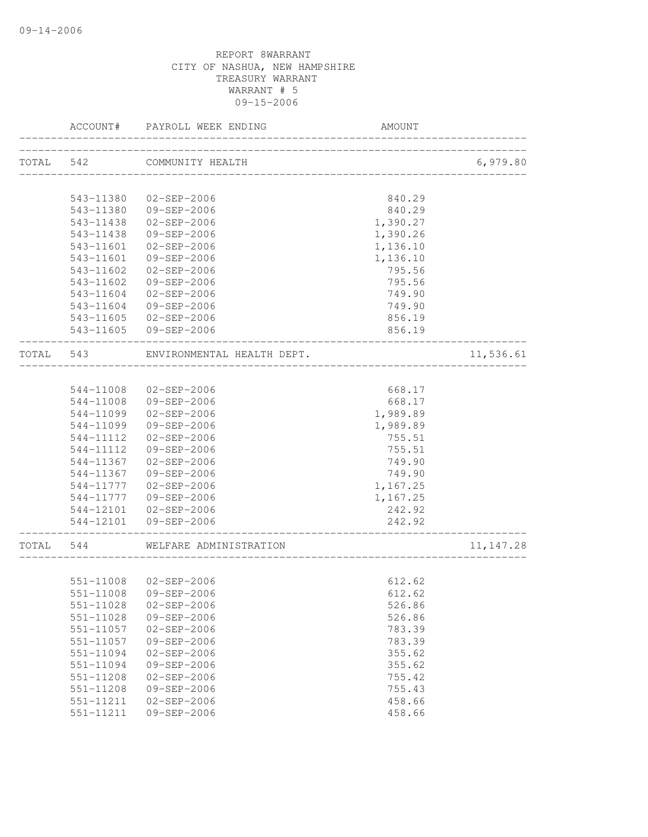|           |                        | ACCOUNT# PAYROLL WEEK ENDING               | AMOUNT                                |            |
|-----------|------------------------|--------------------------------------------|---------------------------------------|------------|
|           |                        | TOTAL 542 COMMUNITY HEALTH                 | ------------------------------------- | 6,979.80   |
|           |                        |                                            |                                       |            |
|           | 543-11380              | $02 - SEP - 2006$                          | 840.29                                |            |
|           |                        | 543-11380 09-SEP-2006                      | 840.29                                |            |
|           | 543-11438              | 02-SEP-2006                                | 1,390.27                              |            |
|           | 543-11438              | 09-SEP-2006                                | 1,390.26                              |            |
|           | 543-11601              | 02-SEP-2006                                | 1,136.10                              |            |
|           | 543-11601              | 09-SEP-2006                                | 1,136.10                              |            |
|           | 543-11602              | 02-SEP-2006                                | 795.56                                |            |
|           | 543-11602              | 09-SEP-2006                                | 795.56                                |            |
|           |                        | 543-11604 02-SEP-2006                      | 749.90                                |            |
|           |                        | 543-11604 09-SEP-2006                      | 749.90                                |            |
|           |                        | 543-11605 02-SEP-2006                      | 856.19                                |            |
|           |                        | 543-11605 09-SEP-2006                      | 856.19<br>______________              |            |
|           |                        | TOTAL 543 ENVIRONMENTAL HEALTH DEPT.       |                                       | 11,536.61  |
|           |                        |                                            |                                       |            |
|           |                        | 544-11008 02-SEP-2006                      | 668.17                                |            |
|           |                        | 544-11008 09-SEP-2006                      | 668.17                                |            |
|           |                        | 544-11099 02-SEP-2006                      | 1,989.89                              |            |
|           | 544-11099              | 09-SEP-2006                                | 1,989.89                              |            |
|           | 544-11112              | 02-SEP-2006                                | 755.51                                |            |
|           | 544-11112              | 09-SEP-2006                                | 755.51                                |            |
|           | 544-11367              | 02-SEP-2006                                | 749.90                                |            |
|           |                        | 544-11367 09-SEP-2006                      | 749.90                                |            |
|           |                        | 544-11777  02-SEP-2006                     | 1,167.25                              |            |
|           |                        | 544-11777  09-SEP-2006                     | 1,167.25                              |            |
|           |                        | 544-12101 02-SEP-2006                      | 242.92                                |            |
|           |                        | 544-12101 09-SEP-2006                      | 242.92<br>------------------          |            |
| TOTAL 544 |                        | WELFARE ADMINISTRATION                     |                                       | 11, 147.28 |
|           |                        | 551-11008 02-SEP-2006                      | 612.62                                |            |
|           |                        |                                            |                                       |            |
|           |                        | 551-11008 09-SEP-2006<br>$02 - SEP - 2006$ | 612.62                                |            |
|           | 551-11028              |                                            | 526.86                                |            |
|           | 551-11028<br>551-11057 | 09-SEP-2006<br>$02 - SEP - 2006$           | 526.86                                |            |
|           |                        |                                            | 783.39                                |            |
|           | 551-11057              | 09-SEP-2006                                | 783.39                                |            |
|           | 551-11094              | $02 - SEP - 2006$                          | 355.62                                |            |
|           | 551-11094              | 09-SEP-2006                                | 355.62                                |            |
|           | 551-11208              | $02 - SEP - 2006$                          | 755.42                                |            |
|           | 551-11208              | 09-SEP-2006                                | 755.43                                |            |
|           | 551-11211<br>551-11211 | $02 - SEP - 2006$<br>09-SEP-2006           | 458.66<br>458.66                      |            |
|           |                        |                                            |                                       |            |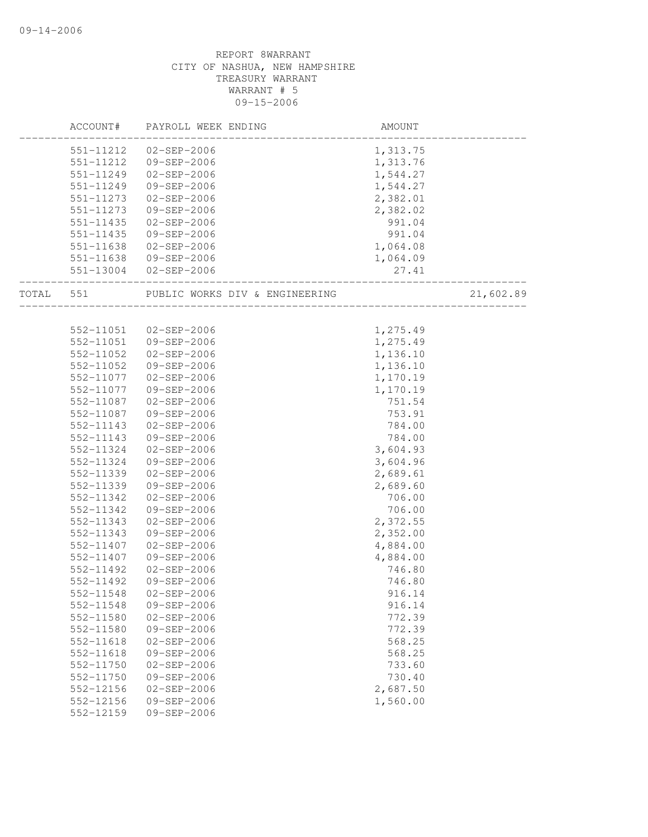|       | ACCOUNT#  | PAYROLL WEEK ENDING            | AMOUNT   |           |
|-------|-----------|--------------------------------|----------|-----------|
|       | 551-11212 | 02-SEP-2006                    | 1,313.75 |           |
|       | 551-11212 | 09-SEP-2006                    | 1,313.76 |           |
|       | 551-11249 | 02-SEP-2006                    | 1,544.27 |           |
|       | 551-11249 | 09-SEP-2006                    | 1,544.27 |           |
|       | 551-11273 | 02-SEP-2006                    | 2,382.01 |           |
|       | 551-11273 | 09-SEP-2006                    | 2,382.02 |           |
|       | 551-11435 | 02-SEP-2006                    | 991.04   |           |
|       | 551-11435 | 09-SEP-2006                    | 991.04   |           |
|       | 551-11638 | 02-SEP-2006                    | 1,064.08 |           |
|       | 551-11638 | 09-SEP-2006                    | 1,064.09 |           |
|       |           | 551-13004 02-SEP-2006          | 27.41    |           |
| TOTAL | 551       | PUBLIC WORKS DIV & ENGINEERING |          | 21,602.89 |
|       |           |                                |          |           |
|       | 552-11051 | 02-SEP-2006                    | 1,275.49 |           |
|       | 552-11051 | 09-SEP-2006                    | 1,275.49 |           |
|       | 552-11052 | 02-SEP-2006                    | 1,136.10 |           |
|       | 552-11052 | 09-SEP-2006                    | 1,136.10 |           |
|       | 552-11077 | 02-SEP-2006                    | 1,170.19 |           |
|       | 552-11077 | 09-SEP-2006                    | 1,170.19 |           |
|       | 552-11087 | 02-SEP-2006                    | 751.54   |           |
|       | 552-11087 | 09-SEP-2006                    | 753.91   |           |
|       | 552-11143 | $02 - SEP - 2006$              | 784.00   |           |
|       | 552-11143 | 09-SEP-2006                    | 784.00   |           |
|       | 552-11324 | 02-SEP-2006                    | 3,604.93 |           |
|       | 552-11324 | 09-SEP-2006                    | 3,604.96 |           |
|       | 552-11339 | $02 - SEP - 2006$              | 2,689.61 |           |
|       | 552-11339 | 09-SEP-2006                    | 2,689.60 |           |
|       | 552-11342 | $02 - SEP - 2006$              | 706.00   |           |
|       | 552-11342 | 09-SEP-2006                    | 706.00   |           |
|       | 552-11343 | $02 - SEP - 2006$              | 2,372.55 |           |
|       | 552-11343 | 09-SEP-2006                    | 2,352.00 |           |
|       | 552-11407 | $02 - SEP - 2006$              | 4,884.00 |           |
|       | 552-11407 | 09-SEP-2006                    | 4,884.00 |           |
|       | 552-11492 | 02-SEP-2006                    | 746.80   |           |
|       | 552-11492 | $09 - SEP - 2006$              | 746.80   |           |
|       | 552-11548 | $02 - SEP - 2006$              | 916.14   |           |
|       | 552-11548 | 09-SEP-2006                    | 916.14   |           |
|       | 552-11580 | $02 - SEP - 2006$              | 772.39   |           |
|       | 552-11580 | 09-SEP-2006                    | 772.39   |           |
|       | 552-11618 | $02 - SEP - 2006$              | 568.25   |           |
|       | 552-11618 | 09-SEP-2006                    | 568.25   |           |
|       | 552-11750 | $02 - SEP - 2006$              | 733.60   |           |
|       | 552-11750 | $09 - SEP - 2006$              | 730.40   |           |
|       | 552-12156 | $02 - SEP - 2006$              | 2,687.50 |           |
|       | 552-12156 | 09-SEP-2006                    | 1,560.00 |           |
|       | 552-12159 | $09 - SEP - 2006$              |          |           |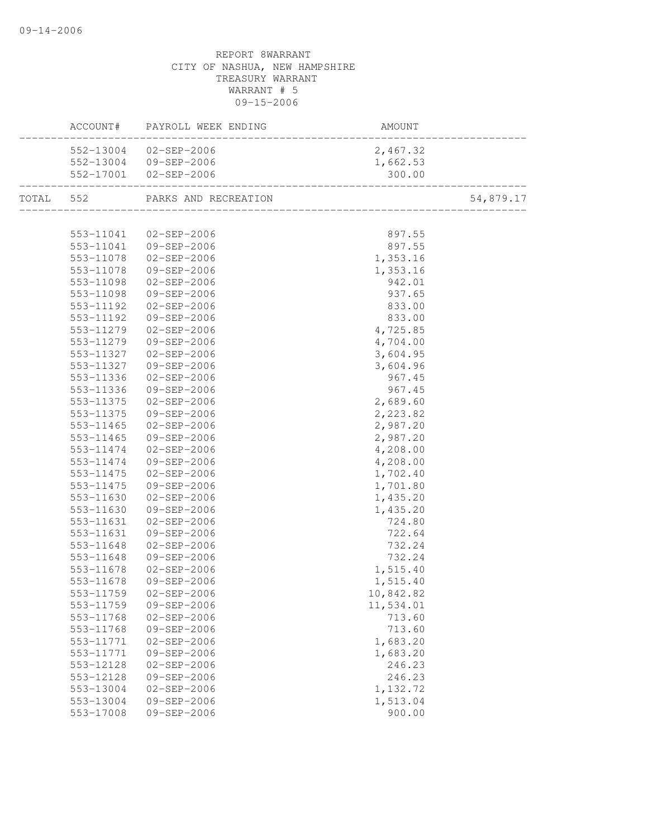|           |                                | AMOUNT    |           |
|-----------|--------------------------------|-----------|-----------|
|           | 552-13004 02-SEP-2006          | 2,467.32  |           |
|           | 552-13004 09-SEP-2006          | 1,662.53  |           |
|           | 552-17001 02-SEP-2006          | 300.00    |           |
|           | TOTAL 552 PARKS AND RECREATION |           | 54,879.17 |
|           |                                |           |           |
|           | 553-11041 02-SEP-2006          | 897.55    |           |
|           | 553-11041 09-SEP-2006          | 897.55    |           |
|           | 553-11078  02-SEP-2006         | 1,353.16  |           |
|           | 553-11078 09-SEP-2006          | 1,353.16  |           |
| 553-11098 | $02 - SEP - 2006$              | 942.01    |           |
| 553-11098 | 09-SEP-2006                    | 937.65    |           |
| 553-11192 | 02-SEP-2006                    | 833.00    |           |
| 553-11192 | 09-SEP-2006                    | 833.00    |           |
| 553-11279 | $02 - SEP - 2006$              | 4,725.85  |           |
| 553-11279 | 09-SEP-2006                    | 4,704.00  |           |
| 553-11327 | $02 - SEP - 2006$              | 3,604.95  |           |
| 553-11327 | 09-SEP-2006                    | 3,604.96  |           |
| 553-11336 | 02-SEP-2006                    | 967.45    |           |
| 553-11336 | 09-SEP-2006                    | 967.45    |           |
| 553-11375 | 02-SEP-2006                    | 2,689.60  |           |
| 553-11375 | 09-SEP-2006                    | 2,223.82  |           |
| 553-11465 | 02-SEP-2006                    | 2,987.20  |           |
| 553-11465 | 09-SEP-2006                    | 2,987.20  |           |
|           | 553-11474 02-SEP-2006          | 4,208.00  |           |
|           | 553-11474 09-SEP-2006          | 4,208.00  |           |
|           | 553-11475 02-SEP-2006          | 1,702.40  |           |
| 553-11475 | 09-SEP-2006                    | 1,701.80  |           |
| 553-11630 | $02 - SEP - 2006$              | 1,435.20  |           |
| 553-11630 | 09-SEP-2006                    | 1,435.20  |           |
| 553-11631 | 02-SEP-2006                    | 724.80    |           |
| 553-11631 | 09-SEP-2006                    | 722.64    |           |
| 553-11648 | $02 - SEP - 2006$              | 732.24    |           |
| 553-11648 | 09-SEP-2006                    | 732.24    |           |
| 553-11678 | 02-SEP-2006                    | 1,515.40  |           |
| 553-11678 | 09-SEP-2006                    | 1,515.40  |           |
|           |                                | 10,842.82 |           |
| 553-11759 | 09-SEP-2006                    | 11,534.01 |           |
| 553-11768 | $02 - SEP - 2006$              | 713.60    |           |
| 553-11768 | 09-SEP-2006                    | 713.60    |           |
| 553-11771 | $02 - SEP - 2006$              | 1,683.20  |           |
| 553-11771 | 09-SEP-2006                    | 1,683.20  |           |
| 553-12128 | $02 - SEP - 2006$              | 246.23    |           |
| 553-12128 | 09-SEP-2006                    | 246.23    |           |
| 553-13004 | $02 - SEP - 2006$              | 1,132.72  |           |
| 553-13004 | 09-SEP-2006                    | 1,513.04  |           |
| 553-17008 | 09-SEP-2006                    | 900.00    |           |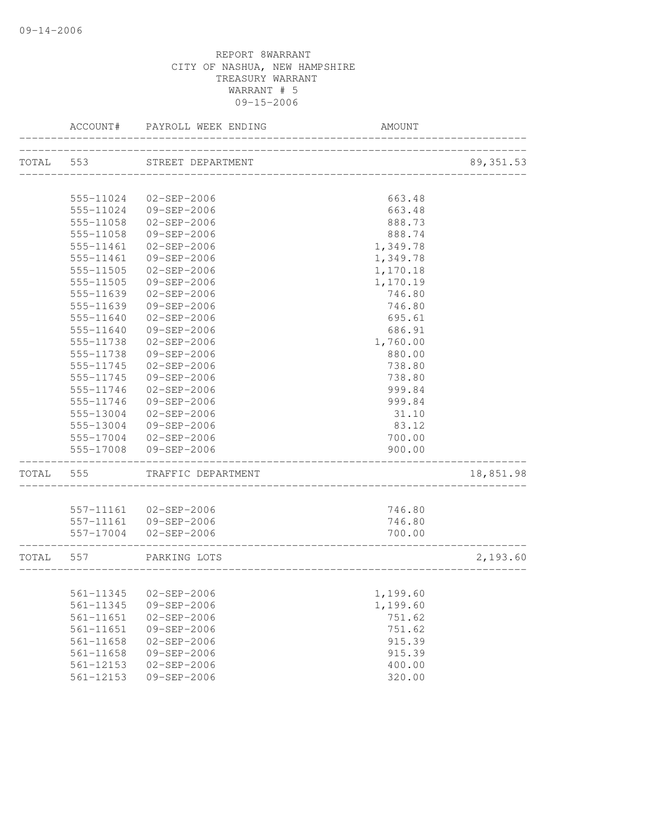|           | ACCOUNT#      | PAYROLL WEEK ENDING         | AMOUNT                  |            |
|-----------|---------------|-----------------------------|-------------------------|------------|
|           |               | TOTAL 553 STREET DEPARTMENT |                         | 89, 351.53 |
|           |               |                             | _______________________ |            |
|           | 555-11024     | 02-SEP-2006                 | 663.48                  |            |
|           | 555-11024     | 09-SEP-2006                 | 663.48                  |            |
|           | 555-11058     | $02 - SEP - 2006$           | 888.73                  |            |
|           | 555-11058     | 09-SEP-2006                 | 888.74                  |            |
|           | 555-11461     | $02 - SEP - 2006$           | 1,349.78                |            |
|           | 555-11461     | 09-SEP-2006                 | 1,349.78                |            |
|           | $555 - 11505$ | $02 - SEP - 2006$           | 1,170.18                |            |
|           | 555-11505     | $09 - SEP - 2006$           | 1,170.19                |            |
|           | 555-11639     | $02 - SEP - 2006$           | 746.80                  |            |
|           | 555-11639     | 09-SEP-2006                 | 746.80                  |            |
|           | 555-11640     | $02 - SEP - 2006$           | 695.61                  |            |
|           | 555-11640     | 09-SEP-2006                 | 686.91                  |            |
|           | 555-11738     | $02 - SEP - 2006$           | 1,760.00                |            |
|           | 555-11738     | $09 - SEP - 2006$           | 880.00                  |            |
|           | 555-11745     | $02 - SEP - 2006$           | 738.80                  |            |
|           | 555-11745     | $09 - SEP - 2006$           | 738.80                  |            |
|           | 555-11746     | $02 - SEP - 2006$           | 999.84                  |            |
|           | 555-11746     | 09-SEP-2006                 | 999.84                  |            |
|           | 555-13004     | $02 - SEP - 2006$           | 31.10                   |            |
|           | 555-13004     | 09-SEP-2006                 | 83.12                   |            |
|           |               | 555-17004 02-SEP-2006       | 700.00                  |            |
|           | 555-17008     | 09-SEP-2006                 | 900.00                  |            |
| TOTAL     | 555           | TRAFFIC DEPARTMENT          |                         | 18,851.98  |
|           |               | 557-11161 02-SEP-2006       | 746.80                  |            |
|           |               | 557-11161 09-SEP-2006       | 746.80                  |            |
|           |               | 557-17004 02-SEP-2006       | 700.00                  |            |
| TOTAL 557 |               | PARKING LOTS                |                         | 2,193.60   |
|           |               |                             |                         |            |
|           |               | 561-11345 02-SEP-2006       | 1,199.60                |            |
|           | 561-11345     | 09-SEP-2006                 | 1,199.60                |            |
|           | $561 - 11651$ | $02 - SEP - 2006$           | 751.62                  |            |
|           | 561-11651     | 09-SEP-2006                 | 751.62                  |            |
|           | $561 - 11658$ | $02 - SEP - 2006$           | 915.39                  |            |
|           | $561 - 11658$ | 09-SEP-2006                 | 915.39                  |            |
|           | $561 - 12153$ | $02 - SEP - 2006$           | 400.00                  |            |
|           | 561-12153     | $09 - SEP - 2006$           | 320.00                  |            |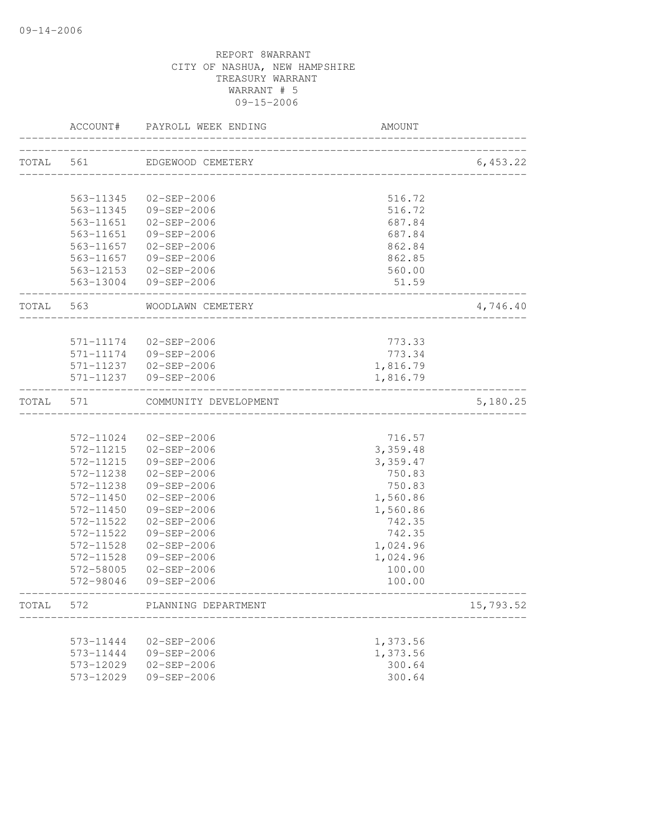|       | ACCOUNT#               | PAYROLL WEEK ENDING                            | AMOUNT                      |           |
|-------|------------------------|------------------------------------------------|-----------------------------|-----------|
|       | TOTAL 561              | EDGEWOOD CEMETERY                              |                             | 6,453.22  |
|       |                        |                                                | ___________________________ |           |
|       | 563-11345              | 02-SEP-2006                                    | 516.72                      |           |
|       |                        | 563-11345 09-SEP-2006                          | 516.72                      |           |
|       | 563-11651              | 02-SEP-2006                                    | 687.84                      |           |
|       | 563-11651              | 09-SEP-2006                                    | 687.84                      |           |
|       | 563-11657              | 02-SEP-2006                                    | 862.84                      |           |
|       |                        | 563-11657 09-SEP-2006                          | 862.85                      |           |
|       |                        | 563-12153 02-SEP-2006                          | 560.00                      |           |
|       |                        | 563-13004 09-SEP-2006                          | 51.59                       |           |
| TOTAL | 563                    | WOODLAWN CEMETERY                              |                             | 4,746.40  |
|       |                        |                                                |                             |           |
|       | 571-11174<br>571-11174 | $02 - SEP - 2006$<br>09-SEP-2006               | 773.33                      |           |
|       |                        |                                                | 773.34                      |           |
|       |                        | 571-11237 02-SEP-2006<br>571-11237 09-SEP-2006 | 1,816.79                    |           |
|       |                        |                                                | 1,816.79                    |           |
| TOTAL | 571                    | COMMUNITY DEVELOPMENT                          |                             | 5,180.25  |
|       |                        |                                                |                             |           |
|       |                        | 572-11024 02-SEP-2006                          | 716.57                      |           |
|       | 572-11215              | 02-SEP-2006                                    | 3,359.48                    |           |
|       | 572-11215              | 09-SEP-2006                                    | 3,359.47                    |           |
|       | 572-11238              | $02 - SEP - 2006$                              | 750.83                      |           |
|       | 572-11238              | 09-SEP-2006                                    | 750.83                      |           |
|       | 572-11450              | 02-SEP-2006                                    | 1,560.86                    |           |
|       | 572-11450              | 09-SEP-2006                                    | 1,560.86                    |           |
|       | 572-11522              | 02-SEP-2006                                    | 742.35                      |           |
|       | 572-11522              | 09-SEP-2006                                    | 742.35                      |           |
|       | 572-11528              | $02 - SEP - 2006$                              | 1,024.96                    |           |
|       | 572-11528<br>572-58005 | 09-SEP-2006                                    | 1,024.96                    |           |
|       | 572-98046              | $02 - SEP - 2006$<br>09-SEP-2006               | 100.00<br>100.00            |           |
| TOTAL | 572                    | PLANNING DEPARTMENT                            |                             | 15,793.52 |
|       |                        |                                                |                             |           |
|       | 573-11444              | $02 - SEP - 2006$                              | 1,373.56                    |           |
|       | 573-11444              | 09-SEP-2006                                    | 1,373.56                    |           |
|       | 573-12029              | $02 - SEP - 2006$                              | 300.64                      |           |
|       | 573-12029              | 09-SEP-2006                                    | 300.64                      |           |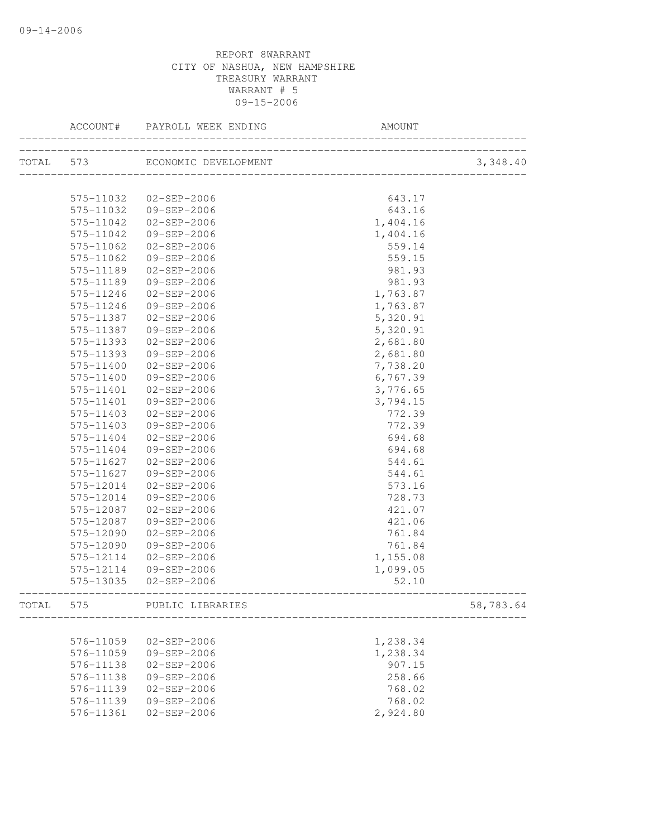|       | ACCOUNT#  | PAYROLL WEEK ENDING            | <b>AMOUNT</b>            |           |
|-------|-----------|--------------------------------|--------------------------|-----------|
|       |           | TOTAL 573 ECONOMIC DEVELOPMENT | ________________________ | 3,348.40  |
|       |           |                                |                          |           |
|       | 575-11032 | $02 - SEP - 2006$              | 643.17                   |           |
|       | 575-11032 | 09-SEP-2006                    | 643.16                   |           |
|       | 575-11042 | $02 - SEP - 2006$              | 1,404.16                 |           |
|       | 575-11042 | 09-SEP-2006                    | 1,404.16                 |           |
|       | 575-11062 | $02 - SEP - 2006$              | 559.14                   |           |
|       | 575-11062 | $09 - SEP - 2006$              | 559.15                   |           |
|       | 575-11189 | $02 - SEP - 2006$              | 981.93                   |           |
|       | 575-11189 | 09-SEP-2006                    | 981.93                   |           |
|       | 575-11246 | $02 - SEP - 2006$              | 1,763.87                 |           |
|       | 575-11246 | 09-SEP-2006                    | 1,763.87                 |           |
|       | 575-11387 | $02 - SEP - 2006$              | 5,320.91                 |           |
|       | 575-11387 | 09-SEP-2006                    | 5,320.91                 |           |
|       | 575-11393 | $02 - SEP - 2006$              | 2,681.80                 |           |
|       | 575-11393 | 09-SEP-2006                    | 2,681.80                 |           |
|       | 575-11400 | $02 - SEP - 2006$              | 7,738.20                 |           |
|       | 575-11400 | $09 - SEP - 2006$              | 6,767.39                 |           |
|       | 575-11401 | $02 - SEP - 2006$              | 3,776.65                 |           |
|       | 575-11401 | 09-SEP-2006                    | 3,794.15                 |           |
|       | 575-11403 | $02 - SEP - 2006$              | 772.39                   |           |
|       | 575-11403 | 09-SEP-2006                    | 772.39                   |           |
|       | 575-11404 | $02 - SEP - 2006$              | 694.68                   |           |
|       | 575-11404 | 09-SEP-2006                    | 694.68                   |           |
|       | 575-11627 | $02 - SEP - 2006$              | 544.61                   |           |
|       | 575-11627 | 09-SEP-2006                    | 544.61                   |           |
|       | 575-12014 | $02 - SEP - 2006$              | 573.16                   |           |
|       | 575-12014 | 09-SEP-2006                    | 728.73                   |           |
|       | 575-12087 | $02 - SEP - 2006$              | 421.07                   |           |
|       | 575-12087 | 09-SEP-2006                    | 421.06                   |           |
|       | 575-12090 | $02 - SEP - 2006$              | 761.84                   |           |
|       | 575-12090 | 09-SEP-2006                    | 761.84                   |           |
|       | 575-12114 | $02 - SEP - 2006$              | 1,155.08                 |           |
|       | 575-12114 | 09-SEP-2006                    | 1,099.05                 |           |
|       | 575-13035 | $02 - SEP - 2006$              | 52.10                    |           |
| TOTAL | 575       | PUBLIC LIBRARIES               |                          | 58,783.64 |
|       | 576-11059 | $02 - SEP - 2006$              | 1,238.34                 |           |
|       | 576-11059 | 09-SEP-2006                    | 1,238.34                 |           |
|       | 576-11138 | $02 - SEP - 2006$              | 907.15                   |           |
|       | 576-11138 | $09 - SEP - 2006$              | 258.66                   |           |
|       | 576-11139 | $02 - SEP - 2006$              | 768.02                   |           |
|       | 576-11139 | 09-SEP-2006                    | 768.02                   |           |
|       | 576-11361 | $02 - SEP - 2006$              | 2,924.80                 |           |
|       |           |                                |                          |           |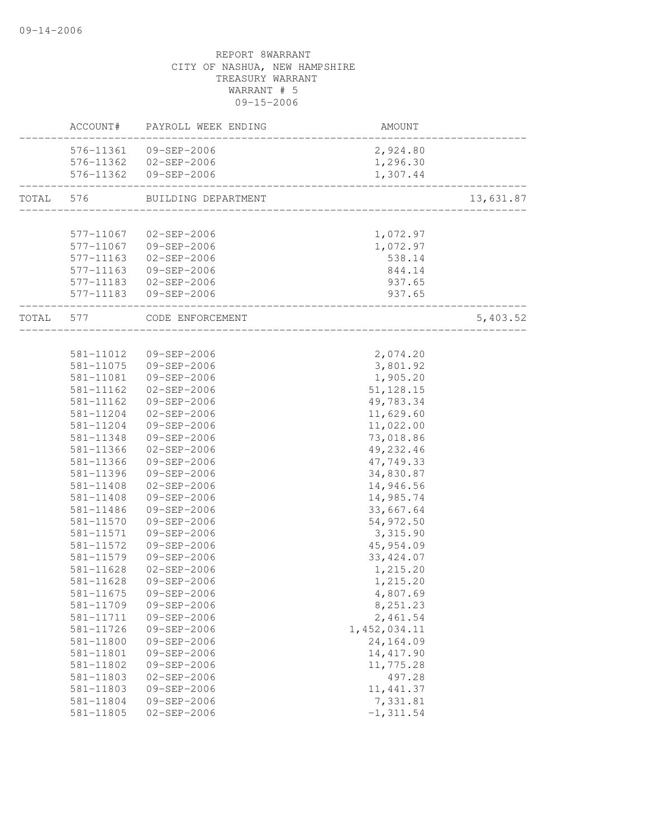|           | ACCOUNT#               | PAYROLL WEEK ENDING              | AMOUNT                                |           |
|-----------|------------------------|----------------------------------|---------------------------------------|-----------|
|           |                        | 576-11361 09-SEP-2006            | 2,924.80                              |           |
|           |                        | 576-11362 02-SEP-2006            | 1,296.30                              |           |
|           | 576-11362              | 09-SEP-2006                      | 1,307.44                              |           |
| TOTAL 576 |                        | BUILDING DEPARTMENT              |                                       | 13,631.87 |
|           |                        |                                  | _____________________________________ |           |
|           | 577-11067              | 02-SEP-2006                      | 1,072.97                              |           |
|           |                        | 577-11067 09-SEP-2006            | 1,072.97                              |           |
|           | 577-11163              | 02-SEP-2006                      | 538.14                                |           |
|           | 577-11163              | 09-SEP-2006                      | 844.14                                |           |
|           | 577-11183              | 02-SEP-2006                      | 937.65                                |           |
|           | 577-11183              | 09-SEP-2006                      | 937.65                                |           |
| TOTAL 577 |                        | CODE ENFORCEMENT                 | _____________________                 | 5,403.52  |
|           |                        |                                  |                                       |           |
|           |                        | 581-11012  09-SEP-2006           | 2,074.20                              |           |
|           | 581-11075              | 09-SEP-2006                      | 3,801.92                              |           |
|           | 581-11081              | 09-SEP-2006                      | 1,905.20                              |           |
|           | $581 - 11162$          | 02-SEP-2006                      | 51, 128.15                            |           |
|           | 581-11162              | 09-SEP-2006                      | 49,783.34                             |           |
|           | 581-11204              | $02 - SEP - 2006$                | 11,629.60                             |           |
|           | 581-11204              | 09-SEP-2006                      | 11,022.00                             |           |
|           | 581-11348              | 09-SEP-2006                      | 73,018.86                             |           |
|           | 581-11366              | 02-SEP-2006                      | 49,232.46                             |           |
|           | 581-11366              | 09-SEP-2006                      | 47,749.33                             |           |
|           | 581-11396              | 09-SEP-2006                      | 34,830.87                             |           |
|           | 581-11408              | 02-SEP-2006                      | 14,946.56                             |           |
|           | 581-11408              | 09-SEP-2006                      | 14,985.74                             |           |
|           | 581-11486              | 09-SEP-2006                      | 33,667.64                             |           |
|           | 581-11570              | 09-SEP-2006                      | 54,972.50                             |           |
|           | 581-11571              | 09-SEP-2006                      | 3,315.90                              |           |
|           | 581-11572              | 09-SEP-2006                      | 45, 954.09                            |           |
|           | 581-11579              | 09-SEP-2006                      | 33, 424.07                            |           |
|           | 581-11628              | 02-SEP-2006                      | 1,215.20                              |           |
|           | 581-11628              | 09-SEP-2006                      | 1,215.20                              |           |
|           | 581-11675              | 09-SEP-2006                      | 4,807.69                              |           |
|           | 581-11709              | 09-SEP-2006                      | 8,251.23                              |           |
|           | 581-11711              | 09-SEP-2006                      | 2,461.54                              |           |
|           | 581-11726              | 09-SEP-2006                      | 1,452,034.11<br>24,164.09             |           |
|           | 581-11800              | 09-SEP-2006                      | 14, 417.90                            |           |
|           | 581-11801<br>581-11802 | 09-SEP-2006<br>$09 - SEP - 2006$ |                                       |           |
|           | 581-11803              | $02 - SEP - 2006$                | 11,775.28<br>497.28                   |           |
|           |                        |                                  |                                       |           |
|           | 581-11803<br>581-11804 | 09-SEP-2006<br>09-SEP-2006       | 11, 441.37<br>7,331.81                |           |
|           | 581-11805              | $02 - SEP - 2006$                | $-1, 311.54$                          |           |
|           |                        |                                  |                                       |           |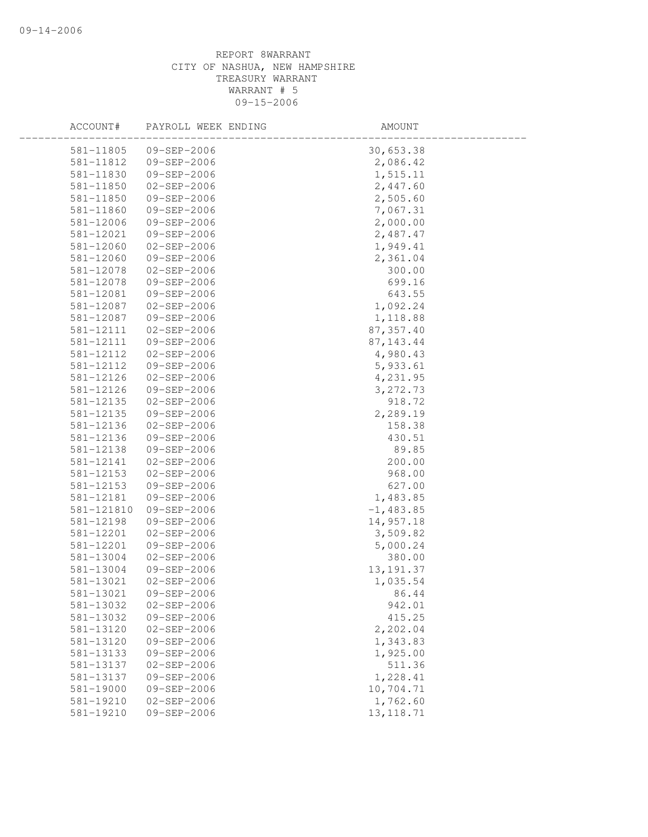| ACCOUNT#   | PAYROLL WEEK ENDING | AMOUNT      |  |
|------------|---------------------|-------------|--|
| 581-11805  | 09-SEP-2006         | 30,653.38   |  |
| 581-11812  | 09-SEP-2006         | 2,086.42    |  |
| 581-11830  | 09-SEP-2006         | 1,515.11    |  |
| 581-11850  | $02 - SEP - 2006$   | 2,447.60    |  |
| 581-11850  | 09-SEP-2006         | 2,505.60    |  |
| 581-11860  | 09-SEP-2006         | 7,067.31    |  |
| 581-12006  | 09-SEP-2006         | 2,000.00    |  |
| 581-12021  | 09-SEP-2006         | 2,487.47    |  |
| 581-12060  | 02-SEP-2006         | 1,949.41    |  |
| 581-12060  | 09-SEP-2006         | 2,361.04    |  |
| 581-12078  | $02 - SEP - 2006$   | 300.00      |  |
| 581-12078  | 09-SEP-2006         | 699.16      |  |
| 581-12081  | 09-SEP-2006         | 643.55      |  |
| 581-12087  | 02-SEP-2006         | 1,092.24    |  |
| 581-12087  | 09-SEP-2006         | 1,118.88    |  |
| 581-12111  | 02-SEP-2006         | 87, 357.40  |  |
| 581-12111  | 09-SEP-2006         | 87, 143. 44 |  |
| 581-12112  | $02 - SEP - 2006$   | 4,980.43    |  |
| 581-12112  | 09-SEP-2006         | 5,933.61    |  |
| 581-12126  | $02 - SEP - 2006$   | 4,231.95    |  |
| 581-12126  | 09-SEP-2006         | 3, 272.73   |  |
| 581-12135  | 02-SEP-2006         | 918.72      |  |
| 581-12135  | 09-SEP-2006         | 2,289.19    |  |
| 581-12136  | 02-SEP-2006         | 158.38      |  |
| 581-12136  | 09-SEP-2006         | 430.51      |  |
| 581-12138  | 09-SEP-2006         | 89.85       |  |
| 581-12141  | $02 - SEP - 2006$   | 200.00      |  |
| 581-12153  | 02-SEP-2006         | 968.00      |  |
| 581-12153  | 09-SEP-2006         | 627.00      |  |
| 581-12181  | 09-SEP-2006         | 1,483.85    |  |
| 581-121810 | 09-SEP-2006         | $-1,483.85$ |  |
| 581-12198  | 09-SEP-2006         | 14,957.18   |  |
| 581-12201  | $02 - SEP - 2006$   | 3,509.82    |  |
| 581-12201  | 09-SEP-2006         | 5,000.24    |  |
| 581-13004  | $02 - SEP - 2006$   | 380.00      |  |
| 581-13004  | 09-SEP-2006         | 13, 191.37  |  |
| 581-13021  | $02 - SEP - 2006$   | 1,035.54    |  |
| 581-13021  | 09-SEP-2006         | 86.44       |  |
| 581-13032  | $02 - SEP - 2006$   | 942.01      |  |
| 581-13032  | 09-SEP-2006         | 415.25      |  |
| 581-13120  | $02 - SEP - 2006$   | 2,202.04    |  |
| 581-13120  | 09-SEP-2006         | 1,343.83    |  |
| 581-13133  | 09-SEP-2006         | 1,925.00    |  |
| 581-13137  | $02 - SEP - 2006$   | 511.36      |  |
| 581-13137  | 09-SEP-2006         | 1,228.41    |  |
| 581-19000  | 09-SEP-2006         | 10,704.71   |  |
| 581-19210  | $02 - SEP - 2006$   | 1,762.60    |  |
| 581-19210  | 09-SEP-2006         | 13, 118.71  |  |
|            |                     |             |  |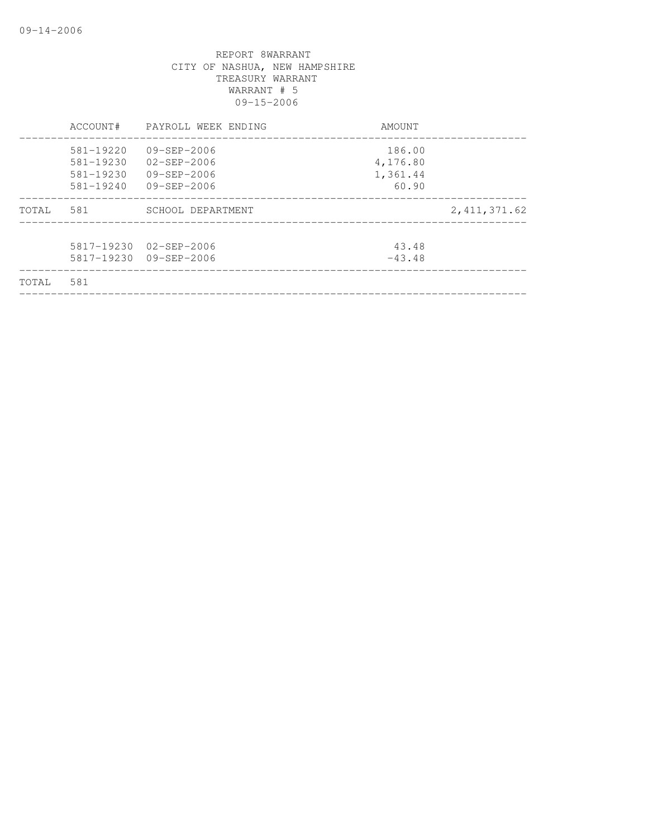|       | ACCOUNT#      | PAYROLL WEEK ENDING    | AMOUNT   |                |
|-------|---------------|------------------------|----------|----------------|
|       | 581-19220     | $09 - SEP - 2006$      | 186.00   |                |
|       | 581-19230     | $02 - SEP - 2006$      | 4,176.80 |                |
|       | $581 - 19230$ | $09 - SEP - 2006$      | 1,361.44 |                |
|       | $581 - 19240$ | 09-SEP-2006            | 60.90    |                |
| TOTAL | 581           | SCHOOL DEPARTMENT      |          | 2, 411, 371.62 |
|       |               |                        |          |                |
|       |               | 5817-19230 02-SEP-2006 | 43.48    |                |
|       |               | 5817-19230 09-SEP-2006 | $-43.48$ |                |
| TOTAL | 581           |                        |          |                |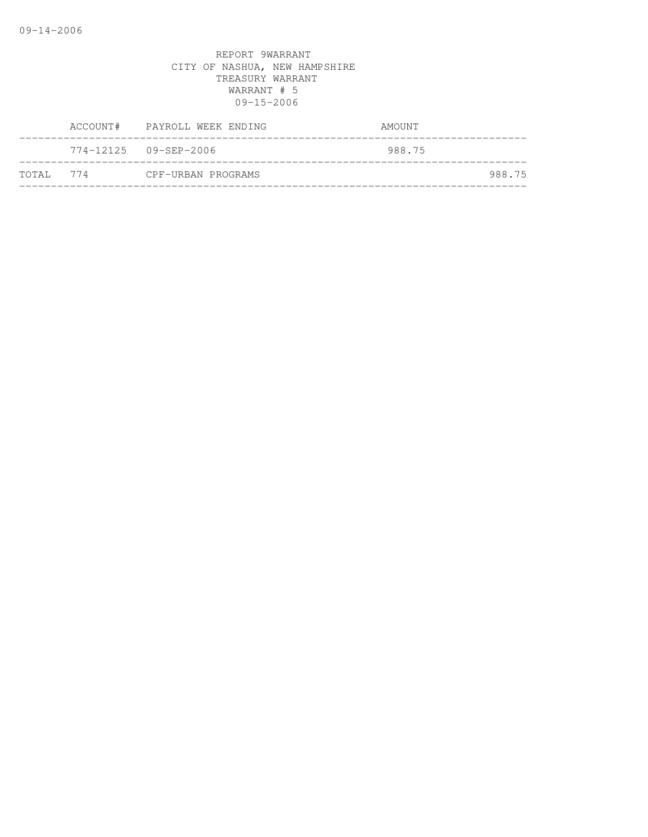|            | ACCOUNT# PAYROLL WEEK ENDING | AMOUNT |
|------------|------------------------------|--------|
|            | 774-12125 09-SEP-2006        | 988.75 |
| тотат. 774 | CPF-URBAN PROGRAMS           | 988.75 |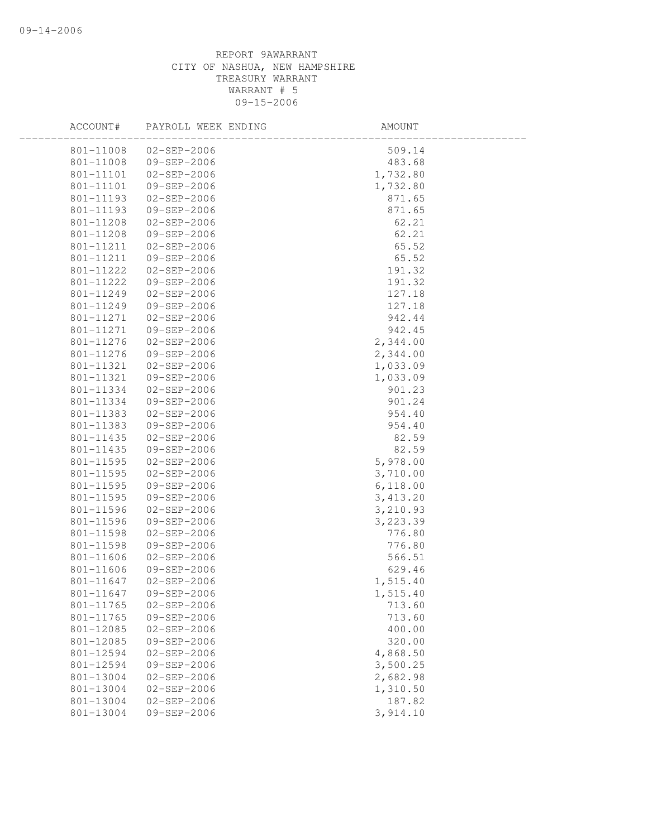| ACCOUNT#  | PAYROLL WEEK ENDING   | AMOUNT   |  |
|-----------|-----------------------|----------|--|
|           | 801-11008 02-SEP-2006 | 509.14   |  |
| 801-11008 | 09-SEP-2006           | 483.68   |  |
| 801-11101 | 02-SEP-2006           | 1,732.80 |  |
| 801-11101 | 09-SEP-2006           | 1,732.80 |  |
| 801-11193 | 02-SEP-2006           | 871.65   |  |
| 801-11193 | 09-SEP-2006           | 871.65   |  |
| 801-11208 | 02-SEP-2006           | 62.21    |  |
| 801-11208 | 09-SEP-2006           | 62.21    |  |
| 801-11211 | $02 - SEP - 2006$     | 65.52    |  |
| 801-11211 | 09-SEP-2006           | 65.52    |  |
| 801-11222 | $02 - SEP - 2006$     | 191.32   |  |
| 801-11222 | 09-SEP-2006           | 191.32   |  |
| 801-11249 | 02-SEP-2006           | 127.18   |  |
| 801-11249 | 09-SEP-2006           | 127.18   |  |
| 801-11271 | 02-SEP-2006           | 942.44   |  |
| 801-11271 | 09-SEP-2006           | 942.45   |  |
| 801-11276 | $02 - SEP - 2006$     | 2,344.00 |  |
| 801-11276 | 09-SEP-2006           | 2,344.00 |  |
| 801-11321 | 02-SEP-2006           | 1,033.09 |  |
| 801-11321 | 09-SEP-2006           | 1,033.09 |  |
| 801-11334 | 02-SEP-2006           | 901.23   |  |
| 801-11334 | 09-SEP-2006           | 901.24   |  |
| 801-11383 | 02-SEP-2006           | 954.40   |  |
| 801-11383 | $09 - SEP - 2006$     | 954.40   |  |
| 801-11435 | 02-SEP-2006           | 82.59    |  |
| 801-11435 | 09-SEP-2006           | 82.59    |  |
| 801-11595 | 02-SEP-2006           | 5,978.00 |  |
| 801-11595 | 02-SEP-2006           | 3,710.00 |  |
| 801-11595 | 09-SEP-2006           | 6,118.00 |  |
| 801-11595 | 09-SEP-2006           | 3,413.20 |  |
| 801-11596 | 02-SEP-2006           | 3,210.93 |  |
| 801-11596 | 09-SEP-2006           | 3,223.39 |  |
| 801-11598 | $02 - SEP - 2006$     | 776.80   |  |
| 801-11598 | 09-SEP-2006           | 776.80   |  |
| 801-11606 | 02-SEP-2006           | 566.51   |  |
| 801-11606 | 09-SEP-2006           | 629.46   |  |
| 801-11647 | $02 - SEP - 2006$     | 1,515.40 |  |
| 801-11647 | $09 - SEP - 2006$     | 1,515.40 |  |
| 801-11765 | $02 - SEP - 2006$     | 713.60   |  |
| 801-11765 | 09-SEP-2006           | 713.60   |  |
| 801-12085 | $02 - SEP - 2006$     | 400.00   |  |
| 801-12085 | 09-SEP-2006           | 320.00   |  |
| 801-12594 | $02 - SEP - 2006$     | 4,868.50 |  |
| 801-12594 | $09 - SEP - 2006$     | 3,500.25 |  |
| 801-13004 | $02 - SEP - 2006$     | 2,682.98 |  |
| 801-13004 | $02 - SEP - 2006$     | 1,310.50 |  |
| 801-13004 | $02 - SEP - 2006$     | 187.82   |  |
| 801-13004 | 09-SEP-2006           | 3,914.10 |  |
|           |                       |          |  |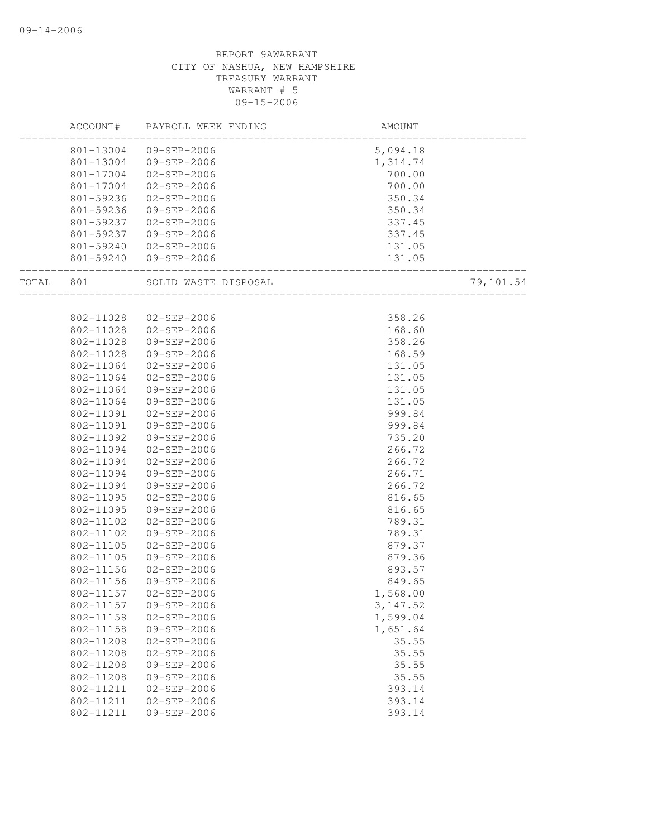|       | ACCOUNT#  | PAYROLL WEEK ENDING  | AMOUNT                          |           |
|-------|-----------|----------------------|---------------------------------|-----------|
|       | 801-13004 | 09-SEP-2006          | 5,094.18                        |           |
|       | 801-13004 | 09-SEP-2006          | 1,314.74                        |           |
|       | 801-17004 | 02-SEP-2006          | 700.00                          |           |
|       | 801-17004 | 02-SEP-2006          | 700.00                          |           |
|       | 801-59236 | 02-SEP-2006          | 350.34                          |           |
|       | 801-59236 | 09-SEP-2006          | 350.34                          |           |
|       | 801-59237 | 02-SEP-2006          | 337.45                          |           |
|       | 801-59237 | 09-SEP-2006          | 337.45                          |           |
|       | 801-59240 | 02-SEP-2006          | 131.05                          |           |
|       | 801-59240 | 09-SEP-2006          | 131.05<br>_____________________ |           |
| TOTAL | 801       | SOLID WASTE DISPOSAL |                                 | 79,101.54 |
|       |           |                      |                                 |           |
|       | 802-11028 | 02-SEP-2006          | 358.26                          |           |
|       | 802-11028 | 02-SEP-2006          | 168.60                          |           |
|       | 802-11028 | 09-SEP-2006          | 358.26                          |           |
|       | 802-11028 | 09-SEP-2006          | 168.59                          |           |
|       | 802-11064 | 02-SEP-2006          | 131.05                          |           |
|       | 802-11064 | $02 - SEP - 2006$    | 131.05                          |           |
|       | 802-11064 | 09-SEP-2006          | 131.05                          |           |
|       | 802-11064 | 09-SEP-2006          | 131.05                          |           |
|       | 802-11091 | 02-SEP-2006          | 999.84                          |           |
|       | 802-11091 | 09-SEP-2006          | 999.84                          |           |
|       | 802-11092 | 09-SEP-2006          | 735.20                          |           |
|       | 802-11094 | 02-SEP-2006          | 266.72                          |           |
|       | 802-11094 | 02-SEP-2006          | 266.72                          |           |
|       | 802-11094 | 09-SEP-2006          | 266.71                          |           |
|       | 802-11094 | 09-SEP-2006          | 266.72                          |           |
|       | 802-11095 | 02-SEP-2006          | 816.65                          |           |
|       | 802-11095 | 09-SEP-2006          | 816.65                          |           |
|       | 802-11102 | 02-SEP-2006          | 789.31                          |           |
|       | 802-11102 | 09-SEP-2006          | 789.31                          |           |
|       | 802-11105 | $02 - SEP - 2006$    | 879.37                          |           |
|       | 802-11105 | 09-SEP-2006          | 879.36                          |           |
|       | 802-11156 | 02-SEP-2006          | 893.57                          |           |
|       | 802-11156 | 09-SEP-2006          | 849.65                          |           |
|       | 802-11157 | $02 - SEP - 2006$    | 1,568.00                        |           |
|       | 802-11157 | 09-SEP-2006          | 3, 147.52                       |           |
|       | 802-11158 | $02 - SEP - 2006$    | 1,599.04                        |           |
|       | 802-11158 | $09 - SEP - 2006$    | 1,651.64                        |           |
|       | 802-11208 | $02 - SEP - 2006$    | 35.55                           |           |
|       | 802-11208 | $02 - SEP - 2006$    | 35.55                           |           |
|       | 802-11208 | 09-SEP-2006          | 35.55                           |           |
|       | 802-11208 | 09-SEP-2006          | 35.55                           |           |
|       | 802-11211 | $02 - SEP - 2006$    | 393.14                          |           |
|       | 802-11211 | $02 - SEP - 2006$    | 393.14                          |           |
|       | 802-11211 | $09 - SEP - 2006$    | 393.14                          |           |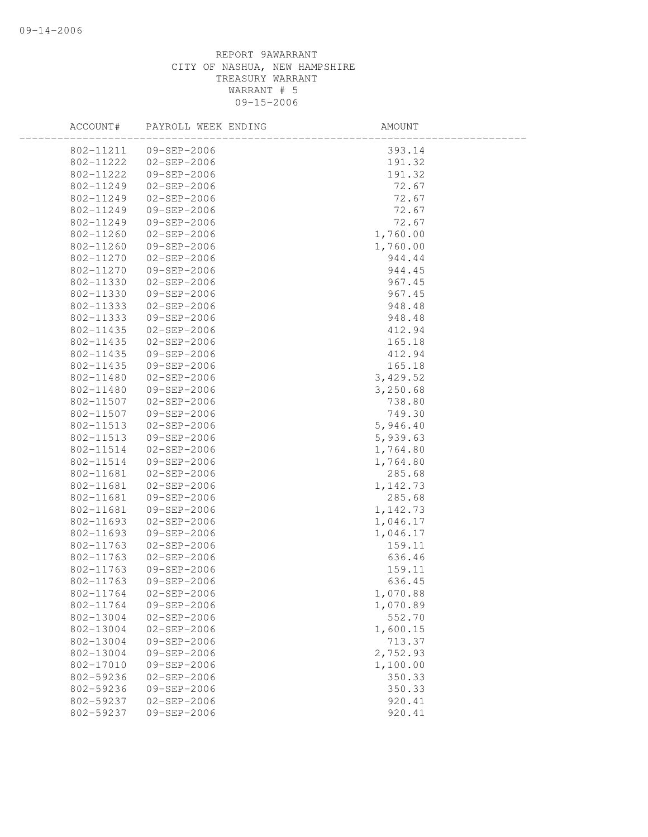## REPORT 9AWARRANT CITY OF NASHUA, NEW HAMPSHIRE TREASURY WARRANT WARRANT # 5 09-15-2006

| 802-11211  09-SEP-2006<br>393.14           |  |
|--------------------------------------------|--|
| 802-11222<br>02-SEP-2006<br>191.32         |  |
| 191.32<br>802-11222<br>09-SEP-2006         |  |
| 72.67<br>802-11249<br>$02 - SEP - 2006$    |  |
| 72.67<br>802-11249<br>02-SEP-2006          |  |
| 802-11249<br>72.67<br>09-SEP-2006          |  |
| 802-11249<br>72.67<br>09-SEP-2006          |  |
| 1,760.00<br>802-11260<br>02-SEP-2006       |  |
| 802-11260<br>09-SEP-2006<br>1,760.00       |  |
| 802-11270<br>02-SEP-2006<br>944.44         |  |
| 802-11270<br>09-SEP-2006<br>944.45         |  |
| 802-11330<br>02-SEP-2006<br>967.45         |  |
| 802-11330<br>09-SEP-2006<br>967.45         |  |
| 802-11333<br>02-SEP-2006<br>948.48         |  |
| 802-11333<br>09-SEP-2006<br>948.48         |  |
| 412.94<br>802-11435<br>02-SEP-2006         |  |
| 165.18<br>802-11435<br>02-SEP-2006         |  |
| 802-11435<br>09-SEP-2006<br>412.94         |  |
| 09-SEP-2006<br>$802 - 11435$<br>165.18     |  |
| 802-11480<br>02-SEP-2006<br>3,429.52       |  |
| 802-11480<br>09-SEP-2006<br>3,250.68       |  |
| 802-11507<br>02-SEP-2006<br>738.80         |  |
| 749.30<br>802-11507<br>09-SEP-2006         |  |
| 802-11513<br>5,946.40<br>02-SEP-2006       |  |
| 5,939.63<br>802-11513<br>09-SEP-2006       |  |
| 802-11514<br>02-SEP-2006<br>1,764.80       |  |
| 802-11514<br>09-SEP-2006<br>1,764.80       |  |
| 802-11681<br>$02 - SEP - 2006$<br>285.68   |  |
| 802-11681<br>02-SEP-2006<br>1,142.73       |  |
| 285.68<br>802-11681<br>09-SEP-2006         |  |
| 802-11681<br>09-SEP-2006<br>1,142.73       |  |
| 802-11693<br>02-SEP-2006<br>1,046.17       |  |
| 802-11693<br>09-SEP-2006<br>1,046.17       |  |
| 802-11763<br>$02 - SEP - 2006$<br>159.11   |  |
| 802-11763<br>$02 - SEP - 2006$<br>636.46   |  |
| 802-11763<br>09-SEP-2006<br>159.11         |  |
| 802-11763<br>09-SEP-2006<br>636.45         |  |
| 802-11764<br>$02 - SEP - 2006$<br>1,070.88 |  |
| 802-11764<br>09-SEP-2006<br>1,070.89       |  |
| 802-13004<br>$02 - SEP - 2006$<br>552.70   |  |
| 802-13004<br>$02 - SEP - 2006$<br>1,600.15 |  |
| 713.37<br>802-13004<br>09-SEP-2006         |  |
| 2,752.93<br>802-13004<br>09-SEP-2006       |  |
| 802-17010<br>09-SEP-2006<br>1,100.00       |  |
| 802-59236<br>$02 - SEP - 2006$<br>350.33   |  |
| 350.33<br>802-59236<br>09-SEP-2006         |  |
| 802-59237<br>$02 - SEP - 2006$<br>920.41   |  |
| 802-59237<br>09-SEP-2006<br>920.41         |  |